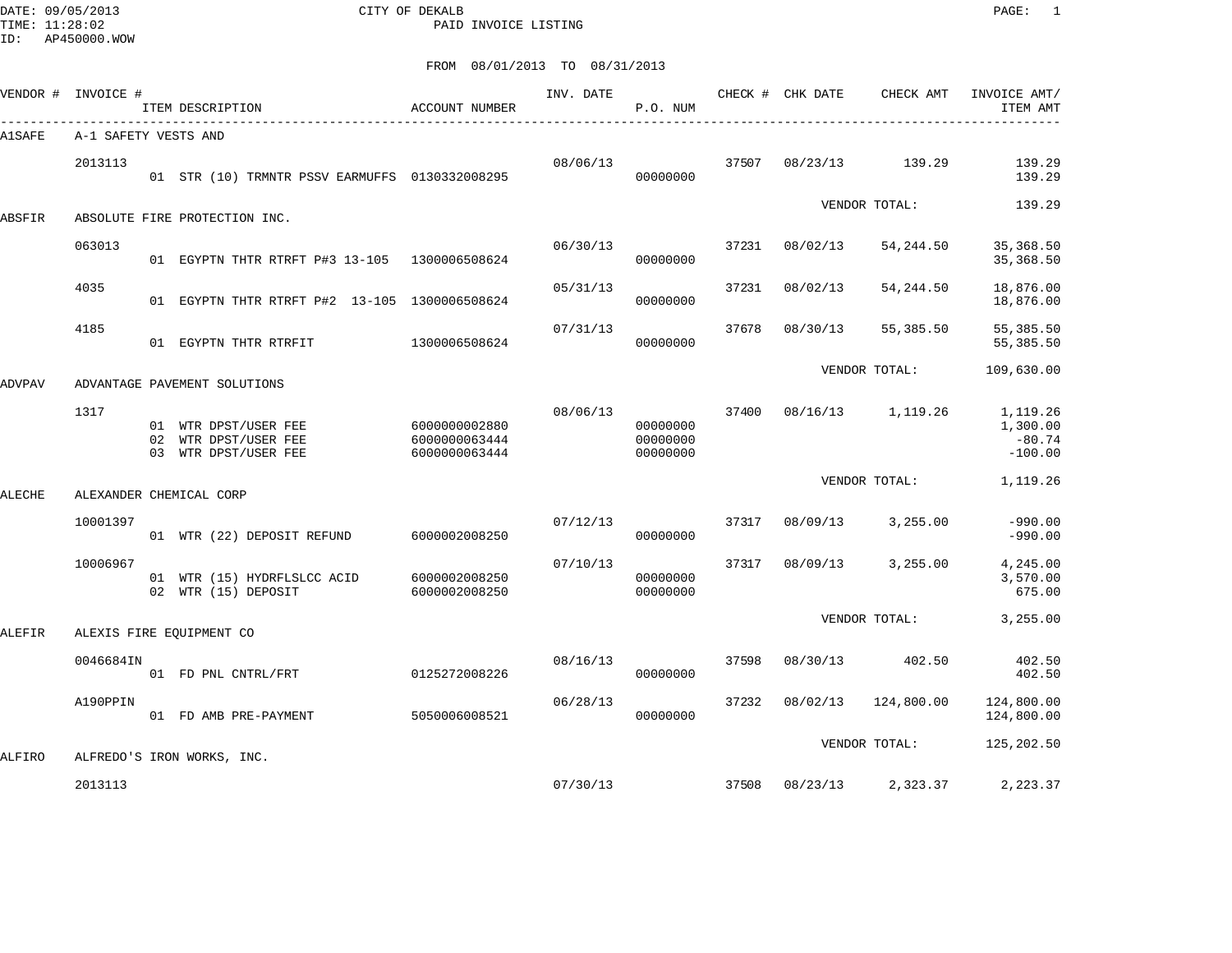DATE: 09/05/2013 CITY OF DEKALB PAGE: 1 PAID INVOICE LISTING

ID: AP450000.WOW

|        | VENDOR # INVOICE #   | ITEM DESCRIPTION                                                     | <b>ACCOUNT NUMBER</b>                           | INV. DATE | P.O. NUM                         |       | CHECK # CHK DATE | CHECK AMT     | INVOICE AMT/<br>ITEM AMT                      |
|--------|----------------------|----------------------------------------------------------------------|-------------------------------------------------|-----------|----------------------------------|-------|------------------|---------------|-----------------------------------------------|
| A1SAFE | A-1 SAFETY VESTS AND |                                                                      |                                                 |           |                                  |       |                  |               |                                               |
|        | 2013113              | 01 STR (10) TRMNTR PSSV EARMUFFS 0130332008295                       |                                                 | 08/06/13  | 00000000                         | 37507 | 08/23/13         | 139.29        | 139.29<br>139.29                              |
| ABSFIR |                      | ABSOLUTE FIRE PROTECTION INC.                                        |                                                 |           |                                  |       |                  | VENDOR TOTAL: | 139.29                                        |
|        | 063013               | 01 EGYPTN THTR RTRFT P#3 13-105 1300006508624                        |                                                 | 06/30/13  | 00000000                         | 37231 | 08/02/13         | 54,244.50     | 35, 368.50<br>35, 368.50                      |
|        | 4035                 | 01 EGYPTN THTR RTRFT P#2 13-105 1300006508624                        |                                                 | 05/31/13  | 00000000                         | 37231 | 08/02/13         | 54,244.50     | 18,876.00<br>18,876.00                        |
|        | 4185                 | 01 EGYPTN THTR RTRFIT                                                | 1300006508624                                   | 07/31/13  | 00000000                         | 37678 | 08/30/13         | 55,385.50     | 55, 385.50<br>55, 385.50                      |
| ADVPAV |                      | ADVANTAGE PAVEMENT SOLUTIONS                                         |                                                 |           |                                  |       |                  | VENDOR TOTAL: | 109,630.00                                    |
|        | 1317                 | 01 WTR DPST/USER FEE<br>02 WTR DPST/USER FEE<br>03 WTR DPST/USER FEE | 6000000002880<br>6000000063444<br>6000000063444 | 08/06/13  | 00000000<br>00000000<br>00000000 | 37400 | 08/16/13         | 1,119.26      | 1,119.26<br>1,300.00<br>$-80.74$<br>$-100.00$ |
| ALECHE |                      | ALEXANDER CHEMICAL CORP                                              |                                                 |           |                                  |       |                  | VENDOR TOTAL: | 1,119.26                                      |
|        | 10001397             | 01 WTR (22) DEPOSIT REFUND                                           | 6000002008250                                   | 07/12/13  | 00000000                         | 37317 | 08/09/13         | 3,255.00      | $-990.00$<br>$-990.00$                        |
|        | 10006967             | 01 WTR (15) HYDRFLSLCC ACID<br>02 WTR (15) DEPOSIT                   | 6000002008250<br>6000002008250                  | 07/10/13  | 00000000<br>00000000             | 37317 | 08/09/13         | 3,255.00      | 4,245.00<br>3,570.00<br>675.00                |
| ALEFIR |                      | ALEXIS FIRE EOUIPMENT CO                                             |                                                 |           |                                  |       |                  | VENDOR TOTAL: | 3,255.00                                      |
|        | 0046684IN            | 01 FD PNL CNTRL/FRT                                                  | 0125272008226                                   | 08/16/13  | 00000000                         | 37598 | 08/30/13         | 402.50        | 402.50<br>402.50                              |
|        | A190PPIN             | 01 FD AMB PRE-PAYMENT                                                | 5050006008521                                   | 06/28/13  | 00000000                         | 37232 | 08/02/13         | 124,800.00    | 124,800.00<br>124,800.00                      |
| ALFIRO |                      | ALFREDO'S IRON WORKS, INC.                                           |                                                 |           |                                  |       |                  | VENDOR TOTAL: | 125,202.50                                    |
|        | 2013113              |                                                                      |                                                 | 07/30/13  |                                  | 37508 | 08/23/13         | 2,323.37      | 2,223.37                                      |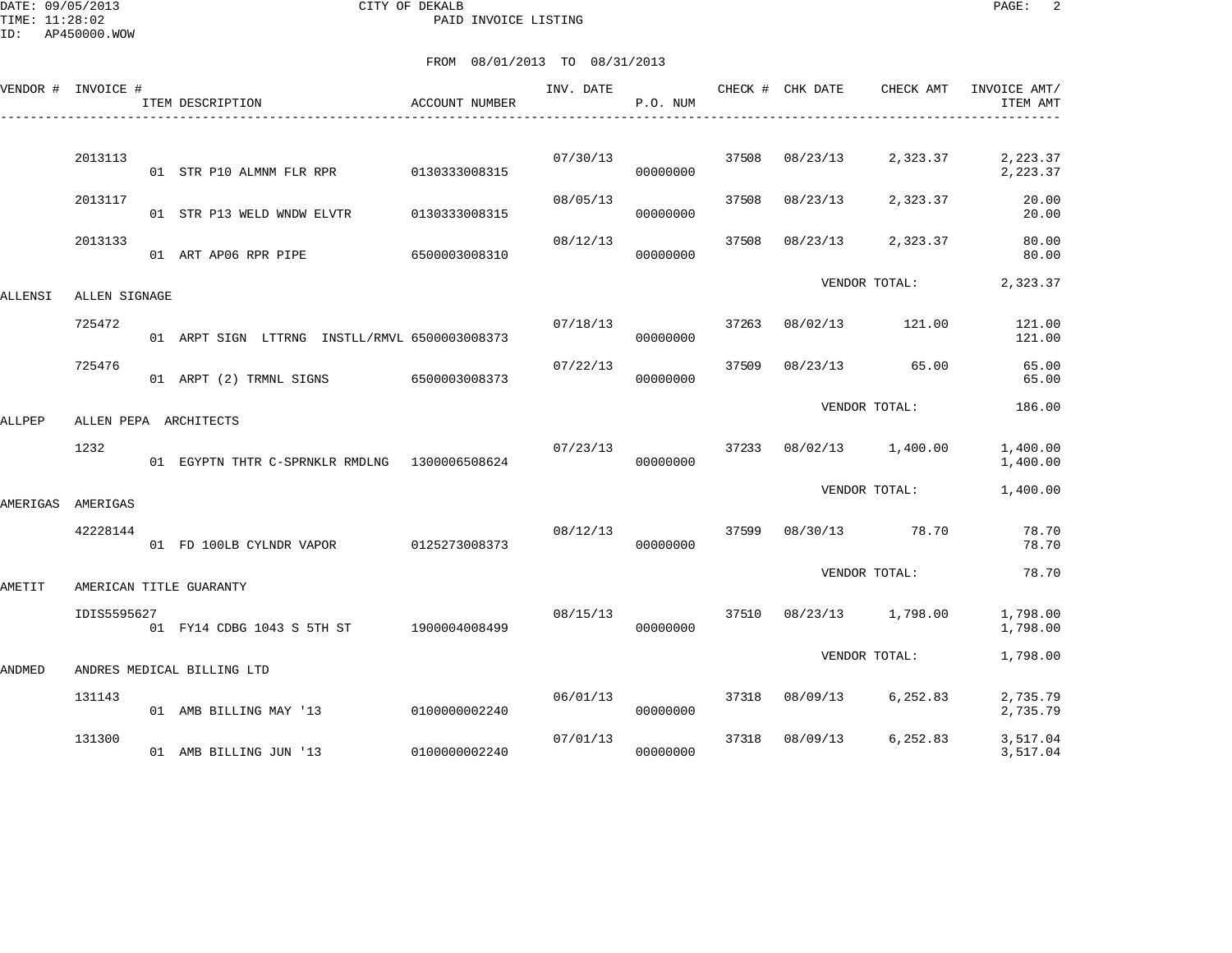DATE: 09/05/2013 CITY OF DEKALB PAGE: 2 PAID INVOICE LISTING

ID: AP450000.WOW

|          | VENDOR # INVOICE # | ITEM DESCRIPTION                              | ACCOUNT NUMBER | INV. DATE | P.O. NUM |       | CHECK # CHK DATE | CHECK AMT      | INVOICE AMT/<br>ITEM AMT |
|----------|--------------------|-----------------------------------------------|----------------|-----------|----------|-------|------------------|----------------|--------------------------|
|          | 2013113            | 01 STR P10 ALMNM FLR RPR 0130333008315        |                | 07/30/13  | 00000000 | 37508 | 08/23/13         | 2,323.37       | 2,223.37<br>2,223.37     |
|          | 2013117            | 01 STR P13 WELD WNDW ELVTR                    | 0130333008315  | 08/05/13  | 00000000 | 37508 | 08/23/13         | 2,323.37       | 20.00<br>20.00           |
|          | 2013133            | 01 ART AP06 RPR PIPE                          | 6500003008310  | 08/12/13  | 00000000 | 37508 | 08/23/13         | 2,323.37       | 80.00<br>80.00           |
| ALLENSI  | ALLEN SIGNAGE      |                                               |                |           |          |       |                  | VENDOR TOTAL:  | 2,323.37                 |
|          | 725472             | 01 ARPT SIGN LTTRNG INSTLL/RMVL 6500003008373 |                | 07/18/13  | 00000000 | 37263 | 08/02/13         | 121.00         | 121.00<br>121.00         |
|          | 725476             | 01 ARPT (2) TRMNL SIGNS 6500003008373         |                | 07/22/13  | 00000000 | 37509 | 08/23/13         | 65.00          | 65.00<br>65.00           |
| ALLPEP   |                    | ALLEN PEPA ARCHITECTS                         |                |           |          |       |                  | VENDOR TOTAL:  | 186.00                   |
|          | 1232               | 01 EGYPTN THTR C-SPRNKLR RMDLNG 1300006508624 |                | 07/23/13  | 00000000 | 37233 | 08/02/13         | 1,400.00       | 1,400.00<br>1,400.00     |
| AMERIGAS | AMERIGAS           |                                               |                |           |          |       |                  | VENDOR TOTAL:  | 1,400.00                 |
|          | 42228144           | 01 FD 100LB CYLNDR VAPOR 0125273008373        |                | 08/12/13  | 00000000 | 37599 |                  | 08/30/13 78.70 | 78.70<br>78.70           |
| AMETIT   |                    | AMERICAN TITLE GUARANTY                       |                |           |          |       |                  | VENDOR TOTAL:  | 78.70                    |
|          | IDIS5595627        | 01 FY14 CDBG 1043 S 5TH ST                    | 1900004008499  | 08/15/13  | 00000000 |       | 37510 08/23/13   | 1,798.00       | 1,798.00<br>1,798.00     |
| ANDMED   |                    | ANDRES MEDICAL BILLING LTD                    |                |           |          |       |                  | VENDOR TOTAL:  | 1,798.00                 |
|          | 131143             | 01 AMB BILLING MAY '13                        | 0100000002240  | 06/01/13  | 00000000 | 37318 | 08/09/13         | 6,252.83       | 2,735.79<br>2,735.79     |
|          | 131300             | 01 AMB BILLING JUN '13                        | 0100000002240  | 07/01/13  | 00000000 | 37318 | 08/09/13         | 6,252.83       | 3,517.04<br>3,517.04     |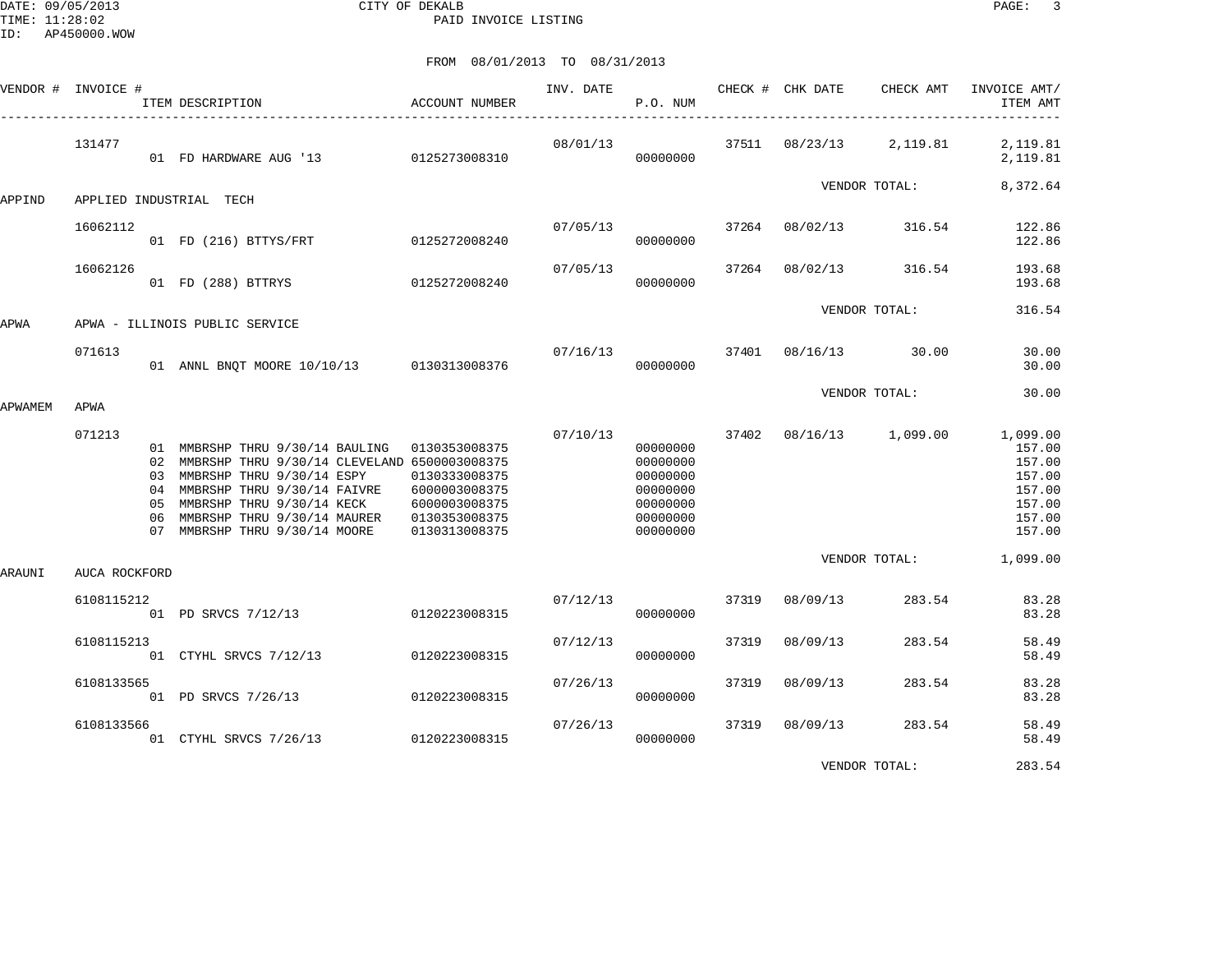DATE: 09/05/2013 CITY OF DEKALB PAGE: 3 PAID INVOICE LISTING

|         | VENDOR # INVOICE # | ACCOUNT NUMBER<br>ITEM DESCRIPTION                                                                                                                                                                                                                                    |                                                                                   | INV. DATE | P.O. NUM                                                                         |       | CHECK # CHK DATE | CHECK AMT               | INVOICE AMT/<br>ITEM AMT                                                       |
|---------|--------------------|-----------------------------------------------------------------------------------------------------------------------------------------------------------------------------------------------------------------------------------------------------------------------|-----------------------------------------------------------------------------------|-----------|----------------------------------------------------------------------------------|-------|------------------|-------------------------|--------------------------------------------------------------------------------|
|         | 131477             | 01 FD HARDWARE AUG '13 0125273008310                                                                                                                                                                                                                                  |                                                                                   | 08/01/13  | 00000000                                                                         |       |                  | 37511 08/23/13 2,119.81 | 2,119.81<br>2,119.81                                                           |
| APPIND  |                    | APPLIED INDUSTRIAL TECH                                                                                                                                                                                                                                               |                                                                                   |           |                                                                                  |       |                  | VENDOR TOTAL:           | 8,372.64                                                                       |
|         | 16062112           | 01 FD (216) BTTYS/FRT 0125272008240                                                                                                                                                                                                                                   |                                                                                   | 07/05/13  | 00000000                                                                         |       | 37264 08/02/13   | 316.54                  | 122.86<br>122.86                                                               |
|         | 16062126           | 01 FD (288) BTTRYS                                                                                                                                                                                                                                                    | 0125272008240                                                                     | 07/05/13  | 00000000                                                                         | 37264 |                  | 08/02/13 316.54         | 193.68<br>193.68                                                               |
| APWA    |                    | APWA - ILLINOIS PUBLIC SERVICE                                                                                                                                                                                                                                        |                                                                                   |           |                                                                                  |       |                  | VENDOR TOTAL:           | 316.54                                                                         |
|         | 071613             | 01 ANNL BNQT MOORE 10/10/13 0130313008376                                                                                                                                                                                                                             |                                                                                   | 07/16/13  | 00000000                                                                         |       |                  | 37401 08/16/13 30.00    | 30.00<br>30.00                                                                 |
| APWAMEM | APWA               |                                                                                                                                                                                                                                                                       |                                                                                   |           |                                                                                  |       |                  | VENDOR TOTAL:           | 30.00                                                                          |
|         | 071213             | 01 MMBRSHP THRU 9/30/14 BAULING 0130353008375<br>02 MMBRSHP THRU 9/30/14 CLEVELAND 6500003008375<br>03 MMBRSHP THRU 9/30/14 ESPY<br>04 MMBRSHP THRU 9/30/14 FAIVRE<br>05 MMBRSHP THRU 9/30/14 KECK<br>06 MMBRSHP THRU 9/30/14 MAURER<br>07 MMBRSHP THRU 9/30/14 MOORE | 0130333008375<br>6000003008375<br>6000003008375<br>0130353008375<br>0130313008375 | 07/10/13  | 00000000<br>00000000<br>00000000<br>00000000<br>00000000<br>00000000<br>00000000 | 37402 |                  | 08/16/13 1,099.00       | 1,099.00<br>157.00<br>157.00<br>157.00<br>157.00<br>157.00<br>157.00<br>157.00 |
| ARAUNI  | AUCA ROCKFORD      |                                                                                                                                                                                                                                                                       |                                                                                   |           |                                                                                  |       |                  | VENDOR TOTAL:           | 1,099.00                                                                       |
|         | 6108115212         | 01 PD SRVCS 7/12/13 0120223008315                                                                                                                                                                                                                                     |                                                                                   | 07/12/13  | 00000000                                                                         | 37319 | 08/09/13         | 283.54                  | 83.28<br>83.28                                                                 |
|         | 6108115213         | 01 CTYHL SRVCS 7/12/13                                                                                                                                                                                                                                                | 0120223008315                                                                     | 07/12/13  | 00000000                                                                         | 37319 | 08/09/13         | 283.54                  | 58.49<br>58.49                                                                 |
|         | 6108133565         | 01 PD SRVCS 7/26/13 0120223008315                                                                                                                                                                                                                                     |                                                                                   | 07/26/13  | 00000000                                                                         | 37319 | 08/09/13         | 283.54                  | 83.28<br>83.28                                                                 |
|         | 6108133566         | 01 CTYHL SRVCS 7/26/13 0120223008315                                                                                                                                                                                                                                  |                                                                                   | 07/26/13  | 00000000                                                                         | 37319 | 08/09/13         | 283.54                  | 58.49<br>58.49                                                                 |
|         |                    |                                                                                                                                                                                                                                                                       |                                                                                   |           |                                                                                  |       |                  | VENDOR TOTAL:           | 283.54                                                                         |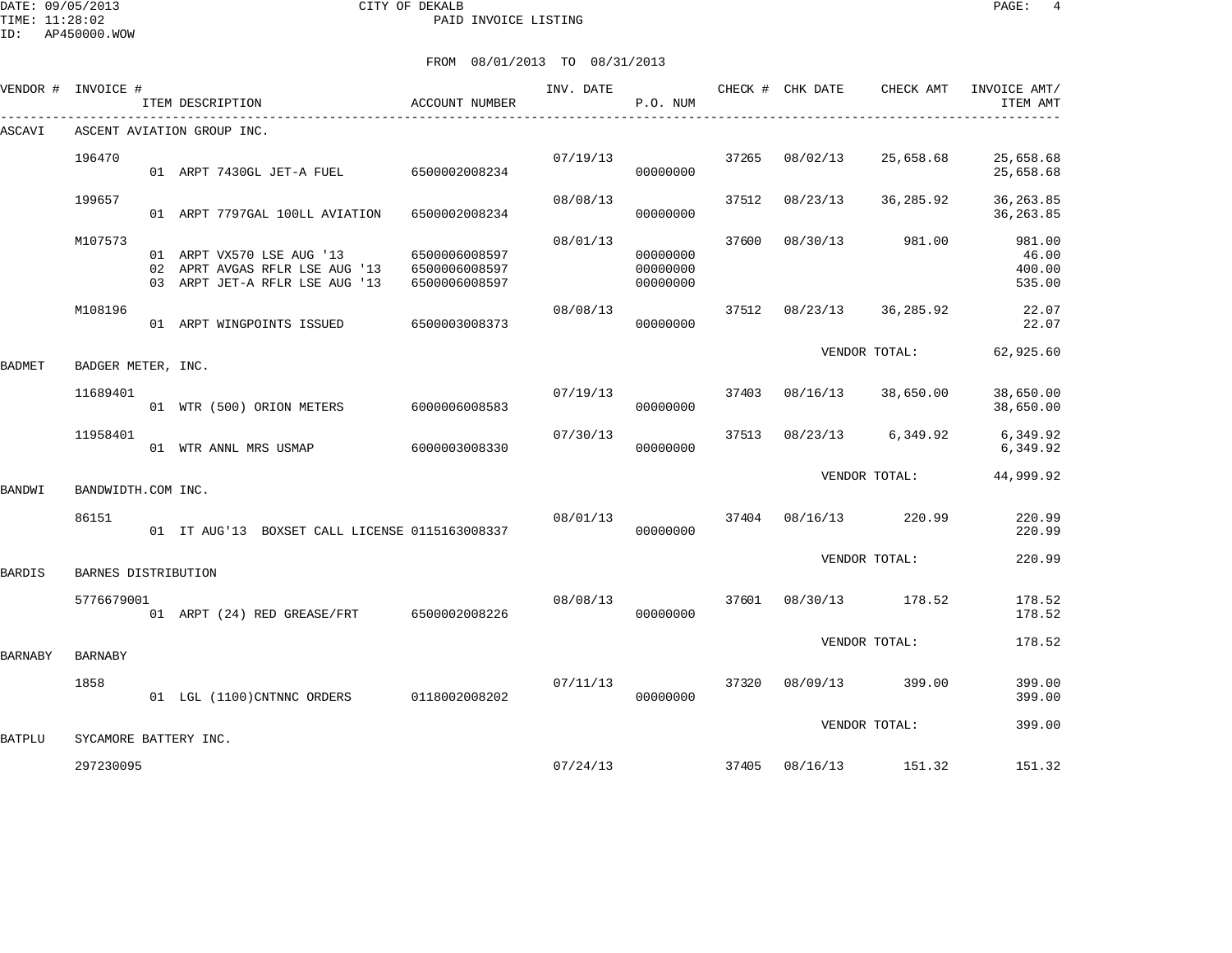DATE: 09/05/2013 CITY OF DEKALB PAGE: 4 PAID INVOICE LISTING

ID: AP450000.WOW

| VENDOR # | INVOICE #             | ITEM DESCRIPTION                                                                              | ACCOUNT NUMBER                                  | INV. DATE | CHECK # CHK DATE<br>P.O. NUM     |       |                | CHECK AMT          | INVOICE AMT/<br>ITEM AMT            |
|----------|-----------------------|-----------------------------------------------------------------------------------------------|-------------------------------------------------|-----------|----------------------------------|-------|----------------|--------------------|-------------------------------------|
| ASCAVI   |                       | ASCENT AVIATION GROUP INC.                                                                    |                                                 |           |                                  |       |                |                    |                                     |
|          | 196470                | 01 ARPT 7430GL JET-A FUEL 6500002008234                                                       |                                                 | 07/19/13  | 00000000                         | 37265 | 08/02/13       | 25,658.68          | 25,658.68<br>25,658.68              |
|          | 199657                | 01 ARPT 7797GAL 100LL AVIATION                                                                | 6500002008234                                   | 08/08/13  | 00000000                         | 37512 | 08/23/13       | 36,285.92          | 36, 263.85<br>36, 263.85            |
|          | M107573               | 01 ARPT VX570 LSE AUG '13<br>02 APRT AVGAS RFLR LSE AUG '13<br>03 ARPT JET-A RFLR LSE AUG '13 | 6500006008597<br>6500006008597<br>6500006008597 | 08/01/13  | 00000000<br>00000000<br>00000000 | 37600 | 08/30/13       | 981.00             | 981.00<br>46.00<br>400.00<br>535.00 |
|          | M108196               | 01 ARPT WINGPOINTS ISSUED                                                                     | 6500003008373                                   | 08/08/13  | 00000000                         | 37512 | 08/23/13       | 36,285.92          | 22.07<br>22.07                      |
| BADMET   | BADGER METER, INC.    |                                                                                               |                                                 |           |                                  |       |                | VENDOR TOTAL:      | 62,925.60                           |
|          | 11689401              | 01 WTR (500) ORION METERS 6000006008583                                                       |                                                 | 07/19/13  | 00000000                         | 37403 |                | 08/16/13 38,650.00 | 38,650.00<br>38,650.00              |
|          | 11958401              | 01 WTR ANNL MRS USMAP                                                                         | 6000003008330                                   | 07/30/13  | 00000000                         | 37513 |                | 08/23/13 6,349.92  | 6,349.92<br>6,349.92                |
| BANDWI   | BANDWIDTH.COM INC.    |                                                                                               |                                                 |           |                                  |       |                | VENDOR TOTAL:      | 44,999.92                           |
|          | 86151                 | 01 IT AUG'13 BOXSET CALL LICENSE 0115163008337                                                |                                                 | 08/01/13  | 00000000                         |       | 37404 08/16/13 | 220.99             | 220.99<br>220.99                    |
| BARDIS   | BARNES DISTRIBUTION   |                                                                                               |                                                 |           |                                  |       |                | VENDOR TOTAL:      | 220.99                              |
|          | 5776679001            | 01 ARPT (24) RED GREASE/FRT 6500002008226                                                     |                                                 | 08/08/13  | 00000000                         | 37601 |                | 08/30/13 178.52    | 178.52<br>178.52                    |
| BARNABY  | <b>BARNABY</b>        |                                                                                               |                                                 |           |                                  |       |                | VENDOR TOTAL:      | 178.52                              |
|          | 1858                  | 01 LGL (1100) CNTNNC ORDERS 0118002008202                                                     |                                                 |           | 07/11/13<br>00000000             |       | 37320 08/09/13 | 399.00             | 399.00<br>399.00                    |
| BATPLU   | SYCAMORE BATTERY INC. |                                                                                               |                                                 |           |                                  |       |                | VENDOR TOTAL:      | 399.00                              |
|          | 297230095             |                                                                                               |                                                 | 07/24/13  |                                  | 37405 |                | 08/16/13 151.32    | 151.32                              |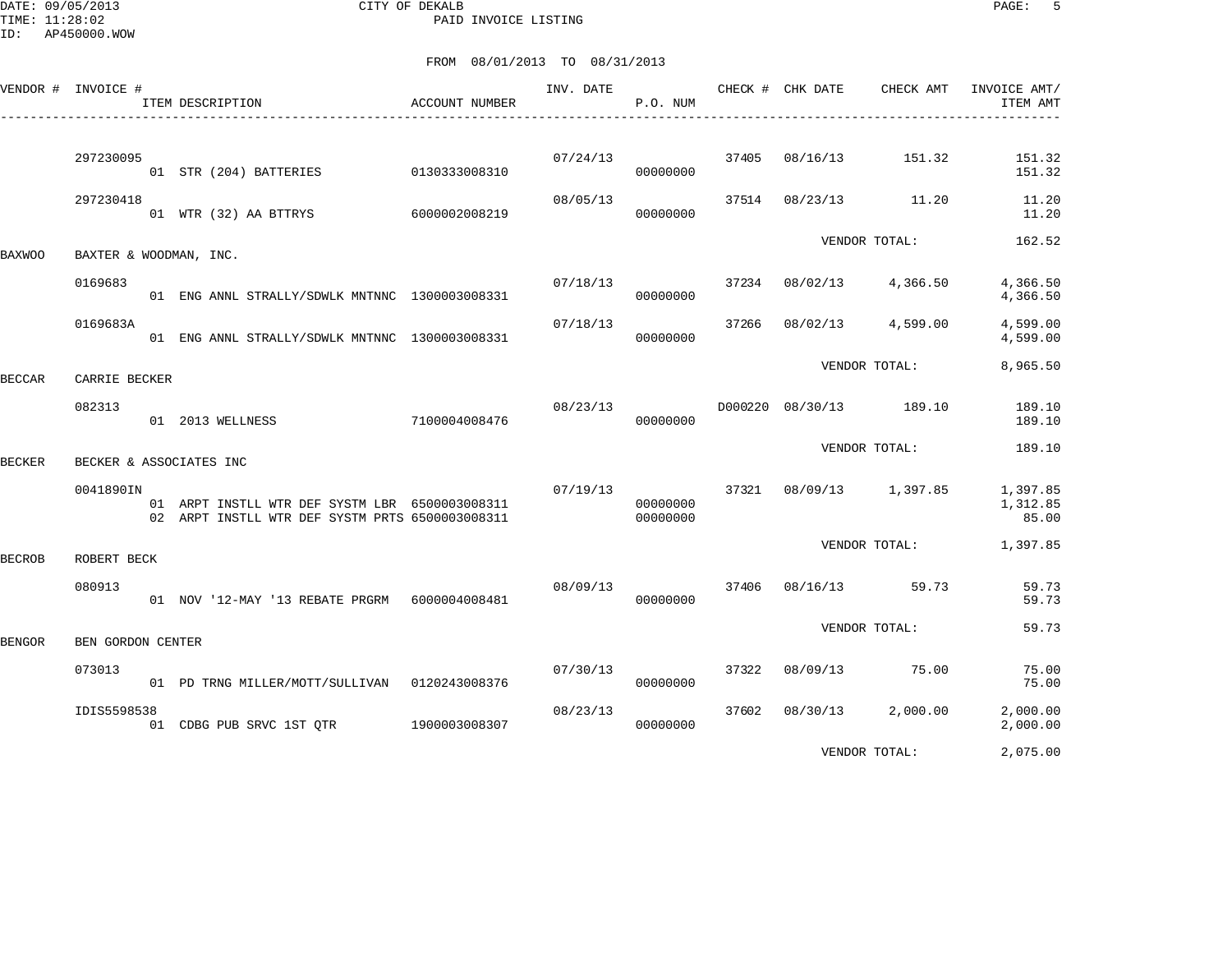DATE: 09/05/2013 CITY OF DEKALB PAGE: 5 PAID INVOICE LISTING

|               | VENDOR # INVOICE # | ITEM DESCRIPTION                                                                                  | ACCOUNT NUMBER | INV. DATE | P.O. NUM             |       | CHECK # CHK DATE | CHECK AMT               | INVOICE AMT/<br>ITEM AMT      |
|---------------|--------------------|---------------------------------------------------------------------------------------------------|----------------|-----------|----------------------|-------|------------------|-------------------------|-------------------------------|
|               | 297230095          | 01 STR (204) BATTERIES                                                                            | 0130333008310  | 07/24/13  | 00000000             | 37405 | 08/16/13         | 151.32                  | 151.32<br>151.32              |
|               | 297230418          | 01 WTR (32) AA BTTRYS 6000002008219                                                               |                | 08/05/13  | 00000000             | 37514 | 08/23/13         | 11.20                   | 11.20<br>11.20                |
| <b>BAXWOO</b> |                    | BAXTER & WOODMAN, INC.                                                                            |                |           |                      |       |                  | VENDOR TOTAL:           | 162.52                        |
|               | 0169683            | 01 ENG ANNL STRALLY/SDWLK MNTNNC 1300003008331                                                    |                | 07/18/13  | 00000000             | 37234 | 08/02/13         | 4,366.50                | 4,366.50<br>4,366.50          |
|               | 0169683A           | 01 ENG ANNL STRALLY/SDWLK MNTNNC 1300003008331                                                    |                | 07/18/13  | 00000000             | 37266 | 08/02/13         | 4,599.00                | 4,599.00<br>4,599.00          |
| <b>BECCAR</b> | CARRIE BECKER      |                                                                                                   |                |           |                      |       |                  | VENDOR TOTAL:           | 8,965.50                      |
|               | 082313             | 01 2013 WELLNESS                                                                                  | 7100004008476  | 08/23/13  | 00000000             |       |                  | D000220 08/30/13 189.10 | 189.10<br>189.10              |
| BECKER        |                    | BECKER & ASSOCIATES INC                                                                           |                |           |                      |       |                  | VENDOR TOTAL:           | 189.10                        |
|               | 0041890IN          | 01 ARPT INSTLL WTR DEF SYSTM LBR 6500003008311<br>02 ARPT INSTLL WTR DEF SYSTM PRTS 6500003008311 |                | 07/19/13  | 00000000<br>00000000 | 37321 |                  | 08/09/13 1,397.85       | 1,397.85<br>1,312.85<br>85.00 |
| <b>BECROB</b> | ROBERT BECK        |                                                                                                   |                |           |                      |       |                  | VENDOR TOTAL:           | 1,397.85                      |
|               | 080913             | 01 NOV '12-MAY '13 REBATE PRGRM    6000004008481                                                  |                | 08/09/13  | 00000000             | 37406 | 08/16/13         | 59.73                   | 59.73<br>59.73                |
| <b>BENGOR</b> | BEN GORDON CENTER  |                                                                                                   |                |           |                      |       |                  | VENDOR TOTAL:           | 59.73                         |
|               | 073013             | 01 PD TRNG MILLER/MOTT/SULLIVAN 0120243008376                                                     |                | 07/30/13  | 00000000             | 37322 | 08/09/13         | 75.00                   | 75.00<br>75.00                |
|               | IDIS5598538        | 01 CDBG PUB SRVC 1ST OTR                                                                          | 1900003008307  | 08/23/13  | 00000000             | 37602 | 08/30/13         | 2,000.00                | 2,000.00<br>2,000.00          |
|               |                    |                                                                                                   |                |           |                      |       |                  | VENDOR TOTAL:           | 2,075.00                      |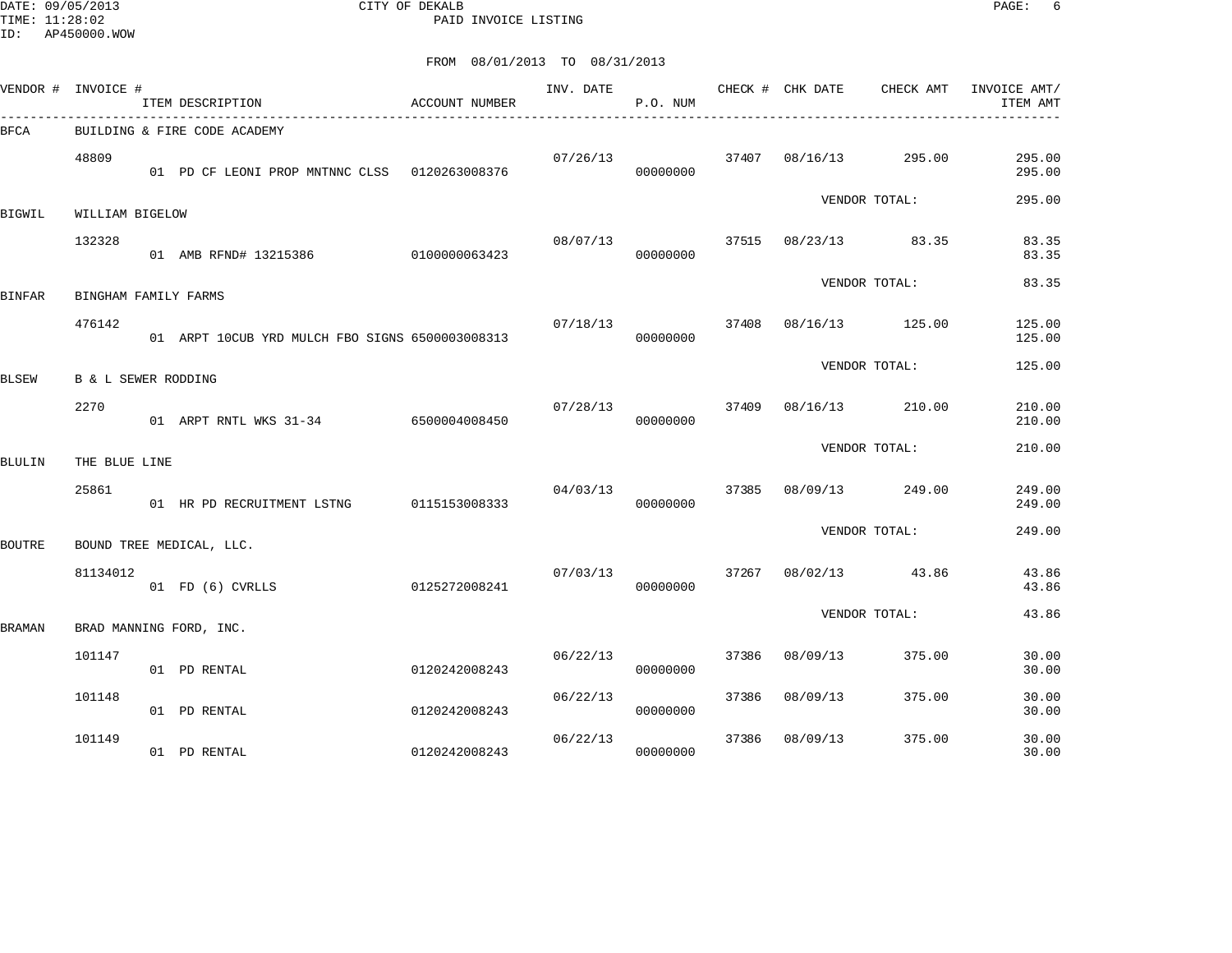DATE: 09/05/2013 CITY OF DEKALB PAGE: 6 PAID INVOICE LISTING

| VENDOR #      | INVOICE #            | ITEM DESCRIPTION                                | ACCOUNT NUMBER | INV. DATE | P.O. NUM |       | CHECK # CHK DATE     | CHECK AMT     | INVOICE AMT/<br>ITEM AMT |
|---------------|----------------------|-------------------------------------------------|----------------|-----------|----------|-------|----------------------|---------------|--------------------------|
| BFCA          |                      | BUILDING & FIRE CODE ACADEMY                    |                |           |          |       |                      |               |                          |
|               | 48809                | 01 PD CF LEONI PROP MNTNNC CLSS 0120263008376   |                | 07/26/13  | 00000000 | 37407 | 08/16/13             | 295.00        | 295.00<br>295.00         |
| BIGWIL        | WILLIAM BIGELOW      |                                                 |                |           |          |       |                      | VENDOR TOTAL: | 295.00                   |
|               | 132328               | 01 AMB RFND# 13215386 0100000063423             |                | 08/07/13  | 00000000 |       | 37515 08/23/13 83.35 |               | 83.35<br>83.35           |
| <b>BINFAR</b> | BINGHAM FAMILY FARMS |                                                 |                |           |          |       |                      | VENDOR TOTAL: | 83.35                    |
|               | 476142               | 01 ARPT 10CUB YRD MULCH FBO SIGNS 6500003008313 |                | 07/18/13  | 00000000 | 37408 | 08/16/13             | 125.00        | 125.00<br>125.00         |
| <b>BLSEW</b>  | B & L SEWER RODDING  |                                                 |                |           |          |       |                      | VENDOR TOTAL: | 125.00                   |
|               | 2270                 |                                                 |                |           |          | 37409 | 08/16/13 210.00      |               | 210.00                   |
|               |                      | 01 ARPT RNTL WKS 31-34 6500004008450            |                | 07/28/13  | 00000000 |       |                      |               | 210.00                   |
| <b>BLULIN</b> | THE BLUE LINE        |                                                 |                |           |          |       |                      | VENDOR TOTAL: | 210.00                   |
|               | 25861                | 01 HR PD RECRUITMENT LSTNG                      | 0115153008333  | 04/03/13  | 00000000 | 37385 | 08/09/13             | 249.00        | 249.00<br>249.00         |
| <b>BOUTRE</b> |                      | BOUND TREE MEDICAL, LLC.                        |                |           |          |       |                      | VENDOR TOTAL: | 249.00                   |
|               | 81134012             | 01 FD (6) CVRLLS                                | 0125272008241  | 07/03/13  | 00000000 | 37267 | 08/02/13             | 43.86         | 43.86<br>43.86           |
| BRAMAN        |                      | BRAD MANNING FORD, INC.                         |                |           |          |       |                      | VENDOR TOTAL: | 43.86                    |
|               | 101147               | 01 PD RENTAL                                    | 0120242008243  | 06/22/13  | 00000000 | 37386 | 08/09/13             | 375.00        | 30.00<br>30.00           |
|               | 101148               | 01 PD RENTAL                                    | 0120242008243  | 06/22/13  | 00000000 | 37386 | 08/09/13             | 375.00        | 30.00<br>30.00           |
|               | 101149               |                                                 |                | 06/22/13  |          | 37386 | 08/09/13             | 375.00        | 30.00                    |
|               |                      | 01 PD RENTAL                                    | 0120242008243  |           | 00000000 |       |                      |               | 30.00                    |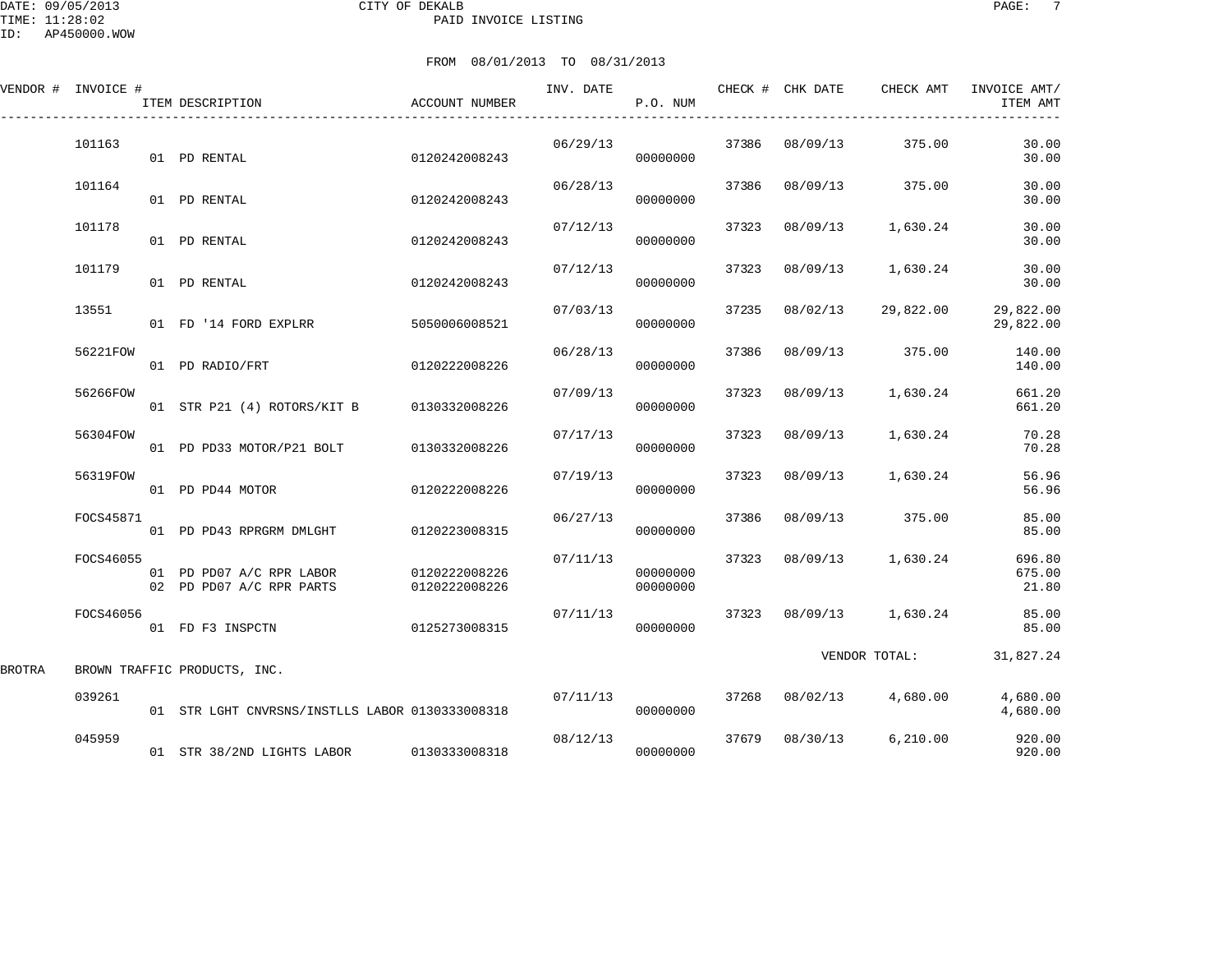DATE: 09/05/2013 CITY OF DEKALB PAGE: 7 PAID INVOICE LISTING

ID: AP450000.WOW

|        | VENDOR # INVOICE # | ITEM DESCRIPTION                                     | ACCOUNT NUMBER                 | INV. DATE | P.O. NUM             |       | CHECK # CHK DATE | CHECK AMT     | INVOICE AMT/<br>ITEM AMT  |
|--------|--------------------|------------------------------------------------------|--------------------------------|-----------|----------------------|-------|------------------|---------------|---------------------------|
|        | 101163             | 01 PD RENTAL                                         | 0120242008243                  | 06/29/13  | 00000000             | 37386 | 08/09/13         | 375.00        | 30.00<br>30.00            |
|        | 101164             | 01 PD RENTAL                                         | 0120242008243                  | 06/28/13  | 00000000             | 37386 | 08/09/13         | 375.00        | 30.00<br>30.00            |
|        | 101178             | 01 PD RENTAL                                         | 0120242008243                  | 07/12/13  | 00000000             | 37323 | 08/09/13         | 1,630.24      | 30.00<br>30.00            |
|        | 101179             | 01 PD RENTAL                                         | 0120242008243                  | 07/12/13  | 00000000             | 37323 | 08/09/13         | 1,630.24      | 30.00<br>30.00            |
|        | 13551              | 01 FD '14 FORD EXPLRR                                | 5050006008521                  | 07/03/13  | 00000000             | 37235 | 08/02/13         | 29,822.00     | 29,822.00<br>29,822.00    |
|        | 56221FOW           | 01 PD RADIO/FRT                                      | 0120222008226                  | 06/28/13  | 00000000             | 37386 | 08/09/13         | 375.00        | 140.00<br>140.00          |
|        | 56266FOW           | 01 STR P21 (4) ROTORS/KIT B                          | 0130332008226                  | 07/09/13  | 00000000             | 37323 | 08/09/13         | 1,630.24      | 661.20<br>661.20          |
|        | 56304FOW           | 01 PD PD33 MOTOR/P21 BOLT                            | 0130332008226                  | 07/17/13  | 00000000             | 37323 | 08/09/13         | 1,630.24      | 70.28<br>70.28            |
|        | 56319FOW           | 01 PD PD44 MOTOR                                     | 0120222008226                  | 07/19/13  | 00000000             | 37323 | 08/09/13         | 1,630.24      | 56.96<br>56.96            |
|        | FOCS45871          | 01 PD PD43 RPRGRM DMLGHT                             | 0120223008315                  | 06/27/13  | 00000000             | 37386 | 08/09/13         | 375.00        | 85.00<br>85.00            |
|        | FOCS46055          | 01 PD PD07 A/C RPR LABOR<br>02 PD PD07 A/C RPR PARTS | 0120222008226<br>0120222008226 | 07/11/13  | 00000000<br>00000000 | 37323 | 08/09/13         | 1,630.24      | 696.80<br>675.00<br>21.80 |
|        | FOCS46056          | 01 FD F3 INSPCTN                                     | 0125273008315                  | 07/11/13  | 00000000             |       | 37323 08/09/13   | 1,630.24      | 85.00<br>85.00            |
| BROTRA |                    | BROWN TRAFFIC PRODUCTS, INC.                         |                                |           |                      |       |                  | VENDOR TOTAL: | 31,827.24                 |
|        | 039261             | 01 STR LGHT CNVRSNS/INSTLLS LABOR 0130333008318      |                                | 07/11/13  | 00000000             | 37268 | 08/02/13         | 4,680.00      | 4,680.00<br>4,680.00      |
|        | 045959             | 01 STR 38/2ND LIGHTS LABOR                           | 0130333008318                  | 08/12/13  | 00000000             | 37679 | 08/30/13         | 6,210.00      | 920.00<br>920.00          |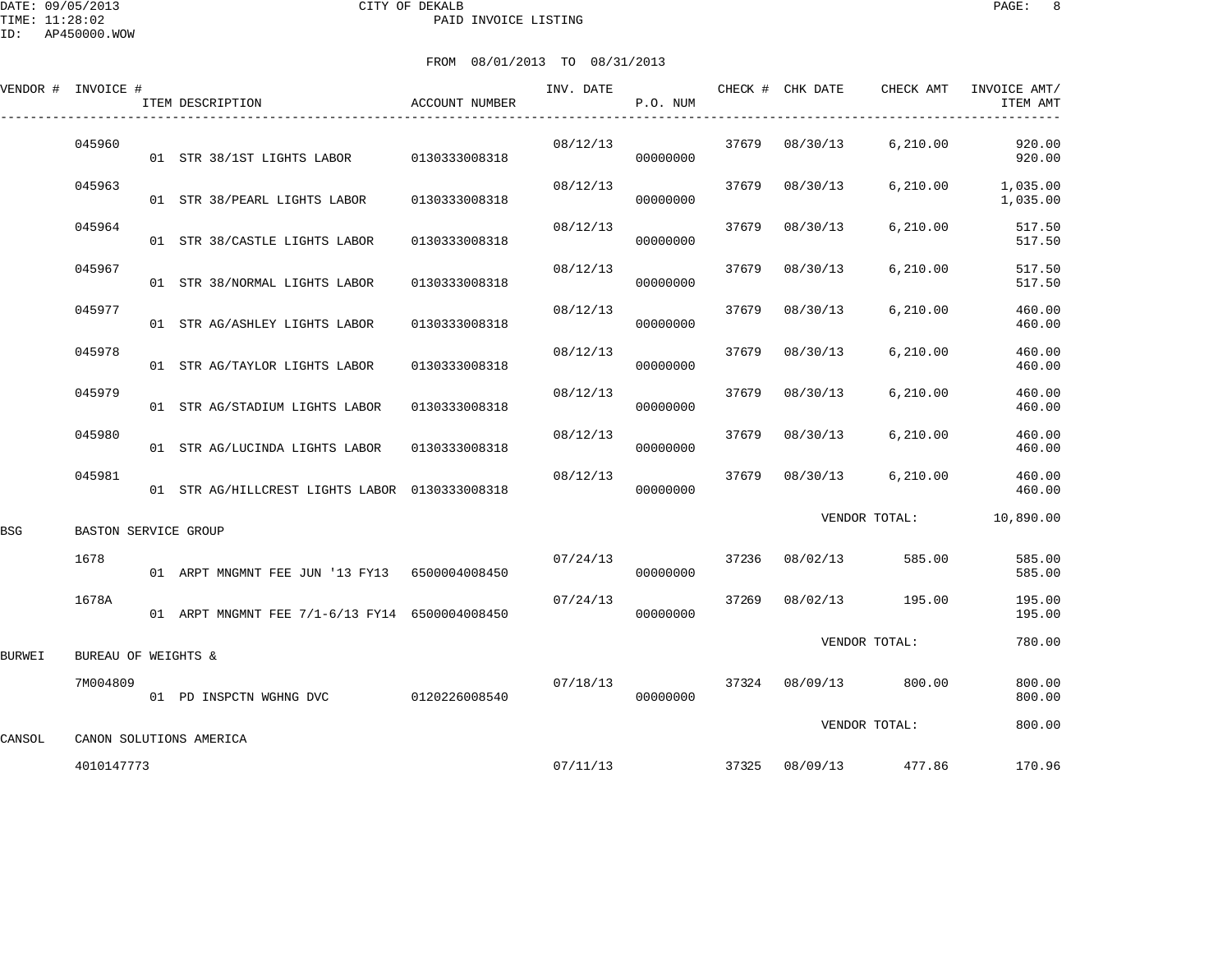|        | VENDOR # INVOICE #   | ITEM DESCRIPTION                               | ACCOUNT NUMBER | INV. DATE | P.O. NUM |       | CHECK # CHK DATE | CHECK AMT     | INVOICE AMT/<br>ITEM AMT |
|--------|----------------------|------------------------------------------------|----------------|-----------|----------|-------|------------------|---------------|--------------------------|
|        | 045960               | 01 STR 38/1ST LIGHTS LABOR                     | 0130333008318  | 08/12/13  | 00000000 | 37679 | 08/30/13         | 6,210.00      | 920.00<br>920.00         |
|        | 045963               | 01 STR 38/PEARL LIGHTS LABOR                   | 0130333008318  | 08/12/13  | 00000000 | 37679 | 08/30/13         | 6,210.00      | 1,035.00<br>1,035.00     |
|        | 045964               | 01 STR 38/CASTLE LIGHTS LABOR                  | 0130333008318  | 08/12/13  | 00000000 | 37679 | 08/30/13         | 6, 210.00     | 517.50<br>517.50         |
|        | 045967               | 01 STR 38/NORMAL LIGHTS LABOR                  | 0130333008318  | 08/12/13  | 00000000 | 37679 | 08/30/13         | 6, 210.00     | 517.50<br>517.50         |
|        | 045977               | 01 STR AG/ASHLEY LIGHTS LABOR                  | 0130333008318  | 08/12/13  | 00000000 | 37679 | 08/30/13         | 6,210.00      | 460.00<br>460.00         |
|        | 045978               | 01 STR AG/TAYLOR LIGHTS LABOR                  | 0130333008318  | 08/12/13  | 00000000 | 37679 | 08/30/13         | 6, 210.00     | 460.00<br>460.00         |
|        | 045979               | 01 STR AG/STADIUM LIGHTS LABOR                 | 0130333008318  | 08/12/13  | 00000000 | 37679 | 08/30/13         | 6, 210.00     | 460.00<br>460.00         |
|        | 045980               | 01 STR AG/LUCINDA LIGHTS LABOR                 | 0130333008318  | 08/12/13  | 00000000 | 37679 | 08/30/13         | 6, 210.00     | 460.00<br>460.00         |
|        | 045981               | 01 STR AG/HILLCREST LIGHTS LABOR 0130333008318 |                | 08/12/13  | 00000000 | 37679 | 08/30/13         | 6,210.00      | 460.00<br>460.00         |
| BSG    | BASTON SERVICE GROUP |                                                |                |           |          |       |                  | VENDOR TOTAL: | 10,890.00                |
|        | 1678                 | 01 ARPT MNGMNT FEE JUN '13 FY13 6500004008450  |                | 07/24/13  | 00000000 | 37236 | 08/02/13         | 585.00        | 585.00<br>585.00         |
|        | 1678A                | 01 ARPT MNGMNT FEE 7/1-6/13 FY14 6500004008450 |                | 07/24/13  | 00000000 | 37269 | 08/02/13         | 195.00        | 195.00<br>195.00         |
| BURWEI | BUREAU OF WEIGHTS &  |                                                |                |           |          |       |                  | VENDOR TOTAL: | 780.00                   |
|        | 7M004809             | 01 PD INSPCTN WGHNG DVC                        | 0120226008540  | 07/18/13  | 00000000 | 37324 | 08/09/13         | 800.00        | 800.00<br>800.00         |
| CANSOL |                      | CANON SOLUTIONS AMERICA                        |                |           |          |       |                  | VENDOR TOTAL: | 800.00                   |
|        | 4010147773           |                                                |                | 07/11/13  |          |       | 37325 08/09/13   | 477.86        | 170.96                   |
|        |                      |                                                |                |           |          |       |                  |               |                          |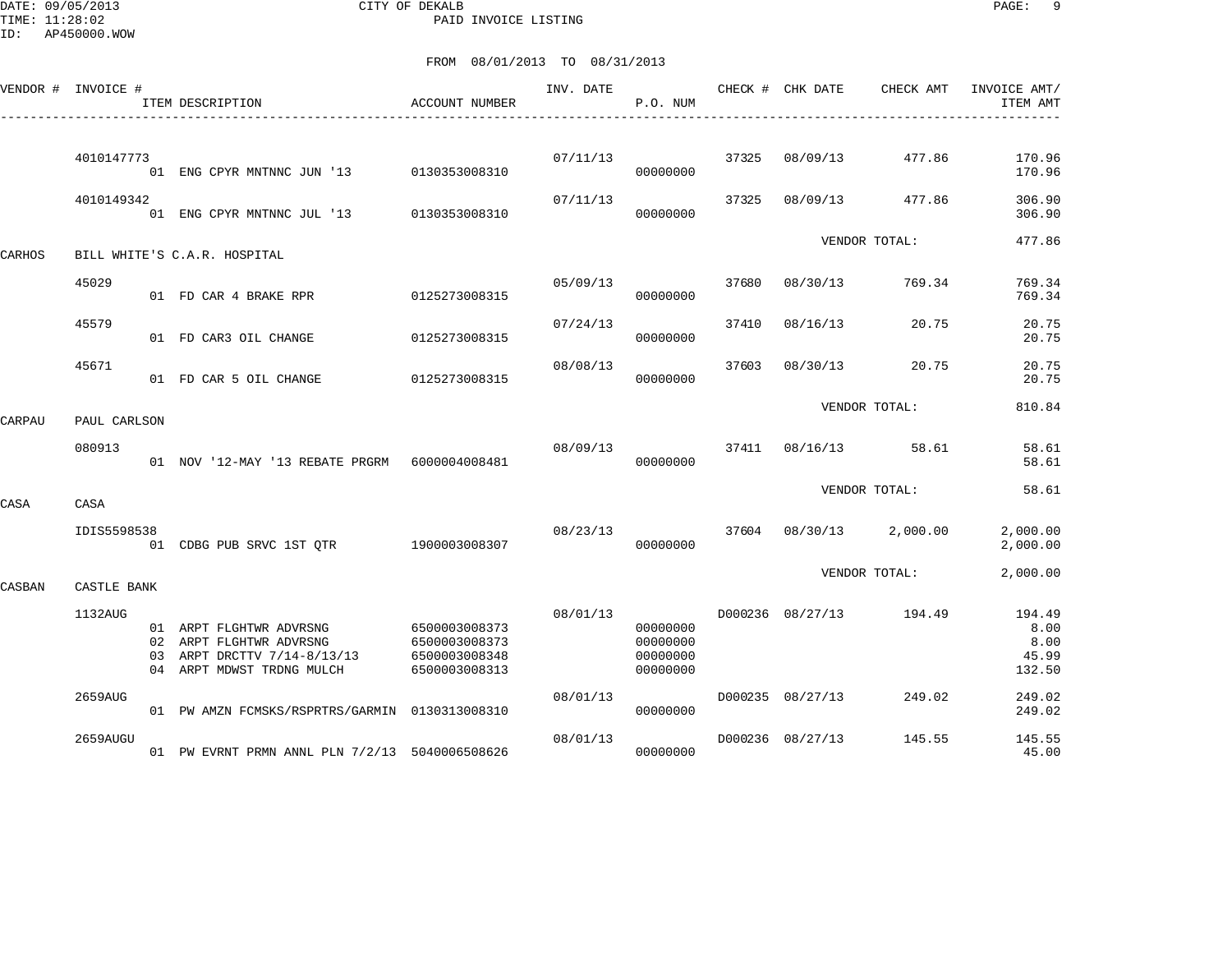DATE: 09/05/2013 CITY OF DEKALB PAGE: 9 PAID INVOICE LISTING

|        | VENDOR # INVOICE # |          | ITEM DESCRIPTION                                                                                         | ACCOUNT NUMBER                                                   | INV. DATE | P.O. NUM                                     |       | CHECK # CHK DATE | CHECK AMT     | INVOICE AMT/<br>ITEM AMT                  |
|--------|--------------------|----------|----------------------------------------------------------------------------------------------------------|------------------------------------------------------------------|-----------|----------------------------------------------|-------|------------------|---------------|-------------------------------------------|
|        | 4010147773         |          | 01 ENG CPYR MNTNNC JUN '13                                                                               | 0130353008310                                                    | 07/11/13  | 00000000                                     | 37325 | 08/09/13         | 477.86        | 170.96<br>170.96                          |
|        | 4010149342         |          | 01 ENG CPYR MNTNNC JUL '13 0130353008310                                                                 |                                                                  | 07/11/13  | 00000000                                     | 37325 | 08/09/13         | 477.86        | 306.90<br>306.90                          |
| CARHOS |                    |          | BILL WHITE'S C.A.R. HOSPITAL                                                                             |                                                                  |           |                                              |       |                  | VENDOR TOTAL: | 477.86                                    |
|        | 45029              |          | 01 FD CAR 4 BRAKE RPR                                                                                    | 0125273008315                                                    | 05/09/13  | 00000000                                     | 37680 | 08/30/13         | 769.34        | 769.34<br>769.34                          |
|        | 45579              |          | 01 FD CAR3 OIL CHANGE                                                                                    | 0125273008315                                                    | 07/24/13  | 00000000                                     | 37410 | 08/16/13         | 20.75         | 20.75<br>20.75                            |
|        | 45671              |          | 01 FD CAR 5 OIL CHANGE                                                                                   | 0125273008315                                                    | 08/08/13  | 00000000                                     | 37603 | 08/30/13         | 20.75         | 20.75<br>20.75                            |
| CARPAU | PAUL CARLSON       |          |                                                                                                          |                                                                  |           |                                              |       |                  | VENDOR TOTAL: | 810.84                                    |
|        | 080913             |          | 01 NOV '12-MAY '13 REBATE PRGRM    6000004008481                                                         |                                                                  | 08/09/13  | 00000000                                     | 37411 | 08/16/13         | 58.61         | 58.61<br>58.61                            |
| CASA   | CASA               |          |                                                                                                          |                                                                  |           |                                              |       |                  | VENDOR TOTAL: | 58.61                                     |
|        | IDIS5598538        |          | 01 CDBG PUB SRVC 1ST QTR 1900003008307                                                                   |                                                                  | 08/23/13  | 00000000                                     |       | 37604 08/30/13   | 2,000.00      | 2,000.00<br>2,000.00                      |
| CASBAN | CASTLE BANK        |          |                                                                                                          |                                                                  |           |                                              |       |                  | VENDOR TOTAL: | 2,000.00                                  |
|        | 1132AUG            | 02<br>03 | 01 ARPT FLGHTWR ADVRSNG<br>ARPT FLGHTWR ADVRSNG<br>ARPT DRCTTV 7/14-8/13/13<br>04 ARPT MDWST TRDNG MULCH | 6500003008373<br>6500003008373<br>6500003008348<br>6500003008313 | 08/01/13  | 00000000<br>00000000<br>00000000<br>00000000 |       | D000236 08/27/13 | 194.49        | 194.49<br>8.00<br>8.00<br>45.99<br>132.50 |
|        | 2659AUG            |          | 01 PW AMZN FCMSKS/RSPRTRS/GARMIN 0130313008310                                                           |                                                                  | 08/01/13  | 00000000                                     |       | D000235 08/27/13 | 249.02        | 249.02<br>249.02                          |
|        | 2659AUGU           |          | 01 PW EVRNT PRMN ANNL PLN 7/2/13 5040006508626                                                           |                                                                  | 08/01/13  | 00000000                                     |       | D000236 08/27/13 | 145.55        | 145.55<br>45.00                           |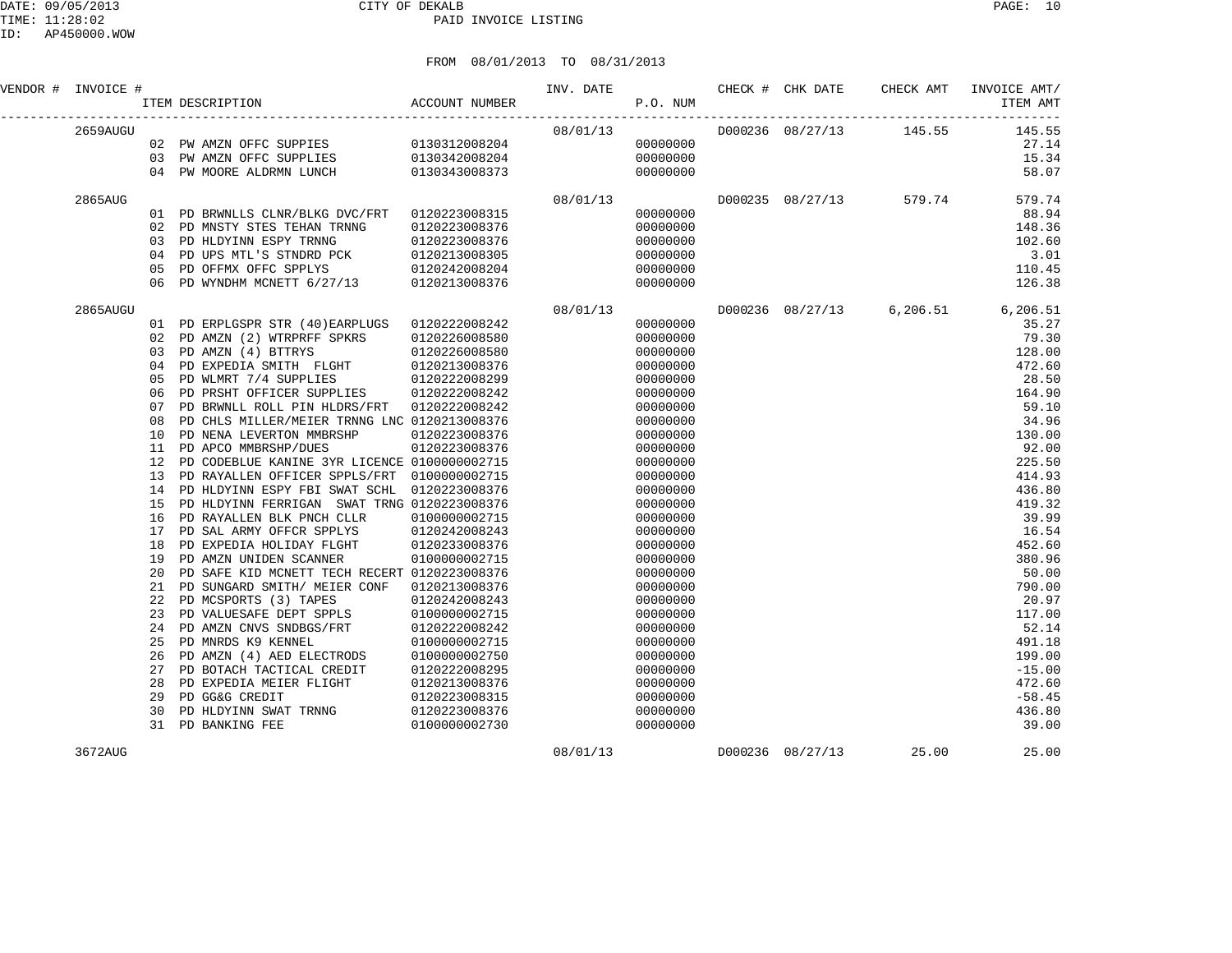| VENDOR # INVOICE # |     |                                                                                 |               | P.O. NUM |          |                  |                                    | ITEM AMT |
|--------------------|-----|---------------------------------------------------------------------------------|---------------|----------|----------|------------------|------------------------------------|----------|
| 2659AUGU           |     |                                                                                 |               | 08/01/13 |          |                  | D000236 08/27/13 145.55            | 145.55   |
|                    |     | 02 PW AMZN OFFC SUPPIES 0130312008204<br>03 PW AMZN OFFC SUPPLIES 0130342008204 |               |          | 00000000 |                  |                                    | 27.14    |
|                    |     |                                                                                 |               |          | 00000000 |                  |                                    | 15.34    |
|                    |     | 04 PW MOORE ALDRMN LUNCH                                                        | 0130343008373 |          | 00000000 |                  |                                    | 58.07    |
| 2865AUG            |     |                                                                                 |               | 08/01/13 |          | D000235 08/27/13 | 579.74                             | 579.74   |
|                    |     | 01 PD BRWNLLS CLNR/BLKG DVC/FRT 0120223008315                                   |               |          | 00000000 |                  |                                    | 88.94    |
|                    |     | 02 PD MNSTY STES TEHAN TRNNG                                                    | 0120223008376 |          | 00000000 |                  |                                    | 148.36   |
|                    |     | 03 PD HLDYINN ESPY TRNNG                                                        | 0120223008376 |          | 00000000 |                  |                                    | 102.60   |
|                    |     | 04 PD UPS MTL'S STNDRD PCK                                                      | 0120213008305 |          | 00000000 |                  |                                    | 3.01     |
|                    | 05  | PD OFFMX OFFC SPPLYS 0120242008204                                              |               |          | 00000000 |                  |                                    | 110.45   |
|                    |     | 06 PD WYNDHM MCNETT 6/27/13 0120213008376                                       |               |          | 00000000 |                  |                                    | 126.38   |
| 2865AUGU           |     |                                                                                 |               | 08/01/13 |          |                  | D000236 08/27/13 6,206.51 6,206.51 |          |
|                    |     | 01 PD ERPLGSPR STR (40) EARPLUGS 0120222008242                                  |               |          | 00000000 |                  |                                    | 35.27    |
|                    |     | 02 PD AMZN (2) WTRPRFF SPKRS 0120226008580                                      |               |          | 00000000 |                  |                                    | 79.30    |
|                    |     | 03 PD AMZN (4) BTTRYS                                                           | 0120226008580 |          | 00000000 |                  |                                    | 128.00   |
|                    | 04  | PD EXPEDIA SMITH FLGHT 0120213008376                                            |               |          | 00000000 |                  |                                    | 472.60   |
|                    | 0.5 | PD WLMRT 7/4 SUPPLIES                                                           | 0120222008299 |          | 00000000 |                  |                                    | 28.50    |
|                    | 06  | PD PRSHT OFFICER SUPPLIES                                                       | 0120222008242 |          | 00000000 |                  |                                    | 164.90   |
|                    | 07  | PD BRWNLL ROLL PIN HLDRS/FRT 0120222008242                                      |               |          | 00000000 |                  |                                    | 59.10    |
|                    | 08  | PD CHLS MILLER/MEIER TRNNG LNC 0120213008376                                    |               |          | 00000000 |                  |                                    | 34.96    |
|                    | 10  | PD NENA LEVERTON MMBRSHP                                                        | 0120223008376 |          | 00000000 |                  |                                    | 130.00   |
|                    | 11  | PD APCO MMBRSHP/DUES                                                            | 0120223008376 |          | 00000000 |                  |                                    | 92.00    |
|                    | 12  | PD CODEBLUE KANINE 3YR LICENCE 0100000002715                                    |               |          | 00000000 |                  |                                    | 225.50   |
|                    | 13  | PD RAYALLEN OFFICER SPPLS/FRT                                                   | 0100000002715 |          | 00000000 |                  |                                    | 414.93   |
|                    | 14  | PD HLDYINN ESPY FBI SWAT SCHL                                                   | 0120223008376 |          | 00000000 |                  |                                    | 436.80   |
|                    | 15  | PD HLDYINN FERRIGAN SWAT TRNG 0120223008376                                     |               |          | 00000000 |                  |                                    | 419.32   |
|                    | 16  | PD RAYALLEN BLK PNCH CLLR                                                       | 0100000002715 |          | 00000000 |                  |                                    | 39.99    |
|                    | 17  | PD SAL ARMY OFFCR SPPLYS                                                        | 0120242008243 |          | 00000000 |                  |                                    | 16.54    |
|                    | 18  | PD EXPEDIA HOLIDAY FLGHT                                                        | 0120233008376 |          | 00000000 |                  |                                    | 452.60   |
|                    | 19  | PD AMZN UNIDEN SCANNER                                                          | 0100000002715 |          | 00000000 |                  |                                    | 380.96   |
|                    | 20  | PD SAFE KID MCNETT TECH RECERT 0120223008376                                    |               |          | 00000000 |                  |                                    | 50.00    |
|                    | 21  | PD SUNGARD SMITH/ MEIER CONF                                                    | 0120213008376 |          | 00000000 |                  |                                    | 790.00   |
|                    | 22  | PD MCSPORTS (3) TAPES                                                           | 0120242008243 |          | 00000000 |                  |                                    | 20.97    |
|                    | 23  | PD VALUESAFE DEPT SPPLS                                                         | 0100000002715 |          | 00000000 |                  |                                    | 117.00   |
|                    |     | 24 PD AMZN CNVS SNDBGS/FRT                                                      | 0120222008242 |          | 00000000 |                  |                                    | 52.14    |

 25 PD MNRDS K9 KENNEL 0100000002715 00000000 491.18 26 PD AMZN (4) AED ELECTRODS 0100000002750 00000000 199.00

 29 PD GG&G CREDIT 0120223008315 00000000 -58.45 30 PD HLDYINN SWAT TRNNG 0120223008376 00000000 436.80

 27 PD BOTACH TACTICAL CREDIT 0120222008295 00000000 -15.00 28 PD EXPEDIA MEIER FLIGHT 0120213008376 00000000 472.60

31 PD BANKING FEE 0100000002730 00000000 39.00

3672AUG 08/01/13 D000236 08/27/13 25.00 25.00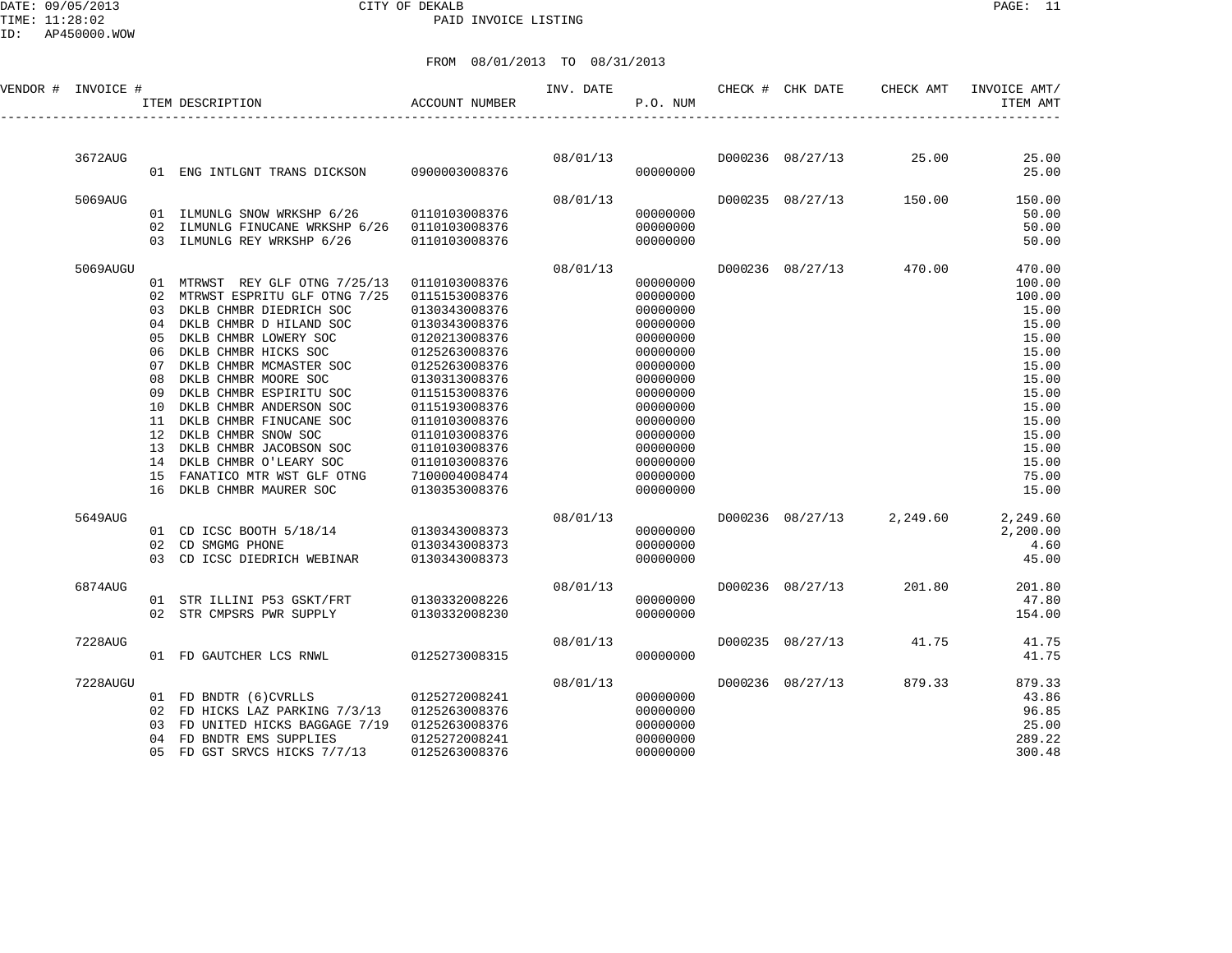### DATE: 09/05/2013 CITY OF DEKALB PAGE: 11 PAID INVOICE LISTING

|  |  | FROM 08/01/2013 TO 08/31/2013 |  |  |  |
|--|--|-------------------------------|--|--|--|
|--|--|-------------------------------|--|--|--|

| VENDOR # INVOICE # |          | ITEM DESCRIPTION                                              | <b>ACCOUNT NUMBER</b>          | INV. DATE | P.O. NUM             | CHECK # CHK DATE | CHECK AMT              | INVOICE AMT/<br>ITEM AMT |
|--------------------|----------|---------------------------------------------------------------|--------------------------------|-----------|----------------------|------------------|------------------------|--------------------------|
|                    |          |                                                               |                                |           |                      |                  |                        |                          |
| 3672AUG            |          |                                                               |                                |           | 08/01/13             |                  | D000236 08/27/13 25.00 | 25.00                    |
|                    |          | 01 ENG INTLGNT TRANS DICKSON                                  | 0900003008376                  |           | 00000000             |                  |                        | 25.00                    |
| 5069AUG            |          |                                                               |                                | 08/01/13  |                      | D000235 08/27/13 | 150.00                 | 150.00                   |
|                    |          | 01 ILMUNLG SNOW WRKSHP 6/26                                   | 0110103008376                  |           | 00000000             |                  |                        | 50.00                    |
|                    |          | 02 ILMUNLG FINUCANE WRKSHP 6/26<br>03 ILMUNLG REY WRKSHP 6/26 | 0110103008376<br>0110103008376 |           | 00000000<br>00000000 |                  |                        | 50.00<br>50.00           |
| 5069AUGU           |          |                                                               |                                | 08/01/13  |                      | D000236 08/27/13 | 470.00                 | 470.00                   |
|                    |          | 01 MTRWST REY GLF OTNG 7/25/13                                | 0110103008376                  |           | 00000000             |                  |                        | 100.00                   |
|                    | 02       | MTRWST ESPRITU GLF OTNG 7/25                                  | 0115153008376                  |           | 00000000             |                  |                        | 100.00                   |
|                    | 03       | DKLB CHMBR DIEDRICH SOC                                       | 0130343008376                  |           | 00000000             |                  |                        | 15.00                    |
|                    | 04       | DKLB CHMBR D HILAND SOC                                       | 0130343008376                  |           | 00000000             |                  |                        | 15.00                    |
|                    | 05<br>06 | DKLB CHMBR LOWERY SOC<br>DKLB CHMBR HICKS SOC                 | 0120213008376<br>0125263008376 |           | 00000000<br>00000000 |                  |                        | 15.00<br>15.00           |
|                    | 07       | DKLB CHMBR MCMASTER SOC                                       | 0125263008376                  |           | 00000000             |                  |                        | 15.00                    |
|                    | 08       | DKLB CHMBR MOORE SOC                                          | 0130313008376                  |           | 00000000             |                  |                        | 15.00                    |
|                    | 09       | DKLB CHMBR ESPIRITU SOC                                       | 0115153008376                  |           | 00000000             |                  |                        | 15.00                    |
|                    | 10       | DKLB CHMBR ANDERSON SOC                                       | 0115193008376                  |           | 00000000             |                  |                        | 15.00                    |
|                    | 11       | DKLB CHMBR FINUCANE SOC                                       | 0110103008376                  |           | 00000000             |                  |                        | 15.00                    |
|                    | 12       | DKLB CHMBR SNOW SOC                                           | 0110103008376                  |           | 00000000             |                  |                        | 15.00                    |
|                    | 13       | DKLB CHMBR JACOBSON SOC                                       | 0110103008376                  |           | 00000000             |                  |                        | 15.00                    |
|                    | 14       | DKLB CHMBR O'LEARY SOC                                        | 0110103008376                  |           | 00000000             |                  |                        | 15.00                    |
|                    | 15       | FANATICO MTR WST GLF OTNG                                     | 7100004008474                  |           | 00000000             |                  |                        | 75.00                    |
|                    | 16       | DKLB CHMBR MAURER SOC                                         | 0130353008376                  |           | 00000000             |                  |                        | 15.00                    |
| 5649AUG            |          |                                                               |                                | 08/01/13  |                      | D000236 08/27/13 | 2,249.60               | 2,249.60                 |
|                    |          | 01 CD ICSC BOOTH 5/18/14 0130343008373                        |                                |           | 00000000             |                  |                        | 2,200.00                 |
|                    | 02       | CD SMGMG PHONE                                                | 0130343008373                  |           | 00000000             |                  |                        | 4.60                     |
|                    |          | 03 CD ICSC DIEDRICH WEBINAR                                   | 0130343008373                  |           | 00000000             |                  |                        | 45.00                    |
| 6874AUG            |          |                                                               |                                | 08/01/13  |                      | D000236 08/27/13 | 201.80                 | 201.80                   |
|                    |          | 01 STR ILLINI P53 GSKT/FRT                                    | 0130332008226                  |           | 00000000             |                  |                        | 47.80                    |
|                    |          | 02 STR CMPSRS PWR SUPPLY                                      | 0130332008230                  |           | 00000000             |                  |                        | 154.00                   |
| 7228AUG            |          |                                                               |                                | 08/01/13  |                      | D000235 08/27/13 | 41.75                  | 41.75                    |
|                    |          | 01 FD GAUTCHER LCS RNWL 0125273008315                         |                                |           | 00000000             |                  |                        | 41.75                    |
| 7228AUGU           |          |                                                               |                                | 08/01/13  |                      | D000236 08/27/13 | 879.33                 | 879.33                   |
|                    |          | 01 FD BNDTR (6) CVRLLS                                        | 0125272008241                  |           | 00000000             |                  |                        | 43.86                    |
|                    |          | 02 FD HICKS LAZ PARKING 7/3/13                                | 0125263008376                  |           | 00000000             |                  |                        | 96.85                    |
|                    | 03<br>04 | FD UNITED HICKS BAGGAGE 7/19<br>FD BNDTR EMS SUPPLIES         | 0125263008376<br>0125272008241 |           | 00000000<br>00000000 |                  |                        | 25.00<br>289.22          |
|                    | 05       | FD GST SRVCS HICKS 7/7/13                                     | 0125263008376                  |           | 00000000             |                  |                        | 300.48                   |
|                    |          |                                                               |                                |           |                      |                  |                        |                          |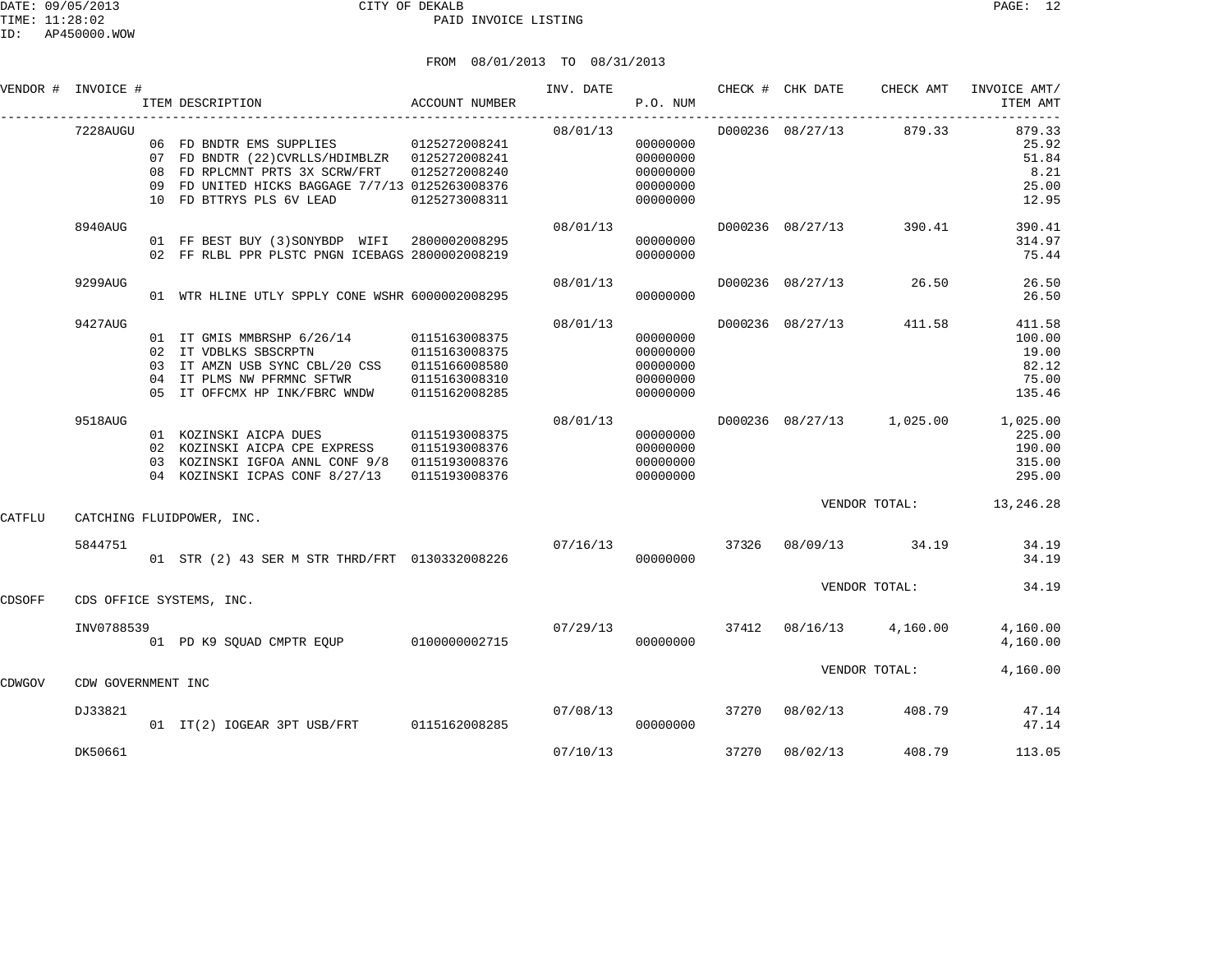|        | VENDOR # INVOICE # | ACCOUNT NUMBER<br>ITEM DESCRIPTION                                                                                                                                                                                         | P.O. NUM             |                                                          |  |                         | INV. DATE 6 CHECK # CHK DATE CHECK AMT INVOICE AMT/<br>ITEM AMT            |
|--------|--------------------|----------------------------------------------------------------------------------------------------------------------------------------------------------------------------------------------------------------------------|----------------------|----------------------------------------------------------|--|-------------------------|----------------------------------------------------------------------------|
|        | 7228AUGU           | 06 FD BNDTR EMS SUPPLIES 0125272008241<br>07 FD BNDTR (22)CVRLLS/HDIMBLZR 0125272008241<br>09 FD UNITED HICKS BAGGAGE 7/7/13 0125263008376<br>10 FD BTTRYS PLS 6V LEAD 0125273008311                                       | 08/01/13             | 00000000<br>00000000<br>00000000<br>00000000<br>00000000 |  | D000236 08/27/13 879.33 | 879.33<br>25.92<br>51.84<br>8.21<br>25.00<br>12.95                         |
|        | 8940AUG            | 01 FF BEST BUY (3) SONYBDP WIFI 2800002008295<br>02 FF RLBL PPR PLSTC PNGN ICEBAGS 2800002008219                                                                                                                           | 08/01/13             | 00000000<br>00000000                                     |  | D000236 08/27/13 390.41 | 390.41<br>314.97<br>75.44                                                  |
|        | 9299AUG            | 01 WTR HLINE UTLY SPPLY CONE WSHR 6000002008295                                                                                                                                                                            | 08/01/13             | 00000000                                                 |  | D000236 08/27/13 26.50  | 26.50<br>26.50                                                             |
|        | 9427AUG            | 01 IT GMIS MMBRSHP 6/26/14 0115163008375<br>02 IT VDBLKS SBSCRPTN 0115163008375<br>03 IT AMZN USB SYNC CBL/20 CSS 0115166008580<br>04 IT PLMS NW PFRMNC SFTWR 0115163008310<br>05 IT OFFCMX HP INK/FBRC WNDW 0115162008285 | 08/01/13             | 00000000<br>00000000<br>00000000<br>00000000<br>00000000 |  | D000236 08/27/13 411.58 | 411.58<br>100.00<br>19.00<br>82.12<br>75.00<br>135.46                      |
|        | 9518AUG            | 01 KOZINSKI AICPA DUES 0115193008375<br>02 KOZINSKI AICPA CPE EXPRESS 0115193008376<br>03 KOZINSKI IGFOA ANNL CONF 9/8 0115193008376 0000000000 00000000<br>04 KOZINSKI ICPAS CONF 8/27/13 0115193008376                   | 08/01/13<br>00000000 | 00000000<br>00000000                                     |  |                         | D000236 08/27/13 1,025.00 1,025.00<br>225.00<br>190.00<br>315.00<br>295.00 |
| CATFLU |                    | CATCHING FLUIDPOWER, INC.                                                                                                                                                                                                  |                      |                                                          |  |                         | VENDOR TOTAL: 13, 246.28                                                   |
|        | 5844751            | 01 STR (2) 43 SER M STR THRD/FRT 0130332008226 $07/16/13$ 37326 $08/09/13$ 34.19                                                                                                                                           |                      |                                                          |  |                         | 34.19<br>34.19                                                             |
| CDSOFF |                    | CDS OFFICE SYSTEMS, INC.                                                                                                                                                                                                   |                      |                                                          |  | VENDOR TOTAL:           | 34.19                                                                      |

|        | INV0788539         |                           |          |
|--------|--------------------|---------------------------|----------|
|        |                    | 01 PD K9 SOUAD CMPTR EOUP | 01000000 |
|        |                    |                           |          |
| CDWGOV | CDW GOVERNMENT INC |                           |          |
|        | 5722021            |                           |          |

|        | INV0788539<br>01   | PD K9 SOUAD CMPTR EOUP   | 0100000002715 | 07/29/13 | 00000000 | 37412 | 08/16/13 | 4,160.00      | 4,160.00<br>4,160.00 |
|--------|--------------------|--------------------------|---------------|----------|----------|-------|----------|---------------|----------------------|
| CDWGOV | CDW GOVERNMENT INC |                          |               |          |          |       |          | VENDOR TOTAL: | 4,160.00             |
|        | DJ33821<br>01      | IT(2) IOGEAR 3PT USB/FRT | 0115162008285 | 07/08/13 | 00000000 | 37270 | 08/02/13 | 408.79        | 47.14<br>47.14       |

DK50661 07/10/13 37270 08/02/13 408.79 113.05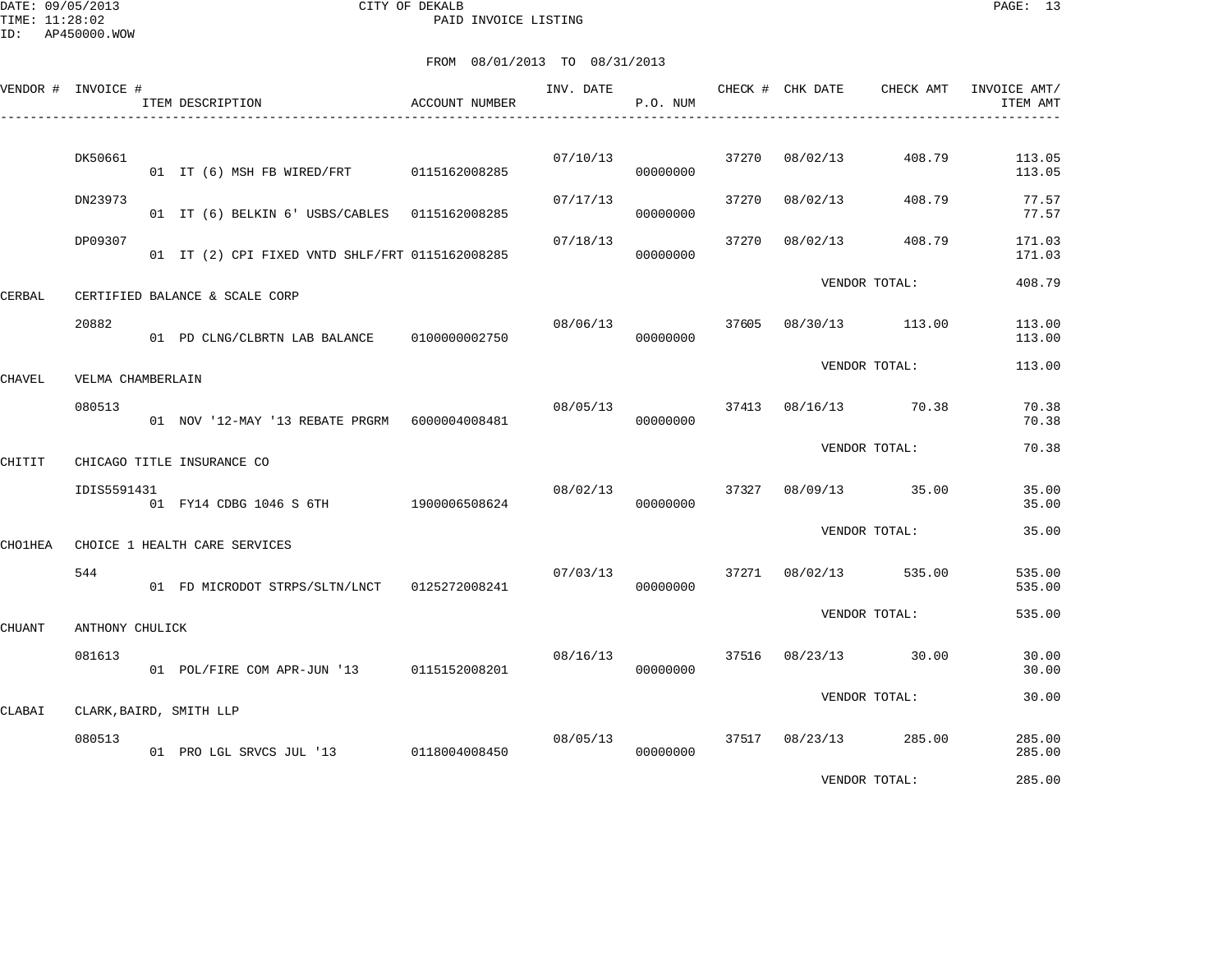DATE: 09/05/2013 CITY OF DEKALB PAGE: 13 PAID INVOICE LISTING

|         | VENDOR # INVOICE # | ITEM DESCRIPTION                                 | ACCOUNT NUMBER | INV. DATE | P.O. NUM             |       | CHECK # CHK DATE | CHECK AMT             | INVOICE AMT/<br>ITEM AMT |
|---------|--------------------|--------------------------------------------------|----------------|-----------|----------------------|-------|------------------|-----------------------|--------------------------|
|         | DK50661            | 01 IT (6) MSH FB WIRED/FRT 0115162008285         |                | 07/10/13  | 00000000             | 37270 | 08/02/13         | 408.79                | 113.05<br>113.05         |
|         | DN23973            | 01 IT (6) BELKIN 6' USBS/CABLES 0115162008285    |                | 07/17/13  | 00000000             | 37270 | 08/02/13         | 408.79                | 77.57<br>77.57           |
|         | DP09307            | 01 IT (2) CPI FIXED VNTD SHLF/FRT 0115162008285  |                | 07/18/13  | 00000000             | 37270 | 08/02/13         | 408.79                | 171.03<br>171.03         |
| CERBAL  |                    | CERTIFIED BALANCE & SCALE CORP                   |                |           |                      |       |                  | VENDOR TOTAL:         | 408.79                   |
|         | 20882              | 01 PD CLNG/CLBRTN LAB BALANCE 0100000002750      |                | 08/06/13  | 00000000             | 37605 |                  | 08/30/13 113.00       | 113.00<br>113.00         |
| CHAVEL  | VELMA CHAMBERLAIN  |                                                  |                |           |                      |       |                  | VENDOR TOTAL:         | 113.00                   |
|         | 080513             | 01 NOV '12-MAY '13 REBATE PRGRM    6000004008481 |                | 08/05/13  | 00000000             |       |                  | 37413 08/16/13 70.38  | 70.38<br>70.38           |
| CHITIT  |                    | CHICAGO TITLE INSURANCE CO                       |                |           |                      |       |                  | VENDOR TOTAL:         | 70.38                    |
|         | IDIS5591431        | 01 FY14 CDBG 1046 S 6TH 1900006508624            |                | 08/02/13  | 00000000             |       |                  | 37327 08/09/13 35.00  | 35.00<br>35.00           |
| CHO1HEA |                    | CHOICE 1 HEALTH CARE SERVICES                    |                |           |                      |       |                  | VENDOR TOTAL:         | 35.00                    |
|         | 544                | 01 FD MICRODOT STRPS/SLTN/LNCT 0125272008241     |                | 07/03/13  | 00000000             |       | 37271 08/02/13   | 535.00                | 535.00<br>535.00         |
| CHUANT  | ANTHONY CHULICK    |                                                  |                |           |                      |       |                  | VENDOR TOTAL:         | 535.00                   |
|         | 081613             | 01 POL/FIRE COM APR-JUN '13 0115152008201        |                | 08/16/13  | 00000000             |       | 37516 08/23/13   | 30.00                 | 30.00<br>30.00           |
| CLABAI  |                    | CLARK, BAIRD, SMITH LLP                          |                |           |                      |       |                  | VENDOR TOTAL:         | 30.00                    |
|         | 080513             | 01 PRO LGL SRVCS JUL '13 0118004008450           |                |           | 08/05/13<br>00000000 |       |                  | 37517 08/23/13 285.00 | 285.00<br>285.00         |
|         |                    |                                                  |                |           |                      |       |                  | VENDOR TOTAL:         | 285.00                   |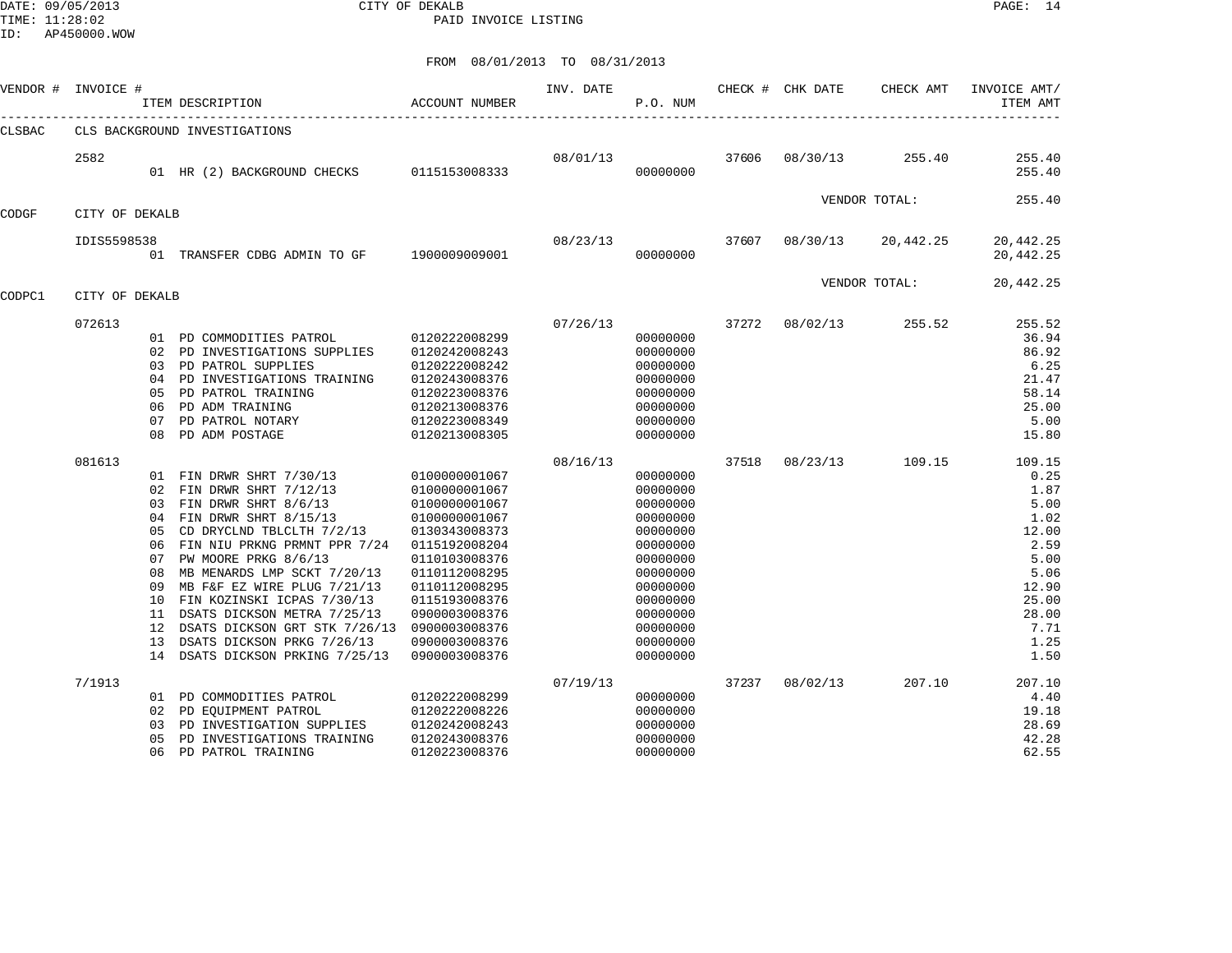DATE: 09/05/2013 CITY OF DEKALB PAGE: 14 PAID INVOICE LISTING

| VENDOR # | INVOICE #      |                                                                                      | ITEM DESCRIPTION                                                                                                                                                                                                                                                                                                                                                                                                     | ACCOUNT NUMBER                                                                                                                                                                                                                             | INV. DATE | P.O. NUM                                                                                                                                                             |       | CHECK # CHK DATE | CHECK AMT     | INVOICE AMT/<br>ITEM AMT                                                                                                   |
|----------|----------------|--------------------------------------------------------------------------------------|----------------------------------------------------------------------------------------------------------------------------------------------------------------------------------------------------------------------------------------------------------------------------------------------------------------------------------------------------------------------------------------------------------------------|--------------------------------------------------------------------------------------------------------------------------------------------------------------------------------------------------------------------------------------------|-----------|----------------------------------------------------------------------------------------------------------------------------------------------------------------------|-------|------------------|---------------|----------------------------------------------------------------------------------------------------------------------------|
| CLSBAC   |                |                                                                                      | CLS BACKGROUND INVESTIGATIONS                                                                                                                                                                                                                                                                                                                                                                                        |                                                                                                                                                                                                                                            |           |                                                                                                                                                                      |       |                  |               |                                                                                                                            |
|          | 2582           |                                                                                      | 01 HR (2) BACKGROUND CHECKS                                                                                                                                                                                                                                                                                                                                                                                          | 0115153008333                                                                                                                                                                                                                              | 08/01/13  | 00000000                                                                                                                                                             | 37606 | 08/30/13         | 255.40        | 255.40<br>255.40                                                                                                           |
| CODGF    | CITY OF DEKALB |                                                                                      |                                                                                                                                                                                                                                                                                                                                                                                                                      |                                                                                                                                                                                                                                            |           |                                                                                                                                                                      |       |                  | VENDOR TOTAL: | 255.40                                                                                                                     |
|          | IDIS5598538    |                                                                                      | 01 TRANSFER CDBG ADMIN TO GF 1900009009001                                                                                                                                                                                                                                                                                                                                                                           |                                                                                                                                                                                                                                            | 08/23/13  | 00000000                                                                                                                                                             | 37607 | 08/30/13         | 20,442.25     | 20,442.25<br>20,442.25                                                                                                     |
| CODPC1   | CITY OF DEKALB |                                                                                      |                                                                                                                                                                                                                                                                                                                                                                                                                      |                                                                                                                                                                                                                                            |           |                                                                                                                                                                      |       |                  | VENDOR TOTAL: | 20,442.25                                                                                                                  |
|          | 072613         | 02<br>0.3<br>04<br>05<br>06<br>07<br>08                                              | 01 PD COMMODITIES PATROL<br>PD INVESTIGATIONS SUPPLIES<br>PD PATROL SUPPLIES<br>PD INVESTIGATIONS TRAINING<br>PD PATROL TRAINING<br>PD ADM TRAINING<br>PD PATROL NOTARY<br>PD ADM POSTAGE                                                                                                                                                                                                                            | 0120222008299<br>0120242008243<br>0120222008242<br>0120243008376<br>0120223008376<br>0120213008376<br>0120223008349<br>0120213008305                                                                                                       | 07/26/13  | 00000000<br>00000000<br>00000000<br>00000000<br>00000000<br>00000000<br>00000000<br>00000000                                                                         | 37272 | 08/02/13         | 255.52        | 255.52<br>36.94<br>86.92<br>6.25<br>21.47<br>58.14<br>25.00<br>5.00<br>15.80                                               |
|          | 081613         | 02<br>03<br>04<br>0.5<br>06<br>07<br>08<br>09<br>10<br>11<br>$12 \overline{ }$<br>13 | 01 FIN DRWR SHRT 7/30/13<br>FIN DRWR SHRT 7/12/13<br>FIN DRWR SHRT 8/6/13<br>FIN DRWR SHRT 8/15/13<br>CD DRYCLND TBLCLTH 7/2/13<br>FIN NIU PRKNG PRMNT PPR 7/24<br>PW MOORE PRKG 8/6/13<br>MB MENARDS LMP SCKT 7/20/13<br>MB F&F EZ WIRE PLUG 7/21/13<br>FIN KOZINSKI ICPAS 7/30/13<br>DSATS DICKSON METRA 7/25/13<br>DSATS DICKSON GRT STK 7/26/13<br>DSATS DICKSON PRKG 7/26/13<br>14 DSATS DICKSON PRKING 7/25/13 | 0100000001067<br>0100000001067<br>0100000001067<br>0100000001067<br>0130343008373<br>0115192008204<br>0110103008376<br>0110112008295<br>0110112008295<br>0115193008376<br>0900003008376<br>0900003008376<br>0900003008376<br>0900003008376 | 08/16/13  | 00000000<br>00000000<br>00000000<br>00000000<br>00000000<br>00000000<br>00000000<br>00000000<br>00000000<br>00000000<br>00000000<br>00000000<br>00000000<br>00000000 | 37518 | 08/23/13         | 109.15        | 109.15<br>0.25<br>1.87<br>5.00<br>1.02<br>12.00<br>2.59<br>5.00<br>5.06<br>12.90<br>25.00<br>28.00<br>7.71<br>1.25<br>1.50 |
|          | 7/1913         | 02<br>03<br>0.5<br>06                                                                | 01 PD COMMODITIES PATROL<br>PD EQUIPMENT PATROL<br>PD INVESTIGATION SUPPLIES<br>PD INVESTIGATIONS TRAINING<br>PD PATROL TRAINING                                                                                                                                                                                                                                                                                     | 0120222008299<br>0120222008226<br>0120242008243<br>0120243008376<br>0120223008376                                                                                                                                                          | 07/19/13  | 00000000<br>00000000<br>00000000<br>00000000<br>00000000                                                                                                             | 37237 | 08/02/13         | 207.10        | 207.10<br>4.40<br>19.18<br>28.69<br>42.28<br>62.55                                                                         |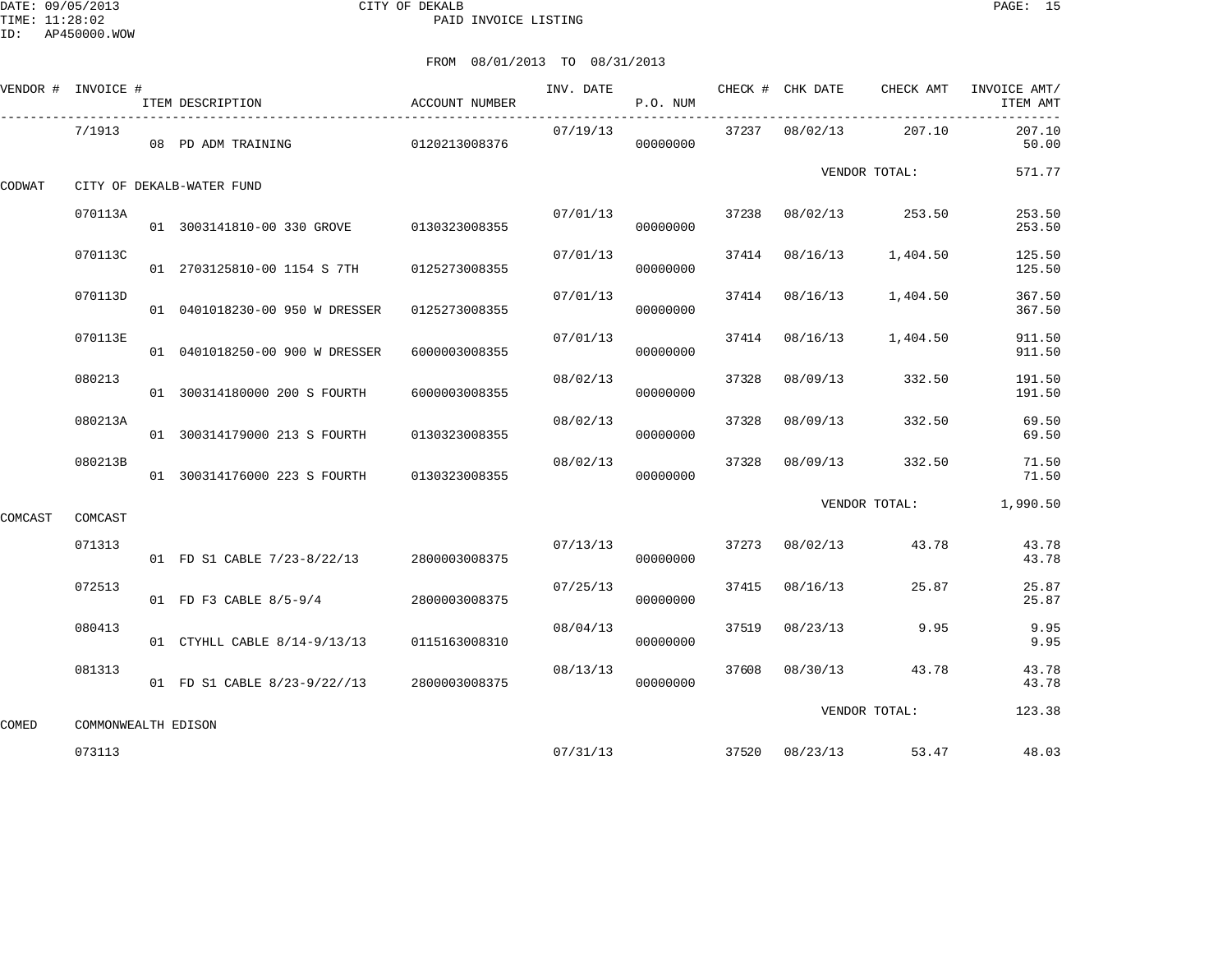DATE: 09/05/2013 CITY OF DEKALB PAGE: 15 PAID INVOICE LISTING

|         | VENDOR # INVOICE #  | ITEM DESCRIPTION                          | ACCOUNT NUMBER | INV. DATE | P.O. NUM |       |                | CHECK # CHK DATE CHECK AMT | INVOICE AMT/<br>ITEM AMT |
|---------|---------------------|-------------------------------------------|----------------|-----------|----------|-------|----------------|----------------------------|--------------------------|
|         | 7/1913              | 08 PD ADM TRAINING                        | 0120213008376  | 07/19/13  | 00000000 |       | 37237 08/02/13 | 207.10                     | 207.10<br>50.00          |
| CODWAT  |                     | CITY OF DEKALB-WATER FUND                 |                |           |          |       |                | VENDOR TOTAL:              | 571.77                   |
|         | 070113A             | 01 3003141810-00 330 GROVE                | 0130323008355  | 07/01/13  | 00000000 |       |                | 37238 08/02/13 253.50      | 253.50<br>253.50         |
|         | 070113C             | 01 2703125810-00 1154 S 7TH               | 0125273008355  | 07/01/13  | 00000000 |       | 37414 08/16/13 | 1,404.50                   | 125.50<br>125.50         |
|         | 070113D             | 01 0401018230-00 950 W DRESSER            | 0125273008355  | 07/01/13  | 00000000 |       | 37414 08/16/13 | 1,404.50                   | 367.50<br>367.50         |
|         | 070113E             | 01 0401018250-00 900 W DRESSER            | 6000003008355  | 07/01/13  | 00000000 | 37414 | 08/16/13       | 1,404.50                   | 911.50<br>911.50         |
|         | 080213              | 01 300314180000 200 S FOURTH              | 6000003008355  | 08/02/13  | 00000000 | 37328 | 08/09/13       | 332.50                     | 191.50<br>191.50         |
|         | 080213A             | 01 300314179000 213 S FOURTH              | 0130323008355  | 08/02/13  | 00000000 | 37328 | 08/09/13       | 332.50                     | 69.50<br>69.50           |
|         | 080213B             | 01 300314176000 223 S FOURTH              | 0130323008355  | 08/02/13  | 00000000 | 37328 | 08/09/13       | 332.50                     | 71.50<br>71.50           |
| COMCAST | COMCAST             |                                           |                |           |          |       |                | VENDOR TOTAL:              | 1,990.50                 |
|         | 071313              | 01 FD S1 CABLE 7/23-8/22/13 2800003008375 |                | 07/13/13  | 00000000 |       | 37273 08/02/13 | 43.78                      | 43.78<br>43.78           |
|         | 072513              | 01 FD F3 CABLE 8/5-9/4                    | 2800003008375  | 07/25/13  | 00000000 |       | 37415 08/16/13 | 25.87                      | 25.87<br>25.87           |
|         | 080413              | 01 CTYHLL CABLE 8/14-9/13/13              | 0115163008310  | 08/04/13  | 00000000 | 37519 | 08/23/13       | 9.95                       | 9.95<br>9.95             |
|         | 081313              | 01 FD S1 CABLE 8/23-9/22//13              | 2800003008375  | 08/13/13  | 00000000 |       | 37608 08/30/13 | 43.78                      | 43.78<br>43.78           |
| COMED   | COMMONWEALTH EDISON |                                           |                |           |          |       |                | VENDOR TOTAL:              | 123.38                   |
|         | 073113              |                                           |                |           | 07/31/13 |       |                | 37520 08/23/13 53.47       | 48.03                    |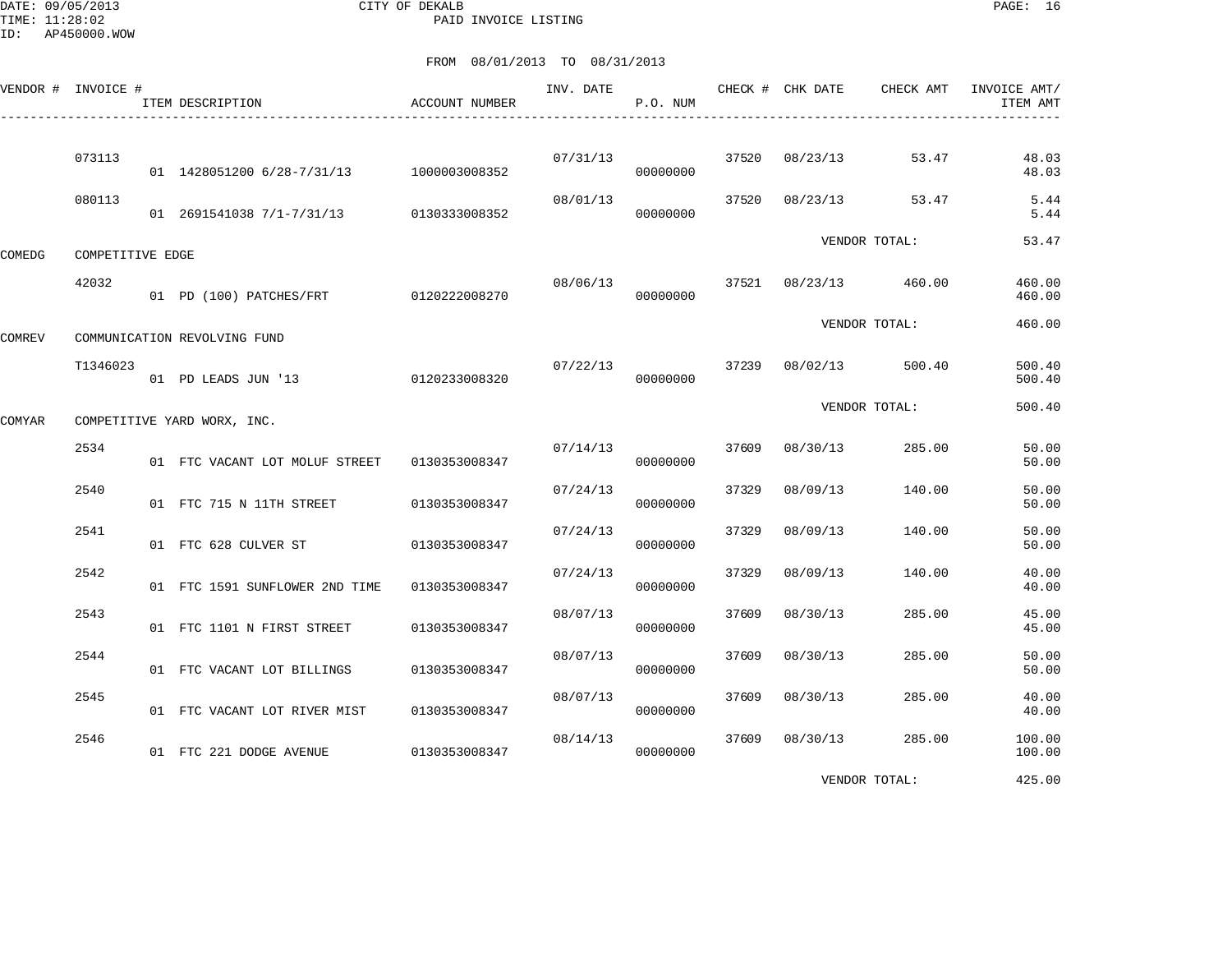DATE: 09/05/2013 CITY OF DEKALB PAGE: 16 PAID INVOICE LISTING

|               | VENDOR # INVOICE # | ITEM DESCRIPTION                         | <b>ACCOUNT NUMBER</b> | INV. DATE | P.O. NUM |       | CHECK # CHK DATE | CHECK AMT       | INVOICE AMT/<br>ITEM AMT |
|---------------|--------------------|------------------------------------------|-----------------------|-----------|----------|-------|------------------|-----------------|--------------------------|
|               | 073113             | 01 1428051200 6/28-7/31/13 1000003008352 |                       | 07/31/13  | 00000000 | 37520 | 08/23/13         | 53.47           | 48.03<br>48.03           |
|               | 080113             | 01 2691541038 7/1-7/31/13                | 0130333008352         | 08/01/13  | 00000000 | 37520 | 08/23/13         | 53.47           | 5.44<br>5.44             |
| COMEDG        | COMPETITIVE EDGE   |                                          |                       |           |          |       |                  | VENDOR TOTAL:   | 53.47                    |
|               | 42032              | 01 PD (100) PATCHES/FRT 0120222008270    |                       | 08/06/13  | 00000000 | 37521 |                  | 08/23/13 460.00 | 460.00<br>460.00         |
| <b>COMREV</b> |                    | COMMUNICATION REVOLVING FUND             |                       |           |          |       |                  | VENDOR TOTAL:   | 460.00                   |
|               | T1346023           | 01 PD LEADS JUN '13                      | 0120233008320         | 07/22/13  | 00000000 | 37239 | 08/02/13         | 500.40          | 500.40<br>500.40         |
| COMYAR        |                    | COMPETITIVE YARD WORX, INC.              |                       |           |          |       |                  | VENDOR TOTAL:   | 500.40                   |
|               | 2534               | 01 FTC VACANT LOT MOLUF STREET           | 0130353008347         | 07/14/13  | 00000000 | 37609 | 08/30/13         | 285.00          | 50.00<br>50.00           |
|               | 2540               | 01 FTC 715 N 11TH STREET                 | 0130353008347         | 07/24/13  | 00000000 | 37329 | 08/09/13         | 140.00          | 50.00<br>50.00           |
|               | 2541               | 01 FTC 628 CULVER ST                     | 0130353008347         | 07/24/13  | 00000000 | 37329 | 08/09/13         | 140.00          | 50.00<br>50.00           |
|               | 2542               | 01 FTC 1591 SUNFLOWER 2ND TIME           | 0130353008347         | 07/24/13  | 00000000 | 37329 | 08/09/13         | 140.00          | 40.00<br>40.00           |
|               | 2543               | 01 FTC 1101 N FIRST STREET               | 0130353008347         | 08/07/13  | 00000000 | 37609 | 08/30/13         | 285.00          | 45.00<br>45.00           |
|               | 2544               | 01 FTC VACANT LOT BILLINGS               | 0130353008347         | 08/07/13  | 00000000 | 37609 | 08/30/13         | 285.00          | 50.00<br>50.00           |
|               | 2545               | 01 FTC VACANT LOT RIVER MIST             | 0130353008347         | 08/07/13  | 00000000 | 37609 | 08/30/13         | 285.00          | 40.00<br>40.00           |
|               | 2546               | 01 FTC 221 DODGE AVENUE                  | 0130353008347         | 08/14/13  | 00000000 | 37609 | 08/30/13         | 285.00          | 100.00<br>100.00         |
|               |                    |                                          |                       |           |          |       |                  | VENDOR TOTAL:   | 425.00                   |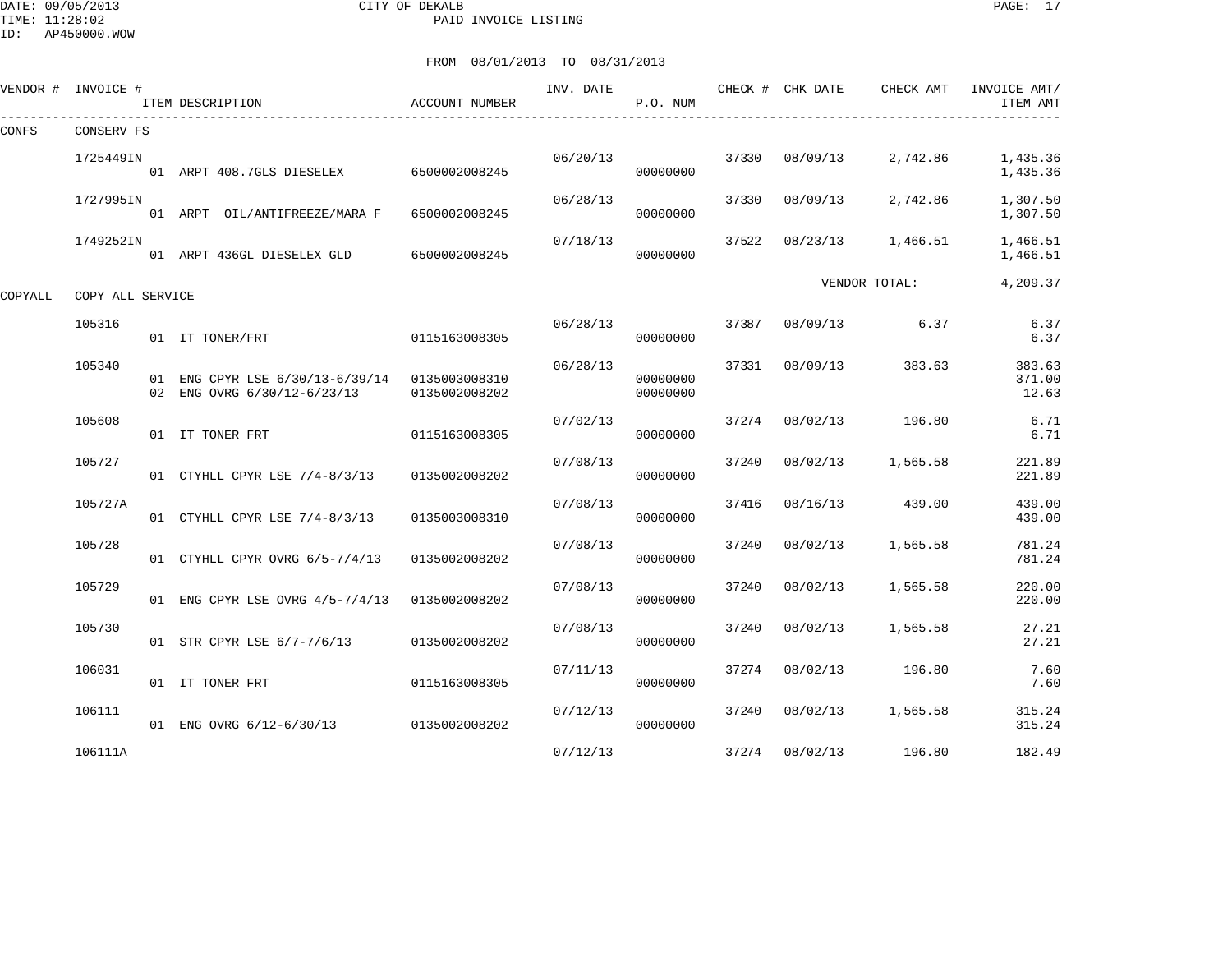DATE: 09/05/2013 CITY OF DEKALB PAGE: 17 PAID INVOICE LISTING

ID: AP450000.WOW

|         | VENDOR # INVOICE # | ITEM DESCRIPTION                                                             | ACCOUNT NUMBER | INV. DATE | P.O. NUM             |       | CHECK # CHK DATE | CHECK AMT     | INVOICE AMT/<br>ITEM AMT  |
|---------|--------------------|------------------------------------------------------------------------------|----------------|-----------|----------------------|-------|------------------|---------------|---------------------------|
| CONFS   | CONSERV FS         |                                                                              |                |           |                      |       |                  |               |                           |
|         | 1725449IN          | 01 ARPT 408.7GLS DIESELEX                                                    | 6500002008245  | 06/20/13  | 00000000             | 37330 | 08/09/13         | 2,742.86      | 1,435.36<br>1,435.36      |
|         | 1727995IN          | 01 ARPT OIL/ANTIFREEZE/MARA F                                                | 6500002008245  | 06/28/13  | 00000000             | 37330 | 08/09/13         | 2,742.86      | 1,307.50<br>1,307.50      |
|         | 1749252IN          | 01 ARPT 436GL DIESELEX GLD                                                   | 6500002008245  | 07/18/13  | 00000000             | 37522 | 08/23/13         | 1,466.51      | 1,466.51<br>1,466.51      |
| COPYALL | COPY ALL SERVICE   |                                                                              |                |           |                      |       |                  | VENDOR TOTAL: | 4,209.37                  |
|         | 105316             | 01 IT TONER/FRT                                                              | 0115163008305  | 06/28/13  | 00000000             | 37387 | 08/09/13         | 6.37          | 6.37<br>6.37              |
|         | 105340             | 01 ENG CPYR LSE 6/30/13-6/39/14 0135003008310<br>02 ENG OVRG 6/30/12-6/23/13 | 0135002008202  | 06/28/13  | 00000000<br>00000000 | 37331 | 08/09/13         | 383.63        | 383.63<br>371.00<br>12.63 |
|         | 105608             | 01 IT TONER FRT                                                              | 0115163008305  | 07/02/13  | 00000000             | 37274 | 08/02/13         | 196.80        | 6.71<br>6.71              |
|         | 105727             | 01 CTYHLL CPYR LSE 7/4-8/3/13                                                | 0135002008202  | 07/08/13  | 00000000             | 37240 | 08/02/13         | 1,565.58      | 221.89<br>221.89          |
|         | 105727A            | 01 CTYHLL CPYR LSE 7/4-8/3/13                                                | 0135003008310  | 07/08/13  | 00000000             | 37416 | 08/16/13         | 439.00        | 439.00<br>439.00          |
|         | 105728             | 01 CTYHLL CPYR OVRG 6/5-7/4/13                                               | 0135002008202  | 07/08/13  | 00000000             | 37240 | 08/02/13         | 1,565.58      | 781.24<br>781.24          |
|         | 105729             | 01 ENG CPYR LSE OVRG 4/5-7/4/13                                              | 0135002008202  | 07/08/13  | 00000000             | 37240 | 08/02/13         | 1,565.58      | 220.00<br>220.00          |
|         | 105730             | 01 STR CPYR LSE 6/7-7/6/13                                                   | 0135002008202  | 07/08/13  | 00000000             | 37240 | 08/02/13         | 1,565.58      | 27.21<br>27.21            |
|         | 106031             | 01 IT TONER FRT                                                              | 0115163008305  | 07/11/13  | 00000000             | 37274 | 08/02/13         | 196.80        | 7.60<br>7.60              |
|         | 106111             | 01 ENG OVRG 6/12-6/30/13                                                     | 0135002008202  | 07/12/13  | 00000000             | 37240 | 08/02/13         | 1,565.58      | 315.24<br>315.24          |
|         | 106111A            |                                                                              |                | 07/12/13  |                      | 37274 | 08/02/13         | 196.80        | 182.49                    |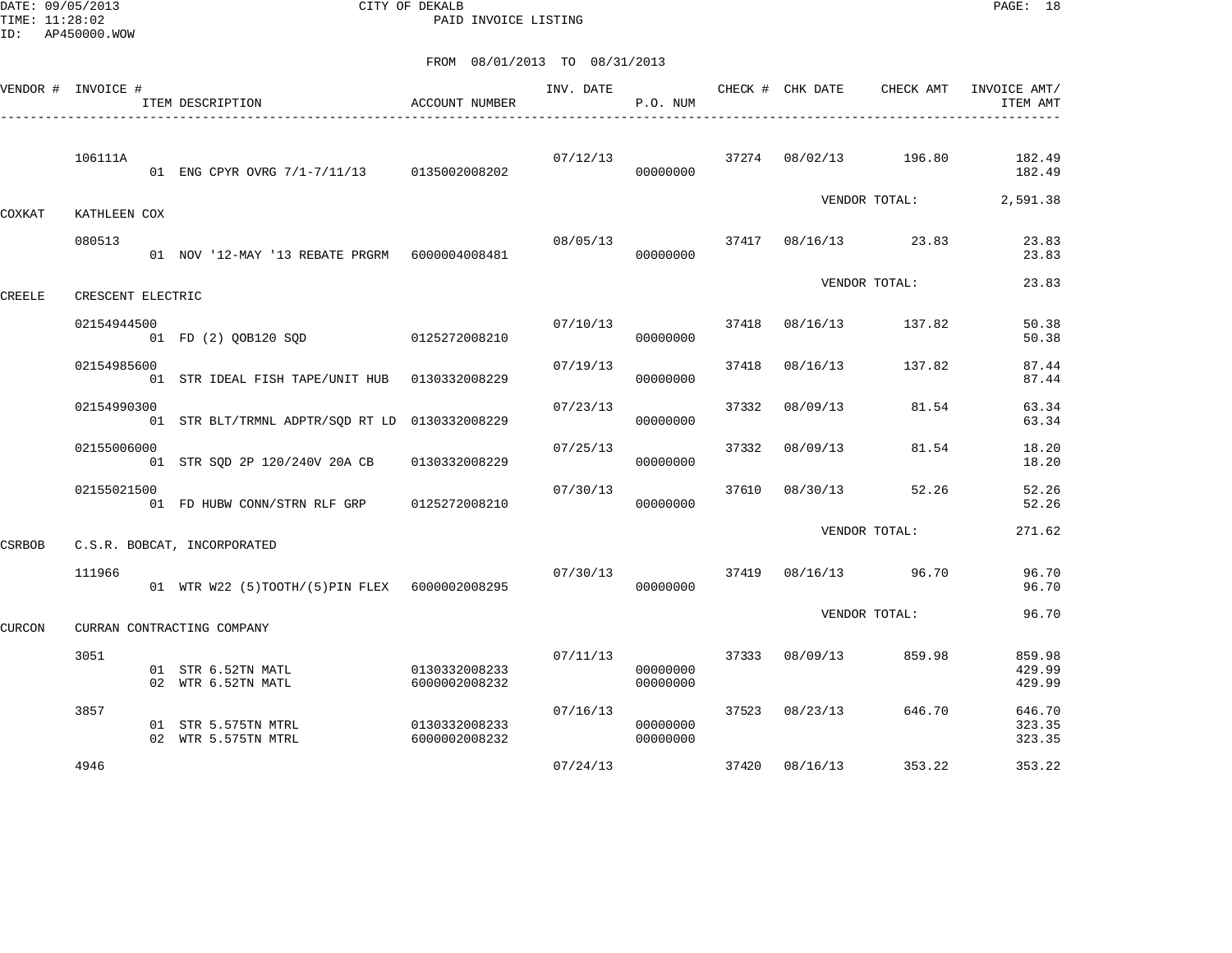DATE: 09/05/2013 CITY OF DEKALB PAGE: 18 PAID INVOICE LISTING

|               | VENDOR # INVOICE # | ITEM DESCRIPTION                                 | <b>ACCOUNT NUMBER</b>          | INV. DATE | P.O. NUM             |       | CHECK # CHK DATE | CHECK AMT            | INVOICE AMT/<br>ITEM AMT   |
|---------------|--------------------|--------------------------------------------------|--------------------------------|-----------|----------------------|-------|------------------|----------------------|----------------------------|
|               | 106111A            | 01 ENG CPYR OVRG 7/1-7/11/13 0135002008202       |                                | 07/12/13  | 00000000             |       | 37274 08/02/13   | 196.80               | 182.49<br>182.49           |
| COXKAT        | KATHLEEN COX       |                                                  |                                |           |                      |       |                  | VENDOR TOTAL:        | 2,591.38                   |
|               | 080513             | 01 NOV '12-MAY '13 REBATE PRGRM    6000004008481 |                                | 08/05/13  | 00000000             |       |                  | 37417 08/16/13 23.83 | 23.83<br>23.83             |
| <b>CREELE</b> | CRESCENT ELECTRIC  |                                                  |                                |           |                      |       |                  | VENDOR TOTAL:        | 23.83                      |
|               | 02154944500        | 01 FD (2) QOB120 SQD 0125272008210               |                                | 07/10/13  | 00000000             | 37418 | 08/16/13         | 137.82               | 50.38<br>50.38             |
|               | 02154985600        | 01 STR IDEAL FISH TAPE/UNIT HUB  0130332008229   |                                | 07/19/13  | 00000000             | 37418 | 08/16/13         | 137.82               | 87.44<br>87.44             |
|               | 02154990300        | 01 STR BLT/TRMNL ADPTR/SOD RT LD 0130332008229   |                                | 07/23/13  | 00000000             | 37332 | 08/09/13         | 81.54                | 63.34<br>63.34             |
|               | 02155006000        | 01 STR SQD 2P 120/240V 20A CB                    | 0130332008229                  | 07/25/13  | 00000000             | 37332 | 08/09/13         | 81.54                | 18.20<br>18.20             |
|               | 02155021500        | 01 FD HUBW CONN/STRN RLF GRP                     | 0125272008210                  | 07/30/13  | 00000000             | 37610 | 08/30/13         | 52.26                | 52.26<br>52.26             |
| CSRBOB        |                    | C.S.R. BOBCAT, INCORPORATED                      |                                |           |                      |       |                  | VENDOR TOTAL:        | 271.62                     |
|               | 111966             | 01 WTR W22 (5)TOOTH/(5)PIN FLEX 6000002008295    |                                | 07/30/13  | 00000000             |       | 37419 08/16/13   | 96.70                | 96.70<br>96.70             |
| <b>CURCON</b> |                    | CURRAN CONTRACTING COMPANY                       |                                |           |                      |       |                  | VENDOR TOTAL:        | 96.70                      |
|               | 3051               | 01 STR 6.52TN MATL<br>02 WTR 6.52TN MATL         | 0130332008233<br>6000002008232 | 07/11/13  | 00000000<br>00000000 | 37333 | 08/09/13         | 859.98               | 859.98<br>429.99<br>429.99 |
|               | 3857               | 01 STR 5.575TN MTRL<br>02 WTR 5.575TN MTRL       | 0130332008233<br>6000002008232 | 07/16/13  | 00000000<br>00000000 | 37523 | 08/23/13         | 646.70               | 646.70<br>323.35<br>323.35 |
|               | 4946               |                                                  |                                | 07/24/13  |                      | 37420 | 08/16/13         | 353.22               | 353.22                     |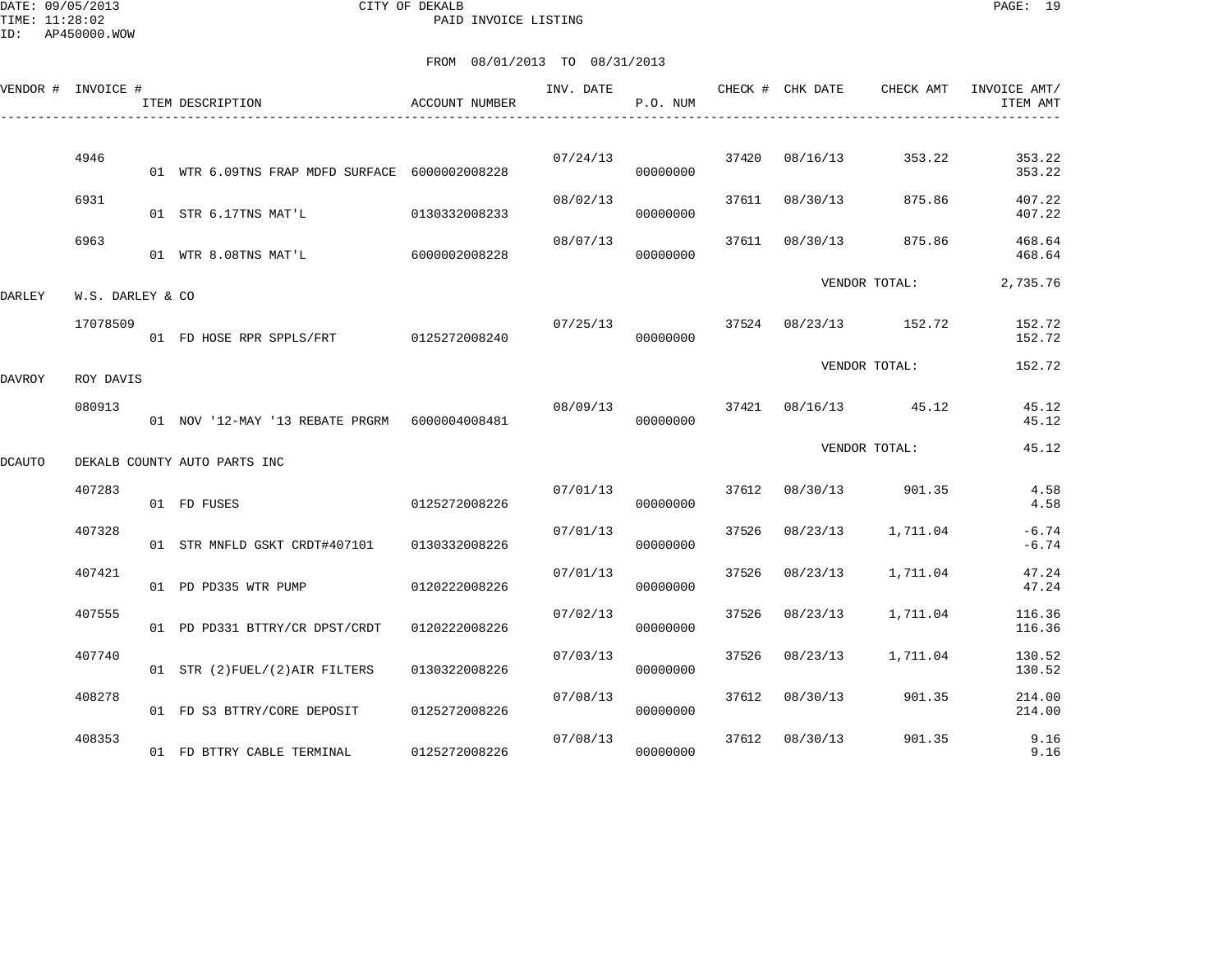DATE: 09/05/2013 CITY OF DEKALB PAGE: 19 PAID INVOICE LISTING

ID: AP450000.WOW

|        | VENDOR # INVOICE # | ITEM DESCRIPTION                               | ACCOUNT NUMBER | INV. DATE | P.O. NUM |       | CHECK # CHK DATE | CHECK AMT             | INVOICE AMT/<br>ITEM AMT |
|--------|--------------------|------------------------------------------------|----------------|-----------|----------|-------|------------------|-----------------------|--------------------------|
|        | 4946               | 01 WTR 6.09TNS FRAP MDFD SURFACE 6000002008228 |                | 07/24/13  | 00000000 |       | 37420 08/16/13   | 353.22                | 353.22<br>353.22         |
|        | 6931               | 01 STR 6.17TNS MAT'L                           | 0130332008233  | 08/02/13  | 00000000 |       | 37611 08/30/13   | 875.86                | 407.22<br>407.22         |
|        | 6963               | 01 WTR 8.08TNS MAT'L                           | 6000002008228  | 08/07/13  | 00000000 |       | 37611 08/30/13   | 875.86                | 468.64<br>468.64         |
| DARLEY | W.S. DARLEY & CO   |                                                |                |           |          |       |                  | VENDOR TOTAL:         | 2,735.76                 |
|        | 17078509           | 01 FD HOSE RPR SPPLS/FRT 0125272008240         |                | 07/25/13  | 00000000 |       |                  | 37524 08/23/13 152.72 | 152.72<br>152.72         |
| DAVROY | ROY DAVIS          |                                                |                |           |          |       |                  | VENDOR TOTAL:         | 152.72                   |
|        | 080913             | 01 NOV '12-MAY '13 REBATE PRGRM 6000004008481  |                | 08/09/13  | 00000000 |       |                  | 37421 08/16/13 45.12  | 45.12<br>45.12           |
| DCAUTO |                    | DEKALB COUNTY AUTO PARTS INC                   |                |           |          |       |                  | VENDOR TOTAL:         | 45.12                    |
|        | 407283             | 01 FD FUSES                                    | 0125272008226  | 07/01/13  | 00000000 |       | 37612 08/30/13   | 901.35                | 4.58<br>4.58             |
|        | 407328             | 01 STR MNFLD GSKT CRDT#407101 0130332008226    |                | 07/01/13  | 00000000 | 37526 | 08/23/13         | 1,711.04              | $-6.74$<br>$-6.74$       |
|        | 407421             | 01 PD PD335 WTR PUMP                           | 0120222008226  | 07/01/13  | 00000000 | 37526 | 08/23/13         | 1,711.04              | 47.24<br>47.24           |
|        | 407555             | 01 PD PD331 BTTRY/CR DPST/CRDT                 | 0120222008226  | 07/02/13  | 00000000 | 37526 | 08/23/13         | 1,711.04              | 116.36<br>116.36         |
|        | 407740             | 01 STR (2) FUEL/(2) AIR FILTERS                | 0130322008226  | 07/03/13  | 00000000 | 37526 | 08/23/13         | 1,711.04              | 130.52<br>130.52         |
|        | 408278             | 01 FD S3 BTTRY/CORE DEPOSIT                    | 0125272008226  | 07/08/13  | 00000000 | 37612 | 08/30/13         | 901.35                | 214.00<br>214.00         |
|        | 408353             | 01 FD BTTRY CABLE TERMINAL                     | 0125272008226  | 07/08/13  | 00000000 | 37612 | 08/30/13         | 901.35                | 9.16<br>9.16             |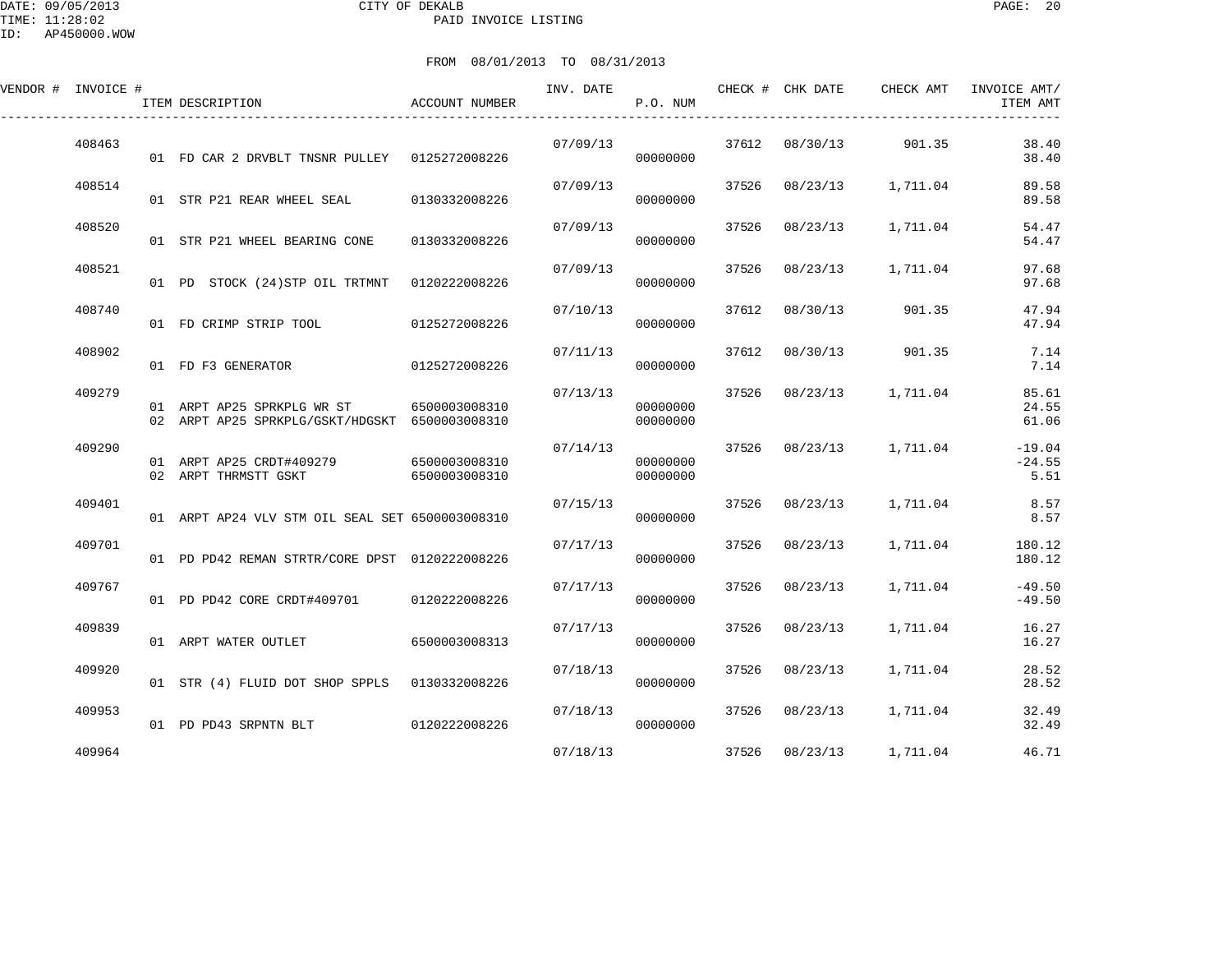| VENDOR # | INVOICE # |    | ITEM DESCRIPTION                | ACCOUNT NUMBER | INV. DATE | P.O. NUM | CHECK # | CHK DATE | CHECK AMT | INVOICE AMT/<br>ITEM AMT |
|----------|-----------|----|---------------------------------|----------------|-----------|----------|---------|----------|-----------|--------------------------|
|          | 408463    | 01 | FD CAR 2 DRVBLT TNSNR PULLEY    | 0125272008226  | 07/09/13  | 00000000 | 37612   | 08/30/13 | 901.35    | 38.40<br>38.40           |
|          | 408514    | 01 | STR P21 REAR WHEEL SEAL         | 0130332008226  | 07/09/13  | 00000000 | 37526   | 08/23/13 | 1,711.04  | 89.58<br>89.58           |
|          | 408520    | 01 | STR P21 WHEEL BEARING CONE      | 0130332008226  | 07/09/13  | 00000000 | 37526   | 08/23/13 | 1,711.04  | 54.47<br>54.47           |
|          | 408521    | 01 | STOCK (24) STP OIL TRTMNT<br>PD | 0120222008226  | 07/09/13  | 00000000 | 37526   | 08/23/13 | 1,711.04  | 97.68<br>97.68           |
|          | 408740    | 01 | FD CRIMP STRIP TOOL             | 0125272008226  | 07/10/13  | 00000000 | 37612   | 08/30/13 | 901.35    | 47.94<br>47.94           |
|          | 408902    | 01 | FD F3 GENERATOR                 | 0125272008226  | 07/11/13  | 00000000 | 37612   | 08/30/13 | 901.35    | 7.14<br>7.14             |
|          | 409279    |    | 01 ARPT AP25 SPRKPLG WR ST      | 6500003008310  | 07/13/13  | 00000000 | 37526   | 08/23/13 | 1,711.04  | 85.61<br>24.55           |

|        | 02       | ARE 1 AFAJ BERRENG WR DI<br>ARPT AP25 SPRKPLG/GSKT/HDGSKT | <u>0 JUUUJUUUJIU</u><br>6500003008310 |          | ,,,,,,,,,<br>00000000 |       |          |          | ر ر د<br>61.06               |
|--------|----------|-----------------------------------------------------------|---------------------------------------|----------|-----------------------|-------|----------|----------|------------------------------|
| 409290 | 01<br>02 | ARPT AP25 CRDT#409279<br>ARPT THRMSTT GSKT                | 6500003008310<br>6500003008310        | 07/14/13 | 00000000<br>00000000  | 37526 | 08/23/13 | 1,711.04 | $-19.04$<br>$-24.55$<br>5.51 |
| 409401 |          | 01 ARPT AP24 VLV STM OIL SEAL SET 6500003008310           |                                       | 07/15/13 | 00000000              | 37526 | 08/23/13 | 1,711.04 | 8.57<br>8.57                 |
| 409701 |          | PD PD42 REMAN STRTR/CORE DPST                             | 0120222008226                         | 07/17/13 | 00000000              | 37526 | 08/23/13 | 1,711.04 | 180.12<br>180.12             |
| 409767 | 01 D     | PD PD42 CORE CRDT#409701                                  | 0120222008226                         | 07/17/13 | 00000000              | 37526 | 08/23/13 | 1,711.04 | $-49.50$<br>$-49.50$         |
| 409839 | 01       | ARPT WATER OUTLET                                         | 6500003008313                         | 07/17/13 | 00000000              | 37526 | 08/23/13 | 1,711.04 | 16.27<br>16.27               |
| 409920 | 01       | STR (4) FLUID DOT SHOP SPPLS                              | 0130332008226                         | 07/18/13 | 00000000              | 37526 | 08/23/13 | 1,711.04 | 28.52<br>28.52               |
| 409953 | 01       | PD PD43 SRPNTN BLT                                        | 0120222008226                         | 07/18/13 | 00000000              | 37526 | 08/23/13 | 1,711.04 | 32.49<br>32.49               |
| 409964 |          |                                                           |                                       | 07/18/13 |                       | 37526 | 08/23/13 | 1,711.04 | 46.71                        |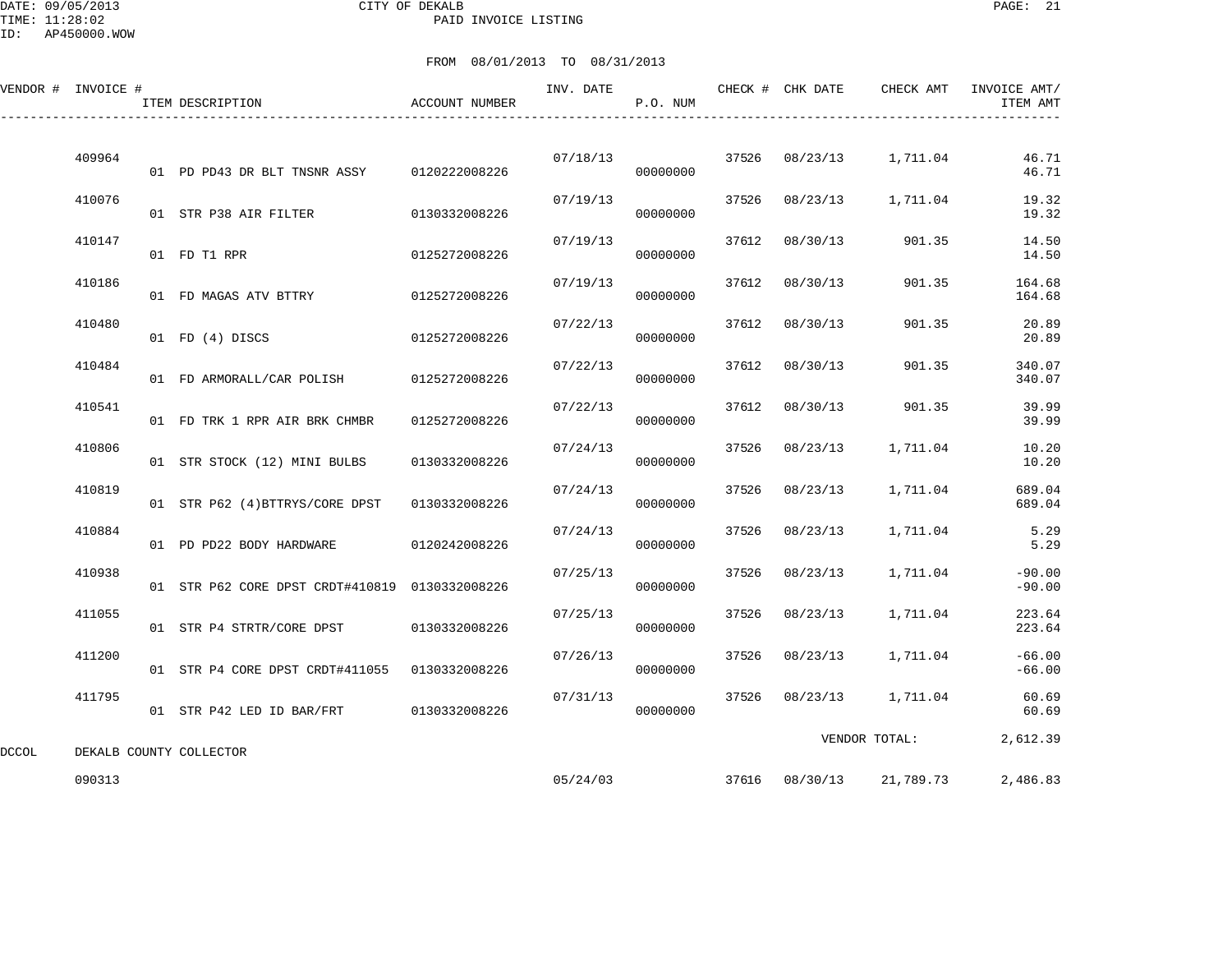DATE: 09/05/2013 CITY OF DEKALB PAGE: 21 PAID INVOICE LISTING

ID: AP450000.WOW

|       | VENDOR # INVOICE # | ITEM DESCRIPTION                               | ACCOUNT NUMBER | INV. DATE | P.O. NUM |       | CHECK # CHK DATE | CHECK AMT     | INVOICE AMT/<br>ITEM AMT |
|-------|--------------------|------------------------------------------------|----------------|-----------|----------|-------|------------------|---------------|--------------------------|
|       | 409964             | 01 PD PD43 DR BLT TNSNR ASSY                   | 0120222008226  | 07/18/13  | 00000000 | 37526 | 08/23/13         | 1,711.04      | 46.71<br>46.71           |
|       | 410076             | 01 STR P38 AIR FILTER                          | 0130332008226  | 07/19/13  | 00000000 | 37526 | 08/23/13         | 1,711.04      | 19.32<br>19.32           |
|       | 410147             | 01 FD T1 RPR                                   | 0125272008226  | 07/19/13  | 00000000 | 37612 | 08/30/13         | 901.35        | 14.50<br>14.50           |
|       | 410186             | 01 FD MAGAS ATV BTTRY                          | 0125272008226  | 07/19/13  | 00000000 | 37612 | 08/30/13         | 901.35        | 164.68<br>164.68         |
|       | 410480             | 01 FD (4) DISCS                                | 0125272008226  | 07/22/13  | 00000000 | 37612 | 08/30/13         | 901.35        | 20.89<br>20.89           |
|       | 410484             | 01 FD ARMORALL/CAR POLISH                      | 0125272008226  | 07/22/13  | 00000000 | 37612 | 08/30/13         | 901.35        | 340.07<br>340.07         |
|       | 410541             | 01 FD TRK 1 RPR AIR BRK CHMBR                  | 0125272008226  | 07/22/13  | 00000000 | 37612 | 08/30/13         | 901.35        | 39.99<br>39.99           |
|       | 410806             | 01 STR STOCK (12) MINI BULBS                   | 0130332008226  | 07/24/13  | 00000000 | 37526 | 08/23/13         | 1,711.04      | 10.20<br>10.20           |
|       | 410819             | 01 STR P62 (4) BTTRYS/CORE DPST                | 0130332008226  | 07/24/13  | 00000000 | 37526 | 08/23/13         | 1,711.04      | 689.04<br>689.04         |
|       | 410884             | 01 PD PD22 BODY HARDWARE                       | 0120242008226  | 07/24/13  | 00000000 | 37526 | 08/23/13         | 1,711.04      | 5.29<br>5.29             |
|       | 410938             | 01 STR P62 CORE DPST CRDT#410819 0130332008226 |                | 07/25/13  | 00000000 | 37526 | 08/23/13         | 1,711.04      | $-90.00$<br>$-90.00$     |
|       | 411055             | 01 STR P4 STRTR/CORE DPST                      | 0130332008226  | 07/25/13  | 00000000 | 37526 | 08/23/13         | 1,711.04      | 223.64<br>223.64         |
|       | 411200             | 01 STR P4 CORE DPST CRDT#411055 0130332008226  |                | 07/26/13  | 00000000 | 37526 | 08/23/13         | 1,711.04      | $-66.00$<br>$-66.00$     |
|       | 411795             | 01 STR P42 LED ID BAR/FRT 0130332008226        |                | 07/31/13  | 00000000 | 37526 | 08/23/13         | 1,711.04      | 60.69<br>60.69           |
| DCCOL |                    | DEKALB COUNTY COLLECTOR                        |                |           |          |       |                  | VENDOR TOTAL: | 2,612.39                 |
|       | 090313             |                                                |                | 05/24/03  |          |       | 37616 08/30/13   | 21,789.73     | 2,486.83                 |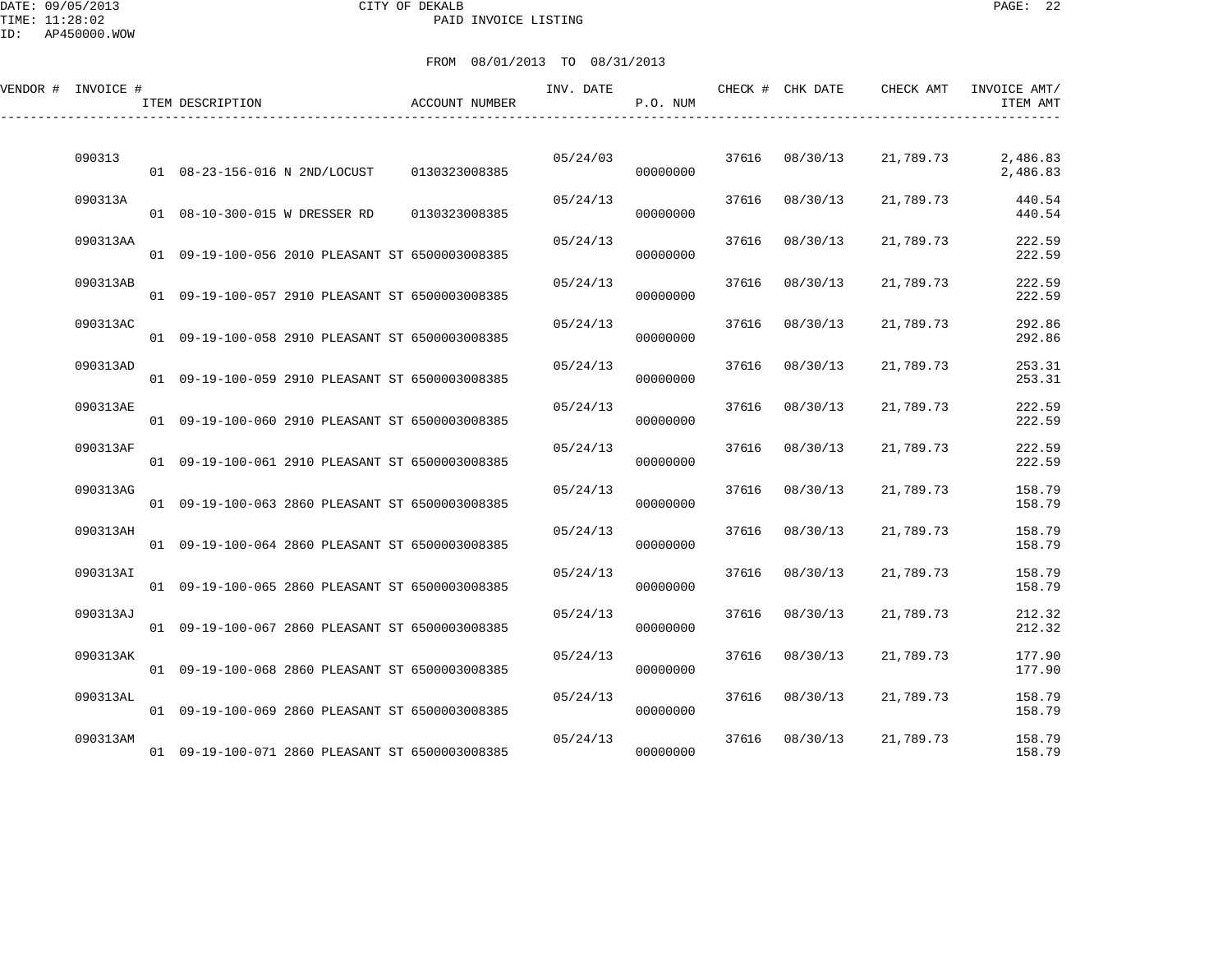DATE: 09/05/2013 CITY OF DEKALB PAGE: 22 PAID INVOICE LISTING

| VENDOR # INVOICE # | ITEM DESCRIPTION                                | <b>ACCOUNT NUMBER</b> | INV. DATE | P.O. NUM |       | CHECK # CHK DATE | CHECK AMT | INVOICE AMT/<br>ITEM AMT |
|--------------------|-------------------------------------------------|-----------------------|-----------|----------|-------|------------------|-----------|--------------------------|
| 090313             | 01  08-23-156-016 N 2ND/LOCUST                  | 0130323008385         | 05/24/03  | 00000000 |       | 37616 08/30/13   | 21,789.73 | 2,486.83<br>2,486.83     |
| 090313A            | 01  08-10-300-015 W DRESSER RD                  | 0130323008385         | 05/24/13  | 00000000 |       | 37616 08/30/13   | 21,789.73 | 440.54<br>440.54         |
| 090313AA           | 01 09-19-100-056 2010 PLEASANT ST 6500003008385 |                       | 05/24/13  | 00000000 | 37616 | 08/30/13         | 21,789.73 | 222.59<br>222.59         |
| 090313AB           | 01 09-19-100-057 2910 PLEASANT ST 6500003008385 |                       | 05/24/13  | 00000000 | 37616 | 08/30/13         | 21,789.73 | 222.59<br>222.59         |
| 090313AC           | 01 09-19-100-058 2910 PLEASANT ST 6500003008385 |                       | 05/24/13  | 00000000 | 37616 | 08/30/13         | 21,789.73 | 292.86<br>292.86         |
| 090313AD           | 01 09-19-100-059 2910 PLEASANT ST 6500003008385 |                       | 05/24/13  | 00000000 |       | 37616 08/30/13   | 21,789.73 | 253.31<br>253.31         |
| 090313AE           | 01 09-19-100-060 2910 PLEASANT ST 6500003008385 |                       | 05/24/13  | 00000000 | 37616 | 08/30/13         | 21,789.73 | 222.59<br>222.59         |
| 090313AF           | 01 09-19-100-061 2910 PLEASANT ST 6500003008385 |                       | 05/24/13  | 00000000 | 37616 | 08/30/13         | 21,789.73 | 222.59<br>222.59         |
| 090313AG           | 01 09-19-100-063 2860 PLEASANT ST 6500003008385 |                       | 05/24/13  | 00000000 | 37616 | 08/30/13         | 21,789.73 | 158.79<br>158.79         |
| 090313AH           | 01 09-19-100-064 2860 PLEASANT ST 6500003008385 |                       | 05/24/13  | 00000000 | 37616 | 08/30/13         | 21,789.73 | 158.79<br>158.79         |
| 090313AI           | 01 09-19-100-065 2860 PLEASANT ST 6500003008385 |                       | 05/24/13  | 00000000 | 37616 | 08/30/13         | 21,789.73 | 158.79<br>158.79         |
| 090313AJ           | 01 09-19-100-067 2860 PLEASANT ST 6500003008385 |                       | 05/24/13  | 00000000 | 37616 | 08/30/13         | 21,789.73 | 212.32<br>212.32         |
| 090313AK           | 01 09-19-100-068 2860 PLEASANT ST 6500003008385 |                       | 05/24/13  | 00000000 |       | 37616 08/30/13   | 21,789.73 | 177.90<br>177.90         |
| 090313AL           | 01 09-19-100-069 2860 PLEASANT ST 6500003008385 |                       | 05/24/13  | 00000000 |       | 37616 08/30/13   | 21,789.73 | 158.79<br>158.79         |
| 090313AM           | 01 09-19-100-071 2860 PLEASANT ST 6500003008385 |                       | 05/24/13  | 00000000 |       | 37616 08/30/13   | 21,789.73 | 158.79<br>158.79         |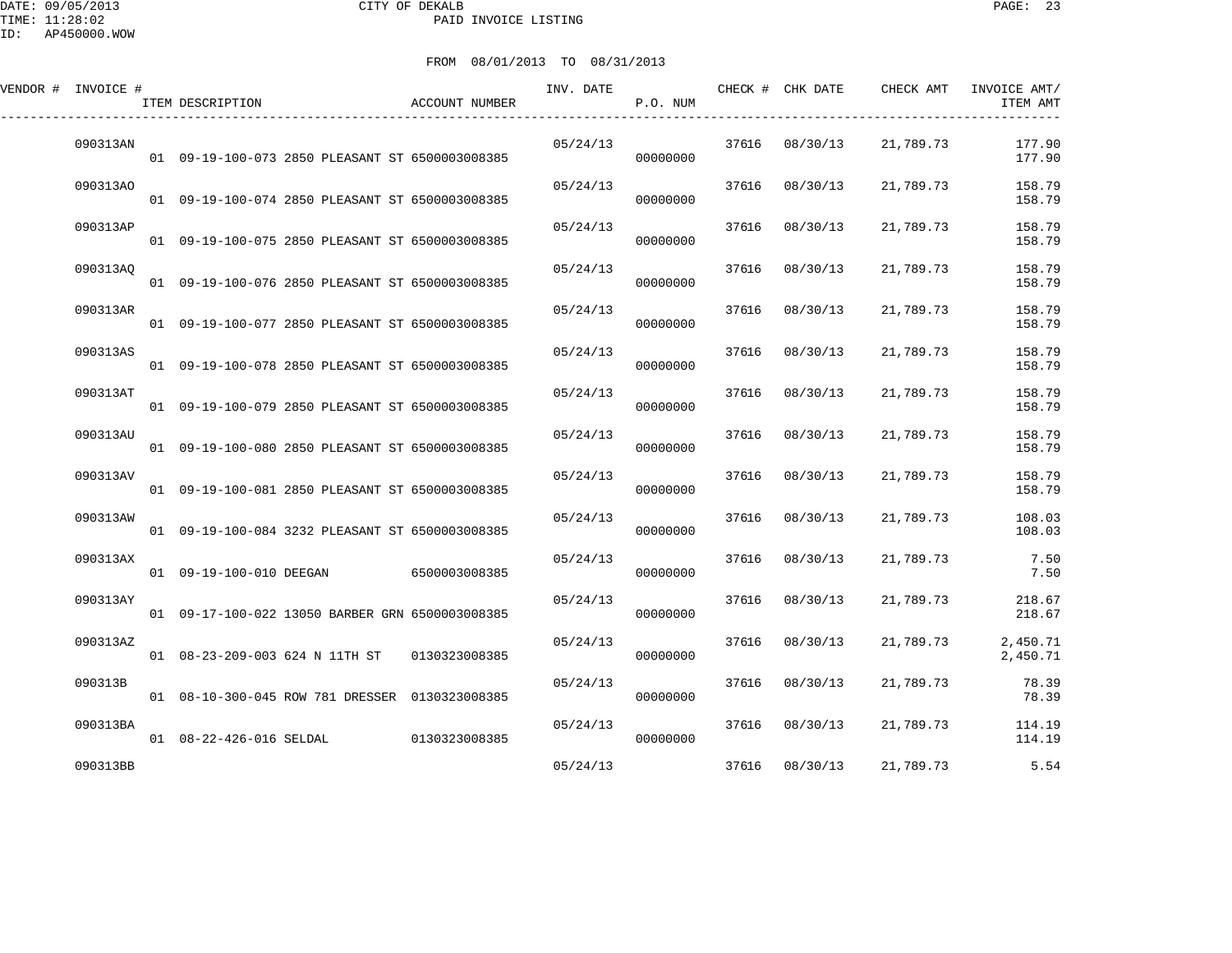DATE: 09/05/2013 CITY OF DEKALB PAGE: 23 PAID INVOICE LISTING

| VENDOR # INVOICE # | ITEM DESCRIPTION                                    | ACCOUNT NUMBER | INV. DATE | P.O. NUM |       | CHECK # CHK DATE | CHECK AMT | INVOICE AMT/<br>ITEM AMT |
|--------------------|-----------------------------------------------------|----------------|-----------|----------|-------|------------------|-----------|--------------------------|
| 090313AN           | 01  09-19-100-073  2850  PLEASANT ST  6500003008385 |                | 05/24/13  | 00000000 |       | 37616 08/30/13   | 21,789.73 | 177.90<br>177.90         |
| 090313AO           | 01 09-19-100-074 2850 PLEASANT ST 6500003008385     |                | 05/24/13  | 00000000 |       | 37616 08/30/13   | 21,789.73 | 158.79<br>158.79         |
| 090313AP           | 01 09-19-100-075 2850 PLEASANT ST 6500003008385     |                | 05/24/13  | 00000000 | 37616 | 08/30/13         | 21,789.73 | 158.79<br>158.79         |
| 090313AO           | 01 09-19-100-076 2850 PLEASANT ST 6500003008385     |                | 05/24/13  | 00000000 | 37616 | 08/30/13         | 21,789.73 | 158.79<br>158.79         |
| 090313AR           | 01  09-19-100-077  2850  PLEASANT ST  6500003008385 |                | 05/24/13  | 00000000 | 37616 | 08/30/13         | 21,789.73 | 158.79<br>158.79         |
| 090313AS           | 01 09-19-100-078 2850 PLEASANT ST 6500003008385     |                | 05/24/13  | 00000000 |       | 37616 08/30/13   | 21,789.73 | 158.79<br>158.79         |
| 090313AT           | 01 09-19-100-079 2850 PLEASANT ST 6500003008385     |                | 05/24/13  | 00000000 | 37616 | 08/30/13         | 21,789.73 | 158.79<br>158.79         |
| 090313AU           | 01 09-19-100-080 2850 PLEASANT ST 6500003008385     |                | 05/24/13  | 00000000 | 37616 | 08/30/13         | 21,789.73 | 158.79<br>158.79         |
| 090313AV           | 01 09-19-100-081 2850 PLEASANT ST 6500003008385     |                | 05/24/13  | 00000000 |       | 37616 08/30/13   | 21,789.73 | 158.79<br>158.79         |
| 090313AW           | 01 09-19-100-084 3232 PLEASANT ST 6500003008385     |                | 05/24/13  | 00000000 | 37616 | 08/30/13         | 21,789.73 | 108.03<br>108.03         |
| 090313AX           | 01  09-19-100-010 DEEGAN  6500003008385             |                | 05/24/13  | 00000000 | 37616 | 08/30/13         | 21,789.73 | 7.50<br>7.50             |
| 090313AY           | 01 09-17-100-022 13050 BARBER GRN 6500003008385     |                | 05/24/13  | 00000000 | 37616 | 08/30/13         | 21,789.73 | 218.67<br>218.67         |
| 090313AZ           | 01 08-23-209-003 624 N 11TH ST 0130323008385        |                | 05/24/13  | 00000000 |       | 37616 08/30/13   | 21,789.73 | 2,450.71<br>2,450.71     |
| 090313B            | 01 08-10-300-045 ROW 781 DRESSER 0130323008385      |                | 05/24/13  | 00000000 |       | 37616 08/30/13   | 21,789.73 | 78.39<br>78.39           |
| 090313BA           | 01 08-22-426-016 SELDAL 0130323008385               |                | 05/24/13  | 00000000 |       | 37616 08/30/13   | 21,789.73 | 114.19<br>114.19         |
| 090313BB           |                                                     |                | 05/24/13  |          |       | 37616 08/30/13   | 21,789.73 | 5.54                     |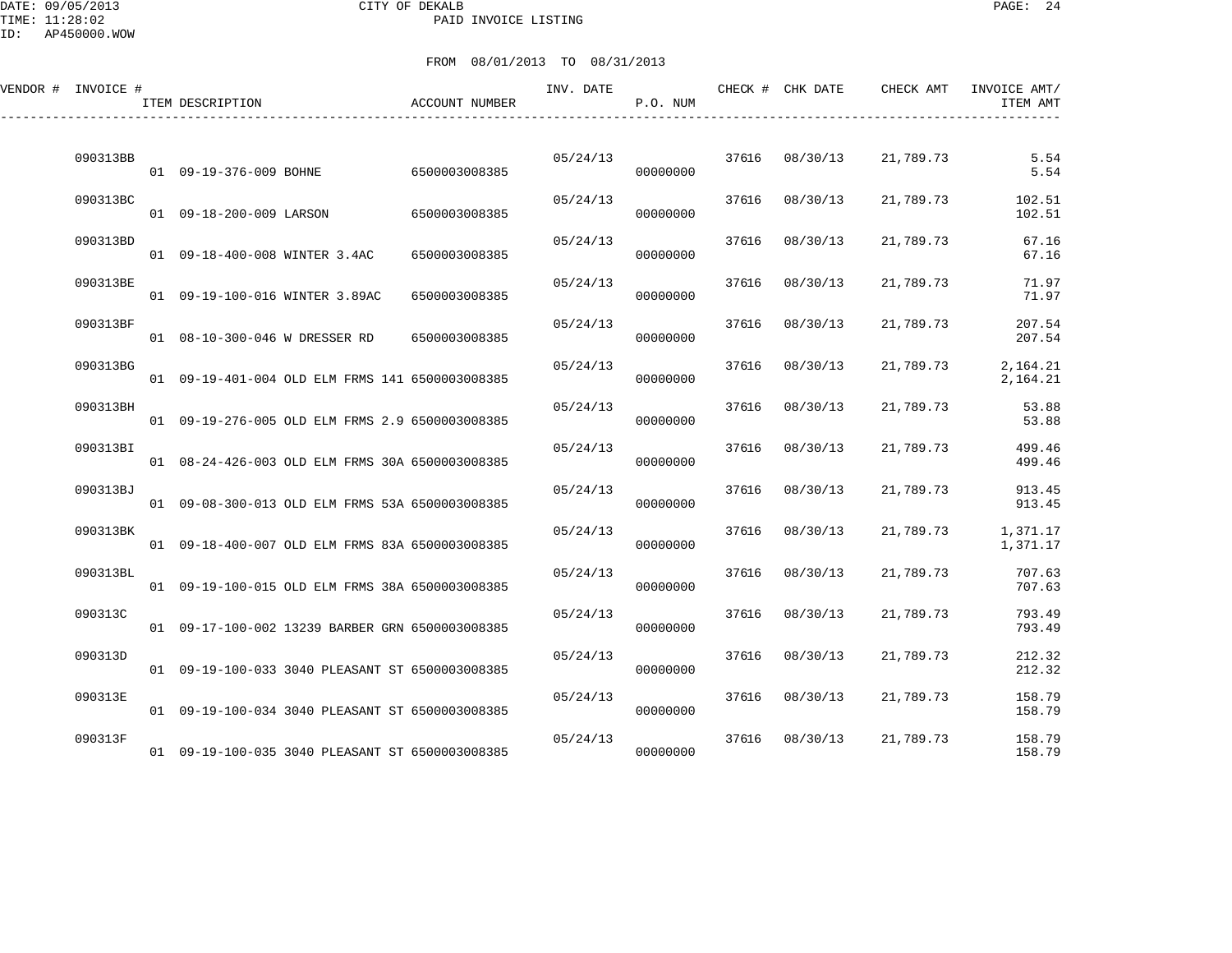DATE: 09/05/2013 CITY OF DEKALB PAGE: 24 PAID INVOICE LISTING

| VENDOR # INVOICE # | ITEM DESCRIPTION                                | ACCOUNT NUMBER | INV. DATE | P.O. NUM |       | CHECK # CHK DATE | CHECK AMT | INVOICE AMT/<br>ITEM AMT |
|--------------------|-------------------------------------------------|----------------|-----------|----------|-------|------------------|-----------|--------------------------|
| 090313BB           | 01 09-19-376-009 BOHNE                          | 6500003008385  | 05/24/13  | 00000000 |       | 37616 08/30/13   | 21,789.73 | 5.54<br>5.54             |
| 090313BC           | 01  09-18-200-009 LARSON                        | 6500003008385  | 05/24/13  | 00000000 | 37616 | 08/30/13         | 21,789.73 | 102.51<br>102.51         |
| 090313BD           | 01 09-18-400-008 WINTER 3.4AC                   | 6500003008385  | 05/24/13  | 00000000 | 37616 | 08/30/13         | 21,789.73 | 67.16<br>67.16           |
| 090313BE           | 01 09-19-100-016 WINTER 3.89AC                  | 6500003008385  | 05/24/13  | 00000000 | 37616 | 08/30/13         | 21,789.73 | 71.97<br>71.97           |
| 090313BF           | 01  08-10-300-046  W DRESSER RD                 | 6500003008385  | 05/24/13  | 00000000 | 37616 | 08/30/13         | 21,789.73 | 207.54<br>207.54         |
| 090313BG           | 01 09-19-401-004 OLD ELM FRMS 141 6500003008385 |                | 05/24/13  | 00000000 | 37616 | 08/30/13         | 21,789.73 | 2,164.21<br>2,164.21     |
| 090313BH           | 01 09-19-276-005 OLD ELM FRMS 2.9 6500003008385 |                | 05/24/13  | 00000000 | 37616 | 08/30/13         | 21,789.73 | 53.88<br>53.88           |
| 090313BI           | 01 08-24-426-003 OLD ELM FRMS 30A 6500003008385 |                | 05/24/13  | 00000000 | 37616 | 08/30/13         | 21,789.73 | 499.46<br>499.46         |
| 090313BJ           | 01 09-08-300-013 OLD ELM FRMS 53A 6500003008385 |                | 05/24/13  | 00000000 | 37616 | 08/30/13         | 21,789.73 | 913.45<br>913.45         |
| 090313BK           | 01 09-18-400-007 OLD ELM FRMS 83A 6500003008385 |                | 05/24/13  | 00000000 | 37616 | 08/30/13         | 21,789.73 | 1,371.17<br>1,371.17     |
| 090313BL           | 01 09-19-100-015 OLD ELM FRMS 38A 6500003008385 |                | 05/24/13  | 00000000 | 37616 | 08/30/13         | 21,789.73 | 707.63<br>707.63         |
| 090313C            | 01 09-17-100-002 13239 BARBER GRN 6500003008385 |                | 05/24/13  | 00000000 | 37616 | 08/30/13         | 21,789.73 | 793.49<br>793.49         |
| 090313D            | 01 09-19-100-033 3040 PLEASANT ST 6500003008385 |                | 05/24/13  | 00000000 | 37616 | 08/30/13         | 21,789.73 | 212.32<br>212.32         |
| 090313E            | 01 09-19-100-034 3040 PLEASANT ST 6500003008385 |                | 05/24/13  | 00000000 | 37616 | 08/30/13         | 21,789.73 | 158.79<br>158.79         |
| 090313F            | 01 09-19-100-035 3040 PLEASANT ST 6500003008385 |                | 05/24/13  | 00000000 | 37616 | 08/30/13         | 21,789.73 | 158.79<br>158.79         |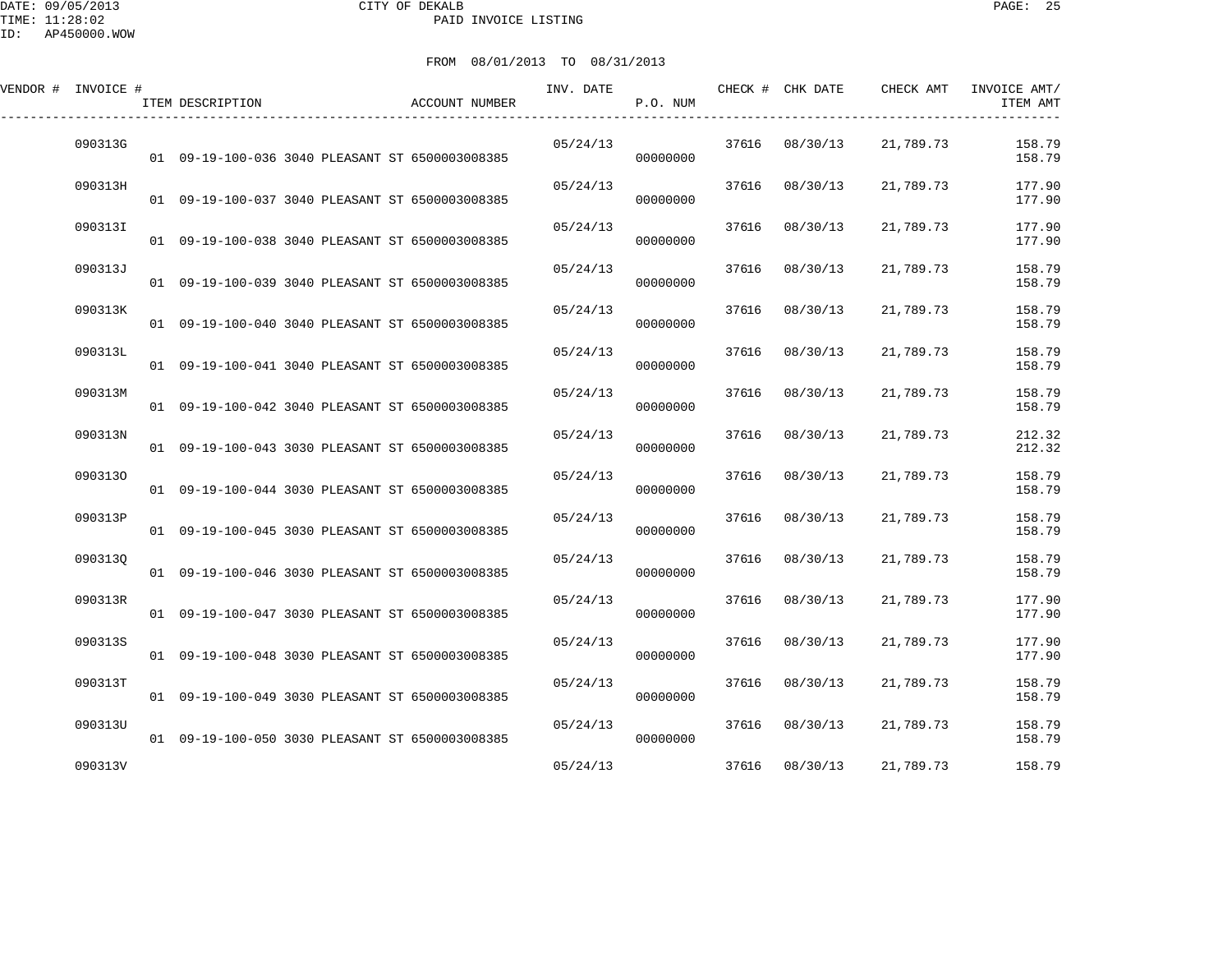DATE: 09/05/2013 CITY OF DEKALB PAGE: 25 PAID INVOICE LISTING

| FROM 08/01/2013 TO 08/31/2013 |  |  |
|-------------------------------|--|--|
|                               |  |  |

| VENDOR # INVOICE # | ITEM DESCRIPTION                                | ACCOUNT NUMBER | INV. DATE | P.O. NUM |       | CHECK # CHK DATE | CHECK AMT | INVOICE AMT/<br>ITEM AMT |
|--------------------|-------------------------------------------------|----------------|-----------|----------|-------|------------------|-----------|--------------------------|
| 090313G            | 01 09-19-100-036 3040 PLEASANT ST 6500003008385 |                | 05/24/13  | 00000000 |       | 37616 08/30/13   | 21,789.73 | 158.79<br>158.79         |
| 090313H            | 01 09-19-100-037 3040 PLEASANT ST 6500003008385 |                | 05/24/13  | 00000000 | 37616 | 08/30/13         | 21,789.73 | 177.90<br>177.90         |
| 090313I            | 01 09-19-100-038 3040 PLEASANT ST 6500003008385 |                | 05/24/13  | 00000000 | 37616 | 08/30/13         | 21,789.73 | 177.90<br>177.90         |
| 090313J            | 01 09-19-100-039 3040 PLEASANT ST 6500003008385 |                | 05/24/13  | 00000000 | 37616 | 08/30/13         | 21,789.73 | 158.79<br>158.79         |
| 090313K            | 01 09-19-100-040 3040 PLEASANT ST 6500003008385 |                | 05/24/13  | 00000000 | 37616 | 08/30/13         | 21,789.73 | 158.79<br>158.79         |
| 090313L            | 01 09-19-100-041 3040 PLEASANT ST 6500003008385 |                | 05/24/13  | 00000000 | 37616 | 08/30/13         | 21,789.73 | 158.79<br>158.79         |
| 090313M            | 01 09-19-100-042 3040 PLEASANT ST 6500003008385 |                | 05/24/13  | 00000000 | 37616 | 08/30/13         | 21,789.73 | 158.79<br>158.79         |
| 090313N            | 01 09-19-100-043 3030 PLEASANT ST 6500003008385 |                | 05/24/13  | 00000000 | 37616 | 08/30/13         | 21,789.73 | 212.32<br>212.32         |
| 0903130            | 01 09-19-100-044 3030 PLEASANT ST 6500003008385 |                | 05/24/13  | 00000000 | 37616 | 08/30/13         | 21,789.73 | 158.79<br>158.79         |
| 090313P            | 01 09-19-100-045 3030 PLEASANT ST 6500003008385 |                | 05/24/13  | 00000000 | 37616 | 08/30/13         | 21,789.73 | 158.79<br>158.79         |
| 0903130            | 01 09-19-100-046 3030 PLEASANT ST 6500003008385 |                | 05/24/13  | 00000000 | 37616 | 08/30/13         | 21,789.73 | 158.79<br>158.79         |
| 090313R            | 01 09-19-100-047 3030 PLEASANT ST 6500003008385 |                | 05/24/13  | 00000000 | 37616 | 08/30/13         | 21,789.73 | 177.90<br>177.90         |
| 090313S            | 01 09-19-100-048 3030 PLEASANT ST 6500003008385 |                | 05/24/13  | 00000000 | 37616 | 08/30/13         | 21,789.73 | 177.90<br>177.90         |
| 090313T            | 01 09-19-100-049 3030 PLEASANT ST 6500003008385 |                | 05/24/13  | 00000000 | 37616 | 08/30/13         | 21,789.73 | 158.79<br>158.79         |
| 090313U            | 01 09-19-100-050 3030 PLEASANT ST 6500003008385 |                | 05/24/13  | 00000000 |       | 37616 08/30/13   | 21,789.73 | 158.79<br>158.79         |
| 090313V            |                                                 |                | 05/24/13  |          |       | 37616 08/30/13   | 21,789.73 | 158.79                   |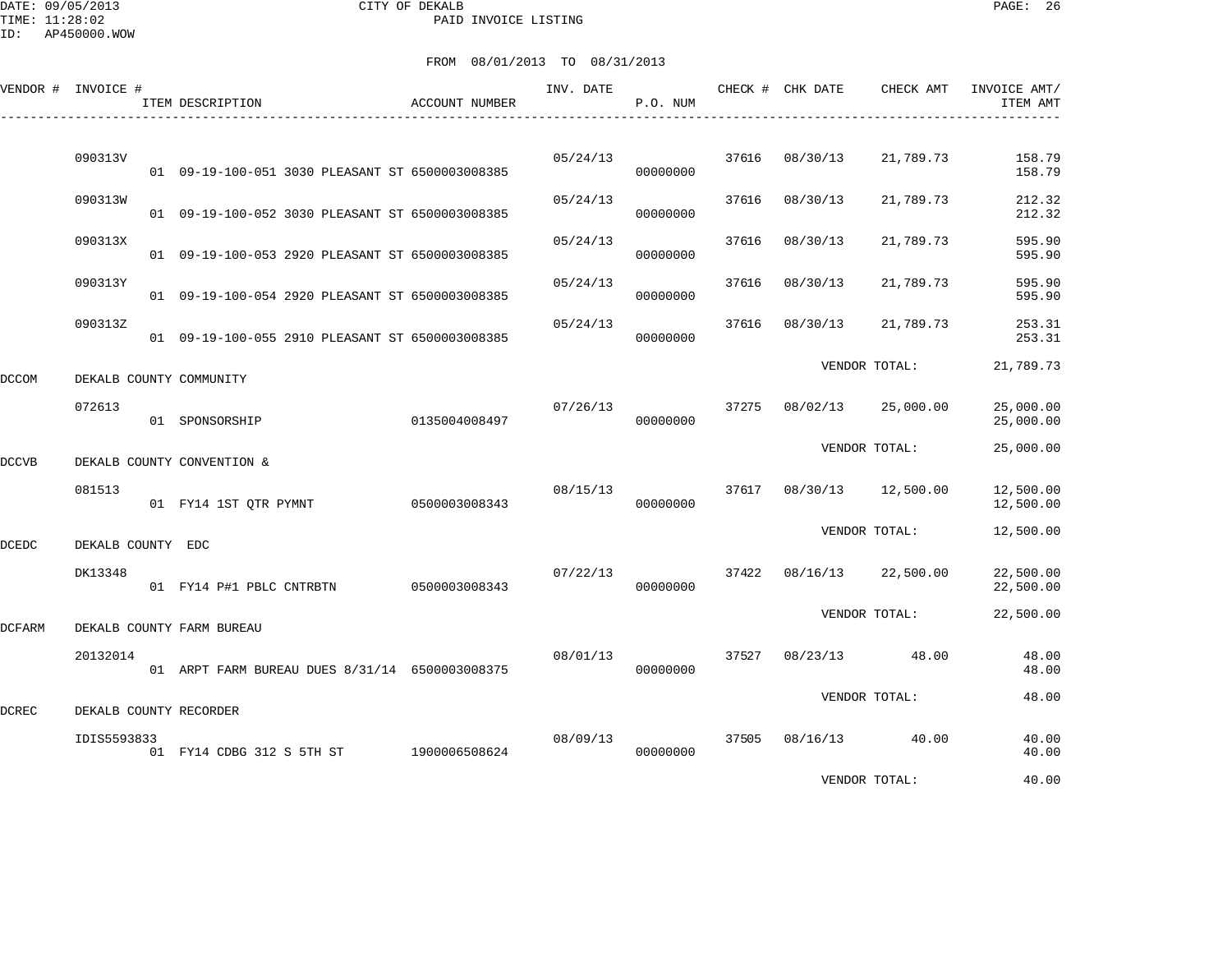DATE: 09/05/2013 CITY OF DEKALB PAGE: 26 PAID INVOICE LISTING

|              | VENDOR # INVOICE # | ITEM DESCRIPTION                                | ACCOUNT NUMBER | INV. DATE | P.O. NUM |       | CHECK # CHK DATE | CHECK AMT     | INVOICE AMT/<br>ITEM AMT |
|--------------|--------------------|-------------------------------------------------|----------------|-----------|----------|-------|------------------|---------------|--------------------------|
|              |                    |                                                 |                |           |          |       |                  |               |                          |
|              | 090313V            | 01 09-19-100-051 3030 PLEASANT ST 6500003008385 |                | 05/24/13  | 00000000 | 37616 | 08/30/13         | 21,789.73     | 158.79<br>158.79         |
|              | 090313W            | 01 09-19-100-052 3030 PLEASANT ST 6500003008385 |                | 05/24/13  | 00000000 | 37616 | 08/30/13         | 21,789.73     | 212.32<br>212.32         |
|              | 090313X            | 01 09-19-100-053 2920 PLEASANT ST 6500003008385 |                | 05/24/13  | 00000000 | 37616 | 08/30/13         | 21,789.73     | 595.90<br>595.90         |
|              | 090313Y            | 01 09-19-100-054 2920 PLEASANT ST 6500003008385 |                | 05/24/13  | 00000000 | 37616 | 08/30/13         | 21,789.73     | 595.90<br>595.90         |
|              | 090313Z            | 01 09-19-100-055 2910 PLEASANT ST 6500003008385 |                | 05/24/13  | 00000000 | 37616 | 08/30/13         | 21,789.73     | 253.31<br>253.31         |
| DCCOM        |                    | DEKALB COUNTY COMMUNITY                         |                |           |          |       |                  | VENDOR TOTAL: | 21,789.73                |
|              | 072613             | 01 SPONSORSHIP                                  | 0135004008497  | 07/26/13  | 00000000 | 37275 | 08/02/13         | 25,000.00     | 25,000.00<br>25,000.00   |
| DCCVB        |                    | DEKALB COUNTY CONVENTION &                      |                |           |          |       |                  | VENDOR TOTAL: | 25,000.00                |
|              | 081513             | 01 FY14 1ST QTR PYMNT                           | 0500003008343  | 08/15/13  | 00000000 | 37617 | 08/30/13         | 12,500.00     | 12,500.00<br>12,500.00   |
| <b>DCEDC</b> | DEKALB COUNTY EDC  |                                                 |                |           |          |       |                  | VENDOR TOTAL: | 12,500.00                |
|              | DK13348            | 01 FY14 P#1 PBLC CNTRBTN                        | 0500003008343  | 07/22/13  | 00000000 | 37422 | 08/16/13         | 22,500.00     | 22,500.00<br>22,500.00   |
| DCFARM       |                    | DEKALB COUNTY FARM BUREAU                       |                |           |          |       |                  | VENDOR TOTAL: | 22,500.00                |
|              | 20132014           | 01 ARPT FARM BUREAU DUES 8/31/14 6500003008375  |                | 08/01/13  | 00000000 | 37527 | 08/23/13         | 48.00         | 48.00<br>48.00           |
| DCREC        |                    | DEKALB COUNTY RECORDER                          |                |           |          |       |                  | VENDOR TOTAL: | 48.00                    |
|              | IDIS5593833        | 01 FY14 CDBG 312 S 5TH ST 1900006508624         |                | 08/09/13  | 00000000 | 37505 | 08/16/13         | 40.00         | 40.00<br>40.00           |
|              |                    |                                                 |                |           |          |       |                  | VENDOR TOTAL: | 40.00                    |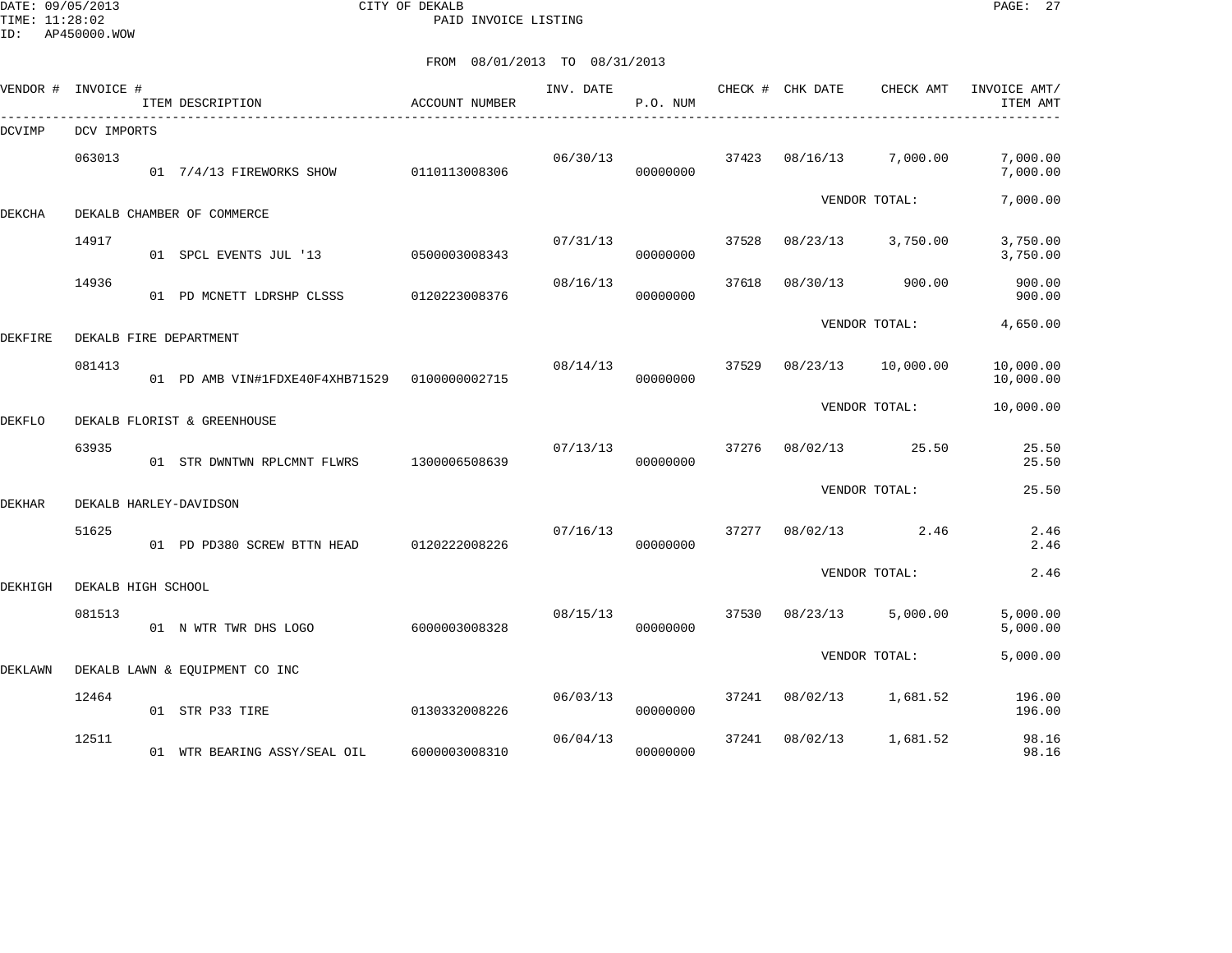DATE: 09/05/2013 CITY OF DEKALB PAGE: 27 PAID INVOICE LISTING

| VENDOR # | INVOICE #          | ITEM DESCRIPTION                              | ACCOUNT NUMBER | INV. DATE | P.O. NUM |       | CHECK # CHK DATE | CHECK AMT     | INVOICE AMT/<br>ITEM AMT |
|----------|--------------------|-----------------------------------------------|----------------|-----------|----------|-------|------------------|---------------|--------------------------|
| DCVIMP   | DCV IMPORTS        |                                               |                |           |          |       |                  |               |                          |
|          | 063013             | 01 7/4/13 FIREWORKS SHOW                      | 0110113008306  | 06/30/13  | 00000000 | 37423 | 08/16/13         | 7,000.00      | 7,000.00<br>7,000.00     |
| DEKCHA   |                    | DEKALB CHAMBER OF COMMERCE                    |                |           |          |       |                  | VENDOR TOTAL: | 7,000.00                 |
|          | 14917              | 01 SPCL EVENTS JUL '13                        | 0500003008343  | 07/31/13  | 00000000 | 37528 | 08/23/13         | 3,750.00      | 3,750.00<br>3,750.00     |
|          | 14936              | 01 PD MCNETT LDRSHP CLSSS                     | 0120223008376  | 08/16/13  | 00000000 | 37618 | 08/30/13         | 900.00        | 900.00<br>900.00         |
| DEKFIRE  |                    | DEKALB FIRE DEPARTMENT                        |                |           |          |       |                  | VENDOR TOTAL: | 4,650.00                 |
|          | 081413             | 01 PD AMB VIN#1FDXE40F4XHB71529 0100000002715 |                | 08/14/13  | 00000000 | 37529 | 08/23/13         | 10,000.00     | 10,000.00<br>10,000.00   |
| DEKFLO   |                    | DEKALB FLORIST & GREENHOUSE                   |                |           |          |       |                  | VENDOR TOTAL: | 10,000.00                |
|          | 63935              | 01 STR DWNTWN RPLCMNT FLWRS                   | 1300006508639  | 07/13/13  | 00000000 | 37276 | 08/02/13         | 25.50         | 25.50<br>25.50           |
| DEKHAR   |                    | DEKALB HARLEY-DAVIDSON                        |                |           |          |       |                  | VENDOR TOTAL: | 25.50                    |
|          | 51625              | 01 PD PD380 SCREW BTTN HEAD                   | 0120222008226  | 07/16/13  | 00000000 | 37277 | 08/02/13         | 2.46          | 2.46<br>2.46             |
| DEKHIGH  | DEKALB HIGH SCHOOL |                                               |                |           |          |       |                  | VENDOR TOTAL: | 2.46                     |
|          | 081513             | 01 N WTR TWR DHS LOGO                         | 6000003008328  | 08/15/13  | 00000000 | 37530 | 08/23/13         | 5,000.00      | 5,000.00<br>5,000.00     |
| DEKLAWN  |                    | DEKALB LAWN & EOUIPMENT CO INC                |                |           |          |       |                  | VENDOR TOTAL: | 5,000.00                 |
|          | 12464              | 01 STR P33 TIRE                               | 0130332008226  | 06/03/13  | 00000000 | 37241 | 08/02/13         | 1,681.52      | 196.00<br>196.00         |
|          | 12511              | 01 WTR BEARING ASSY/SEAL OIL                  | 6000003008310  | 06/04/13  | 00000000 | 37241 | 08/02/13         | 1,681.52      | 98.16<br>98.16           |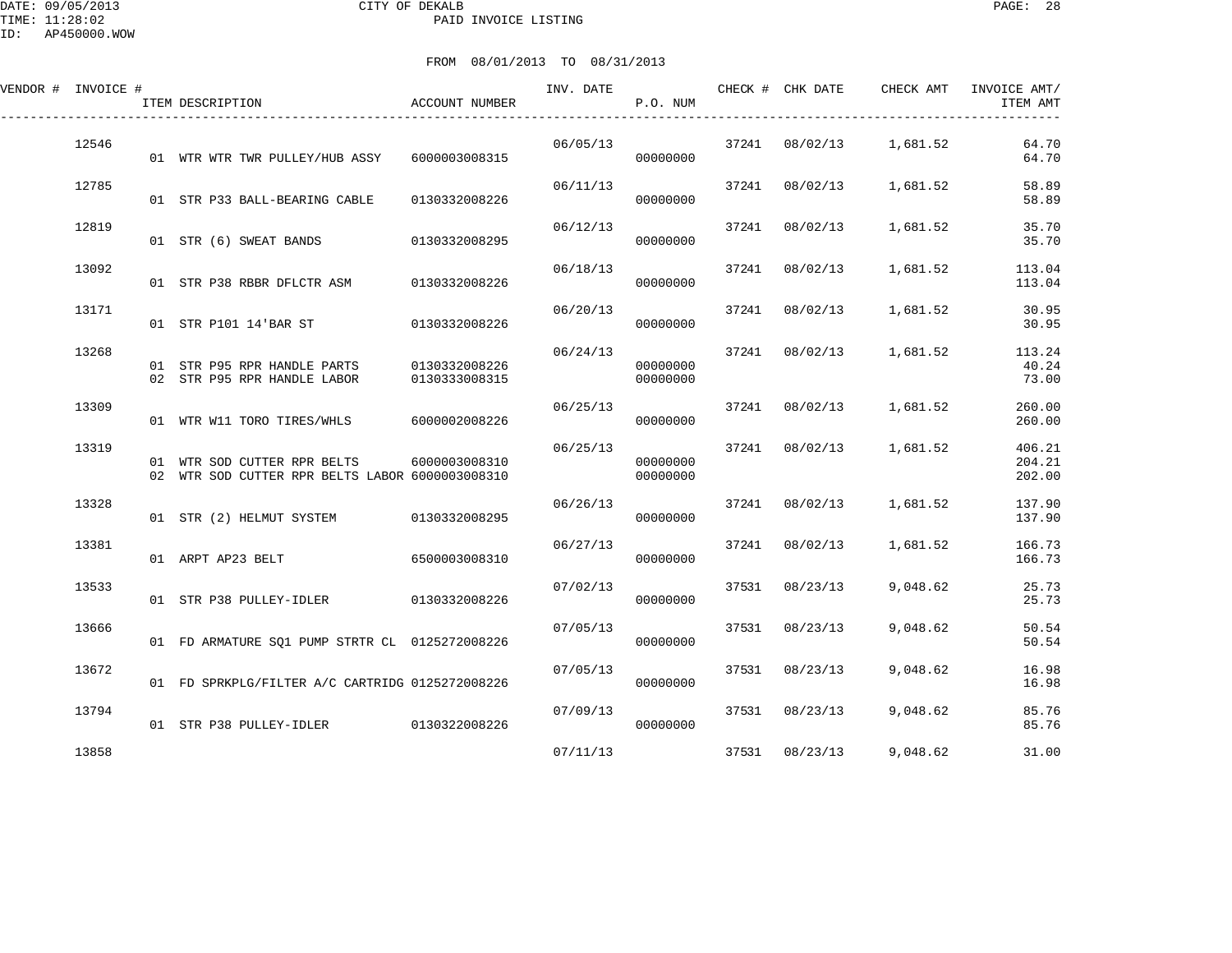| VENDOR # INVOICE # |       | ITEM DESCRIPTION                                                               | ACCOUNT NUMBER                 | INV. DATE | P.O. NUM             |       | CHECK # CHK DATE | CHECK AMT | INVOICE AMT/<br>ITEM AMT   |
|--------------------|-------|--------------------------------------------------------------------------------|--------------------------------|-----------|----------------------|-------|------------------|-----------|----------------------------|
|                    | 12546 | 01 WTR WTR TWR PULLEY/HUB ASSY                                                 | 6000003008315                  | 06/05/13  | 00000000             | 37241 | 08/02/13         | 1,681.52  | 64.70<br>64.70             |
|                    | 12785 | 01 STR P33 BALL-BEARING CABLE                                                  | 0130332008226                  | 06/11/13  | 00000000             | 37241 | 08/02/13         | 1,681.52  | 58.89<br>58.89             |
|                    | 12819 | 01 STR (6) SWEAT BANDS                                                         | 0130332008295                  | 06/12/13  | 00000000             | 37241 | 08/02/13         | 1,681.52  | 35.70<br>35.70             |
|                    | 13092 | 01 STR P38 RBBR DFLCTR ASM                                                     | 0130332008226                  | 06/18/13  | 00000000             | 37241 | 08/02/13         | 1,681.52  | 113.04<br>113.04           |
|                    | 13171 | 01 STR P101 14'BAR ST                                                          | 0130332008226                  | 06/20/13  | 00000000             | 37241 | 08/02/13         | 1,681.52  | 30.95<br>30.95             |
|                    | 13268 | 01 STR P95 RPR HANDLE PARTS<br>02 STR P95 RPR HANDLE LABOR                     | 0130332008226<br>0130333008315 | 06/24/13  | 00000000<br>00000000 | 37241 | 08/02/13         | 1,681.52  | 113.24<br>40.24<br>73.00   |
|                    | 13309 | 01 WTR W11 TORO TIRES/WHLS                                                     | 6000002008226                  | 06/25/13  | 00000000             | 37241 | 08/02/13         | 1,681.52  | 260.00<br>260.00           |
|                    | 13319 | 01 WTR SOD CUTTER RPR BELTS<br>02 WTR SOD CUTTER RPR BELTS LABOR 6000003008310 | 6000003008310                  | 06/25/13  | 00000000<br>00000000 | 37241 | 08/02/13         | 1,681.52  | 406.21<br>204.21<br>202.00 |
|                    | 13328 | 01 STR (2) HELMUT SYSTEM                                                       | 0130332008295                  | 06/26/13  | 00000000             | 37241 | 08/02/13         | 1,681.52  | 137.90<br>137.90           |
|                    | 13381 | 01 ARPT AP23 BELT                                                              | 6500003008310                  | 06/27/13  | 00000000             | 37241 | 08/02/13         | 1,681.52  | 166.73<br>166.73           |
|                    | 13533 | 01 STR P38 PULLEY-IDLER                                                        | 0130332008226                  | 07/02/13  | 00000000             | 37531 | 08/23/13         | 9,048.62  | 25.73<br>25.73             |
|                    | 13666 | 01 FD ARMATURE SO1 PUMP STRTR CL 0125272008226                                 |                                | 07/05/13  | 00000000             | 37531 | 08/23/13         | 9,048.62  | 50.54<br>50.54             |
|                    | 13672 | 01 FD SPRKPLG/FILTER A/C CARTRIDG 0125272008226                                |                                | 07/05/13  | 00000000             | 37531 | 08/23/13         | 9,048.62  | 16.98<br>16.98             |
|                    | 13794 | 01 STR P38 PULLEY-IDLER 0130322008226                                          |                                | 07/09/13  | 00000000             | 37531 | 08/23/13         | 9,048.62  | 85.76<br>85.76             |
|                    | 13858 |                                                                                |                                | 07/11/13  |                      | 37531 | 08/23/13         | 9,048.62  | 31.00                      |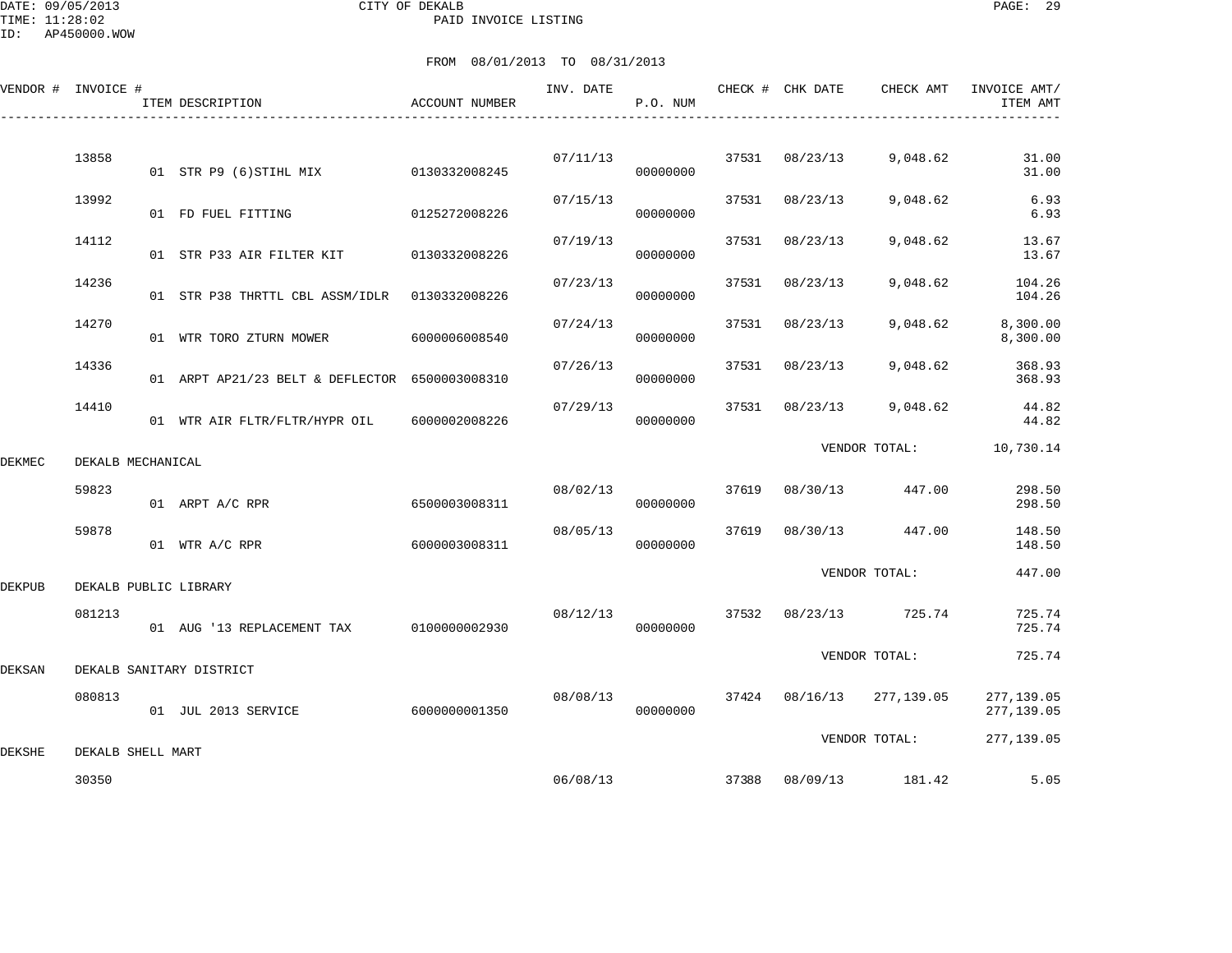DATE: 09/05/2013 CITY OF DEKALB PAGE: 29 PAID INVOICE LISTING

ID: AP450000.WOW

|        | VENDOR # INVOICE # | ITEM DESCRIPTION                               | ACCOUNT NUMBER | INV. DATE | P.O. NUM |       | CHECK # CHK DATE | CHECK AMT     | INVOICE AMT/<br>ITEM AMT |
|--------|--------------------|------------------------------------------------|----------------|-----------|----------|-------|------------------|---------------|--------------------------|
|        | 13858              | 01 STR P9 (6) STIHL MIX                        | 0130332008245  | 07/11/13  | 00000000 | 37531 | 08/23/13         | 9,048.62      | 31.00<br>31.00           |
|        | 13992              | 01 FD FUEL FITTING                             | 0125272008226  | 07/15/13  | 00000000 | 37531 | 08/23/13         | 9,048.62      | 6.93<br>6.93             |
|        | 14112              | 01 STR P33 AIR FILTER KIT                      | 0130332008226  | 07/19/13  | 00000000 | 37531 | 08/23/13         | 9,048.62      | 13.67<br>13.67           |
|        | 14236              | 01 STR P38 THRTTL CBL ASSM/IDLR 0130332008226  |                | 07/23/13  | 00000000 | 37531 | 08/23/13         | 9,048.62      | 104.26<br>104.26         |
|        | 14270              | 01 WTR TORO ZTURN MOWER                        | 6000006008540  | 07/24/13  | 00000000 | 37531 | 08/23/13         | 9,048.62      | 8,300.00<br>8,300.00     |
|        | 14336              | 01 ARPT AP21/23 BELT & DEFLECTOR 6500003008310 |                | 07/26/13  | 00000000 | 37531 | 08/23/13         | 9,048.62      | 368.93<br>368.93         |
|        | 14410              | 01 WTR AIR FLTR/FLTR/HYPR OIL                  | 6000002008226  | 07/29/13  | 00000000 | 37531 | 08/23/13         | 9,048.62      | 44.82<br>44.82           |
| DEKMEC | DEKALB MECHANICAL  |                                                |                |           |          |       |                  | VENDOR TOTAL: | 10,730.14                |
|        | 59823              | 01 ARPT A/C RPR                                | 6500003008311  | 08/02/13  | 00000000 | 37619 | 08/30/13         | 447.00        | 298.50<br>298.50         |
|        | 59878              | 01 WTR A/C RPR                                 | 6000003008311  | 08/05/13  | 00000000 | 37619 | 08/30/13         | 447.00        | 148.50<br>148.50         |
| DEKPUB |                    | DEKALB PUBLIC LIBRARY                          |                |           |          |       |                  | VENDOR TOTAL: | 447.00                   |
|        | 081213             | 01 AUG '13 REPLACEMENT TAX                     | 0100000002930  | 08/12/13  | 00000000 | 37532 | 08/23/13         | 725.74        | 725.74<br>725.74         |
| DEKSAN |                    | DEKALB SANITARY DISTRICT                       |                |           |          |       |                  | VENDOR TOTAL: | 725.74                   |
|        | 080813             | 01 JUL 2013 SERVICE                            | 6000000001350  | 08/08/13  | 00000000 |       | 37424 08/16/13   | 277,139.05    | 277,139.05<br>277,139.05 |
| DEKSHE | DEKALB SHELL MART  |                                                |                |           |          |       |                  | VENDOR TOTAL: | 277,139.05               |
|        | 30350              |                                                |                | 06/08/13  |          |       | 37388 08/09/13   | 181.42        | 5.05                     |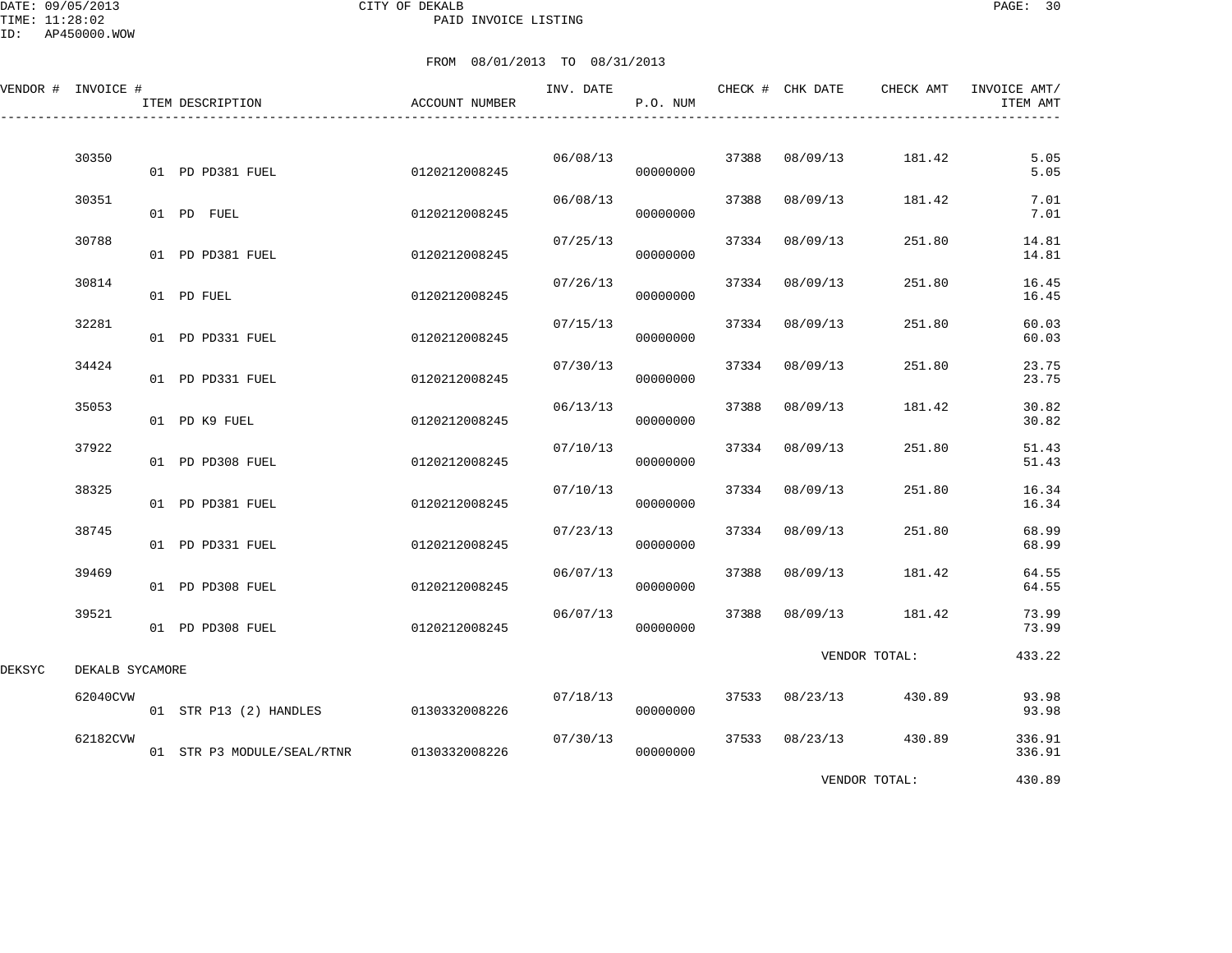DATE: 09/05/2013 CITY OF DEKALB PAGE: 30 PAID INVOICE LISTING

|        | VENDOR # INVOICE # | ITEM DESCRIPTION           | <b>ACCOUNT NUMBER</b> | INV. DATE | P.O. NUM |       | CHECK # CHK DATE | CHECK AMT     | INVOICE AMT/<br>ITEM AMT |
|--------|--------------------|----------------------------|-----------------------|-----------|----------|-------|------------------|---------------|--------------------------|
|        | 30350              | 01 PD PD381 FUEL           | 0120212008245         | 06/08/13  | 00000000 | 37388 | 08/09/13         | 181.42        | 5.05<br>5.05             |
|        | 30351              | 01 PD FUEL                 | 0120212008245         | 06/08/13  | 00000000 | 37388 | 08/09/13         | 181.42        | 7.01<br>7.01             |
|        | 30788              | 01 PD PD381 FUEL           | 0120212008245         | 07/25/13  | 00000000 | 37334 | 08/09/13         | 251.80        | 14.81<br>14.81           |
|        | 30814              | 01 PD FUEL                 | 0120212008245         | 07/26/13  | 00000000 | 37334 | 08/09/13         | 251.80        | 16.45<br>16.45           |
|        | 32281              | 01 PD PD331 FUEL           | 0120212008245         | 07/15/13  | 00000000 | 37334 | 08/09/13         | 251.80        | 60.03<br>60.03           |
|        | 34424              | 01 PD PD331 FUEL           | 0120212008245         | 07/30/13  | 00000000 | 37334 | 08/09/13         | 251.80        | 23.75<br>23.75           |
|        | 35053              | 01 PD K9 FUEL              | 0120212008245         | 06/13/13  | 00000000 | 37388 | 08/09/13         | 181.42        | 30.82<br>30.82           |
|        | 37922              | 01 PD PD308 FUEL           | 0120212008245         | 07/10/13  | 00000000 | 37334 | 08/09/13         | 251.80        | 51.43<br>51.43           |
|        | 38325              | 01 PD PD381 FUEL           | 0120212008245         | 07/10/13  | 00000000 | 37334 | 08/09/13         | 251.80        | 16.34<br>16.34           |
|        | 38745              | 01 PD PD331 FUEL           | 0120212008245         | 07/23/13  | 00000000 | 37334 | 08/09/13         | 251.80        | 68.99<br>68.99           |
|        | 39469              | 01 PD PD308 FUEL           | 0120212008245         | 06/07/13  | 00000000 | 37388 | 08/09/13         | 181.42        | 64.55<br>64.55           |
|        | 39521              | 01 PD PD308 FUEL           | 0120212008245         | 06/07/13  | 00000000 | 37388 | 08/09/13         | 181.42        | 73.99<br>73.99           |
| DEKSYC | DEKALB SYCAMORE    |                            |                       |           |          |       |                  | VENDOR TOTAL: | 433.22                   |
|        | 62040CVW           | 01 STR P13 (2) HANDLES     | 0130332008226         | 07/18/13  | 00000000 | 37533 | 08/23/13         | 430.89        | 93.98<br>93.98           |
|        | 62182CVW           | 01 STR P3 MODULE/SEAL/RTNR | 0130332008226         | 07/30/13  | 00000000 | 37533 | 08/23/13         | 430.89        | 336.91<br>336.91         |
|        |                    |                            |                       |           |          |       |                  | VENDOR TOTAL: | 430.89                   |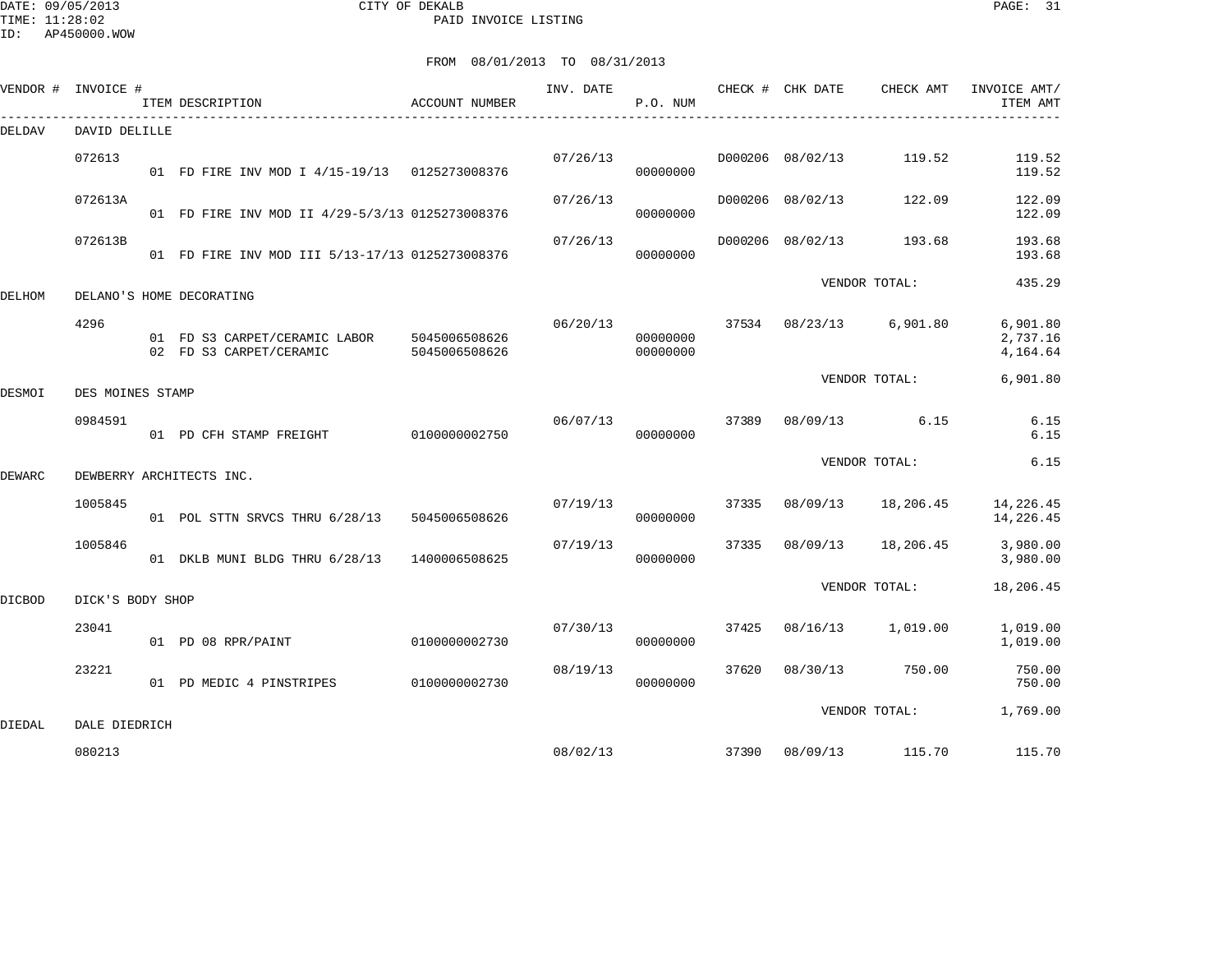DATE: 09/05/2013 CITY OF DEKALB PAGE: 31 PAID INVOICE LISTING

ID: AP450000.WOW

|        | VENDOR # INVOICE # | ITEM DESCRIPTION                                         | ACCOUNT NUMBER                 | INV. DATE | P.O. NUM             |       | CHECK # CHK DATE        | CHECK AMT       | INVOICE AMT/<br>ITEM AMT         |
|--------|--------------------|----------------------------------------------------------|--------------------------------|-----------|----------------------|-------|-------------------------|-----------------|----------------------------------|
| DELDAV | DAVID DELILLE      |                                                          |                                |           |                      |       |                         |                 |                                  |
|        | 072613             | 01 FD FIRE INV MOD I 4/15-19/13 0125273008376            |                                | 07/26/13  | 00000000             |       | D000206 08/02/13        | 119.52          | 119.52<br>119.52                 |
|        | 072613A            | 01 FD FIRE INV MOD II 4/29-5/3/13 0125273008376          |                                | 07/26/13  | 00000000             |       | D000206 08/02/13        | 122.09          | 122.09<br>122.09                 |
|        | 072613B            | 01 FD FIRE INV MOD III 5/13-17/13 0125273008376          |                                | 07/26/13  | 00000000             |       | D000206 08/02/13        | 193.68          | 193.68<br>193.68                 |
| DELHOM |                    | DELANO'S HOME DECORATING                                 |                                |           |                      |       |                         | VENDOR TOTAL:   | 435.29                           |
|        | 4296               | 01 FD S3 CARPET/CERAMIC LABOR<br>02 FD S3 CARPET/CERAMIC | 5045006508626<br>5045006508626 | 06/20/13  | 00000000<br>00000000 |       | 37534 08/23/13 6,901.80 |                 | 6,901.80<br>2,737.16<br>4,164.64 |
| DESMOI | DES MOINES STAMP   |                                                          |                                |           |                      |       |                         | VENDOR TOTAL:   | 6,901.80                         |
|        | 0984591            | 01 PD CFH STAMP FREIGHT                                  | 0100000002750                  | 06/07/13  | 00000000             | 37389 |                         | 08/09/13 6.15   | 6.15<br>6.15                     |
| DEWARC |                    | DEWBERRY ARCHITECTS INC.                                 |                                |           |                      |       |                         | VENDOR TOTAL:   | 6.15                             |
|        | 1005845            | 01 POL STTN SRVCS THRU 6/28/13                           | 5045006508626                  | 07/19/13  | 00000000             | 37335 | 08/09/13                | 18,206.45       | 14,226.45<br>14,226.45           |
|        | 1005846            | 01 DKLB MUNI BLDG THRU 6/28/13                           | 1400006508625                  | 07/19/13  | 00000000             | 37335 | 08/09/13                | 18,206.45       | 3,980.00<br>3,980.00             |
| DICBOD | DICK'S BODY SHOP   |                                                          |                                |           |                      |       |                         | VENDOR TOTAL:   | 18,206.45                        |
|        | 23041              | 01 PD 08 RPR/PAINT                                       | 0100000002730                  | 07/30/13  | 00000000             | 37425 | 08/16/13                | 1,019.00        | 1,019.00<br>1,019.00             |
|        | 23221              | 01 PD MEDIC 4 PINSTRIPES                                 | 0100000002730                  | 08/19/13  | 00000000             | 37620 | 08/30/13                | 750.00          | 750.00<br>750.00                 |
| DIEDAL | DALE DIEDRICH      |                                                          |                                |           |                      |       |                         | VENDOR TOTAL:   | 1,769.00                         |
|        | 080213             |                                                          |                                | 08/02/13  |                      | 37390 |                         | 08/09/13 115.70 | 115.70                           |
|        |                    |                                                          |                                |           |                      |       |                         |                 |                                  |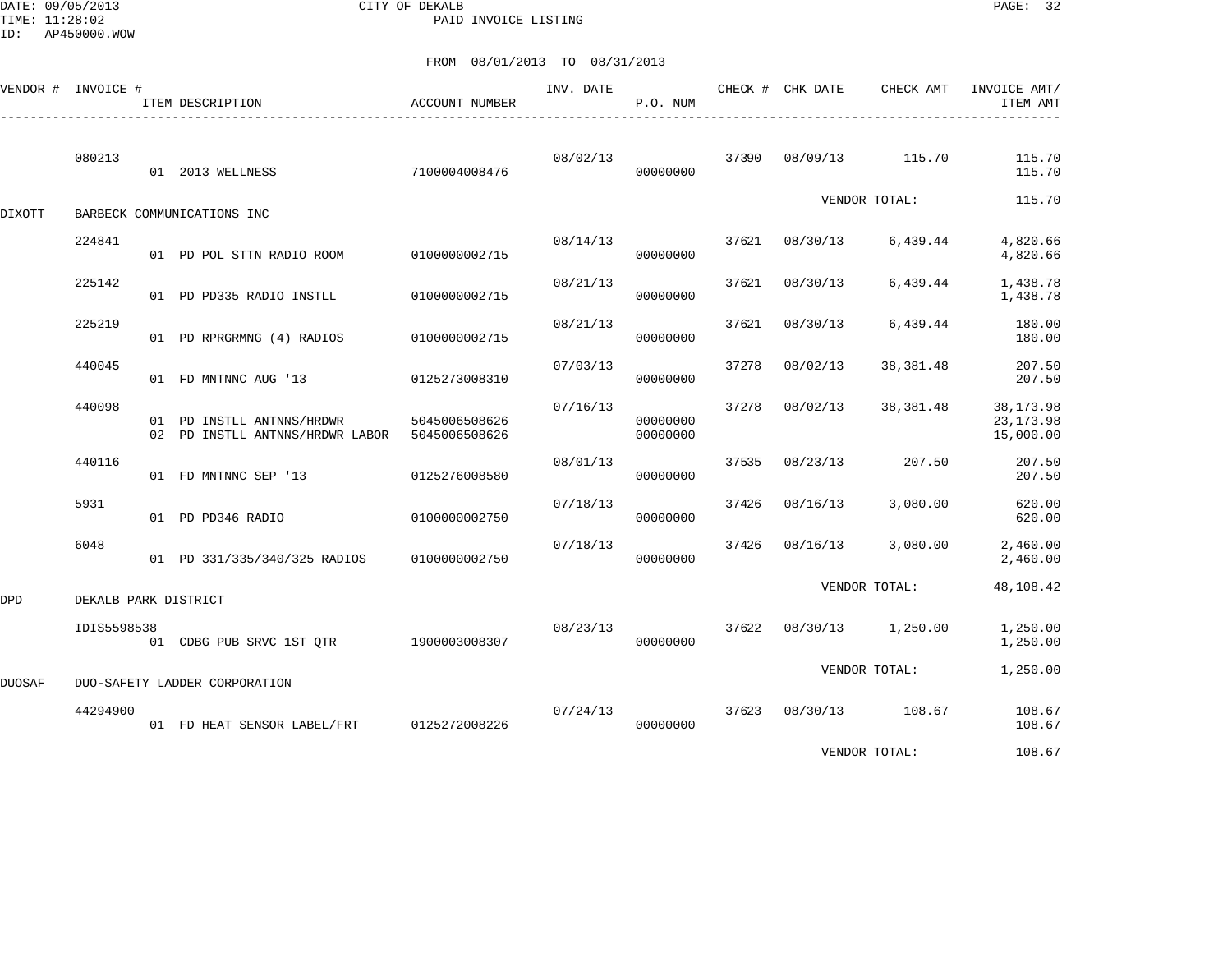DATE: 09/05/2013 CITY OF DEKALB PAGE: 32 PAID INVOICE LISTING

|        | VENDOR # INVOICE #            |  | ITEM DESCRIPTION                                                           | <b>ACCOUNT NUMBER</b> | INV. DATE | P.O. NUM             |       | CHECK # CHK DATE | CHECK AMT     | INVOICE AMT/<br>ITEM AMT              |
|--------|-------------------------------|--|----------------------------------------------------------------------------|-----------------------|-----------|----------------------|-------|------------------|---------------|---------------------------------------|
|        | 080213                        |  | 01 2013 WELLNESS                                                           | 7100004008476         | 08/02/13  | 00000000             | 37390 | 08/09/13         | 115.70        | 115.70<br>115.70                      |
| DIXOTT |                               |  | BARBECK COMMUNICATIONS INC                                                 |                       |           |                      |       |                  | VENDOR TOTAL: | 115.70                                |
|        | 224841                        |  | 01 PD POL STTN RADIO ROOM                                                  | 0100000002715         | 08/14/13  | 00000000             | 37621 | 08/30/13         | 6,439.44      | 4,820.66<br>4,820.66                  |
|        | 225142                        |  | 01 PD PD335 RADIO INSTLL                                                   | 0100000002715         | 08/21/13  | 00000000             | 37621 | 08/30/13         | 6,439.44      | 1,438.78<br>1,438.78                  |
|        | 225219                        |  | 01 PD RPRGRMNG (4) RADIOS                                                  | 0100000002715         | 08/21/13  | 00000000             | 37621 | 08/30/13         | 6,439.44      | 180.00<br>180.00                      |
|        | 440045                        |  | 01 FD MNTNNC AUG '13                                                       | 0125273008310         | 07/03/13  | 00000000             | 37278 | 08/02/13         | 38,381.48     | 207.50<br>207.50                      |
|        | 440098                        |  | 01 PD INSTLL ANTNNS/HRDWR<br>02 PD INSTLL ANTNNS/HRDWR LABOR 5045006508626 | 5045006508626         | 07/16/13  | 00000000<br>00000000 | 37278 | 08/02/13         | 38,381.48     | 38, 173.98<br>23, 173.98<br>15,000.00 |
|        | 440116                        |  | 01 FD MNTNNC SEP '13                                                       | 0125276008580         | 08/01/13  | 00000000             | 37535 | 08/23/13         | 207.50        | 207.50<br>207.50                      |
|        | 5931                          |  | 01 PD PD346 RADIO                                                          | 0100000002750         | 07/18/13  | 00000000             | 37426 | 08/16/13         | 3,080.00      | 620.00<br>620.00                      |
|        | 6048                          |  | 01 PD 331/335/340/325 RADIOS                                               | 0100000002750         | 07/18/13  | 00000000             | 37426 | 08/16/13         | 3,080.00      | 2,460.00<br>2,460.00                  |
| DPD    | DEKALB PARK DISTRICT          |  |                                                                            |                       |           |                      |       |                  | VENDOR TOTAL: | 48,108.42                             |
|        | IDIS5598538                   |  | 01 CDBG PUB SRVC 1ST OTR 1900003008307                                     |                       | 08/23/13  | 00000000             | 37622 | 08/30/13         | 1,250.00      | 1,250.00<br>1,250.00                  |
| DUOSAF | DUO-SAFETY LADDER CORPORATION |  |                                                                            |                       |           |                      |       |                  | VENDOR TOTAL: | 1,250.00                              |
|        | 44294900                      |  | 01 FD HEAT SENSOR LABEL/FRT                                                | 0125272008226         | 07/24/13  | 00000000             | 37623 | 08/30/13         | 108.67        | 108.67<br>108.67                      |
|        |                               |  |                                                                            |                       |           |                      |       |                  | VENDOR TOTAL: | 108.67                                |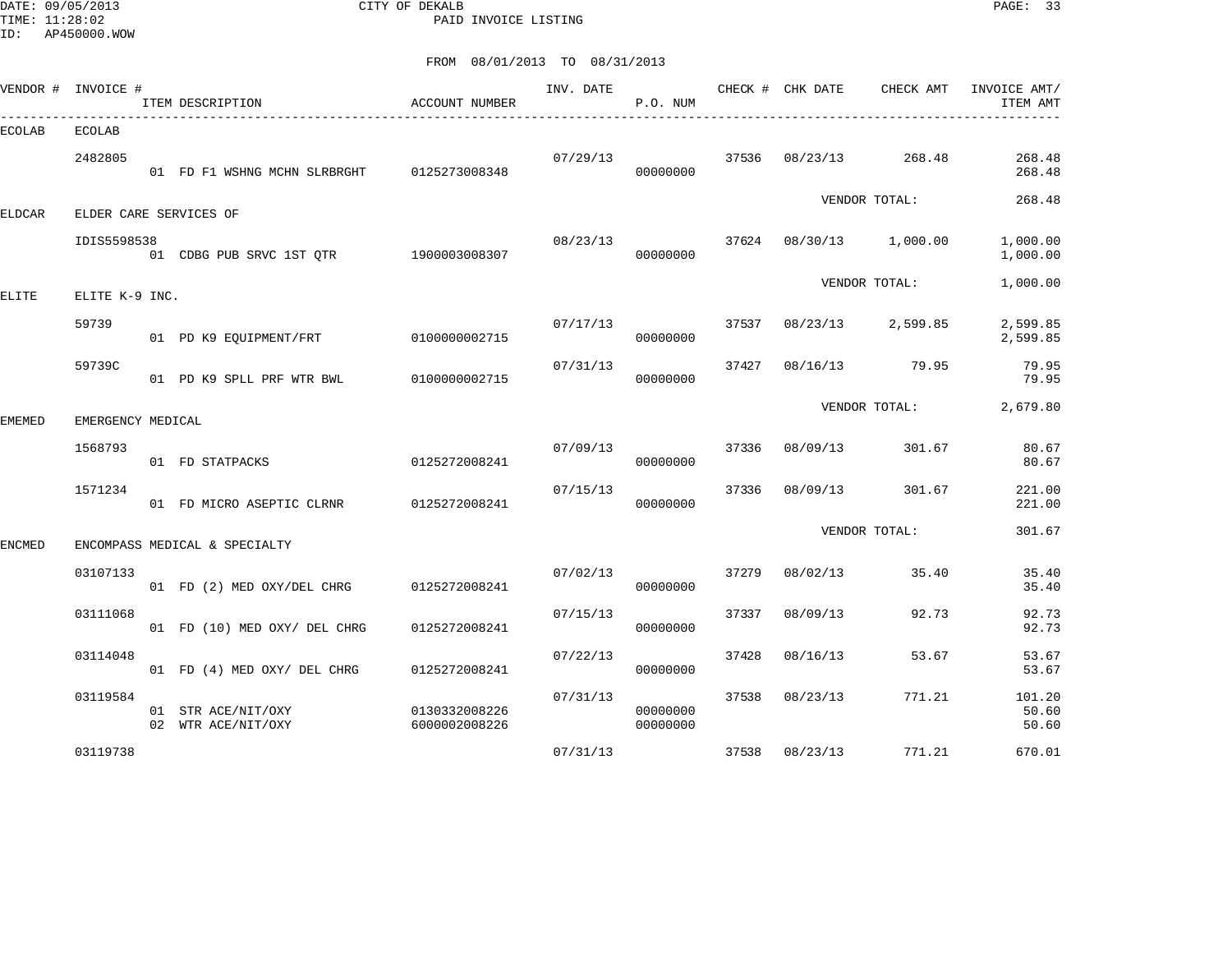DATE: 09/05/2013 CITY OF DEKALB PAGE: 33 PAID INVOICE LISTING

| VENDOR #      | INVOICE #         |  | ITEM DESCRIPTION<br>____________________________ | ACCOUNT NUMBER                 | INV. DATE | P.O. NUM             |       |          | CHECK # CHK DATE CHECK AMT | INVOICE AMT/<br>ITEM AMT |
|---------------|-------------------|--|--------------------------------------------------|--------------------------------|-----------|----------------------|-------|----------|----------------------------|--------------------------|
| <b>ECOLAB</b> | <b>ECOLAB</b>     |  |                                                  |                                |           |                      |       |          |                            |                          |
|               | 2482805           |  | 01 FD F1 WSHNG MCHN SLRBRGHT 0125273008348       |                                | 07/29/13  | 00000000             | 37536 | 08/23/13 | 268.48                     | 268.48<br>268.48         |
| <b>ELDCAR</b> |                   |  | ELDER CARE SERVICES OF                           |                                |           |                      |       |          | VENDOR TOTAL:              | 268.48                   |
|               | IDIS5598538       |  | 01 CDBG PUB SRVC 1ST QTR 1900003008307           |                                | 08/23/13  | 00000000             | 37624 |          | 08/30/13 1,000.00          | 1,000.00<br>1,000.00     |
| ELITE         | ELITE K-9 INC.    |  |                                                  |                                |           |                      |       |          | VENDOR TOTAL:              | 1,000.00                 |
|               | 59739             |  | 01 PD K9 EQUIPMENT/FRT                           | 0100000002715                  | 07/17/13  | 00000000             | 37537 | 08/23/13 | 2,599.85                   | 2,599.85<br>2,599.85     |
|               | 59739C            |  | 01 PD K9 SPLL PRF WTR BWL 0100000002715          |                                | 07/31/13  | 00000000             | 37427 | 08/16/13 | 79.95                      | 79.95<br>79.95           |
| EMEMED        | EMERGENCY MEDICAL |  |                                                  |                                |           |                      |       |          | VENDOR TOTAL:              | 2,679.80                 |
|               | 1568793           |  | 01 FD STATPACKS                                  | 0125272008241                  | 07/09/13  | 00000000             | 37336 | 08/09/13 | 301.67                     | 80.67<br>80.67           |
|               | 1571234           |  | 01 FD MICRO ASEPTIC CLRNR                        | 0125272008241                  | 07/15/13  | 00000000             | 37336 | 08/09/13 | 301.67                     | 221.00<br>221.00         |
| <b>ENCMED</b> |                   |  | ENCOMPASS MEDICAL & SPECIALTY                    |                                |           |                      |       |          | VENDOR TOTAL:              | 301.67                   |
|               | 03107133          |  | 01 FD (2) MED OXY/DEL CHRG                       | 0125272008241                  | 07/02/13  | 00000000             | 37279 | 08/02/13 | 35.40                      | 35.40<br>35.40           |
|               | 03111068          |  | 01 FD (10) MED OXY/ DEL CHRG                     | 0125272008241                  | 07/15/13  | 00000000             | 37337 | 08/09/13 | 92.73                      | 92.73<br>92.73           |
|               | 03114048          |  | 01 FD (4) MED OXY/ DEL CHRG                      | 0125272008241                  | 07/22/13  | 00000000             | 37428 | 08/16/13 | 53.67                      | 53.67<br>53.67           |
|               | 03119584          |  | 01 STR ACE/NIT/OXY<br>02 WTR ACE/NIT/OXY         | 0130332008226<br>6000002008226 | 07/31/13  | 00000000<br>00000000 | 37538 | 08/23/13 | 771.21                     | 101.20<br>50.60<br>50.60 |
|               | 03119738          |  |                                                  |                                | 07/31/13  |                      | 37538 | 08/23/13 | 771.21                     | 670.01                   |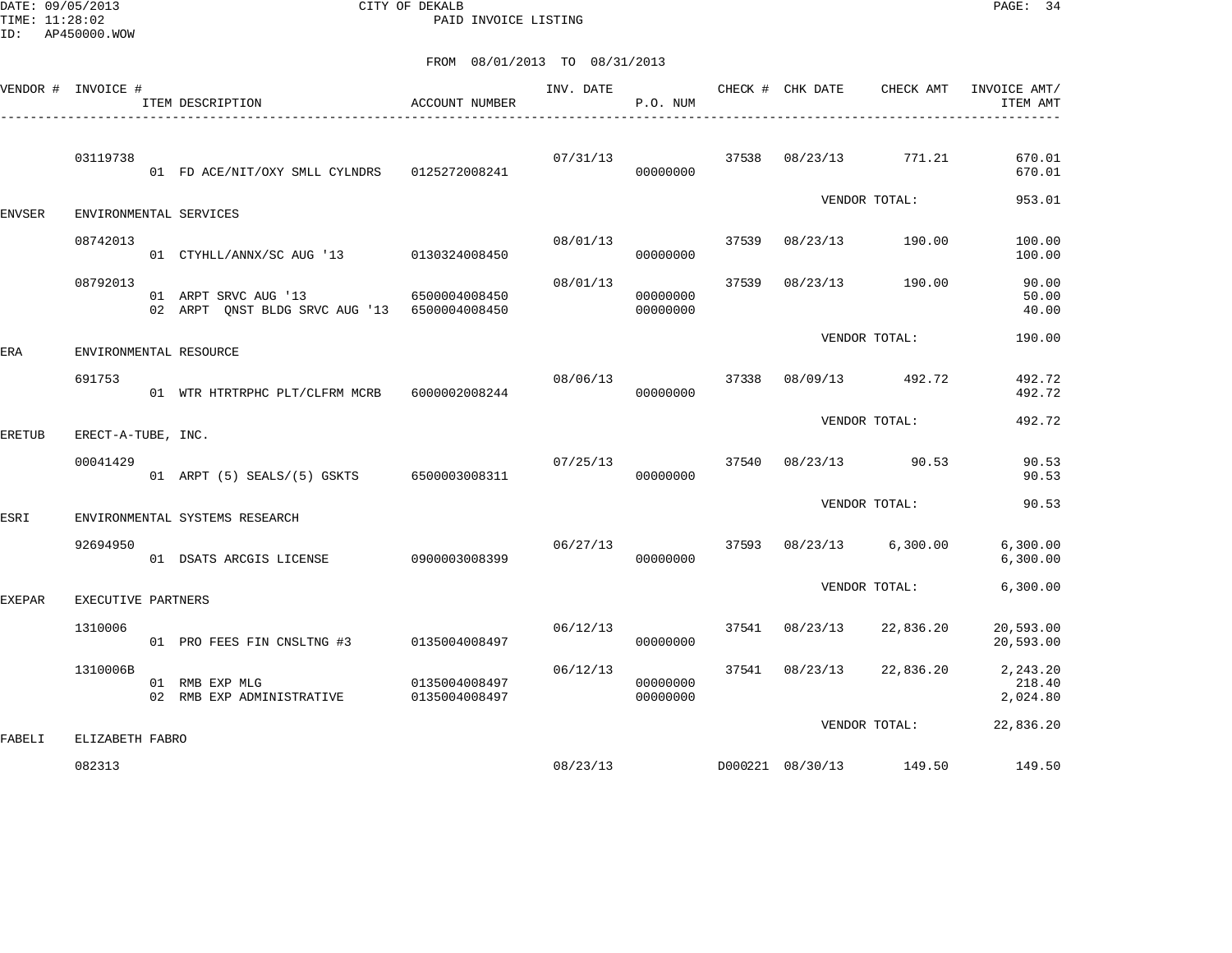DATE: 09/05/2013 CITY OF DEKALB PAGE: 34 PAID INVOICE LISTING

|               | VENDOR # INVOICE #        |    | ITEM DESCRIPTION                                                     | <b>ACCOUNT NUMBER</b>          | INV. DATE | P.O. NUM             |       | CHECK # CHK DATE | CHECK AMT               | INVOICE AMT/<br>ITEM AMT       |
|---------------|---------------------------|----|----------------------------------------------------------------------|--------------------------------|-----------|----------------------|-------|------------------|-------------------------|--------------------------------|
|               | 03119738                  |    | 01 FD ACE/NIT/OXY SMLL CYLNDRS 0125272008241                         |                                | 07/31/13  | 00000000             | 37538 | 08/23/13         | 771.21                  | 670.01<br>670.01               |
| <b>ENVSER</b> |                           |    | ENVIRONMENTAL SERVICES                                               |                                |           |                      |       |                  | VENDOR TOTAL:           | 953.01                         |
|               | 08742013                  |    | 01 CTYHLL/ANNX/SC AUG '13 0130324008450                              |                                | 08/01/13  | 00000000             | 37539 |                  | 08/23/13 190.00         | 100.00<br>100.00               |
|               | 08792013                  |    | 01 ARPT SRVC AUG '13<br>02 ARPT ONST BLDG SRVC AUG '13 6500004008450 | 6500004008450                  | 08/01/13  | 00000000<br>00000000 | 37539 | 08/23/13         | 190.00                  | 90.00<br>50.00<br>40.00        |
| ERA           |                           |    | ENVIRONMENTAL RESOURCE                                               |                                |           |                      |       |                  | VENDOR TOTAL:           | 190.00                         |
|               | 691753                    |    | 01 WTR HTRTRPHC PLT/CLFRM MCRB                                       | 6000002008244                  | 08/06/13  | 00000000             | 37338 | 08/09/13         | 492.72                  | 492.72<br>492.72               |
| <b>ERETUB</b> | ERECT-A-TUBE, INC.        |    |                                                                      |                                |           |                      |       |                  | VENDOR TOTAL:           | 492.72                         |
|               | 00041429                  |    | 01 ARPT (5) SEALS/(5) GSKTS 6500003008311                            |                                | 07/25/13  | 00000000             | 37540 | 08/23/13         | 90.53                   | 90.53<br>90.53                 |
| ESRI          |                           |    | ENVIRONMENTAL SYSTEMS RESEARCH                                       |                                |           |                      |       |                  | VENDOR TOTAL:           | 90.53                          |
|               | 92694950                  |    | 01 DSATS ARCGIS LICENSE                                              | 0900003008399                  | 06/27/13  | 00000000             | 37593 |                  | $08/23/13$ 6,300.00     | 6,300.00<br>6,300.00           |
| <b>EXEPAR</b> | EXECUTIVE PARTNERS        |    |                                                                      |                                |           |                      |       |                  | VENDOR TOTAL:           | 6,300.00                       |
|               | 1310006                   |    | 01 PRO FEES FIN CNSLTNG #3                                           | 0135004008497                  | 06/12/13  | 00000000             | 37541 | 08/23/13         | 22,836.20               | 20,593.00<br>20,593.00         |
|               | 1310006B                  | 02 | 01 RMB EXP MLG<br>RMB EXP ADMINISTRATIVE                             | 0135004008497<br>0135004008497 | 06/12/13  | 00000000<br>00000000 | 37541 | 08/23/13         | 22,836.20               | 2,243.20<br>218.40<br>2,024.80 |
|               |                           |    |                                                                      |                                |           |                      |       |                  | VENDOR TOTAL:           | 22,836.20                      |
| FABELI        | ELIZABETH FABRO<br>082313 |    |                                                                      |                                | 08/23/13  |                      |       |                  | D000221 08/30/13 149.50 | 149.50                         |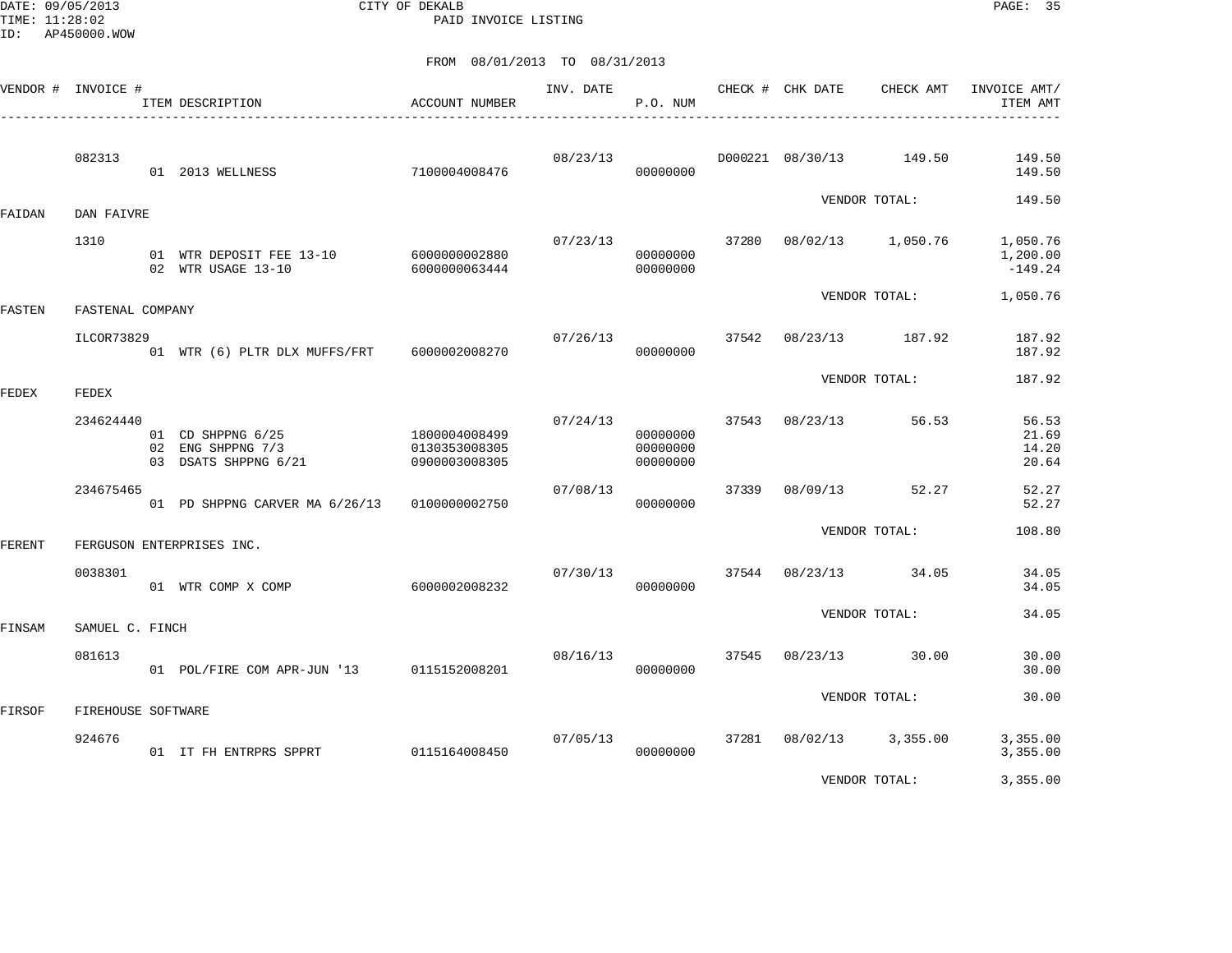DATE: 09/05/2013 CITY OF DEKALB PAGE: 35 PAID INVOICE LISTING

|        | VENDOR # INVOICE # |                    | ITEM DESCRIPTION<br>____________________________________                     | ACCOUNT NUMBER                 | INV. DATE | P.O. NUM                         |       | CHECK # CHK DATE | CHECK AMT               | INVOICE AMT/<br>ITEM AMT          |
|--------|--------------------|--------------------|------------------------------------------------------------------------------|--------------------------------|-----------|----------------------------------|-------|------------------|-------------------------|-----------------------------------|
|        | 082313             |                    | 01 2013 WELLNESS                                                             | 7100004008476                  | 08/23/13  | 00000000                         |       |                  | D000221 08/30/13 149.50 | 149.50<br>149.50                  |
| FAIDAN | DAN FAIVRE         |                    |                                                                              |                                |           |                                  |       |                  | VENDOR TOTAL:           | 149.50                            |
|        | 1310               |                    | 01 WTR DEPOSIT FEE 13-10 6000000002880<br>02 WTR USAGE 13-10                 | 6000000063444                  | 07/23/13  | 00000000<br>00000000             |       |                  | 37280 08/02/13 1,050.76 | 1,050.76<br>1,200.00<br>$-149.24$ |
| FASTEN | FASTENAL COMPANY   |                    |                                                                              |                                |           |                                  |       |                  | VENDOR TOTAL:           | 1,050.76                          |
|        | ILCOR73829         |                    | 01 WTR (6) PLTR DLX MUFFS/FRT 6000002008270                                  |                                | 07/26/13  | 00000000                         | 37542 |                  | 08/23/13 187.92         | 187.92<br>187.92                  |
| FEDEX  | FEDEX              |                    |                                                                              |                                |           |                                  |       |                  | VENDOR TOTAL:           | 187.92                            |
|        | 234624440          |                    | 01 CD SHPPNG 6/25 1800004008499<br>02 ENG SHPPNG 7/3<br>03 DSATS SHPPNG 6/21 | 0130353008305<br>0900003008305 | 07/24/13  | 00000000<br>00000000<br>00000000 | 37543 | 08/23/13         | 56.53                   | 56.53<br>21.69<br>14.20<br>20.64  |
|        | 234675465          |                    | 01 PD SHPPNG CARVER MA 6/26/13 0100000002750                                 |                                | 07/08/13  | 00000000                         | 37339 | 08/09/13         | 52.27                   | 52.27<br>52.27                    |
| FERENT |                    |                    | FERGUSON ENTERPRISES INC.                                                    |                                |           |                                  |       |                  | VENDOR TOTAL:           | 108.80                            |
|        | 0038301            |                    | 01 WTR COMP X COMP                                                           | 6000002008232                  | 07/30/13  | 00000000                         |       |                  | 37544 08/23/13 34.05    | 34.05<br>34.05                    |
| FINSAM | SAMUEL C. FINCH    |                    |                                                                              |                                |           |                                  |       |                  | VENDOR TOTAL:           | 34.05                             |
|        | 081613             |                    | 01 POL/FIRE COM APR-JUN '13 0115152008201                                    |                                | 08/16/13  | 00000000                         | 37545 | 08/23/13         | 30.00                   | 30.00<br>30.00                    |
| FIRSOF |                    | FIREHOUSE SOFTWARE |                                                                              |                                |           |                                  |       |                  | VENDOR TOTAL:           | 30.00                             |
|        | 924676             |                    | 01 IT FH ENTRPRS SPPRT                                                       | 0115164008450                  | 07/05/13  | 00000000                         |       |                  | 37281 08/02/13 3,355.00 | 3,355.00<br>3,355.00              |
|        |                    |                    |                                                                              |                                |           |                                  |       |                  | VENDOR TOTAL:           | 3,355.00                          |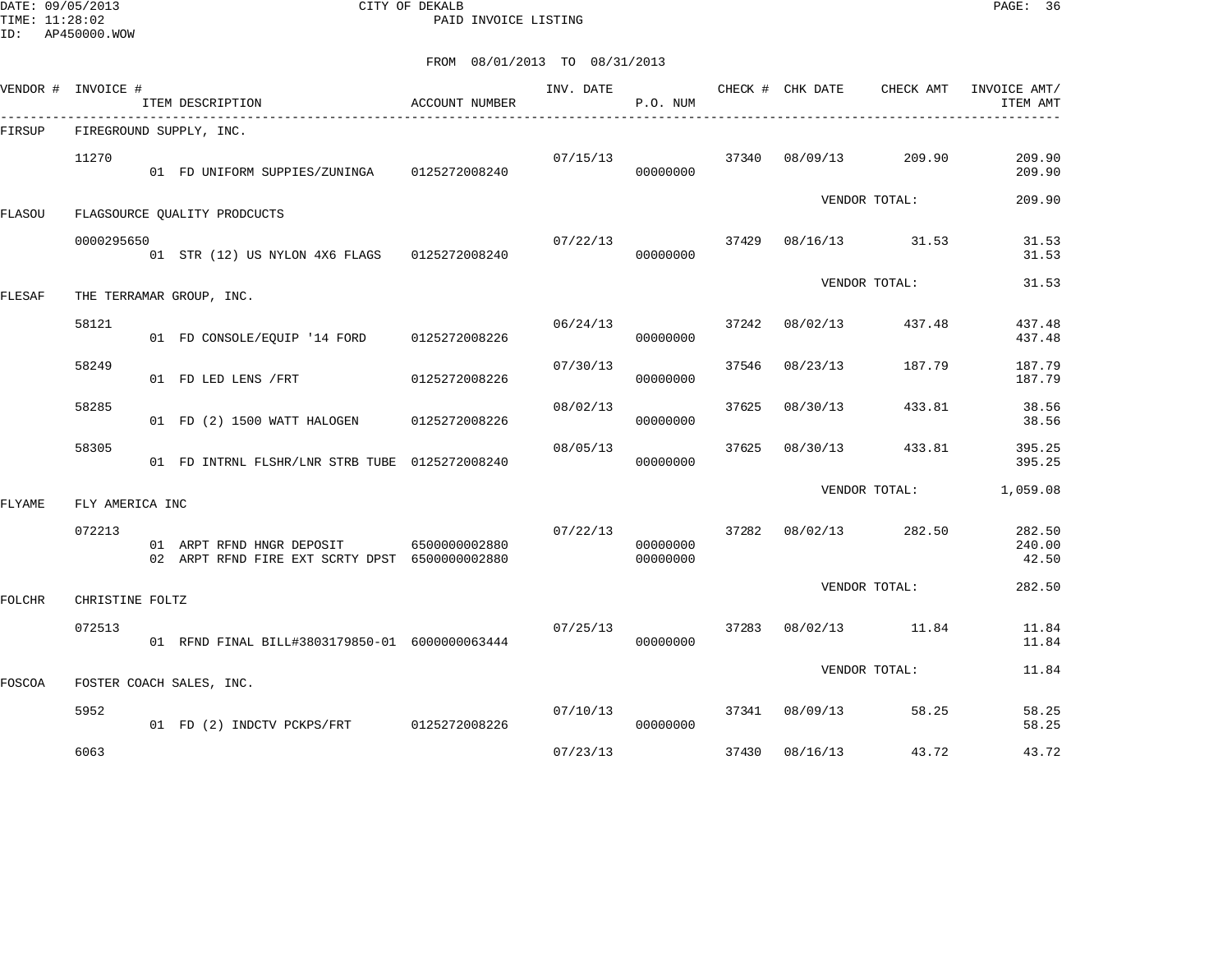DATE: 09/05/2013 CITY OF DEKALB PAGE: 36 PAID INVOICE LISTING

| VENDOR #      | INVOICE #               |  | ITEM DESCRIPTION                                                            | ACCOUNT NUMBER | INV. DATE | P.O. NUM             |       | CHECK # CHK DATE | CHECK AMT            | INVOICE AMT/<br>ITEM AMT  |  |  |  |
|---------------|-------------------------|--|-----------------------------------------------------------------------------|----------------|-----------|----------------------|-------|------------------|----------------------|---------------------------|--|--|--|
| FIRSUP        | FIREGROUND SUPPLY, INC. |  |                                                                             |                |           |                      |       |                  |                      |                           |  |  |  |
|               | 11270                   |  | 01 FD UNIFORM SUPPIES/ZUNINGA 0125272008240                                 |                | 07/15/13  | 00000000             | 37340 | 08/09/13         | 209.90               | 209.90<br>209.90          |  |  |  |
| <b>FLASOU</b> |                         |  | FLAGSOURCE QUALITY PRODCUCTS                                                |                |           |                      |       |                  | VENDOR TOTAL:        | 209.90                    |  |  |  |
|               | 0000295650              |  | 01 STR (12) US NYLON 4X6 FLAGS 0125272008240                                |                | 07/22/13  | 00000000             |       |                  | 37429 08/16/13 31.53 | 31.53<br>31.53            |  |  |  |
| FLESAF        |                         |  | THE TERRAMAR GROUP, INC.                                                    |                |           |                      |       |                  | VENDOR TOTAL:        | 31.53                     |  |  |  |
|               | 58121                   |  | 01 FD CONSOLE/EOUIP '14 FORD 0125272008226                                  |                | 06/24/13  | 00000000             | 37242 | 08/02/13         | 437.48               | 437.48<br>437.48          |  |  |  |
|               | 58249                   |  | 01 FD LED LENS / FRT                                                        | 0125272008226  | 07/30/13  | 00000000             | 37546 | 08/23/13         | 187.79               | 187.79<br>187.79          |  |  |  |
|               | 58285                   |  | 01 FD (2) 1500 WATT HALOGEN                                                 | 0125272008226  | 08/02/13  | 00000000             | 37625 | 08/30/13         | 433.81               | 38.56<br>38.56            |  |  |  |
|               | 58305                   |  | 01 FD INTRNL FLSHR/LNR STRB TUBE 0125272008240                              |                | 08/05/13  | 00000000             | 37625 | 08/30/13         | 433.81               | 395.25<br>395.25          |  |  |  |
| FLYAME        | FLY AMERICA INC         |  |                                                                             |                |           |                      |       | VENDOR TOTAL:    | 1,059.08             |                           |  |  |  |
|               | 072213                  |  | 01 ARPT RFND HNGR DEPOSIT<br>02 ARPT RFND FIRE EXT SCRTY DPST 6500000002880 | 6500000002880  | 07/22/13  | 00000000<br>00000000 |       | 37282 08/02/13   | 282.50               | 282.50<br>240.00<br>42.50 |  |  |  |
| <b>FOLCHR</b> | CHRISTINE FOLTZ         |  |                                                                             |                |           |                      |       |                  | VENDOR TOTAL:        | 282.50                    |  |  |  |
|               | 072513                  |  | 01 RFND FINAL BILL#3803179850-01 6000000063444                              |                | 07/25/13  | 00000000             | 37283 | 08/02/13         | 11.84                | 11.84<br>11.84            |  |  |  |
| FOSCOA        |                         |  | FOSTER COACH SALES, INC.                                                    |                |           |                      |       |                  | VENDOR TOTAL:        | 11.84                     |  |  |  |
|               | 5952                    |  | 01 FD (2) INDCTV PCKPS/FRT 0125272008226                                    |                | 07/10/13  | 00000000             |       | 37341 08/09/13   | 58.25                | 58.25<br>58.25            |  |  |  |
|               | 6063                    |  |                                                                             |                | 07/23/13  |                      | 37430 | 08/16/13         | 43.72                | 43.72                     |  |  |  |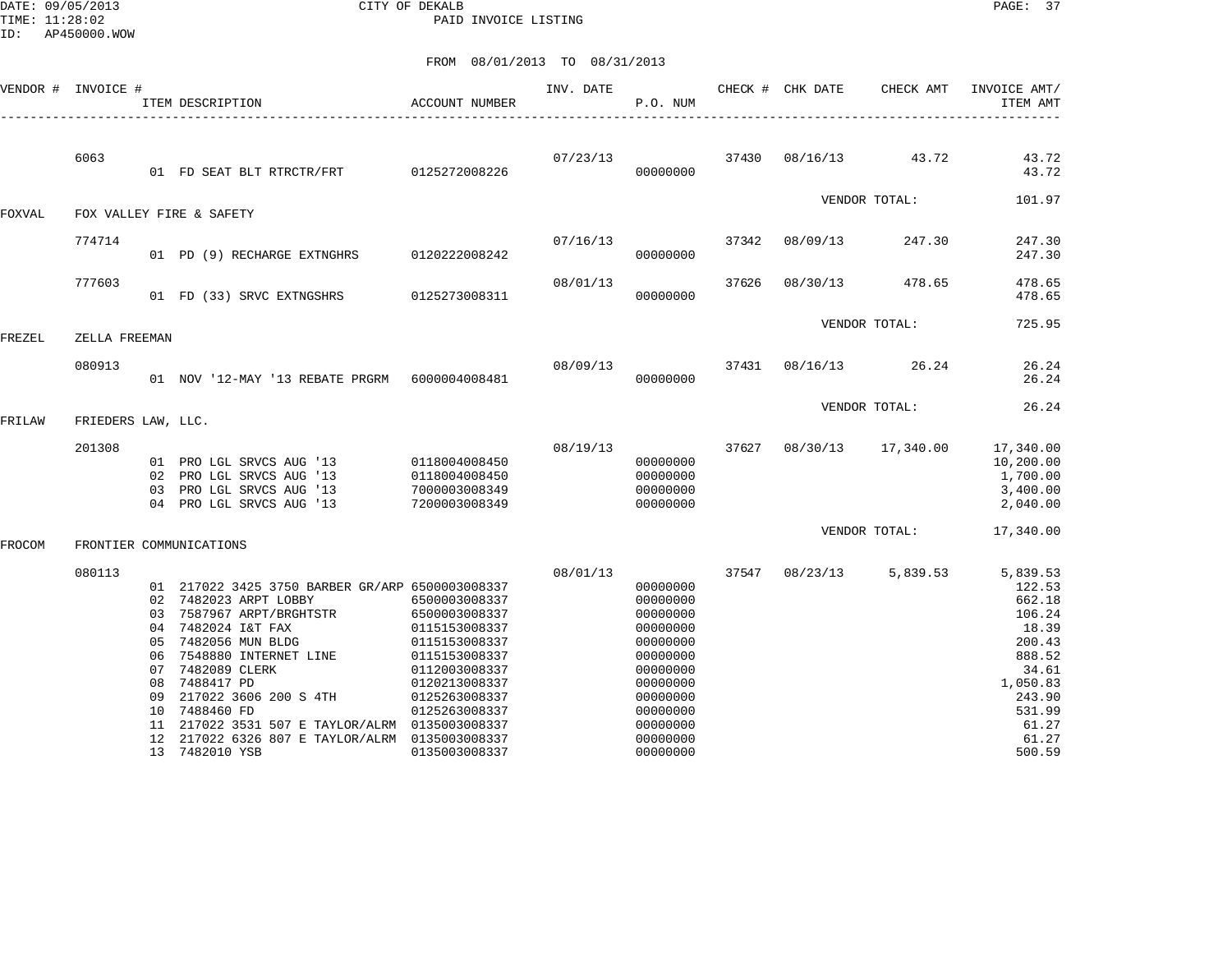DATE: 09/05/2013 CITY OF DEKALB PAGE: 37 PAID INVOICE LISTING

|        | VENDOR # INVOICE # |                               | ACCOUNT NUMBER<br>ITEM DESCRIPTION                                                                                                   |                                                                                   | INV. DATE | P.O. NUM                                                 |       | CHECK # CHK DATE         | CHECK AMT     | INVOICE AMT/<br>ITEM AMT                                   |
|--------|--------------------|-------------------------------|--------------------------------------------------------------------------------------------------------------------------------------|-----------------------------------------------------------------------------------|-----------|----------------------------------------------------------|-------|--------------------------|---------------|------------------------------------------------------------|
|        | 6063               |                               | 01 FD SEAT BLT RTRCTR/FRT 0125272008226                                                                                              |                                                                                   | 07/23/13  | 00000000                                                 |       | 37430 08/16/13 43.72     |               | 43.72<br>43.72                                             |
| FOXVAL |                    |                               | FOX VALLEY FIRE & SAFETY                                                                                                             |                                                                                   |           |                                                          |       |                          | VENDOR TOTAL: | 101.97                                                     |
|        |                    |                               |                                                                                                                                      |                                                                                   |           |                                                          |       |                          |               |                                                            |
|        | 774714             |                               | 01 PD (9) RECHARGE EXTNGHRS 0120222008242                                                                                            |                                                                                   |           | 07/16/13<br>00000000                                     |       | 37342 08/09/13           | 247.30        | 247.30<br>247.30                                           |
|        | 777603             |                               | 01 FD (33) SRVC EXTNGSHRS 0125273008311                                                                                              |                                                                                   | 08/01/13  | 00000000                                                 | 37626 | 08/30/13                 | 478.65        | 478.65<br>478.65                                           |
| FREZEL | ZELLA FREEMAN      |                               |                                                                                                                                      |                                                                                   |           |                                                          |       |                          | VENDOR TOTAL: | 725.95                                                     |
|        |                    |                               |                                                                                                                                      |                                                                                   |           |                                                          |       |                          |               |                                                            |
|        | 080913             |                               | 01 NOV '12-MAY '13 REBATE PRGRM  6000004008481                                                                                       |                                                                                   |           | 08/09/13<br>00000000                                     |       | 37431 08/16/13 26.24     |               | 26.24<br>26.24                                             |
|        |                    |                               |                                                                                                                                      |                                                                                   |           |                                                          |       |                          | VENDOR TOTAL: | 26.24                                                      |
| FRILAW | FRIEDERS LAW, LLC. |                               |                                                                                                                                      |                                                                                   |           |                                                          |       |                          |               |                                                            |
|        | 201308             | 03                            | 01 PRO LGL SRVCS AUG '13<br>02 PRO LGL SRVCS AUG '13<br>PRO LGL SRVCS AUG '13<br>04 PRO LGL SRVCS AUG '13                            | 0118004008450<br>0118004008450<br>7000003008349<br>7200003008349                  | 08/19/13  | 00000000<br>00000000<br>00000000<br>00000000             |       | 37627 08/30/13 17,340.00 |               | 17,340.00<br>10,200.00<br>1,700.00<br>3,400.00<br>2,040.00 |
| FROCOM |                    |                               | FRONTIER COMMUNICATIONS                                                                                                              |                                                                                   |           |                                                          |       |                          | VENDOR TOTAL: | 17,340.00                                                  |
|        | 080113             |                               | 01 217022 3425 3750 BARBER GR/ARP 6500003008337<br>02 7482023 ARPT LOBBY<br>03 7587967 ARPT/BRGHTSTR                                 | 6500003008337<br>6500003008337                                                    | 08/01/13  | 00000000<br>00000000<br>00000000                         | 37547 | 08/23/13                 | 5,839.53      | 5,839.53<br>122.53<br>662.18<br>106.24                     |
|        |                    | 04<br>05<br>06<br>08          | 7482024 I&T FAX<br>7482056 MUN BLDG<br>7548880 INTERNET LINE<br>07 7482089 CLERK<br>7488417 PD                                       | 0115153008337<br>0115153008337<br>0115153008337<br>0112003008337<br>0120213008337 |           | 00000000<br>00000000<br>00000000<br>00000000<br>00000000 |       |                          |               | 18.39<br>200.43<br>888.52<br>34.61<br>1,050.83             |
|        |                    | 09<br>10<br>$12 \overline{ }$ | 217022 3606 200 S 4TH<br>7488460 FD<br>11 217022 3531 507 E TAYLOR/ALRM 0135003008337<br>217022 6326 807 E TAYLOR/ALRM 0135003008337 | 0125263008337<br>0125263008337                                                    |           | 00000000<br>00000000<br>00000000<br>00000000             |       |                          |               | 243.90<br>531.99<br>61.27<br>61.27                         |
|        |                    |                               | 13 7482010 YSB                                                                                                                       | 0135003008337                                                                     |           | 00000000                                                 |       |                          |               | 500.59                                                     |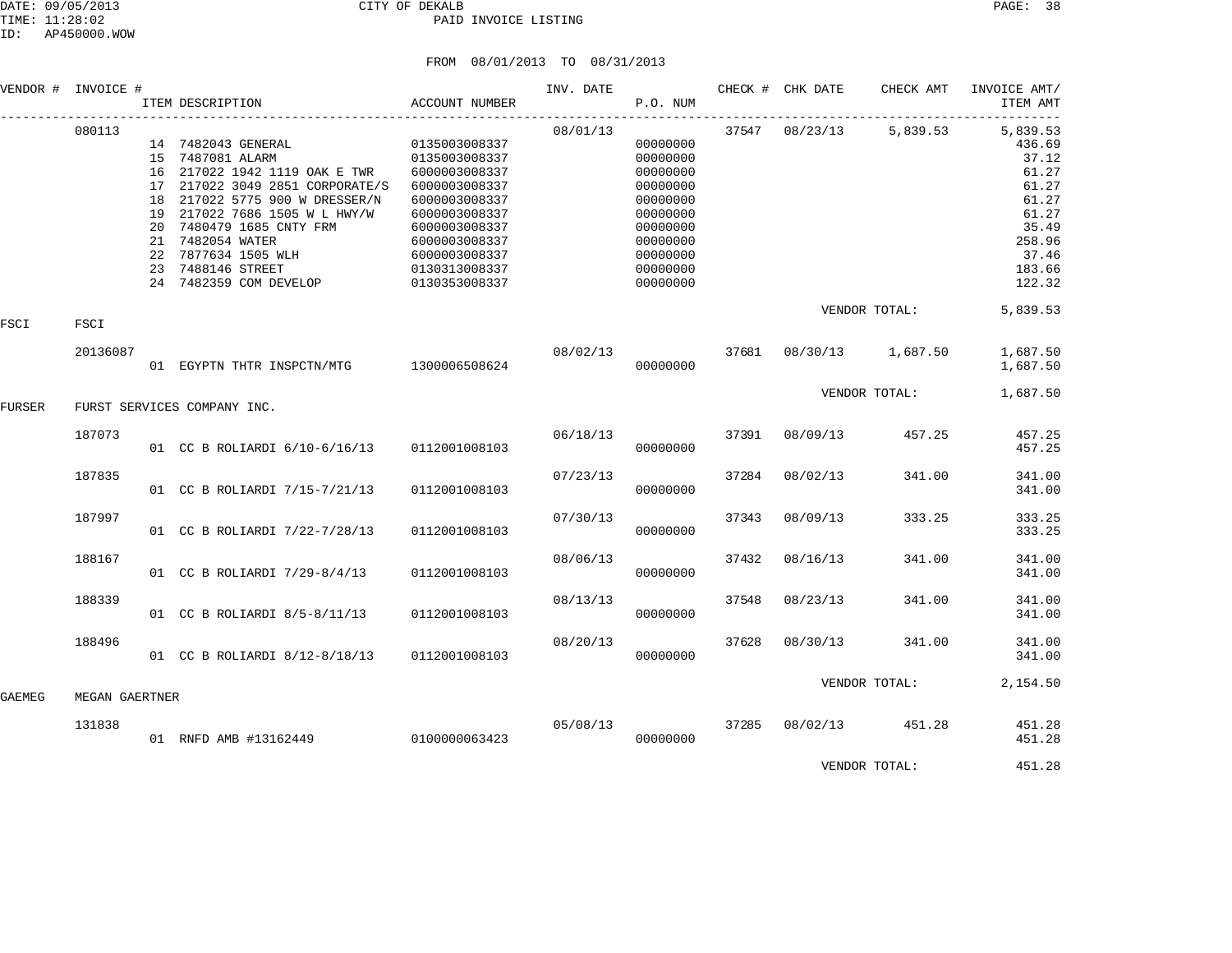## DATE: 09/05/2013 CITY OF DEKALB PAGE: 38 PAID INVOICE LISTING

|        | VENDOR # INVOICE # | ITEM DESCRIPTION                                                                                                                                                                                                                                                                                                                       | ACCOUNT NUMBER                                                                                                                                                         | INV. DATE | P.O. NUM                                                                                                                         |       | CHECK # CHK DATE                 | CHECK AMT               | INVOICE AMT/<br>ITEM AMT                                                                                        |
|--------|--------------------|----------------------------------------------------------------------------------------------------------------------------------------------------------------------------------------------------------------------------------------------------------------------------------------------------------------------------------------|------------------------------------------------------------------------------------------------------------------------------------------------------------------------|-----------|----------------------------------------------------------------------------------------------------------------------------------|-------|----------------------------------|-------------------------|-----------------------------------------------------------------------------------------------------------------|
|        | 080113             | 14 7482043 GENERAL<br>15 7487081 ALARM<br>16 217022 1942 1119 OAK E TWR<br>17 217022 3049 2851 CORPORATE/S<br>18 217022 5775 900 W DRESSER/N<br>19 217022 7686 1505 W L HWY/W<br>20 7480479 1685 CNTY FRM<br>21 7482054 WATER<br>22 7877634 1505 WLH<br>23 7488146 STREET<br>23 7488146 SIREEI<br>24 7482359 COM DEVELOP 0130353008337 | 0135003008337<br>0135003008337<br>6000003008337<br>6000003008337<br>6000003008337<br>6000003008337<br>6000003008337<br>6000003008337<br>6000003008337<br>0130313008337 | 08/01/13  | 00000000<br>00000000<br>00000000<br>00000000<br>00000000<br>00000000<br>00000000<br>00000000<br>00000000<br>00000000<br>00000000 |       |                                  | 37547 08/23/13 5,839.53 | 5,839.53<br>436.69<br>37.12<br>61.27<br>61.27<br>61.27<br>61.27<br>35.49<br>258.96<br>37.46<br>183.66<br>122.32 |
| FSCI   | FSCI               |                                                                                                                                                                                                                                                                                                                                        |                                                                                                                                                                        |           |                                                                                                                                  |       |                                  | VENDOR TOTAL:           | 5,839.53                                                                                                        |
|        | 20136087           | 01 EGYPTN THTR INSPCTN/MTG 1300006508624                                                                                                                                                                                                                                                                                               |                                                                                                                                                                        |           | 00000000                                                                                                                         |       | 08/02/13 37681 08/30/13 1,687.50 |                         | 1,687.50<br>1,687.50                                                                                            |
| FURSER |                    | FURST SERVICES COMPANY INC.                                                                                                                                                                                                                                                                                                            |                                                                                                                                                                        |           |                                                                                                                                  |       |                                  | VENDOR TOTAL:           | 1,687.50                                                                                                        |
|        | 187073             | 01 CC B ROLIARDI 6/10-6/16/13 0112001008103                                                                                                                                                                                                                                                                                            |                                                                                                                                                                        | 06/18/13  | 00000000                                                                                                                         | 37391 | 08/09/13                         | 457.25                  | 457.25<br>457.25                                                                                                |
|        | 187835             | 01 CC B ROLIARDI 7/15-7/21/13                                                                                                                                                                                                                                                                                                          | 0112001008103                                                                                                                                                          | 07/23/13  | 00000000                                                                                                                         | 37284 | 08/02/13                         | 341.00                  | 341.00<br>341.00                                                                                                |
|        | 187997             | 01 CC B ROLIARDI 7/22-7/28/13                                                                                                                                                                                                                                                                                                          | 0112001008103                                                                                                                                                          | 07/30/13  | 00000000                                                                                                                         | 37343 | 08/09/13                         | 333.25                  | 333.25<br>333.25                                                                                                |
|        | 188167             | 01 CC B ROLIARDI 7/29-8/4/13                                                                                                                                                                                                                                                                                                           | 0112001008103                                                                                                                                                          | 08/06/13  | 00000000                                                                                                                         | 37432 | 08/16/13                         | 341.00                  | 341.00<br>341.00                                                                                                |
|        | 188339             | 01 CC B ROLIARDI 8/5-8/11/13                                                                                                                                                                                                                                                                                                           | 0112001008103                                                                                                                                                          | 08/13/13  | 00000000                                                                                                                         | 37548 | 08/23/13                         | 341.00                  | 341.00<br>341.00                                                                                                |
|        | 188496             | 01 CC B ROLIARDI 8/12-8/18/13                                                                                                                                                                                                                                                                                                          | 0112001008103                                                                                                                                                          | 08/20/13  | 00000000                                                                                                                         | 37628 | 08/30/13                         | 341.00                  | 341.00<br>341.00                                                                                                |
| GAEMEG | MEGAN GAERTNER     |                                                                                                                                                                                                                                                                                                                                        |                                                                                                                                                                        |           |                                                                                                                                  |       |                                  | VENDOR TOTAL:           | 2,154.50                                                                                                        |
|        | 131838             | 01 RNFD AMB #13162449 0100000063423                                                                                                                                                                                                                                                                                                    |                                                                                                                                                                        | 05/08/13  | 00000000                                                                                                                         | 37285 |                                  | 08/02/13 451.28         | 451.28<br>451.28                                                                                                |
|        |                    |                                                                                                                                                                                                                                                                                                                                        |                                                                                                                                                                        |           |                                                                                                                                  |       |                                  | VENDOR TOTAL:           | 451.28                                                                                                          |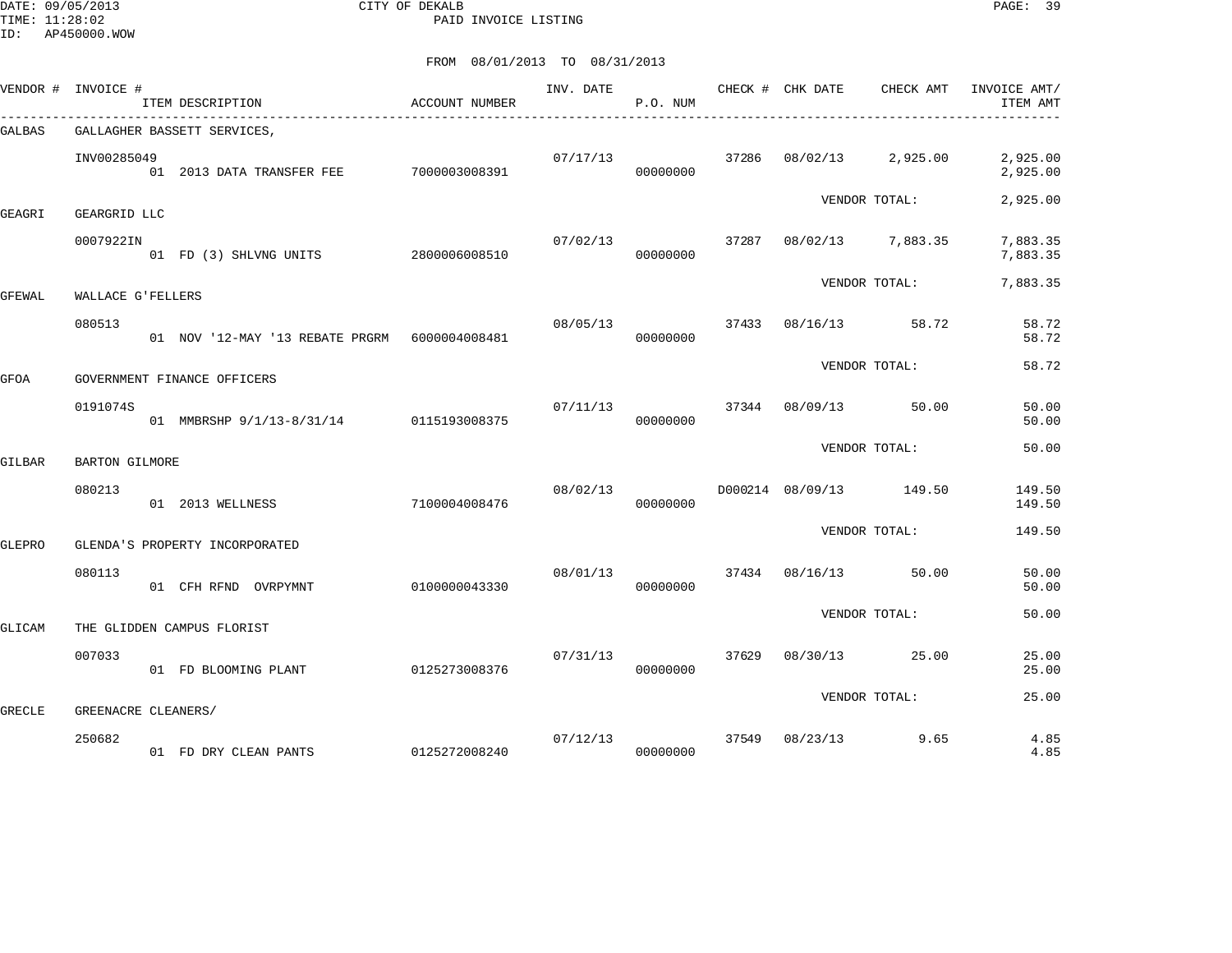DATE: 09/05/2013 CITY OF DEKALB PAGE: 39 PAID INVOICE LISTING

|        | VENDOR # INVOICE #  | ACCOUNT NUMBER<br>ITEM DESCRIPTION        |               | INV. DATE | P.O. NUM             |       | CHECK # CHK DATE                | CHECK AMT         | INVOICE AMT/<br>ITEM AMT |
|--------|---------------------|-------------------------------------------|---------------|-----------|----------------------|-------|---------------------------------|-------------------|--------------------------|
| GALBAS |                     | GALLAGHER BASSETT SERVICES,               |               |           |                      |       |                                 |                   |                          |
|        | INV00285049         | 01  2013 DATA TRANSFER FEE  7000003008391 |               | 07/17/13  | 00000000             |       | 37286 08/02/13 2,925.00         |                   | 2,925.00<br>2,925.00     |
| GEAGRI | GEARGRID LLC        |                                           |               |           |                      |       |                                 | VENDOR TOTAL:     | 2,925.00                 |
|        | 0007922IN           | 01 FD (3) SHLVNG UNITS 2800006008510      |               | 07/02/13  | 00000000             | 37287 |                                 | 08/02/13 7,883.35 | 7,883.35<br>7,883.35     |
| GFEWAL | WALLACE G'FELLERS   |                                           |               |           |                      |       |                                 | VENDOR TOTAL:     | 7,883.35                 |
|        | 080513              |                                           |               | 08/05/13  | 00000000             |       | 37433 08/16/13 58.72            |                   | 58.72<br>58.72           |
| GFOA   |                     | GOVERNMENT FINANCE OFFICERS               |               |           |                      |       |                                 | VENDOR TOTAL:     | 58.72                    |
|        | 0191074S            |                                           |               |           |                      |       | $07/11/13$ 37344 08/09/13 50.00 |                   | 50.00                    |
|        |                     | 01 MMBRSHP 9/1/13-8/31/14 0115193008375   |               |           | 00000000             |       |                                 |                   | 50.00                    |
| GILBAR | BARTON GILMORE      |                                           |               |           |                      |       |                                 | VENDOR TOTAL:     | 50.00                    |
|        | 080213              | 01 2013 WELLNESS                          | 7100004008476 | 08/02/13  | 00000000             |       | D000214 08/09/13 149.50         |                   | 149.50<br>149.50         |
| GLEPRO |                     | GLENDA'S PROPERTY INCORPORATED            |               |           |                      |       |                                 | VENDOR TOTAL:     | 149.50                   |
|        | 080113              | 01 CFH RFND OVRPYMNT                      | 0100000043330 | 08/01/13  | 00000000             | 37434 |                                 | 08/16/13 50.00    | 50.00<br>50.00           |
|        |                     |                                           |               |           |                      |       |                                 | VENDOR TOTAL:     | 50.00                    |
| GLICAM |                     | THE GLIDDEN CAMPUS FLORIST                |               |           |                      |       |                                 |                   |                          |
|        | 007033              | 01 FD BLOOMING PLANT                      | 0125273008376 | 07/31/13  | 00000000             | 37629 |                                 | 08/30/13 25.00    | 25.00<br>25.00           |
| GRECLE | GREENACRE CLEANERS/ |                                           |               |           |                      |       |                                 | VENDOR TOTAL:     | 25.00                    |
|        | 250682              | 01 FD DRY CLEAN PANTS 0125272008240       |               |           | 07/12/13<br>00000000 | 37549 | $08/23/13$ 9.65                 |                   | 4.85<br>4.85             |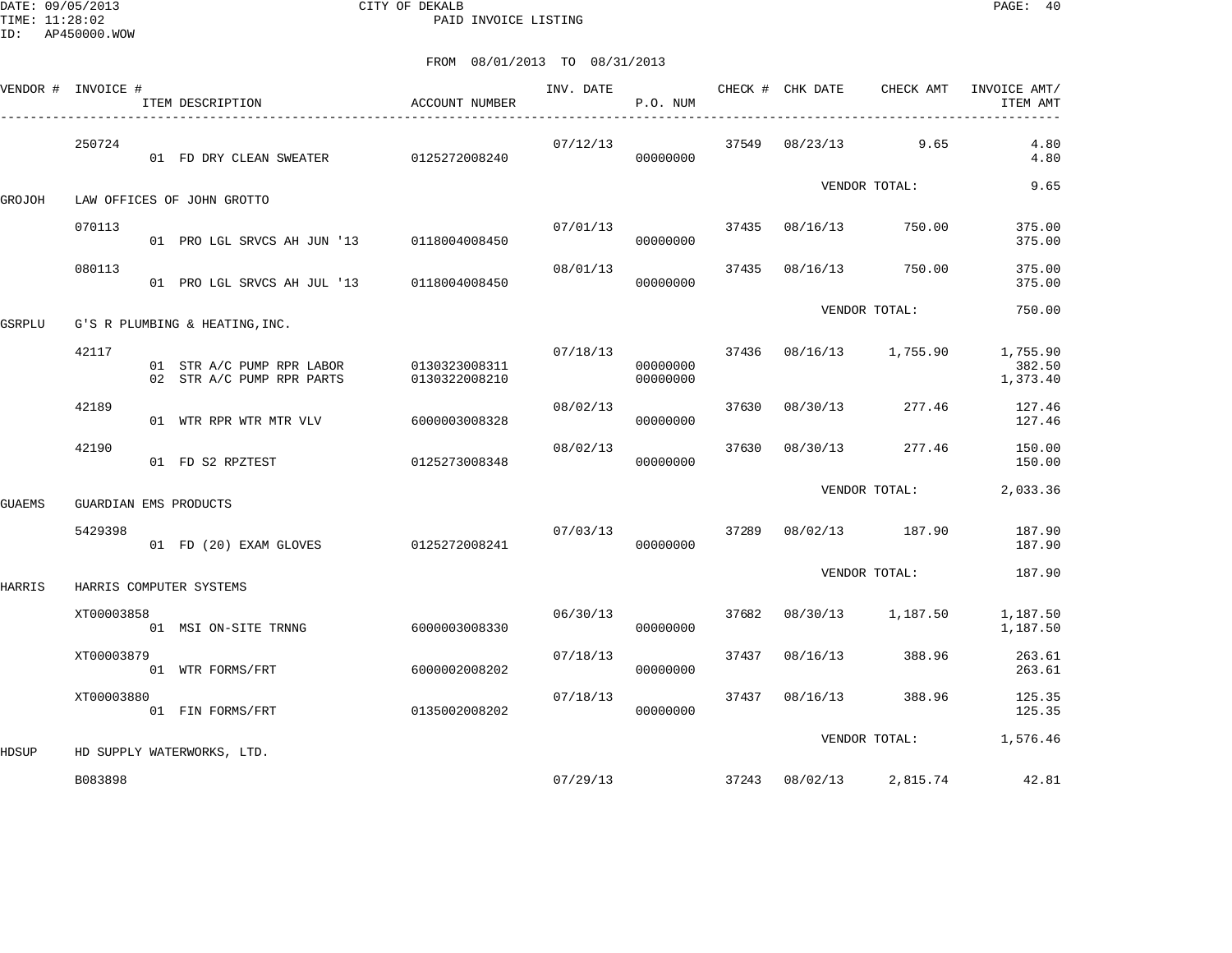DATE: 09/05/2013 CITY OF DEKALB PAGE: 40 PAID INVOICE LISTING

|        | VENDOR # INVOICE # | ITEM DESCRIPTION                                       | ACCOUNT NUMBER                 | INV. DATE | P.O. NUM             |       | CHECK # CHK DATE | CHECK AMT         | INVOICE AMT/<br>ITEM AMT       |
|--------|--------------------|--------------------------------------------------------|--------------------------------|-----------|----------------------|-------|------------------|-------------------|--------------------------------|
|        | 250724             | 01 FD DRY CLEAN SWEATER 0125272008240                  |                                | 07/12/13  | 00000000             | 37549 |                  | 08/23/13 9.65     | 4.80<br>4.80                   |
| GROJOH |                    | LAW OFFICES OF JOHN GROTTO                             |                                |           |                      |       |                  | VENDOR TOTAL:     | 9.65                           |
|        | 070113             | 01 PRO LGL SRVCS AH JUN '13 0118004008450              |                                | 07/01/13  | 00000000             | 37435 | 08/16/13         | 750.00            | 375.00<br>375.00               |
|        | 080113             | 01 PRO LGL SRVCS AH JUL '13                            | 0118004008450                  | 08/01/13  | 00000000             | 37435 | 08/16/13         | 750.00            | 375.00<br>375.00               |
| GSRPLU |                    | G'S R PLUMBING & HEATING, INC.                         |                                |           |                      |       |                  | VENDOR TOTAL:     | 750.00                         |
|        | 42117              | 01 STR A/C PUMP RPR LABOR<br>02 STR A/C PUMP RPR PARTS | 0130323008311<br>0130322008210 | 07/18/13  | 00000000<br>00000000 | 37436 |                  | 08/16/13 1,755.90 | 1,755.90<br>382.50<br>1,373.40 |
|        | 42189              | 01 WTR RPR WTR MTR VLV                                 | 6000003008328                  | 08/02/13  | 00000000             | 37630 | 08/30/13         | 277.46            | 127.46<br>127.46               |
|        | 42190              | 01 FD S2 RPZTEST                                       | 0125273008348                  | 08/02/13  | 00000000             | 37630 | 08/30/13         | 277.46            | 150.00<br>150.00               |
| GUAEMS |                    | GUARDIAN EMS PRODUCTS                                  |                                |           |                      |       |                  | VENDOR TOTAL:     | 2,033.36                       |
|        | 5429398            | 01 FD (20) EXAM GLOVES                                 | 0125272008241                  | 07/03/13  | 00000000             | 37289 |                  | 08/02/13 187.90   | 187.90<br>187.90               |
| HARRIS |                    | HARRIS COMPUTER SYSTEMS                                |                                |           |                      |       |                  | VENDOR TOTAL:     | 187.90                         |
|        | XT00003858         | 01 MSI ON-SITE TRNNG                                   | 6000003008330                  | 06/30/13  | 00000000             | 37682 | 08/30/13         | 1,187.50          | 1,187.50<br>1,187.50           |
|        | XT00003879         | 01 WTR FORMS/FRT                                       | 6000002008202                  | 07/18/13  | 00000000             | 37437 | 08/16/13         | 388.96            | 263.61<br>263.61               |
|        | XT00003880         | 01 FIN FORMS/FRT                                       | 0135002008202                  | 07/18/13  | 00000000             | 37437 | 08/16/13         | 388.96            | 125.35<br>125.35               |
| HDSUP  |                    | HD SUPPLY WATERWORKS, LTD.                             |                                |           |                      |       |                  | VENDOR TOTAL:     | 1,576.46                       |
|        | B083898            |                                                        |                                | 07/29/13  |                      |       | 37243 08/02/13   | 2,815.74          | 42.81                          |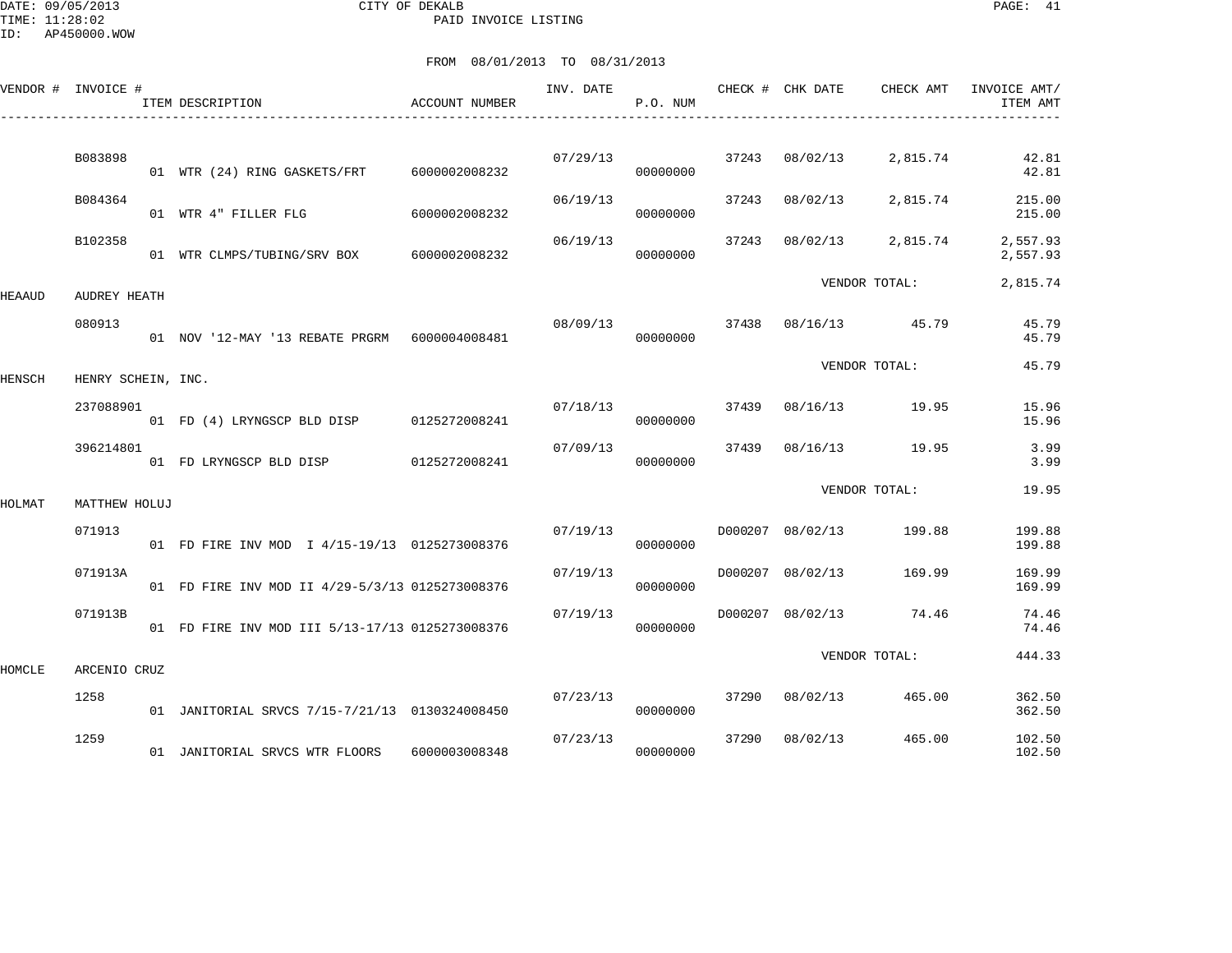DATE: 09/05/2013 CITY OF DEKALB PAGE: 41 PAID INVOICE LISTING

ID: AP450000.WOW

|        | VENDOR # INVOICE # | ITEM DESCRIPTION                                 | ACCOUNT NUMBER | INV. DATE | P.O. NUM |       | CHECK # CHK DATE | CHECK AMT            | INVOICE AMT/<br>ITEM AMT |
|--------|--------------------|--------------------------------------------------|----------------|-----------|----------|-------|------------------|----------------------|--------------------------|
|        | B083898            | 01 WTR (24) RING GASKETS/FRT                     | 6000002008232  | 07/29/13  | 00000000 |       | 37243 08/02/13   | 2,815.74             | 42.81<br>42.81           |
|        | B084364            | 01 WTR 4" FILLER FLG                             | 6000002008232  | 06/19/13  | 00000000 | 37243 | 08/02/13         | 2,815.74             | 215.00<br>215.00         |
|        | B102358            | 01 WTR CLMPS/TUBING/SRV BOX 6000002008232        |                | 06/19/13  | 00000000 | 37243 | 08/02/13         | 2,815.74             | 2,557.93<br>2,557.93     |
| HEAAUD | AUDREY HEATH       |                                                  |                |           |          |       |                  | VENDOR TOTAL:        | 2,815.74                 |
|        | 080913             | 01 NOV '12-MAY '13 REBATE PRGRM    6000004008481 |                | 08/09/13  | 00000000 |       |                  | 37438 08/16/13 45.79 | 45.79<br>45.79           |
| HENSCH | HENRY SCHEIN, INC. |                                                  |                |           |          |       |                  | VENDOR TOTAL:        | 45.79                    |
|        | 237088901          | 01 FD (4) LRYNGSCP BLD DISP 0125272008241        |                | 07/18/13  | 00000000 | 37439 | 08/16/13         | 19.95                | 15.96<br>15.96           |
|        | 396214801          | 01 FD LRYNGSCP BLD DISP                          | 0125272008241  | 07/09/13  | 00000000 | 37439 | 08/16/13         | 19.95                | 3.99<br>3.99             |
| HOLMAT | MATTHEW HOLUJ      |                                                  |                |           |          |       |                  | VENDOR TOTAL:        | 19.95                    |
|        | 071913             | 01 FD FIRE INV MOD I 4/15-19/13 0125273008376    |                | 07/19/13  | 00000000 |       | D000207 08/02/13 | 199.88               | 199.88<br>199.88         |
|        | 071913A            | 01 FD FIRE INV MOD II 4/29-5/3/13 0125273008376  |                | 07/19/13  | 00000000 |       | D000207 08/02/13 | 169.99               | 169.99<br>169.99         |
|        | 071913B            | 01 FD FIRE INV MOD III 5/13-17/13 0125273008376  |                | 07/19/13  | 00000000 |       | D000207 08/02/13 | 74.46                | 74.46<br>74.46           |
| HOMCLE | ARCENIO CRUZ       |                                                  |                |           |          |       |                  | VENDOR TOTAL:        | 444.33                   |
|        | 1258               | 01 JANITORIAL SRVCS 7/15-7/21/13 0130324008450   |                | 07/23/13  | 00000000 |       | 37290 08/02/13   | 465.00               | 362.50<br>362.50         |
|        | 1259               | 01 JANITORIAL SRVCS WTR FLOORS                   | 6000003008348  | 07/23/13  | 00000000 | 37290 | 08/02/13         | 465.00               | 102.50<br>102.50         |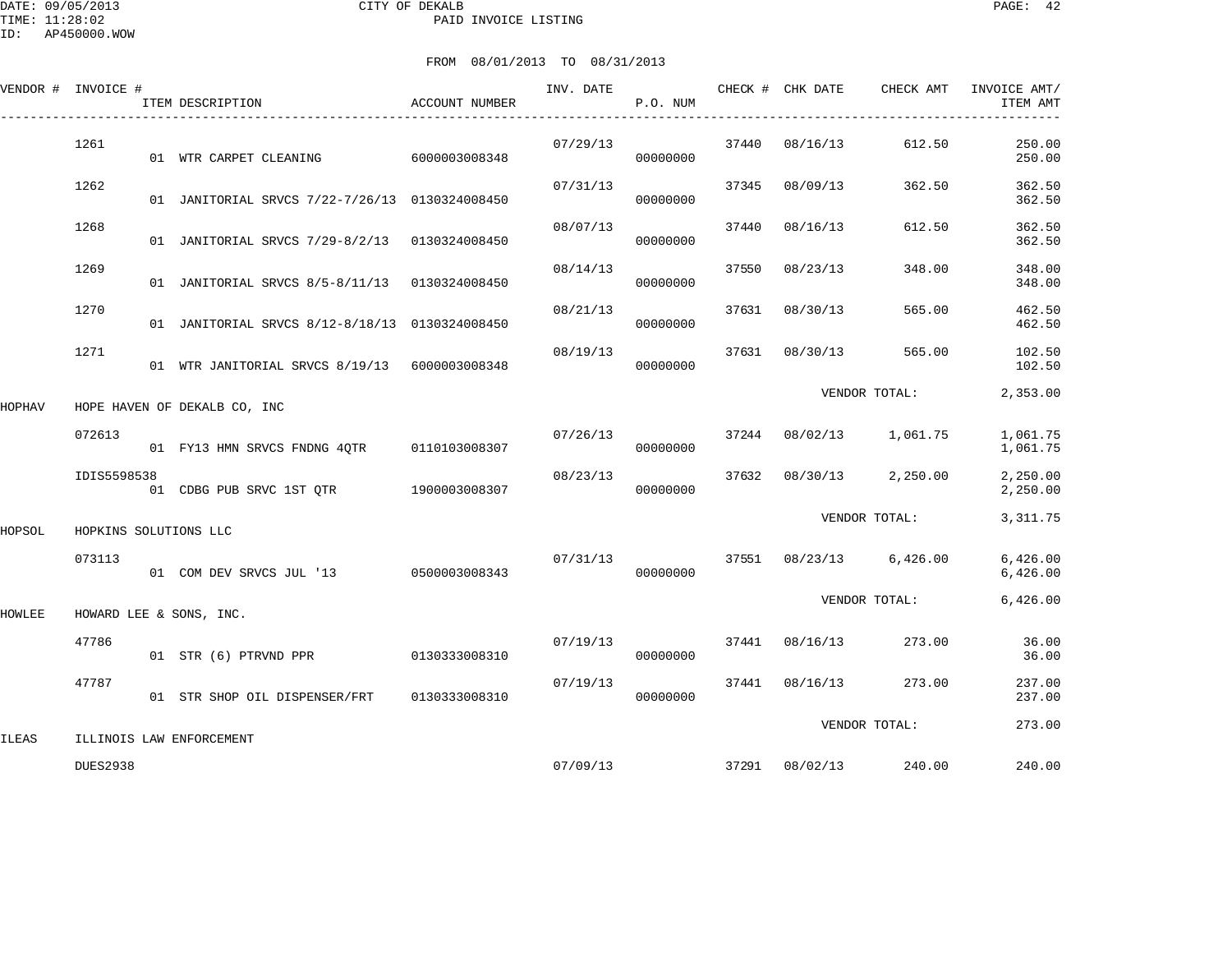|        | VENDOR # INVOICE #    | ITEM DESCRIPTION                               | ACCOUNT NUMBER | INV. DATE | P.O. NUM             |       | CHECK # CHK DATE        | CHECK AMT               | INVOICE AMT/<br>ITEM AMT |
|--------|-----------------------|------------------------------------------------|----------------|-----------|----------------------|-------|-------------------------|-------------------------|--------------------------|
|        | 1261                  | 01 WTR CARPET CLEANING                         | 6000003008348  | 07/29/13  | 00000000             | 37440 | 08/16/13                | 612.50                  | 250.00<br>250.00         |
|        | 1262                  | 01 JANITORIAL SRVCS 7/22-7/26/13 0130324008450 |                | 07/31/13  | 00000000             | 37345 | 08/09/13                | 362.50                  | 362.50<br>362.50         |
|        | 1268                  | 01 JANITORIAL SRVCS 7/29-8/2/13 0130324008450  |                | 08/07/13  | 00000000             | 37440 | 08/16/13                | 612.50                  | 362.50<br>362.50         |
|        | 1269                  | 01 JANITORIAL SRVCS 8/5-8/11/13 0130324008450  |                | 08/14/13  | 00000000             | 37550 | 08/23/13                | 348.00                  | 348.00<br>348.00         |
|        | 1270                  | 01 JANITORIAL SRVCS 8/12-8/18/13 0130324008450 |                | 08/21/13  | 00000000             | 37631 | 08/30/13                | 565.00                  | 462.50<br>462.50         |
|        | 1271                  | 01 WTR JANITORIAL SRVCS 8/19/13 6000003008348  |                | 08/19/13  | 00000000             |       | 37631 08/30/13          | 565.00                  | 102.50<br>102.50         |
| HOPHAV |                       | HOPE HAVEN OF DEKALB CO, INC                   |                |           |                      |       |                         | VENDOR TOTAL:           | 2,353.00                 |
|        | 072613                | 01 FY13 HMN SRVCS FNDNG 4QTR 0110103008307     |                |           | 07/26/13<br>00000000 |       |                         | 37244 08/02/13 1,061.75 | 1,061.75<br>1,061.75     |
|        | IDIS5598538           | 01 CDBG PUB SRVC 1ST QTR 1900003008307         |                | 08/23/13  | 00000000             | 37632 |                         | 08/30/13 2,250.00       | 2,250.00<br>2,250.00     |
| HOPSOL | HOPKINS SOLUTIONS LLC |                                                |                |           |                      |       |                         | VENDOR TOTAL:           | 3, 311.75                |
|        | 073113                | 01 COM DEV SRVCS JUL '13 0500003008343         |                | 07/31/13  | 00000000             |       |                         | 37551 08/23/13 6,426.00 | 6,426.00<br>6,426.00     |
| HOWLEE |                       | HOWARD LEE & SONS, INC.                        |                |           |                      |       |                         | VENDOR TOTAL:           | 6,426.00                 |
|        | 47786                 | 01 STR (6) PTRVND PPR                          | 0130333008310  |           | 07/19/13<br>00000000 | 37441 | 08/16/13                | 273.00                  | 36.00<br>36.00           |
|        | 47787                 | 01 STR SHOP OIL DISPENSER/FRT                  | 0130333008310  | 07/19/13  | 00000000             |       | 37441 08/16/13          | 273.00                  | 237.00<br>237.00         |
| ILEAS  |                       | ILLINOIS LAW ENFORCEMENT                       |                |           |                      |       |                         | VENDOR TOTAL:           | 273.00                   |
|        | <b>DUES2938</b>       |                                                |                |           |                      |       | 07/09/13 37291 08/02/13 | 240.00                  | 240.00                   |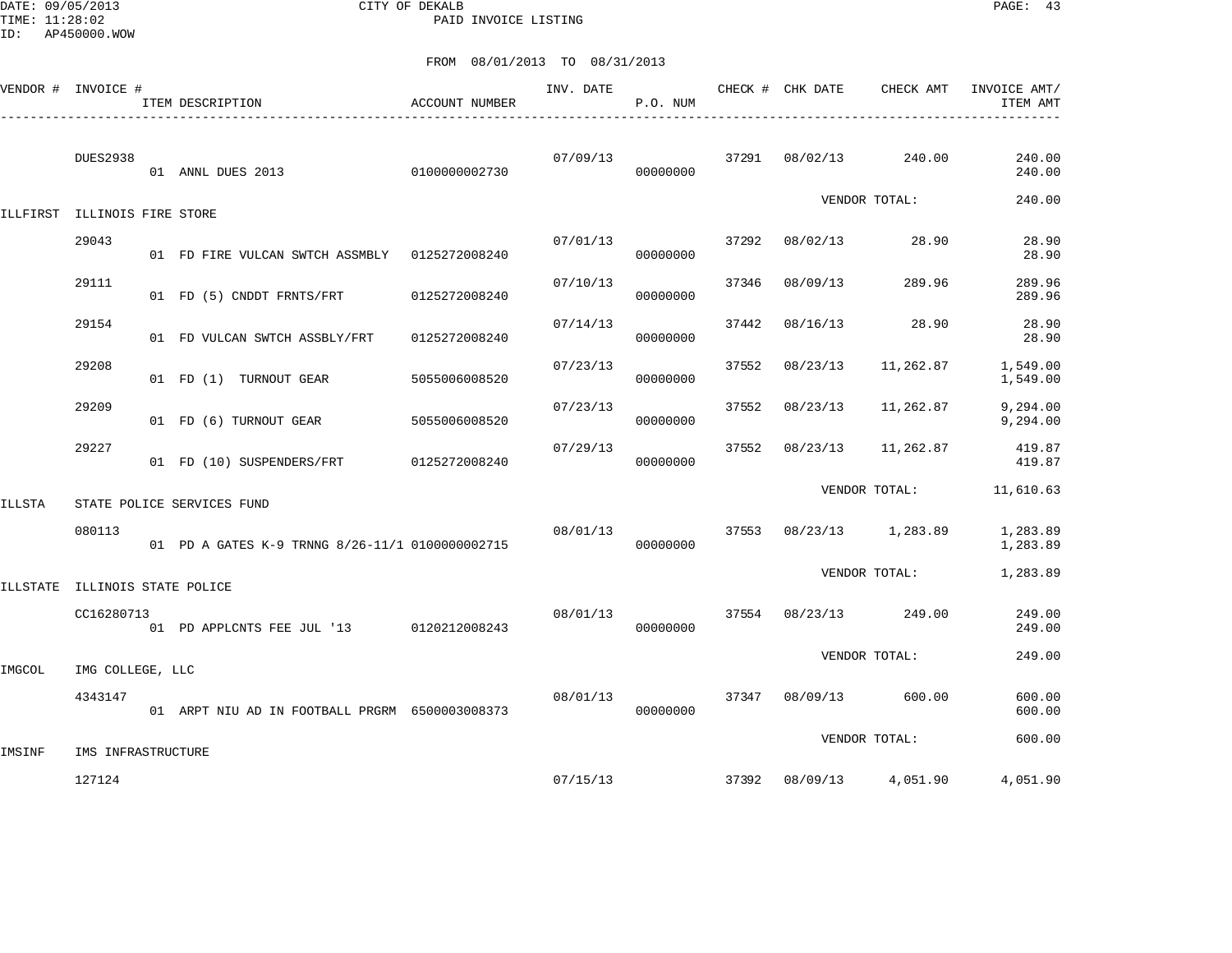DATE: 09/05/2013 CITY OF DEKALB PAGE: 43 PAID INVOICE LISTING

|        | VENDOR # INVOICE #             | ITEM DESCRIPTION                                | ACCOUNT NUMBER | INV. DATE | P.O. NUM |       | CHECK # CHK DATE | CHECK AMT         | INVOICE AMT/<br>ITEM AMT |
|--------|--------------------------------|-------------------------------------------------|----------------|-----------|----------|-------|------------------|-------------------|--------------------------|
|        | <b>DUES2938</b>                | 0100000002730<br>01 ANNL DUES 2013              |                | 07/09/13  | 00000000 | 37291 | 08/02/13         | 240.00            | 240.00<br>240.00         |
|        | ILLFIRST ILLINOIS FIRE STORE   |                                                 |                |           |          |       |                  | VENDOR TOTAL:     | 240.00                   |
|        | 29043                          | 01 FD FIRE VULCAN SWTCH ASSMBLY 0125272008240   |                | 07/01/13  | 00000000 | 37292 | 08/02/13         | 28.90             | 28.90<br>28.90           |
|        | 29111                          | 01 FD (5) CNDDT FRNTS/FRT                       | 0125272008240  | 07/10/13  | 00000000 | 37346 | 08/09/13         | 289.96            | 289.96<br>289.96         |
|        | 29154                          | 01 FD VULCAN SWTCH ASSBLY/FRT                   | 0125272008240  | 07/14/13  | 00000000 | 37442 | 08/16/13         | 28.90             | 28.90<br>28.90           |
|        | 29208                          | 01 FD (1) TURNOUT GEAR                          | 5055006008520  | 07/23/13  | 00000000 | 37552 | 08/23/13         | 11,262.87         | 1,549.00<br>1,549.00     |
|        | 29209                          | 01 FD (6) TURNOUT GEAR                          | 5055006008520  | 07/23/13  | 00000000 | 37552 | 08/23/13         | 11,262.87         | 9,294.00<br>9,294.00     |
|        | 29227                          | 01 FD (10) SUSPENDERS/FRT                       | 0125272008240  | 07/29/13  | 00000000 | 37552 | 08/23/13         | 11,262.87         | 419.87<br>419.87         |
| ILLSTA |                                | STATE POLICE SERVICES FUND                      |                |           |          |       |                  | VENDOR TOTAL:     | 11,610.63                |
|        | 080113                         | 01 PD A GATES K-9 TRNNG 8/26-11/1 0100000002715 |                | 08/01/13  | 00000000 | 37553 |                  | 08/23/13 1,283.89 | 1,283.89<br>1,283.89     |
|        | ILLSTATE ILLINOIS STATE POLICE |                                                 |                |           |          |       |                  | VENDOR TOTAL:     | 1,283.89                 |
|        | CC16280713                     | 01 PD APPLCNTS FEE JUL '13 0120212008243        |                | 08/01/13  | 00000000 | 37554 | 08/23/13         | 249.00            | 249.00<br>249.00         |
| IMGCOL | IMG COLLEGE, LLC               |                                                 |                |           |          |       |                  | VENDOR TOTAL:     | 249.00                   |
|        | 4343147                        | 01 ARPT NIU AD IN FOOTBALL PRGRM 6500003008373  |                | 08/01/13  | 00000000 | 37347 | 08/09/13         | 600.00            | 600.00<br>600.00         |
| IMSINF | IMS INFRASTRUCTURE             |                                                 |                |           |          |       |                  | VENDOR TOTAL:     | 600.00                   |
|        | 127124                         |                                                 |                | 07/15/13  |          |       | 37392 08/09/13   | 4,051.90          | 4,051.90                 |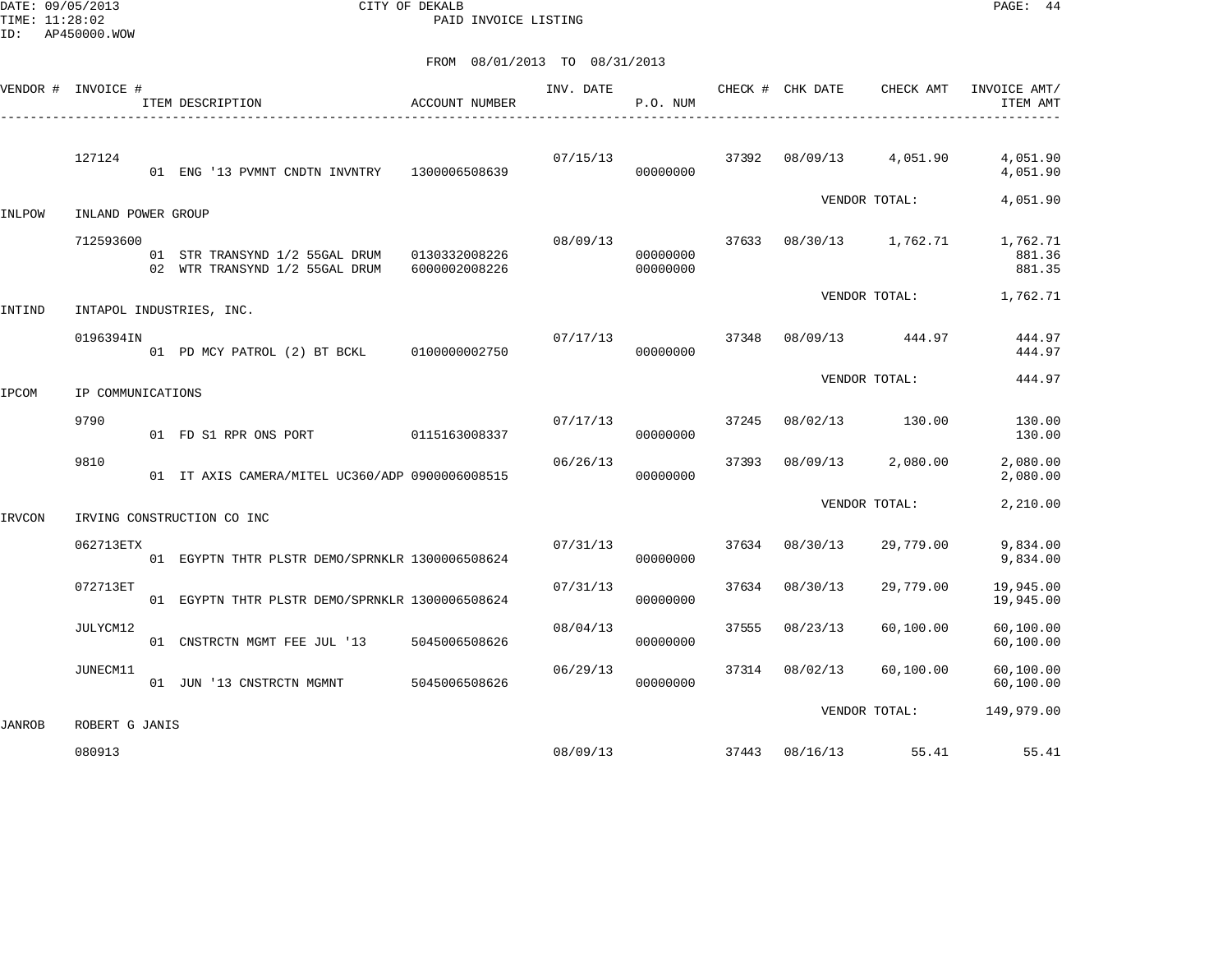DATE: 09/05/2013 CITY OF DEKALB PAGE: 44 PAID INVOICE LISTING

|        | VENDOR # INVOICE # | ITEM DESCRIPTION<br>-------------------------                                  | ACCOUNT NUMBER | INV. DATE | P.O. NUM             |       | CHECK # CHK DATE  | CHECK AMT     | INVOICE AMT/<br>ITEM AMT     |
|--------|--------------------|--------------------------------------------------------------------------------|----------------|-----------|----------------------|-------|-------------------|---------------|------------------------------|
|        | 127124             | 01 ENG '13 PVMNT CNDTN INVNTRY 1300006508639                                   |                | 07/15/13  | 00000000             | 37392 | 08/09/13 4,051.90 |               | 4,051.90<br>4,051.90         |
| INLPOW | INLAND POWER GROUP |                                                                                |                |           |                      |       |                   | VENDOR TOTAL: | 4,051.90                     |
|        | 712593600          | 01 STR TRANSYND 1/2 55GAL DRUM 0130332008226<br>02 WTR TRANSYND 1/2 55GAL DRUM | 6000002008226  | 08/09/13  | 00000000<br>00000000 | 37633 | 08/30/13 1,762.71 |               | 1,762.71<br>881.36<br>881.35 |
| INTIND |                    | INTAPOL INDUSTRIES, INC.                                                       |                |           |                      |       |                   | VENDOR TOTAL: | 1,762.71                     |
|        | 0196394IN          | 01 PD MCY PATROL (2) BT BCKL 0100000002750                                     |                | 07/17/13  | 37348<br>00000000    |       | 08/09/13 444.97   |               | 444.97<br>444.97             |
| IPCOM  | IP COMMUNICATIONS  |                                                                                |                |           |                      |       | VENDOR TOTAL:     |               | 444.97                       |
|        | 9790               | 01 FD S1 RPR ONS PORT                                                          | 0115163008337  | 07/17/13  | 00000000             | 37245 | 08/02/13 130.00   |               | 130.00<br>130.00             |
|        | 9810               | 01 IT AXIS CAMERA/MITEL UC360/ADP 0900006008515                                |                | 06/26/13  | 00000000             | 37393 | 08/09/13 2,080.00 |               | 2,080.00<br>2,080.00         |
| IRVCON |                    | IRVING CONSTRUCTION CO INC                                                     |                |           |                      |       |                   | VENDOR TOTAL: | 2,210.00                     |
|        | 062713ETX          | 01 EGYPTN THTR PLSTR DEMO/SPRNKLR 1300006508624                                |                | 07/31/13  | 00000000             | 37634 | 08/30/13          | 29,779.00     | 9,834.00<br>9,834.00         |
|        | 072713ET           | 01 EGYPTN THTR PLSTR DEMO/SPRNKLR 1300006508624                                |                | 07/31/13  | 00000000             | 37634 | 08/30/13          | 29,779.00     | 19,945.00<br>19,945.00       |
|        | JULYCM12           | 01 CNSTRCTN MGMT FEE JUL '13 5045006508626                                     |                | 08/04/13  | 00000000             | 37555 | 08/23/13          | 60,100.00     | 60,100.00<br>60,100.00       |
|        | JUNECM11           | 01 JUN '13 CNSTRCTN MGMNT                                                      | 5045006508626  | 06/29/13  | 00000000             | 37314 | 08/02/13          | 60,100.00     | 60,100.00<br>60,100.00       |
| JANROB | ROBERT G JANIS     |                                                                                |                |           |                      |       |                   | VENDOR TOTAL: | 149,979.00                   |
|        | 080913             |                                                                                |                | 08/09/13  |                      |       | 37443 08/16/13    | 55.41         | 55.41                        |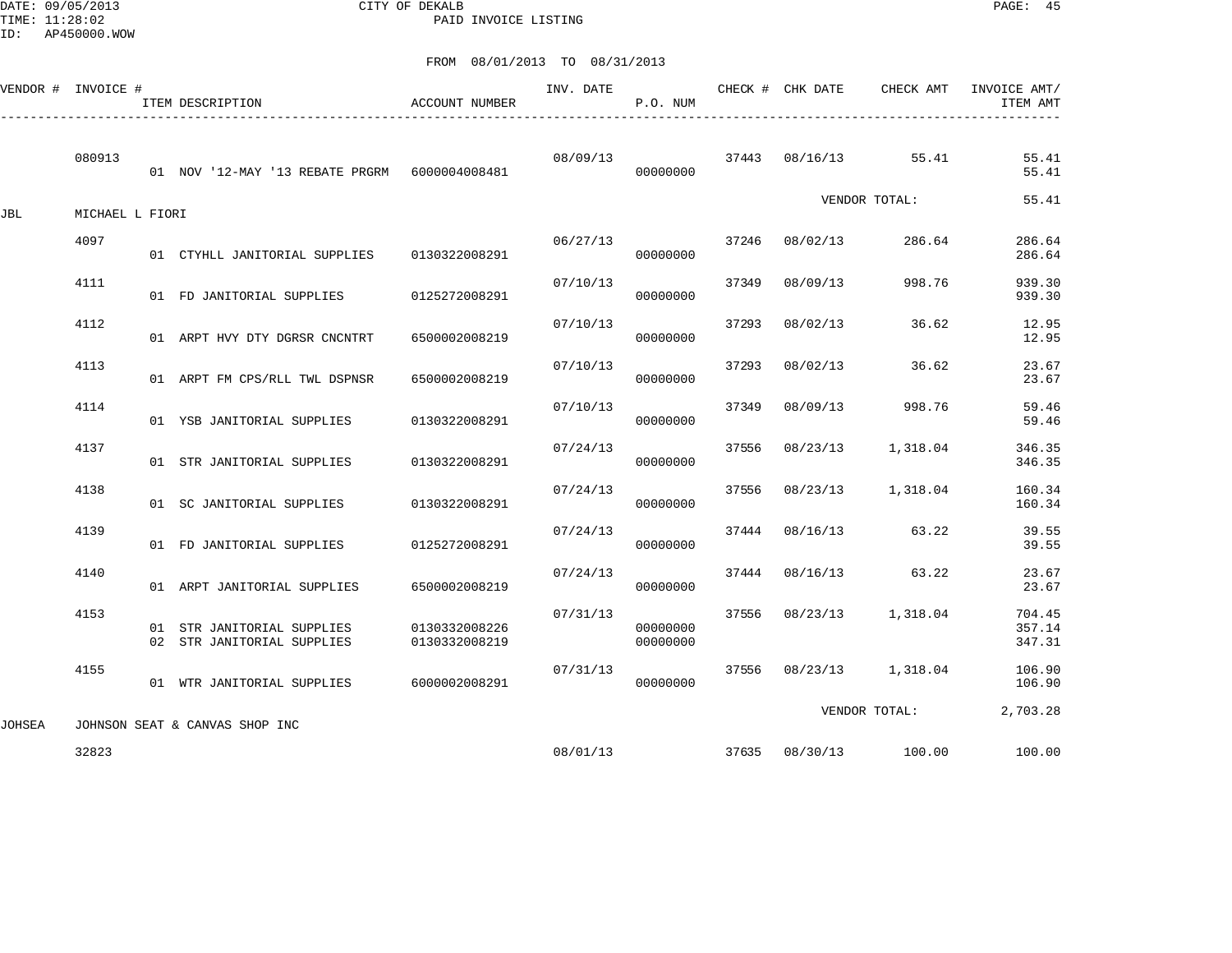DATE: 09/05/2013 CITY OF DEKALB PAGE: 45 PAID INVOICE LISTING

|        |                    |                                                                                                                                                                                                                                                                                                                                                                                       | INV. DATE                                                                                                                                                         | P.O. NUM             |          | CHECK AMT | INVOICE AMT/<br>ITEM AMT                                                                                                                                                                                                                                           |
|--------|--------------------|---------------------------------------------------------------------------------------------------------------------------------------------------------------------------------------------------------------------------------------------------------------------------------------------------------------------------------------------------------------------------------------|-------------------------------------------------------------------------------------------------------------------------------------------------------------------|----------------------|----------|-----------|--------------------------------------------------------------------------------------------------------------------------------------------------------------------------------------------------------------------------------------------------------------------|
| 080913 |                    |                                                                                                                                                                                                                                                                                                                                                                                       | 08/09/13                                                                                                                                                          | 00000000             |          | 55.41     | 55.41<br>55.41                                                                                                                                                                                                                                                     |
|        |                    |                                                                                                                                                                                                                                                                                                                                                                                       |                                                                                                                                                                   |                      |          |           | 55.41                                                                                                                                                                                                                                                              |
| 4097   |                    |                                                                                                                                                                                                                                                                                                                                                                                       |                                                                                                                                                                   | 00000000             | 37246    | 286.64    | 286.64<br>286.64                                                                                                                                                                                                                                                   |
| 4111   |                    | 0125272008291                                                                                                                                                                                                                                                                                                                                                                         | 07/10/13                                                                                                                                                          | 00000000             | 37349    | 998.76    | 939.30<br>939.30                                                                                                                                                                                                                                                   |
| 4112   |                    | 6500002008219                                                                                                                                                                                                                                                                                                                                                                         | 07/10/13                                                                                                                                                          | 00000000             | 37293    | 36.62     | 12.95<br>12.95                                                                                                                                                                                                                                                     |
| 4113   |                    | 6500002008219                                                                                                                                                                                                                                                                                                                                                                         | 07/10/13                                                                                                                                                          | 00000000             | 37293    | 36.62     | 23.67<br>23.67                                                                                                                                                                                                                                                     |
| 4114   |                    | 0130322008291                                                                                                                                                                                                                                                                                                                                                                         | 07/10/13                                                                                                                                                          | 00000000             | 37349    | 998.76    | 59.46<br>59.46                                                                                                                                                                                                                                                     |
| 4137   |                    | 0130322008291                                                                                                                                                                                                                                                                                                                                                                         | 07/24/13                                                                                                                                                          | 00000000             | 37556    | 1,318.04  | 346.35<br>346.35                                                                                                                                                                                                                                                   |
| 4138   |                    | 0130322008291                                                                                                                                                                                                                                                                                                                                                                         | 07/24/13                                                                                                                                                          | 00000000             | 37556    |           | 160.34<br>160.34                                                                                                                                                                                                                                                   |
| 4139   |                    | 0125272008291                                                                                                                                                                                                                                                                                                                                                                         | 07/24/13                                                                                                                                                          | 00000000             |          | 63.22     | 39.55<br>39.55                                                                                                                                                                                                                                                     |
| 4140   |                    | 6500002008219                                                                                                                                                                                                                                                                                                                                                                         | 07/24/13                                                                                                                                                          | 00000000             | 37444    | 63.22     | 23.67<br>23.67                                                                                                                                                                                                                                                     |
| 4153   |                    | 0130332008226<br>0130332008219                                                                                                                                                                                                                                                                                                                                                        | 07/31/13                                                                                                                                                          | 00000000<br>00000000 | 37556    | 1,318.04  | 704.45<br>357.14<br>347.31                                                                                                                                                                                                                                         |
| 4155   |                    |                                                                                                                                                                                                                                                                                                                                                                                       | 07/31/13                                                                                                                                                          | 00000000             |          |           | 106.90<br>106.90                                                                                                                                                                                                                                                   |
|        |                    |                                                                                                                                                                                                                                                                                                                                                                                       |                                                                                                                                                                   |                      |          |           | 2,703.28                                                                                                                                                                                                                                                           |
| 32823  |                    |                                                                                                                                                                                                                                                                                                                                                                                       |                                                                                                                                                                   |                      |          |           | 100.00                                                                                                                                                                                                                                                             |
|        | VENDOR # INVOICE # | ITEM DESCRIPTION<br>MICHAEL L FIORI<br>01 FD JANITORIAL SUPPLIES<br>01 ARPT HVY DTY DGRSR CNCNTRT<br>01 ARPT FM CPS/RLL TWL DSPNSR<br>01 YSB JANITORIAL SUPPLIES<br>01 STR JANITORIAL SUPPLIES<br>01 SC JANITORIAL SUPPLIES<br>01 FD JANITORIAL SUPPLIES<br>01 ARPT JANITORIAL SUPPLIES<br>01 STR JANITORIAL SUPPLIES<br>02 STR JANITORIAL SUPPLIES<br>JOHNSON SEAT & CANVAS SHOP INC | <b>ACCOUNT NUMBER</b><br>01 NOV '12-MAY '13 REBATE PRGRM 6000004008481<br>01 CTYHLL JANITORIAL SUPPLIES 0130322008291<br>01 WTR JANITORIAL SUPPLIES 6000002008291 |                      | 06/27/13 | 37444     | CHECK # CHK DATE<br>37443 08/16/13<br>VENDOR TOTAL:<br>08/02/13<br>08/09/13<br>08/02/13<br>08/02/13<br>08/09/13<br>08/23/13<br>08/23/13 1,318.04<br>08/16/13<br>08/16/13<br>08/23/13<br>37556 08/23/13 1,318.04<br>VENDOR TOTAL:<br>08/01/13 37635 08/30/13 100.00 |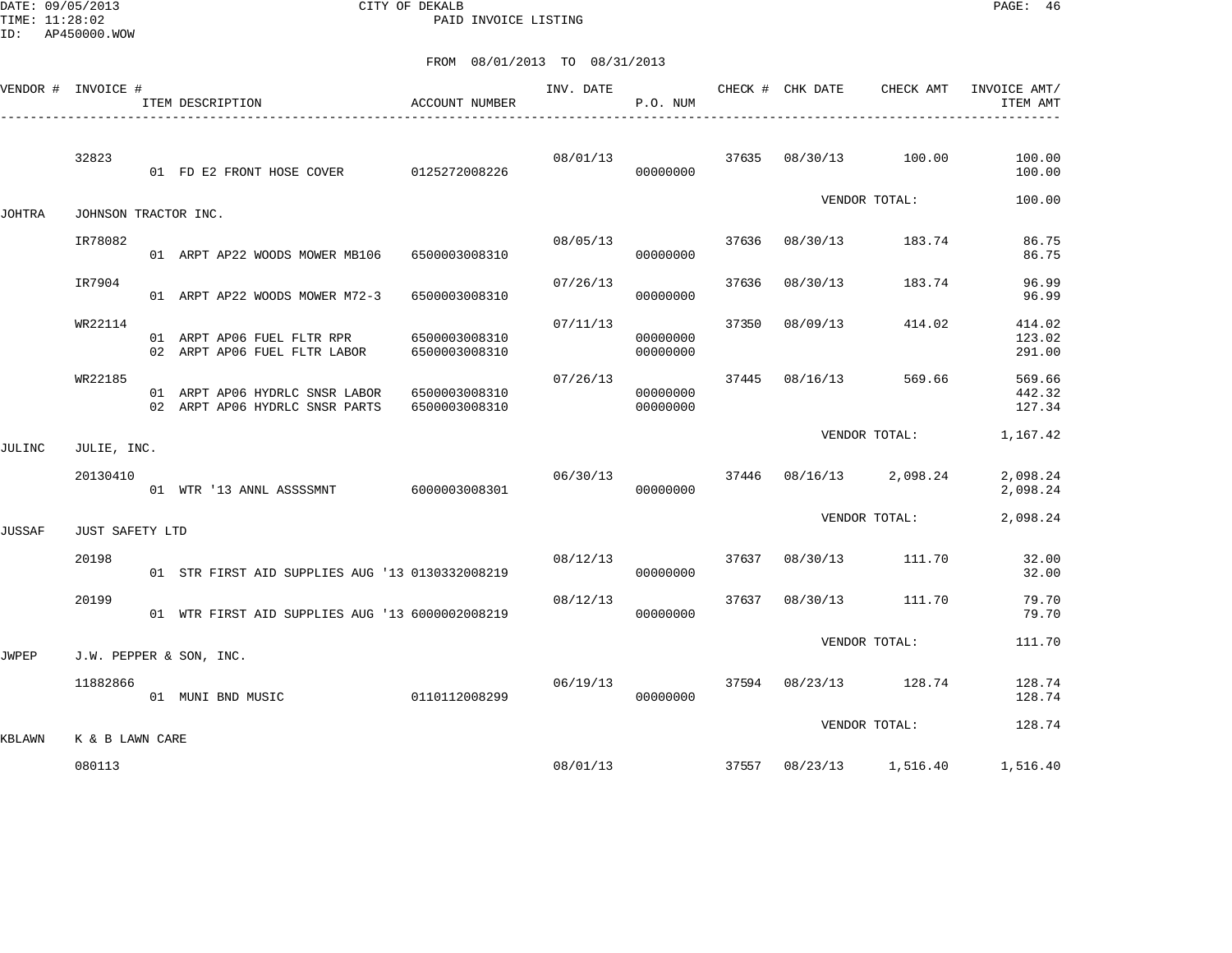DATE: 09/05/2013 CITY OF DEKALB PAGE: 46 PAID INVOICE LISTING

|              | VENDOR # INVOICE #   | ACCOUNT NUMBER<br>ITEM DESCRIPTION                               |                                | INV. DATE | P.O. NUM             |       | CHECK # CHK DATE | CHECK AMT               | INVOICE AMT/<br>ITEM AMT   |
|--------------|----------------------|------------------------------------------------------------------|--------------------------------|-----------|----------------------|-------|------------------|-------------------------|----------------------------|
|              | 32823                | 01 FD E2 FRONT HOSE COVER 0125272008226                          |                                | 08/01/13  | 00000000             |       |                  | 37635 08/30/13 100.00   | 100.00<br>100.00           |
| JOHTRA       | JOHNSON TRACTOR INC. |                                                                  |                                |           |                      |       |                  | VENDOR TOTAL:           | 100.00                     |
|              | IR78082              | 01 ARPT AP22 WOODS MOWER MB106 6500003008310                     |                                | 08/05/13  | 00000000             | 37636 | 08/30/13         | 183.74                  | 86.75<br>86.75             |
|              | IR7904               | 01 ARPT AP22 WOODS MOWER M72-3                                   | 6500003008310                  | 07/26/13  | 00000000             | 37636 | 08/30/13         | 183.74                  | 96.99<br>96.99             |
|              | WR22114              | 01 ARPT AP06 FUEL FLTR RPR<br>02 ARPT AP06 FUEL FLTR LABOR       | 6500003008310<br>6500003008310 | 07/11/13  | 00000000<br>00000000 | 37350 | 08/09/13         | 414.02                  | 414.02<br>123.02<br>291.00 |
|              | WR22185              | 01 ARPT AP06 HYDRLC SNSR LABOR<br>02 ARPT AP06 HYDRLC SNSR PARTS | 6500003008310<br>6500003008310 | 07/26/13  | 00000000<br>00000000 | 37445 | 08/16/13         | 569.66                  | 569.66<br>442.32<br>127.34 |
| JULINC       | JULIE, INC.          |                                                                  |                                |           |                      |       |                  | VENDOR TOTAL:           | 1,167.42                   |
|              | 20130410             | 01 WTR '13 ANNL ASSSSMNT 6000003008301                           |                                | 06/30/13  | 00000000             |       |                  | 37446 08/16/13 2,098.24 | 2,098.24<br>2,098.24       |
| JUSSAF       | JUST SAFETY LTD      |                                                                  |                                |           |                      |       |                  | VENDOR TOTAL:           | 2,098.24                   |
|              | 20198                | 01 STR FIRST AID SUPPLIES AUG '13 0130332008219                  |                                | 08/12/13  | 00000000             |       |                  | 37637 08/30/13 111.70   | 32.00<br>32.00             |
|              | 20199                | 01 WTR FIRST AID SUPPLIES AUG '13 6000002008219                  |                                | 08/12/13  | 00000000             | 37637 |                  | 08/30/13 111.70         | 79.70<br>79.70             |
| <b>JWPEP</b> |                      | J.W. PEPPER & SON, INC.                                          |                                |           |                      |       |                  | VENDOR TOTAL:           | 111.70                     |
|              | 11882866             | 01 MUNI BND MUSIC                                                | 0110112008299                  |           | 06/19/13<br>00000000 |       |                  | 37594 08/23/13 128.74   | 128.74<br>128.74           |
| KBLAWN       | K & B LAWN CARE      |                                                                  |                                |           |                      |       |                  | VENDOR TOTAL:           | 128.74                     |
|              | 080113               |                                                                  |                                |           | 08/01/13             |       |                  | 37557 08/23/13 1,516.40 | 1,516.40                   |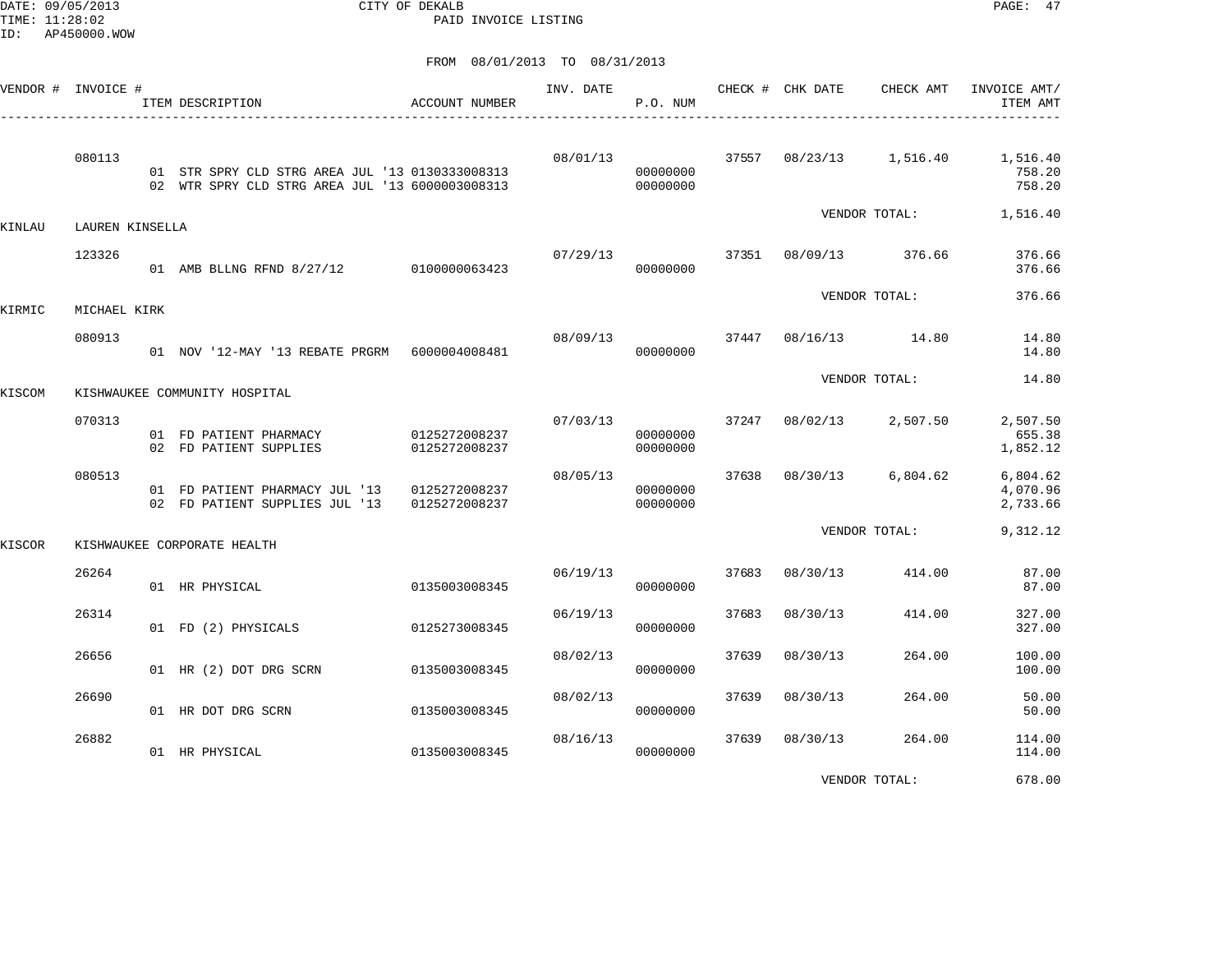DATE: 09/05/2013 CITY OF DEKALB PAGE: 47 PAID INVOICE LISTING

|        | VENDOR # INVOICE # | ITEM DESCRIPTION                                                                                   | <b>ACCOUNT NUMBER</b>          | INV. DATE | P.O. NUM             |       | CHECK # CHK DATE | CHECK AMT                      | INVOICE AMT/<br>ITEM AMT                             |
|--------|--------------------|----------------------------------------------------------------------------------------------------|--------------------------------|-----------|----------------------|-------|------------------|--------------------------------|------------------------------------------------------|
|        | 080113             | 01 STR SPRY CLD STRG AREA JUL '13 0130333008313<br>02 WTR SPRY CLD STRG AREA JUL '13 6000003008313 |                                | 08/01/13  | 00000000<br>00000000 |       |                  |                                | 37557 08/23/13 1,516.40 1,516.40<br>758.20<br>758.20 |
| KINLAU | LAUREN KINSELLA    |                                                                                                    |                                |           |                      |       |                  |                                | VENDOR TOTAL: 1,516.40                               |
|        | 123326             | 01 AMB BLLNG RFND 8/27/12 0100000063423                                                            |                                |           | 00000000             |       |                  | 07/29/13 37351 08/09/13 376.66 | 376.66<br>376.66                                     |
| KIRMIC | MICHAEL KIRK       |                                                                                                    |                                |           |                      |       |                  | VENDOR TOTAL:                  | 376.66                                               |
|        | 080913             | 01 NOV '12-MAY '13 REBATE PRGRM    6000004008481                                                   |                                | 08/09/13  | 00000000             |       |                  | 37447 08/16/13 14.80           | 14.80<br>14.80                                       |
| KISCOM |                    | KISHWAUKEE COMMUNITY HOSPITAL                                                                      |                                |           |                      |       |                  | VENDOR TOTAL:                  | 14.80                                                |
|        | 070313             | 01 FD PATIENT PHARMACY<br>02 FD PATIENT SUPPLIES                                                   | 0125272008237<br>0125272008237 | 07/03/13  | 00000000<br>00000000 |       | 37247 08/02/13   | 2,507.50                       | 2,507.50<br>655.38<br>1,852.12                       |
|        | 080513             | 01 FD PATIENT PHARMACY JUL '13 0125272008237<br>02 FD PATIENT SUPPLIES JUL '13 0125272008237       |                                | 08/05/13  | 00000000<br>00000000 |       |                  | 37638 08/30/13 6,804.62        | 6,804.62<br>4,070.96<br>2,733.66                     |
| KISCOR |                    | KISHWAUKEE CORPORATE HEALTH                                                                        |                                |           |                      |       |                  | VENDOR TOTAL:                  | 9,312.12                                             |
|        | 26264              | 01 HR PHYSICAL                                                                                     | 0135003008345                  | 06/19/13  | 00000000             | 37683 | 08/30/13         | 414.00                         | 87.00<br>87.00                                       |
|        | 26314              | 01 FD (2) PHYSICALS                                                                                | 0125273008345                  | 06/19/13  | 00000000             | 37683 | 08/30/13         | 414.00                         | 327.00<br>327.00                                     |
|        | 26656              | 01 HR (2) DOT DRG SCRN                                                                             | 0135003008345                  | 08/02/13  | 00000000             | 37639 | 08/30/13         | 264.00                         | 100.00<br>100.00                                     |
|        | 26690              | 01 HR DOT DRG SCRN                                                                                 | 0135003008345                  | 08/02/13  | 00000000             | 37639 | 08/30/13         | 264.00                         | 50.00<br>50.00                                       |
|        | 26882              | 01 HR PHYSICAL                                                                                     | 0135003008345                  | 08/16/13  | 00000000             | 37639 | 08/30/13         | 264.00                         | 114.00<br>114.00                                     |
|        |                    |                                                                                                    |                                |           |                      |       |                  | VENDOR TOTAL:                  | 678.00                                               |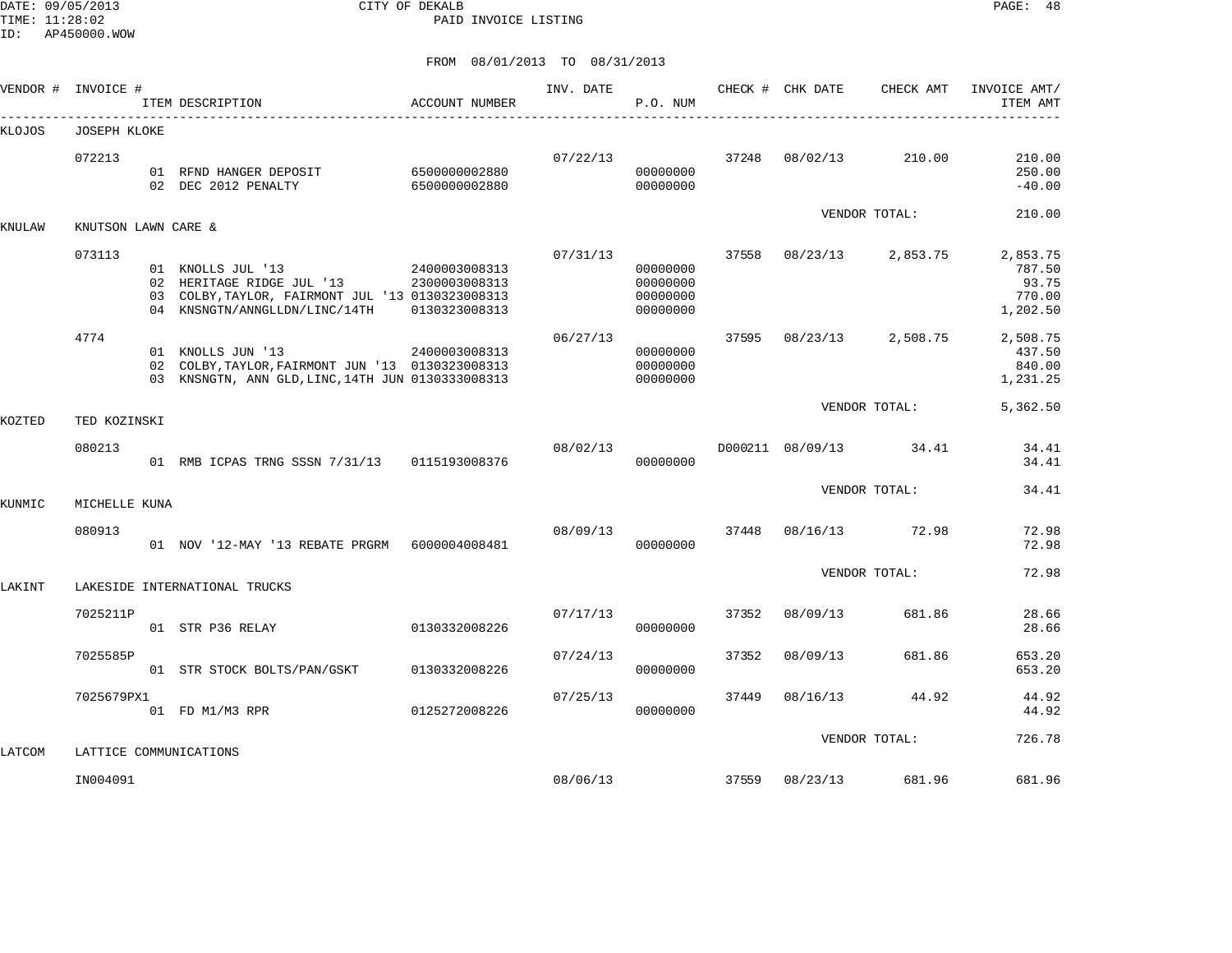DATE: 09/05/2013 CITY OF DEKALB PAGE: 48 PAID INVOICE LISTING

ID: AP450000.WOW

| VENDOR # | INVOICE #           | ITEM DESCRIPTION                                                                                                                    | ACCOUNT NUMBER                                  | INV. DATE | P.O. NUM                                     |       | CHECK # CHK DATE | CHECK AMT              | INVOICE AMT/<br>ITEM AMT                          |
|----------|---------------------|-------------------------------------------------------------------------------------------------------------------------------------|-------------------------------------------------|-----------|----------------------------------------------|-------|------------------|------------------------|---------------------------------------------------|
| KLOJOS   | <b>JOSEPH KLOKE</b> |                                                                                                                                     |                                                 |           |                                              |       |                  |                        |                                                   |
|          | 072213              | 01 RFND HANGER DEPOSIT 6500000002880<br>02 DEC 2012 PENALTY                                                                         | 6500000002880                                   | 07/22/13  | 00000000<br>00000000                         | 37248 | 08/02/13         | 210.00                 | 210.00<br>250.00<br>$-40.00$                      |
| KNULAW   | KNUTSON LAWN CARE & |                                                                                                                                     |                                                 |           |                                              |       |                  | VENDOR TOTAL:          | 210.00                                            |
|          | 073113              | 01 KNOLLS JUL '13<br>02 HERITAGE RIDGE JUL '13<br>03 COLBY, TAYLOR, FAIRMONT JUL '13 0130323008313<br>04 KNSNGTN/ANNGLLDN/LINC/14TH | 2400003008313<br>2300003008313<br>0130323008313 | 07/31/13  | 00000000<br>00000000<br>00000000<br>00000000 | 37558 | 08/23/13         | 2,853.75               | 2,853.75<br>787.50<br>93.75<br>770.00<br>1,202.50 |
|          | 4774                | 01 KNOLLS JUN '13<br>02 COLBY, TAYLOR, FAIRMONT JUN '13 0130323008313<br>03 KNSNGTN, ANN GLD, LINC, 14TH JUN 0130333008313          | 2400003008313                                   | 06/27/13  | 00000000<br>00000000<br>00000000             | 37595 |                  | 08/23/13 2,508.75      | 2,508.75<br>437.50<br>840.00<br>1,231.25          |
| KOZTED   | TED KOZINSKI        |                                                                                                                                     |                                                 |           |                                              |       |                  | VENDOR TOTAL:          | 5,362.50                                          |
|          | 080213              | 01 RMB ICPAS TRNG SSSN 7/31/13 0115193008376                                                                                        |                                                 | 08/02/13  | 00000000                                     |       |                  | D000211 08/09/13 34.41 | 34.41<br>34.41                                    |
| KUNMIC   | MICHELLE KUNA       |                                                                                                                                     |                                                 |           |                                              |       |                  | VENDOR TOTAL:          | 34.41                                             |
|          | 080913              | 01 NOV '12-MAY '13 REBATE PRGRM 6000004008481                                                                                       |                                                 | 08/09/13  | 00000000                                     | 37448 |                  | 08/16/13 72.98         | 72.98<br>72.98                                    |
| LAKINT   |                     | LAKESIDE INTERNATIONAL TRUCKS                                                                                                       |                                                 |           |                                              |       |                  | VENDOR TOTAL:          | 72.98                                             |
|          | 7025211P            | 01 STR P36 RELAY                                                                                                                    | 0130332008226                                   | 07/17/13  | 00000000                                     | 37352 | 08/09/13         | 681.86                 | 28.66<br>28.66                                    |
|          | 7025585P            | 01 STR STOCK BOLTS/PAN/GSKT                                                                                                         | 0130332008226                                   | 07/24/13  | 00000000                                     | 37352 | 08/09/13         | 681.86                 | 653.20<br>653.20                                  |
|          | 7025679PX1          | 01 FD M1/M3 RPR                                                                                                                     | 0125272008226                                   | 07/25/13  | 00000000                                     | 37449 | 08/16/13         | 44.92                  | 44.92<br>44.92                                    |
| LATCOM   |                     | LATTICE COMMUNICATIONS                                                                                                              |                                                 |           |                                              |       |                  | VENDOR TOTAL:          | 726.78                                            |
|          | IN004091            |                                                                                                                                     |                                                 | 08/06/13  |                                              | 37559 | 08/23/13         | 681.96                 | 681.96                                            |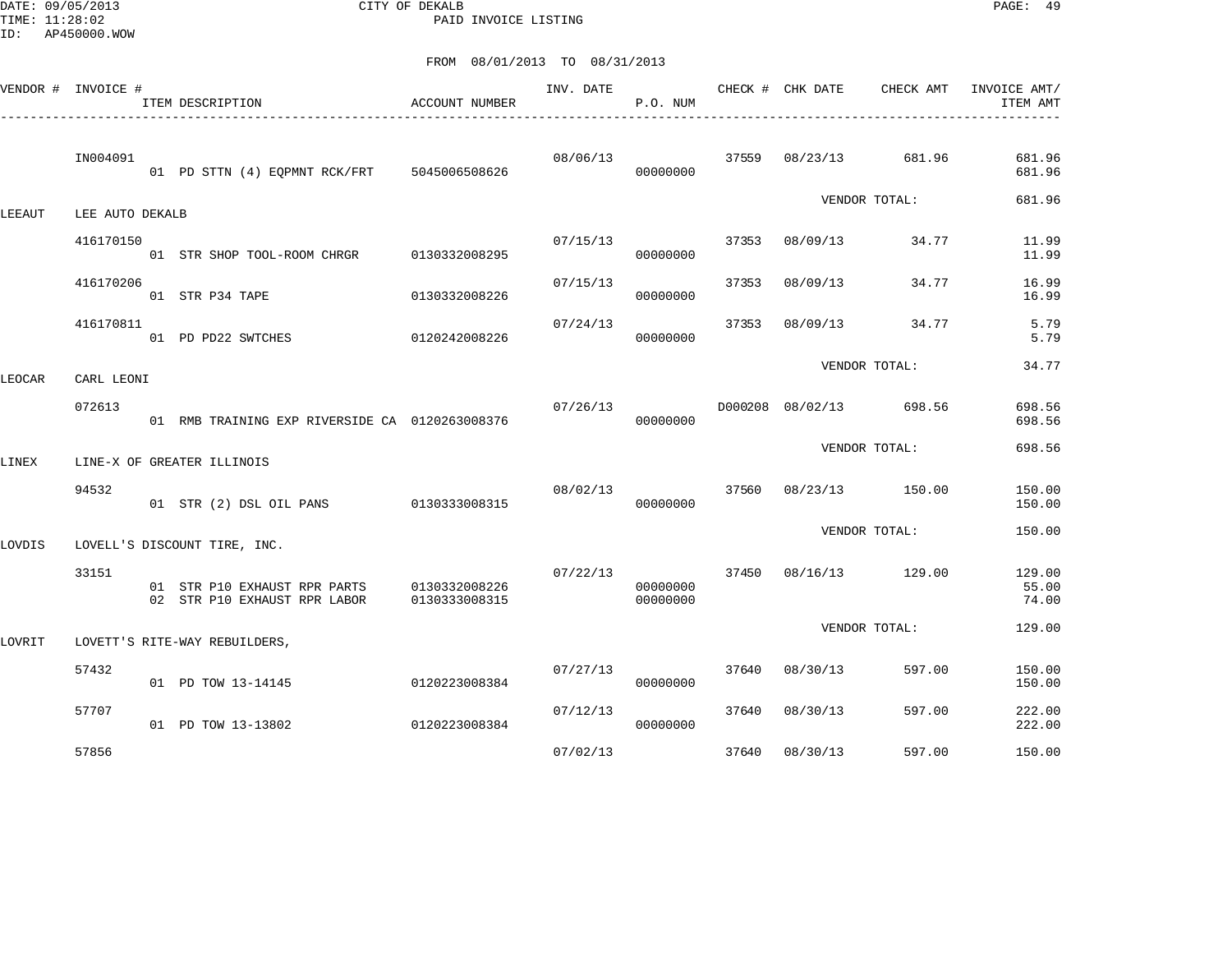DATE: 09/05/2013 CITY OF DEKALB PAGE: 49 PAID INVOICE LISTING

|        | VENDOR # INVOICE # | ITEM DESCRIPTION                                                           | ACCOUNT NUMBER | INV. DATE | P.O. NUM             |       | CHECK # CHK DATE | CHECK AMT               | INVOICE AMT/<br>ITEM AMT |
|--------|--------------------|----------------------------------------------------------------------------|----------------|-----------|----------------------|-------|------------------|-------------------------|--------------------------|
|        | IN004091           | 01 PD STTN (4) EQPMNT RCK/FRT 5045006508626                                |                | 08/06/13  | 00000000             | 37559 | 08/23/13         | 681.96                  | 681.96<br>681.96         |
| LEEAUT | LEE AUTO DEKALB    |                                                                            |                |           |                      |       |                  | VENDOR TOTAL:           | 681.96                   |
|        | 416170150          | 01 STR SHOP TOOL-ROOM CHRGR 0130332008295                                  |                | 07/15/13  | 00000000             | 37353 | 08/09/13         | 34.77                   | 11.99<br>11.99           |
|        | 416170206          | 01 STR P34 TAPE                                                            | 0130332008226  | 07/15/13  | 00000000             | 37353 | 08/09/13         | 34.77                   | 16.99<br>16.99           |
|        | 416170811          | 01 PD PD22 SWTCHES                                                         | 0120242008226  | 07/24/13  | 00000000             | 37353 | 08/09/13         | 34.77                   | 5.79<br>5.79             |
| LEOCAR | CARL LEONI         |                                                                            |                |           |                      |       |                  | VENDOR TOTAL:           | 34.77                    |
|        | 072613             | 01 RMB TRAINING EXP RIVERSIDE CA 0120263008376                             |                | 07/26/13  | 00000000             |       |                  | D000208 08/02/13 698.56 | 698.56<br>698.56         |
| LINEX  |                    | LINE-X OF GREATER ILLINOIS                                                 |                |           |                      |       |                  | VENDOR TOTAL:           | 698.56                   |
|        | 94532              | 01 STR (2) DSL OIL PANS                                                    | 0130333008315  | 08/02/13  | 00000000             |       |                  | 37560 08/23/13 150.00   | 150.00<br>150.00         |
| LOVDIS |                    | LOVELL'S DISCOUNT TIRE, INC.                                               |                |           |                      |       |                  | VENDOR TOTAL:           | 150.00                   |
|        | 33151              | 01 STR P10 EXHAUST RPR PARTS 0130332008226<br>02 STR P10 EXHAUST RPR LABOR | 0130333008315  | 07/22/13  | 00000000<br>00000000 | 37450 |                  | 08/16/13 129.00         | 129.00<br>55.00<br>74.00 |
| LOVRIT |                    | LOVETT'S RITE-WAY REBUILDERS,                                              |                |           |                      |       |                  | VENDOR TOTAL:           | 129.00                   |
|        | 57432              | 01 PD TOW 13-14145                                                         | 0120223008384  | 07/27/13  | 00000000             | 37640 | 08/30/13         | 597.00                  | 150.00<br>150.00         |
|        | 57707              | 01 PD TOW 13-13802                                                         | 0120223008384  | 07/12/13  | 00000000             | 37640 | 08/30/13         | 597.00                  | 222.00<br>222.00         |
|        | 57856              |                                                                            |                | 07/02/13  |                      | 37640 | 08/30/13         | 597.00                  | 150.00                   |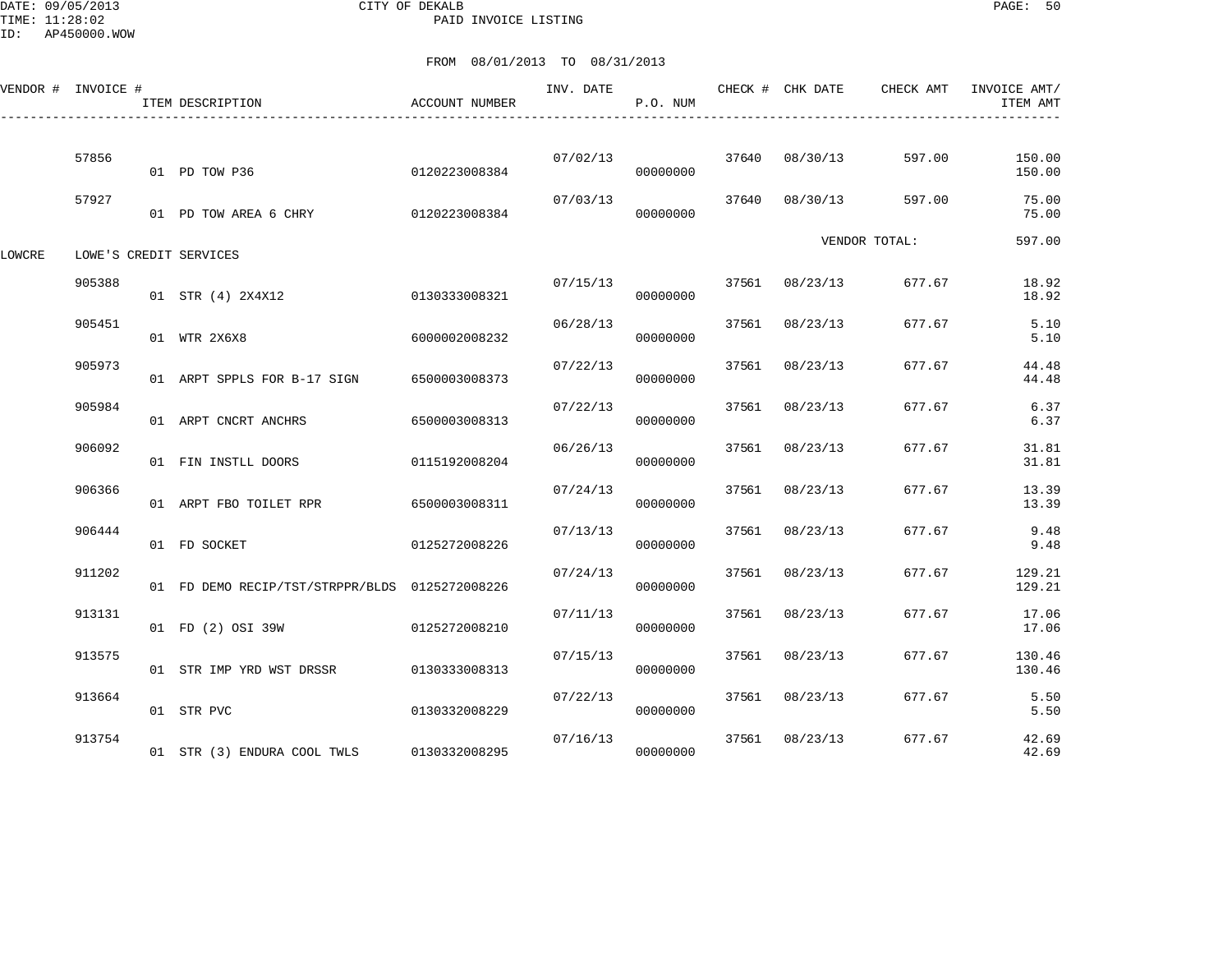DATE: 09/05/2013 CITY OF DEKALB PAGE: 50 PAID INVOICE LISTING

|        | VENDOR # INVOICE # | ITEM DESCRIPTION                               | ACCOUNT NUMBER | INV. DATE | P.O. NUM |       | CHECK # CHK DATE | CHECK AMT     | INVOICE AMT/<br>ITEM AMT |
|--------|--------------------|------------------------------------------------|----------------|-----------|----------|-------|------------------|---------------|--------------------------|
|        | 57856              | 01 PD TOW P36                                  | 0120223008384  | 07/02/13  | 00000000 |       | 37640 08/30/13   | 597.00        | 150.00<br>150.00         |
|        | 57927              | 01 PD TOW AREA 6 CHRY 0120223008384            |                | 07/03/13  | 00000000 | 37640 | 08/30/13         | 597.00        | 75.00<br>75.00           |
| LOWCRE |                    | LOWE'S CREDIT SERVICES                         |                |           |          |       |                  | VENDOR TOTAL: | 597.00                   |
|        | 905388             | 01 STR (4) 2X4X12                              | 0130333008321  | 07/15/13  | 00000000 |       | 37561 08/23/13   | 677.67        | 18.92<br>18.92           |
|        | 905451             | 01 WTR 2X6X8                                   | 6000002008232  | 06/28/13  | 00000000 | 37561 | 08/23/13         | 677.67        | 5.10<br>5.10             |
|        | 905973             | 01 ARPT SPPLS FOR B-17 SIGN                    | 6500003008373  | 07/22/13  | 00000000 | 37561 | 08/23/13         | 677.67        | 44.48<br>44.48           |
|        | 905984             | 01 ARPT CNCRT ANCHRS                           | 6500003008313  | 07/22/13  | 00000000 | 37561 | 08/23/13         | 677.67        | 6.37<br>6.37             |
|        | 906092             | 01 FIN INSTLL DOORS                            | 0115192008204  | 06/26/13  | 00000000 | 37561 | 08/23/13         | 677.67        | 31.81<br>31.81           |
|        | 906366             | 01 ARPT FBO TOILET RPR                         | 6500003008311  | 07/24/13  | 00000000 |       | 37561 08/23/13   | 677.67        | 13.39<br>13.39           |
|        | 906444             | 01 FD SOCKET                                   | 0125272008226  | 07/13/13  | 00000000 |       | 37561 08/23/13   | 677.67        | 9.48<br>9.48             |
|        | 911202             | 01 FD DEMO RECIP/TST/STRPPR/BLDS 0125272008226 |                | 07/24/13  | 00000000 | 37561 | 08/23/13         | 677.67        | 129.21<br>129.21         |
|        | 913131             | 01 FD (2) OSI 39W                              | 0125272008210  | 07/11/13  | 00000000 | 37561 | 08/23/13         | 677.67        | 17.06<br>17.06           |
|        | 913575             | 01 STR IMP YRD WST DRSSR                       | 0130333008313  | 07/15/13  | 00000000 |       | 37561 08/23/13   | 677.67        | 130.46<br>130.46         |
|        | 913664             | 01 STR PVC                                     | 0130332008229  | 07/22/13  | 00000000 |       | 37561 08/23/13   | 677.67        | 5.50<br>5.50             |
|        | 913754             | 01 STR (3) ENDURA COOL TWLS                    | 0130332008295  | 07/16/13  | 00000000 | 37561 | 08/23/13         | 677.67        | 42.69<br>42.69           |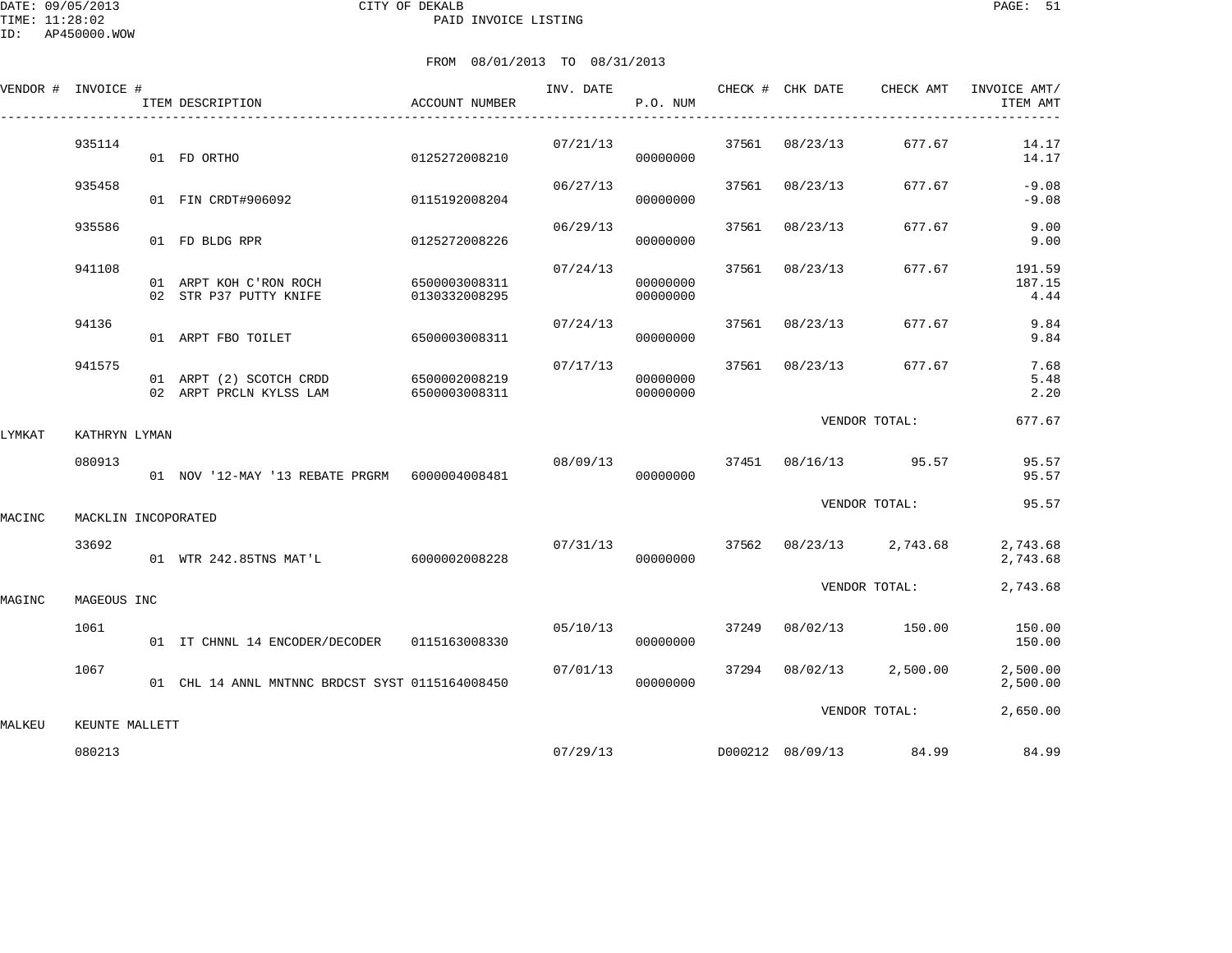|        | VENDOR # INVOICE #  | ITEM DESCRIPTION                                   | ACCOUNT NUMBER                 |          | P.O. NUM             |       |                |                         | INVOICE AMT/<br>ITEM AMT |
|--------|---------------------|----------------------------------------------------|--------------------------------|----------|----------------------|-------|----------------|-------------------------|--------------------------|
|        | 935114              | 01 FD ORTHO                                        | 0125272008210                  | 07/21/13 | 00000000             |       | 37561 08/23/13 | 677.67                  | 14.17<br>14.17           |
|        | 935458              | 01 FIN CRDT#906092                                 | 0115192008204                  | 06/27/13 | 00000000             |       | 37561 08/23/13 | 677.67                  | $-9.08$<br>$-9.08$       |
|        | 935586              | 01 FD BLDG RPR                                     | 0125272008226                  | 06/29/13 | 00000000             |       | 37561 08/23/13 | 677.67                  | 9.00<br>9.00             |
|        | 941108              | 01 ARPT KOH C'RON ROCH<br>02 STR P37 PUTTY KNIFE   | 6500003008311<br>0130332008295 | 07/24/13 | 00000000<br>00000000 | 37561 | 08/23/13       | 677.67                  | 191.59<br>187.15<br>4.44 |
|        | 94136               | 01 ARPT FBO TOILET                                 | 6500003008311                  | 07/24/13 | 00000000             |       | 37561 08/23/13 | 677.67                  | 9.84<br>9.84             |
|        | 941575              | 01 ARPT (2) SCOTCH CRDD<br>02 ARPT PRCLN KYLSS LAM | 6500002008219<br>6500003008311 | 07/17/13 | 00000000<br>00000000 |       | 37561 08/23/13 | 677.67                  | 7.68<br>5.48<br>2.20     |
| LYMKAT | KATHRYN LYMAN       |                                                    |                                |          |                      |       |                | VENDOR TOTAL:           | 677.67                   |
|        | 080913              | 01 NOV '12-MAY '13 REBATE PRGRM 6000004008481      |                                | 08/09/13 | 00000000             |       |                | 37451 08/16/13 95.57    | 95.57<br>95.57           |
| MACINC | MACKLIN INCOPORATED |                                                    |                                |          |                      |       |                | VENDOR TOTAL:           | 95.57                    |
|        | 33692               | 01 WTR 242.85TNS MAT'L                             | 6000002008228                  | 07/31/13 | 00000000             |       |                | 37562 08/23/13 2,743.68 | 2,743.68<br>2,743.68     |
| MAGINC | MAGEOUS INC         |                                                    |                                |          |                      |       |                | VENDOR TOTAL:           | 2,743.68                 |
|        | 1061                | 01 IT CHNNL 14 ENCODER/DECODER 0115163008330       |                                | 05/10/13 | 00000000             | 37249 |                | 08/02/13 150.00         | 150.00<br>150.00         |
|        | 1067                | 01 CHL 14 ANNL MNTNNC BRDCST SYST 0115164008450    |                                | 07/01/13 | 00000000             |       | 37294 08/02/13 | 2,500.00                | 2,500.00<br>2,500.00     |
| MALKEU | KEUNTE MALLETT      |                                                    |                                |          |                      |       |                | VENDOR TOTAL:           | 2,650.00                 |
|        | 080213              |                                                    |                                | 07/29/13 |                      |       |                | D000212 08/09/13 84.99  | 84.99                    |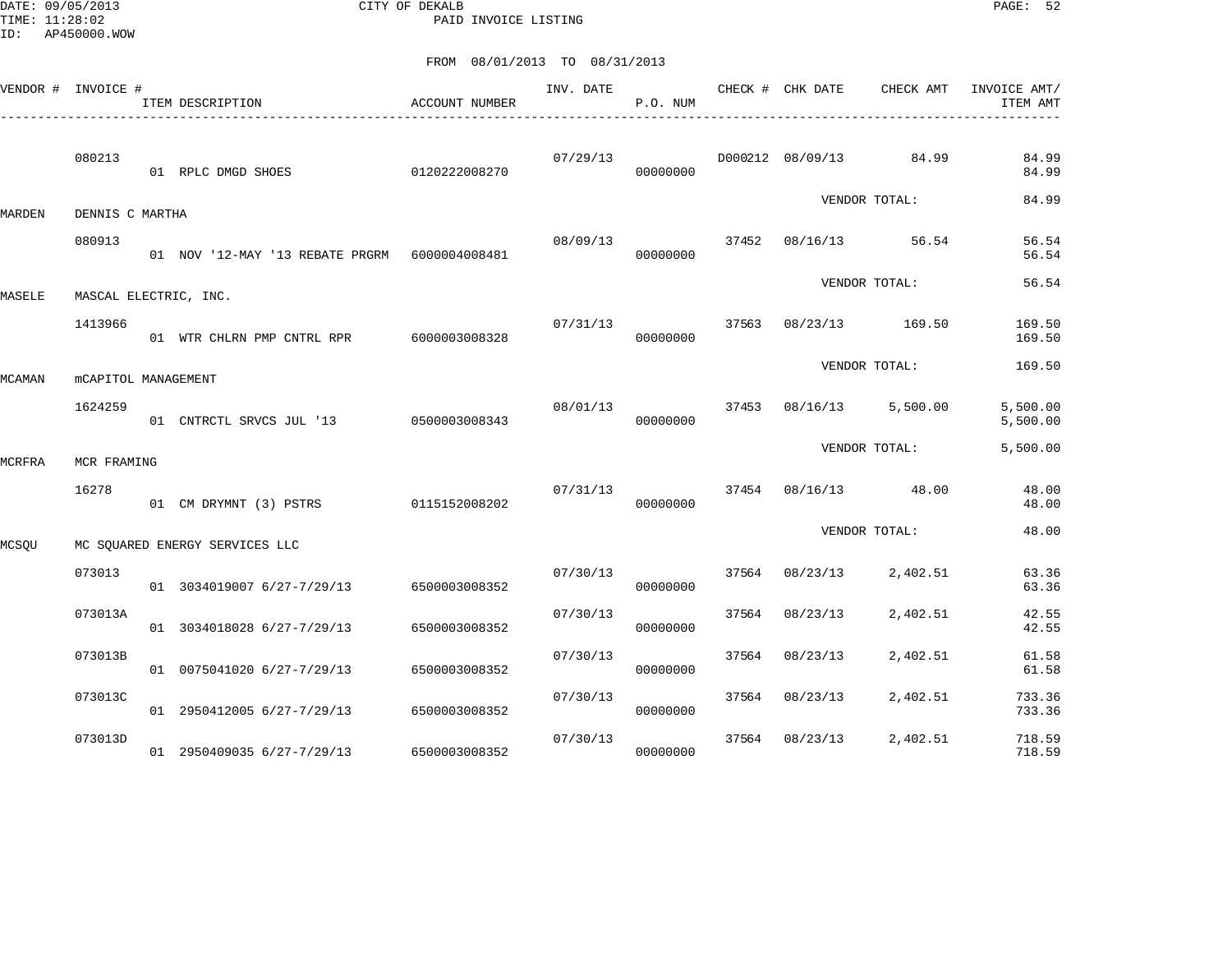DATE: 09/05/2013 CITY OF DEKALB PAGE: 52 PAID INVOICE LISTING

|        | VENDOR # INVOICE #         | ITEM DESCRIPTION                                 | ACCOUNT NUMBER | INV. DATE | P.O. NUM             |       | CHECK # CHK DATE | CHECK AMT               | INVOICE AMT/<br>ITEM AMT |
|--------|----------------------------|--------------------------------------------------|----------------|-----------|----------------------|-------|------------------|-------------------------|--------------------------|
|        | 080213                     | 01 RPLC DMGD SHOES                               | 0120222008270  | 07/29/13  | 00000000             |       |                  | D000212 08/09/13 84.99  | 84.99<br>84.99           |
| MARDEN | DENNIS C MARTHA            |                                                  |                |           |                      |       |                  | VENDOR TOTAL:           | 84.99                    |
|        | 080913                     | 01 NOV '12-MAY '13 REBATE PRGRM    6000004008481 |                | 08/09/13  | 00000000             |       |                  | 37452 08/16/13 56.54    | 56.54<br>56.54           |
| MASELE | MASCAL ELECTRIC, INC.      |                                                  |                |           |                      |       |                  | VENDOR TOTAL:           | 56.54                    |
|        | 1413966                    | 01 WTR CHLRN PMP CNTRL RPR 6000003008328         |                | 07/31/13  | 00000000             |       |                  | 37563 08/23/13 169.50   | 169.50<br>169.50         |
| MCAMAN | <b>MCAPITOL MANAGEMENT</b> |                                                  |                |           |                      |       |                  | VENDOR TOTAL:           | 169.50                   |
|        | 1624259                    | 01 CNTRCTL SRVCS JUL '13 0500003008343           |                |           | 08/01/13<br>00000000 |       |                  | 37453 08/16/13 5,500.00 | 5,500.00<br>5,500.00     |
| MCRFRA | MCR FRAMING                |                                                  |                |           |                      |       |                  | VENDOR TOTAL:           | 5,500.00                 |
|        | 16278                      | 01 CM DRYMNT (3) PSTRS 0115152008202             |                | 07/31/13  | 00000000             |       |                  | 37454 08/16/13 48.00    | 48.00<br>48.00           |
| MCSQU  |                            | MC SQUARED ENERGY SERVICES LLC                   |                |           |                      |       |                  | VENDOR TOTAL:           | 48.00                    |
|        | 073013                     | 01 3034019007 6/27-7/29/13 6500003008352         |                | 07/30/13  | 00000000             |       | 37564 08/23/13   | 2,402.51                | 63.36<br>63.36           |
|        | 073013A                    | 01 3034018028 6/27-7/29/13                       | 6500003008352  | 07/30/13  | 00000000             |       | 37564 08/23/13   | 2,402.51                | 42.55<br>42.55           |
|        | 073013B                    | 01 0075041020 6/27-7/29/13                       | 6500003008352  | 07/30/13  | 00000000             |       | 37564 08/23/13   | 2,402.51                | 61.58<br>61.58           |
|        | 073013C                    | 01 2950412005 6/27-7/29/13                       | 6500003008352  | 07/30/13  | 00000000             | 37564 | 08/23/13         | 2,402.51                | 733.36<br>733.36         |
|        | 073013D                    | 01 2950409035 6/27-7/29/13                       | 6500003008352  | 07/30/13  | 00000000             |       | 37564 08/23/13   | 2,402.51                | 718.59<br>718.59         |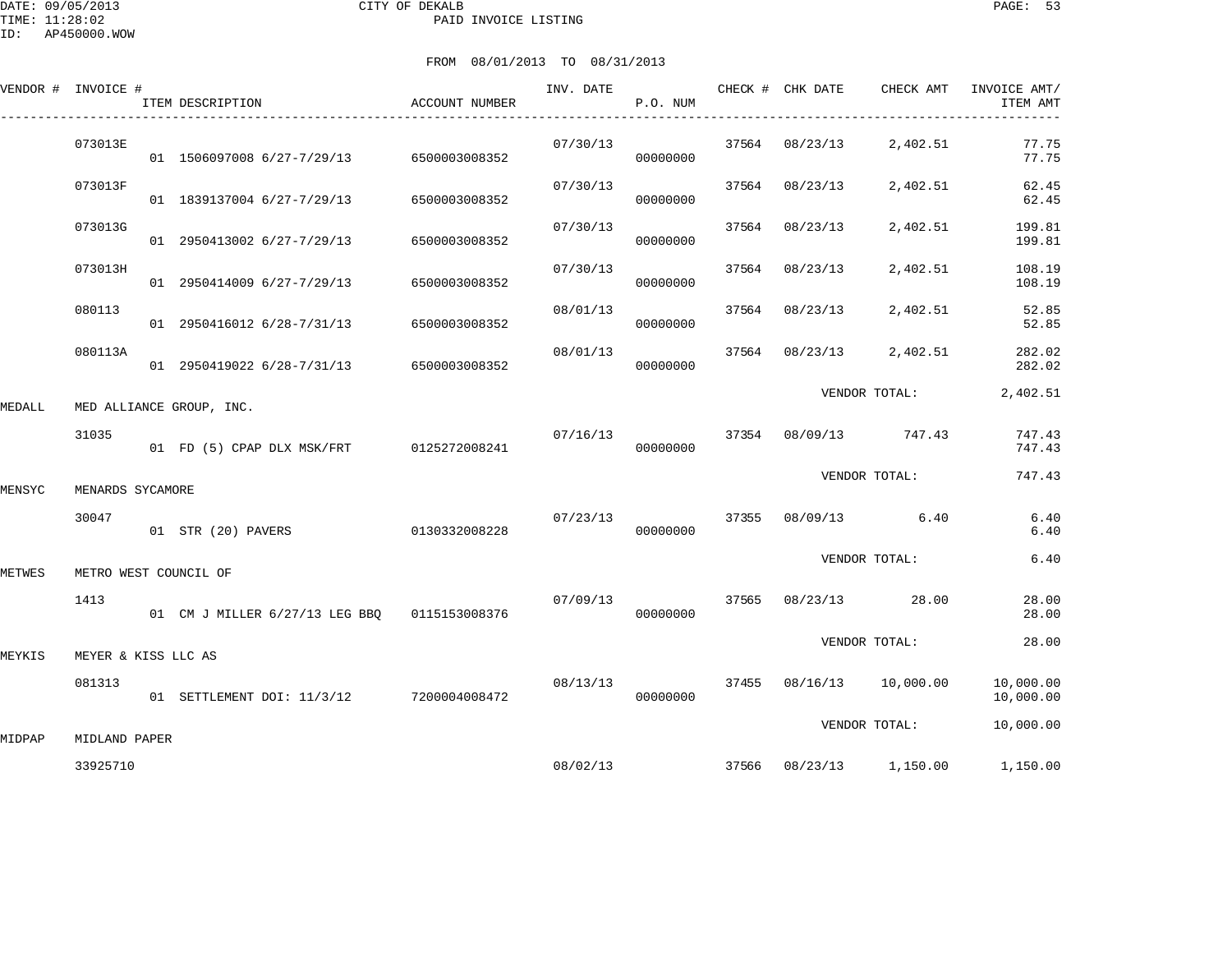|        | VENDOR # INVOICE #    | ITEM DESCRIPTION                             | ACCOUNT NUMBER | INV. DATE | P.O. NUM | CHECK # CHK DATE | CHECK AMT                | INVOICE AMT/<br>ITEM AMT |
|--------|-----------------------|----------------------------------------------|----------------|-----------|----------|------------------|--------------------------|--------------------------|
|        | 073013E               | 01 1506097008 6/27-7/29/13 6500003008352     |                | 07/30/13  | 00000000 | 37564 08/23/13   | 2,402.51                 | 77.75<br>77.75           |
|        | 073013F               | 01 1839137004 6/27-7/29/13                   | 6500003008352  | 07/30/13  | 00000000 | 37564 08/23/13   | 2,402.51                 | 62.45<br>62.45           |
|        | 073013G               | 01 2950413002 6/27-7/29/13                   | 6500003008352  | 07/30/13  | 00000000 | 37564 08/23/13   | 2,402.51                 | 199.81<br>199.81         |
|        | 073013H               | 01 2950414009 6/27-7/29/13                   | 6500003008352  | 07/30/13  | 00000000 | 37564 08/23/13   | 2,402.51                 | 108.19<br>108.19         |
|        | 080113                | 01 2950416012 6/28-7/31/13                   | 6500003008352  | 08/01/13  | 00000000 | 37564 08/23/13   | 2,402.51                 | 52.85<br>52.85           |
|        | 080113A               | 01 2950419022 6/28-7/31/13 6500003008352     |                | 08/01/13  | 00000000 | 37564 08/23/13   | 2,402.51                 | 282.02<br>282.02         |
| MEDALL |                       | MED ALLIANCE GROUP, INC.                     |                |           |          |                  | VENDOR TOTAL:            | 2,402.51                 |
|        | 31035                 | 01 FD (5) CPAP DLX MSK/FRT 0125272008241     |                | 07/16/13  | 00000000 |                  | 37354 08/09/13 747.43    | 747.43<br>747.43         |
| MENSYC | MENARDS SYCAMORE      |                                              |                |           |          |                  | VENDOR TOTAL:            | 747.43                   |
|        | 30047                 | 01 STR (20) PAVERS                           | 0130332008228  | 07/23/13  | 00000000 |                  | 37355 08/09/13 6.40      | 6.40<br>6.40             |
| METWES | METRO WEST COUNCIL OF |                                              |                |           |          |                  | VENDOR TOTAL:            | 6.40                     |
|        | 1413                  | 01 CM J MILLER 6/27/13 LEG BBO 0115153008376 |                | 07/09/13  | 00000000 |                  | 37565 08/23/13 28.00     | 28.00<br>28.00           |
| MEYKIS | MEYER & KISS LLC AS   |                                              |                |           |          |                  | VENDOR TOTAL:            | 28.00                    |
|        | 081313                | 01 SETTLEMENT DOI: 11/3/12 7200004008472     |                | 08/13/13  | 00000000 |                  | 37455 08/16/13 10,000.00 | 10,000.00<br>10,000.00   |
| MIDPAP | MIDLAND PAPER         |                                              |                |           |          |                  | VENDOR TOTAL:            | 10,000.00                |
|        | 33925710              |                                              |                | 08/02/13  |          |                  | 37566 08/23/13 1,150.00  | 1,150.00                 |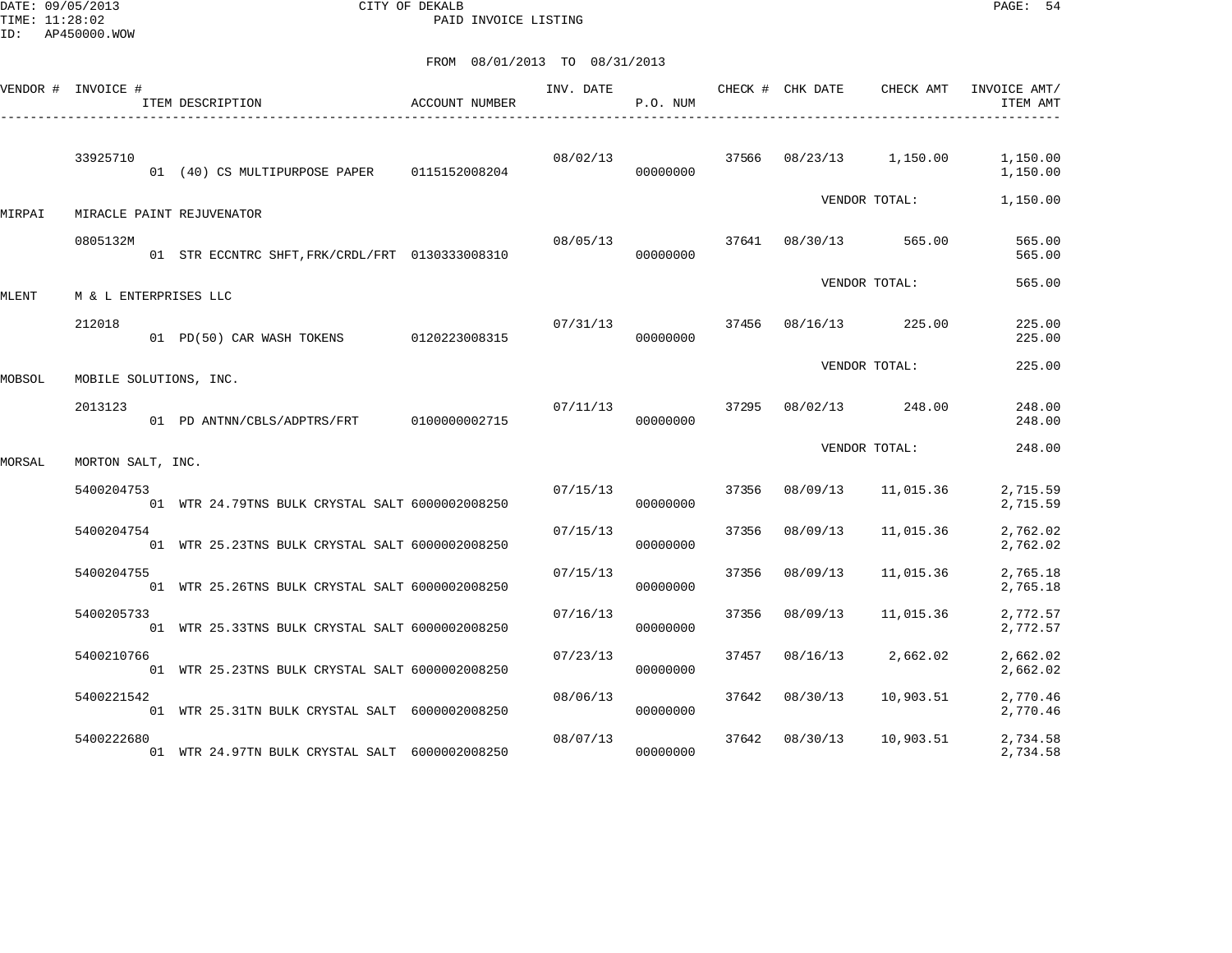DATE: 09/05/2013 CITY OF DEKALB PAGE: 54 PAID INVOICE LISTING

|        | VENDOR # INVOICE #     | ACCOUNT NUMBER<br>ITEM DESCRIPTION              |               | INV. DATE | P.O. NUM |       | CHECK # CHK DATE | CHECK AMT     | INVOICE AMT/<br>ITEM AMT |
|--------|------------------------|-------------------------------------------------|---------------|-----------|----------|-------|------------------|---------------|--------------------------|
|        | 33925710               | 01 (40) CS MULTIPURPOSE PAPER                   | 0115152008204 | 08/02/13  | 00000000 | 37566 | 08/23/13         | 1,150.00      | 1,150.00<br>1,150.00     |
| MIRPAI |                        | MIRACLE PAINT REJUVENATOR                       |               |           |          |       |                  | VENDOR TOTAL: | 1,150.00                 |
|        | 0805132M               | 01 STR ECCNTRC SHFT, FRK/CRDL/FRT 0130333008310 |               | 08/05/13  | 00000000 | 37641 | 08/30/13         | 565.00        | 565.00<br>565.00         |
| MLENT  | M & L ENTERPRISES LLC  |                                                 |               |           |          |       | VENDOR TOTAL:    |               | 565.00                   |
|        | 212018                 | 01 PD(50) CAR WASH TOKENS 0120223008315         |               | 07/31/13  | 00000000 | 37456 | 08/16/13         | 225.00        | 225.00<br>225.00         |
|        |                        |                                                 |               |           |          |       | VENDOR TOTAL:    |               | 225.00                   |
| MOBSOL | MOBILE SOLUTIONS, INC. |                                                 |               |           |          |       |                  |               |                          |
|        | 2013123                | 01 PD ANTNN/CBLS/ADPTRS/FRT                     | 0100000002715 | 07/11/13  | 00000000 | 37295 | 08/02/13         | 248.00        | 248.00<br>248.00         |
| MORSAL | MORTON SALT, INC.      |                                                 |               |           |          |       | VENDOR TOTAL:    |               | 248.00                   |
|        | 5400204753             | 01 WTR 24.79TNS BULK CRYSTAL SALT 6000002008250 |               | 07/15/13  | 00000000 | 37356 | 08/09/13         | 11,015.36     | 2,715.59<br>2,715.59     |
|        | 5400204754             | 01 WTR 25.23TNS BULK CRYSTAL SALT 6000002008250 |               | 07/15/13  | 00000000 | 37356 | 08/09/13         | 11,015.36     | 2,762.02<br>2,762.02     |
|        | 5400204755             | 01 WTR 25.26TNS BULK CRYSTAL SALT 6000002008250 |               | 07/15/13  | 00000000 | 37356 | 08/09/13         | 11,015.36     | 2,765.18<br>2,765.18     |
|        | 5400205733             | 01 WTR 25.33TNS BULK CRYSTAL SALT 6000002008250 |               | 07/16/13  | 00000000 | 37356 | 08/09/13         | 11,015.36     | 2,772.57<br>2,772.57     |
|        | 5400210766             | 01 WTR 25.23TNS BULK CRYSTAL SALT 6000002008250 |               | 07/23/13  | 00000000 | 37457 | 08/16/13         | 2,662.02      | 2,662.02<br>2,662.02     |
|        | 5400221542             | 01 WTR 25.31TN BULK CRYSTAL SALT 6000002008250  |               | 08/06/13  | 00000000 | 37642 | 08/30/13         | 10,903.51     | 2,770.46<br>2,770.46     |
|        | 5400222680             | 01 WTR 24.97TN BULK CRYSTAL SALT 6000002008250  |               | 08/07/13  | 00000000 | 37642 | 08/30/13         | 10,903.51     | 2,734.58<br>2,734.58     |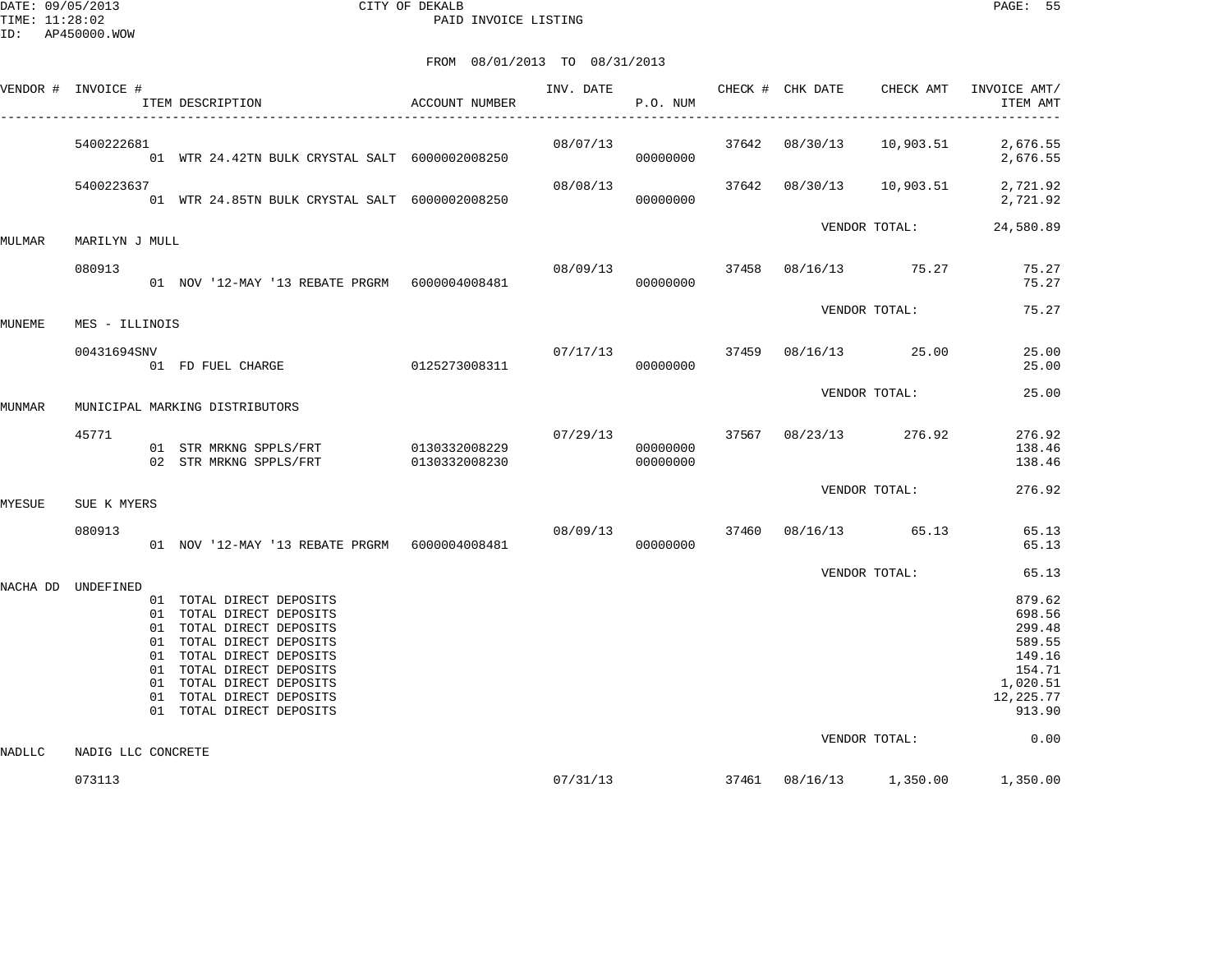DATE: 09/05/2013 CITY OF DEKALB PAGE: 55 PAID INVOICE LISTING

|        | VENDOR # INVOICE # | ITEM DESCRIPTION                                                                                                                                                                                                                                         | ACCOUNT NUMBER |                  | P.O. NUM |  |                                  | INVOICE AMT/<br>ITEM AMT                                                                             |
|--------|--------------------|----------------------------------------------------------------------------------------------------------------------------------------------------------------------------------------------------------------------------------------------------------|----------------|------------------|----------|--|----------------------------------|------------------------------------------------------------------------------------------------------|
|        | 5400222681         | 01 WTR 24.42TN BULK CRYSTAL SALT 6000002008250                                                                                                                                                                                                           |                |                  | 00000000 |  |                                  | 08/07/13 37642 08/30/13 10,903.51 2,676.55<br>2,676.55                                               |
|        | 5400223637         | 01 WTR 24.85TN BULK CRYSTAL SALT 6000002008250                                                                                                                                                                                                           |                | 08/08/13         | 00000000 |  |                                  | 37642 08/30/13 10,903.51 2,721.92<br>2,721.92                                                        |
| MULMAR | MARILYN J MULL     |                                                                                                                                                                                                                                                          |                |                  |          |  | VENDOR TOTAL:                    | 24,580.89                                                                                            |
|        | 080913             | 01 NOV '12-MAY '13 REBATE PRGRM    6000004008481                                                                                                                                                                                                         |                | 08/09/13         | 00000000 |  | 37458 08/16/13 75.27             | 75.27<br>75.27                                                                                       |
| MUNEME | MES - ILLINOIS     |                                                                                                                                                                                                                                                          |                |                  |          |  | VENDOR TOTAL:                    | 75.27                                                                                                |
|        | 00431694SNV        | $01 F$ FD FUEL CHARGE $0125273008311$                                                                                                                                                                                                                    |                | $07/17/13$ 37459 | 00000000 |  | 08/16/13 25.00                   | 25.00<br>25.00                                                                                       |
| MUNMAR |                    | MUNICIPAL MARKING DISTRIBUTORS                                                                                                                                                                                                                           |                |                  |          |  | VENDOR TOTAL:                    | 25.00                                                                                                |
|        | 45771              | 01 STR MRKNG SPPLS/FRT 0130332008229<br>02 STR MRKNG SPPLS/FRT 0130332008230                                                                                                                                                                             |                | 00000000         | 00000000 |  | $07/29/13$ 37567 08/23/13 276.92 | 276.92<br>138.46<br>138.46                                                                           |
| MYESUE | SUE K MYERS        |                                                                                                                                                                                                                                                          |                |                  |          |  | VENDOR TOTAL:                    | 276.92                                                                                               |
|        | 080913             | 01 NOV '12-MAY '13 REBATE PRGRM    6000004008481                                                                                                                                                                                                         |                | 08/09/13         | 00000000 |  | 37460 08/16/13 65.13             | 65.13<br>65.13                                                                                       |
|        | NACHA DD UNDEFINED | 01 TOTAL DIRECT DEPOSITS<br>01 TOTAL DIRECT DEPOSITS<br>01 TOTAL DIRECT DEPOSITS<br>01 TOTAL DIRECT DEPOSITS<br>01 TOTAL DIRECT DEPOSITS<br>01 TOTAL DIRECT DEPOSITS<br>01 TOTAL DIRECT DEPOSITS<br>01 TOTAL DIRECT DEPOSITS<br>01 TOTAL DIRECT DEPOSITS |                |                  |          |  | VENDOR TOTAL:                    | 65.13<br>879.62<br>698.56<br>299.48<br>589.55<br>149.16<br>154.71<br>1,020.51<br>12,225.77<br>913.90 |
| NADLLC | NADIG LLC CONCRETE |                                                                                                                                                                                                                                                          |                |                  |          |  | VENDOR TOTAL:                    | 0.00                                                                                                 |
|        | 073113             |                                                                                                                                                                                                                                                          |                |                  |          |  |                                  | $07/31/13$ $37461$ $08/16/13$ $1,350.00$ $1,350.00$                                                  |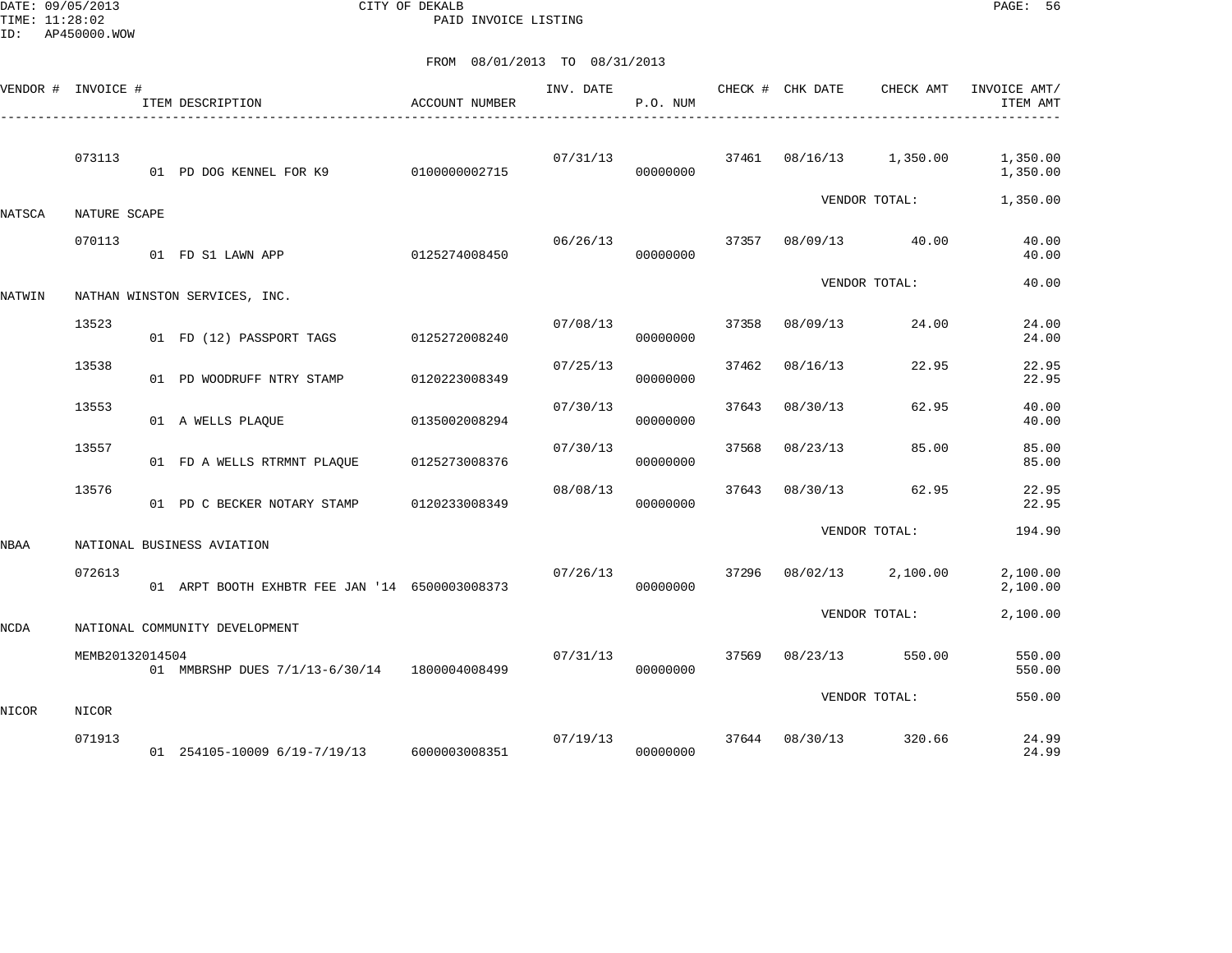DATE: 09/05/2013 CITY OF DEKALB PAGE: 56 PAID INVOICE LISTING

|             | VENDOR # INVOICE # | ITEM DESCRIPTION<br>------------------------------- | ACCOUNT NUMBER | INV. DATE | P.O. NUM |       | CHECK # CHK DATE | CHECK AMT               | INVOICE AMT/<br>ITEM AMT |
|-------------|--------------------|-----------------------------------------------------|----------------|-----------|----------|-------|------------------|-------------------------|--------------------------|
|             | 073113             | 01 PD DOG KENNEL FOR K9                             | 0100000002715  | 07/31/13  | 00000000 |       |                  | 37461 08/16/13 1,350.00 | 1,350.00<br>1,350.00     |
| NATSCA      | NATURE SCAPE       |                                                     |                |           |          |       |                  | VENDOR TOTAL:           | 1,350.00                 |
|             | 070113             | 01 FD S1 LAWN APP                                   | 0125274008450  | 06/26/13  | 00000000 | 37357 |                  | 08/09/13 40.00          | 40.00<br>40.00           |
| NATWIN      |                    | NATHAN WINSTON SERVICES, INC.                       |                |           |          |       |                  | VENDOR TOTAL:           | 40.00                    |
|             | 13523              | 01 FD (12) PASSPORT TAGS                            | 0125272008240  | 07/08/13  | 00000000 | 37358 | 08/09/13         | 24.00                   | 24.00<br>24.00           |
|             | 13538              | 01 PD WOODRUFF NTRY STAMP                           | 0120223008349  | 07/25/13  | 00000000 | 37462 | 08/16/13         | 22.95                   | 22.95<br>22.95           |
|             | 13553              | 01 A WELLS PLAOUE                                   | 0135002008294  | 07/30/13  | 00000000 | 37643 | 08/30/13         | 62.95                   | 40.00<br>40.00           |
|             | 13557              | 01 FD A WELLS RTRMNT PLAQUE                         | 0125273008376  | 07/30/13  | 00000000 | 37568 | 08/23/13         | 85.00                   | 85.00<br>85.00           |
|             | 13576              | 01 PD C BECKER NOTARY STAMP                         | 0120233008349  | 08/08/13  | 00000000 | 37643 | 08/30/13         | 62.95                   | 22.95<br>22.95           |
| <b>NBAA</b> |                    | NATIONAL BUSINESS AVIATION                          |                |           |          |       |                  | VENDOR TOTAL:           | 194.90                   |
|             | 072613             | 01 ARPT BOOTH EXHBTR FEE JAN '14 6500003008373      |                | 07/26/13  | 00000000 | 37296 |                  | 08/02/13 2,100.00       | 2,100.00<br>2,100.00     |
| NCDA        |                    | NATIONAL COMMUNITY DEVELOPMENT                      |                |           |          |       |                  | VENDOR TOTAL:           | 2,100.00                 |
|             | MEMB20132014504    | 01 MMBRSHP DUES 7/1/13-6/30/14 1800004008499        |                | 07/31/13  | 00000000 | 37569 | 08/23/13         | 550.00                  | 550.00<br>550.00         |
| NICOR       | NICOR              |                                                     |                |           |          |       |                  | VENDOR TOTAL:           | 550.00                   |
|             | 071913             | 01 254105-10009 6/19-7/19/13 6000003008351          |                | 07/19/13  | 00000000 |       | 37644 08/30/13   | 320.66                  | 24.99<br>24.99           |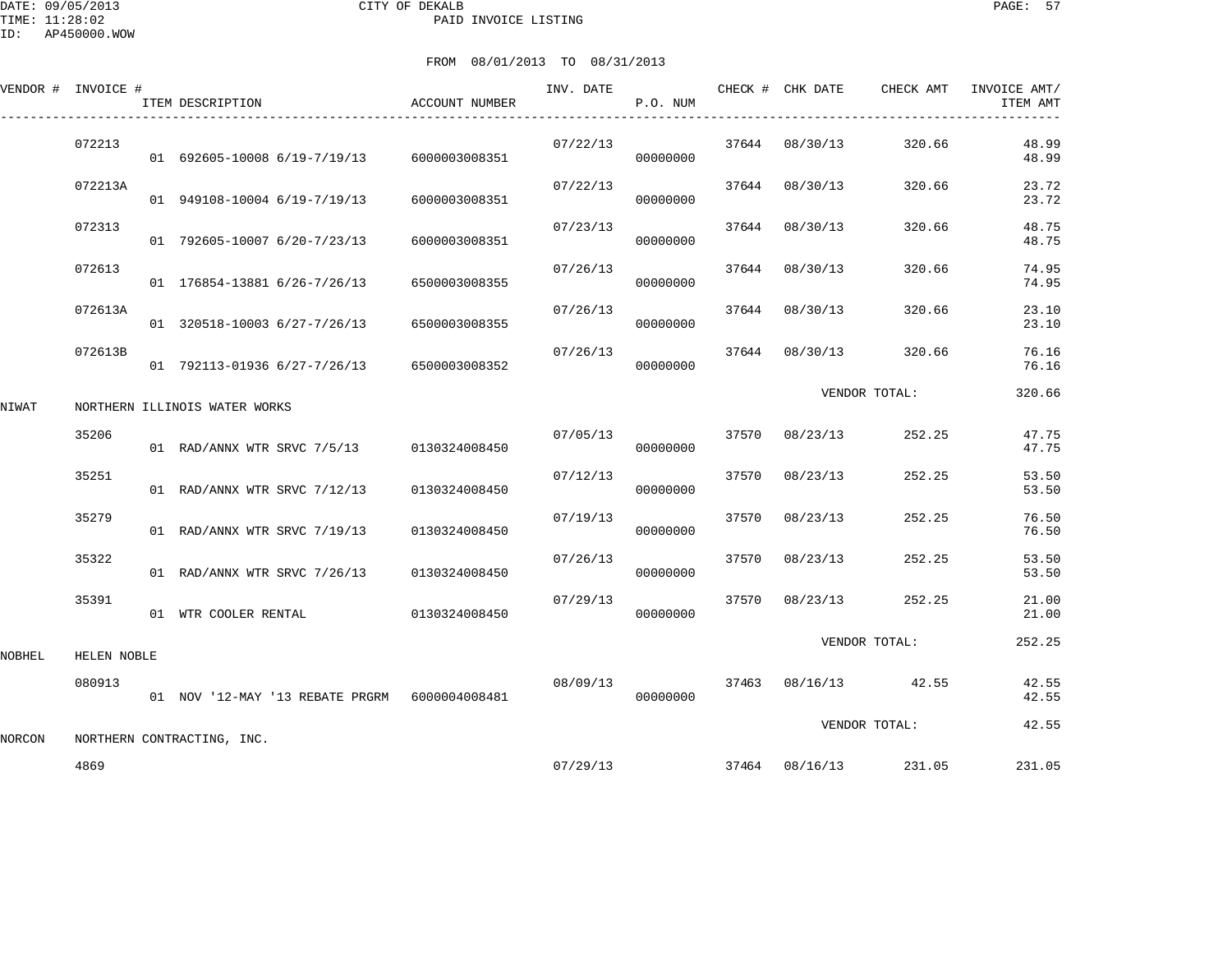DATE: 09/05/2013 CITY OF DEKALB PAGE: 57 PAID INVOICE LISTING

|        | VENDOR # INVOICE # | ITEM DESCRIPTION                              | <b>ACCOUNT NUMBER</b> | INV. DATE | P.O. NUM |       | CHECK # CHK DATE | CHECK AMT     | INVOICE AMT/<br>ITEM AMT |
|--------|--------------------|-----------------------------------------------|-----------------------|-----------|----------|-------|------------------|---------------|--------------------------|
|        | 072213             | 01 692605-10008 6/19-7/19/13                  | 6000003008351         | 07/22/13  | 00000000 | 37644 | 08/30/13         | 320.66        | 48.99<br>48.99           |
|        | 072213A            | 01 949108-10004 6/19-7/19/13                  | 6000003008351         | 07/22/13  | 00000000 | 37644 | 08/30/13         | 320.66        | 23.72<br>23.72           |
|        | 072313             | 01 792605-10007 6/20-7/23/13                  | 6000003008351         | 07/23/13  | 00000000 | 37644 | 08/30/13         | 320.66        | 48.75<br>48.75           |
|        | 072613             | 01 176854-13881 6/26-7/26/13                  | 6500003008355         | 07/26/13  | 00000000 | 37644 | 08/30/13         | 320.66        | 74.95<br>74.95           |
|        | 072613A            | 01 320518-10003 6/27-7/26/13                  | 6500003008355         | 07/26/13  | 00000000 | 37644 | 08/30/13         | 320.66        | 23.10<br>23.10           |
|        | 072613B            | 01 792113-01936 6/27-7/26/13                  | 6500003008352         | 07/26/13  | 00000000 | 37644 | 08/30/13         | 320.66        | 76.16<br>76.16           |
| NIWAT  |                    | NORTHERN ILLINOIS WATER WORKS                 |                       |           |          |       |                  | VENDOR TOTAL: | 320.66                   |
|        | 35206              | 01 RAD/ANNX WTR SRVC 7/5/13 0130324008450     |                       | 07/05/13  | 00000000 | 37570 | 08/23/13         | 252.25        | 47.75<br>47.75           |
|        | 35251              | 01 RAD/ANNX WTR SRVC 7/12/13                  | 0130324008450         | 07/12/13  | 00000000 | 37570 | 08/23/13         | 252.25        | 53.50<br>53.50           |
|        | 35279              | 01 RAD/ANNX WTR SRVC 7/19/13                  | 0130324008450         | 07/19/13  | 00000000 | 37570 | 08/23/13         | 252.25        | 76.50<br>76.50           |
|        | 35322              | 01 RAD/ANNX WTR SRVC 7/26/13                  | 0130324008450         | 07/26/13  | 00000000 | 37570 | 08/23/13         | 252.25        | 53.50<br>53.50           |
|        | 35391              | 01 WTR COOLER RENTAL                          | 0130324008450         | 07/29/13  | 00000000 | 37570 | 08/23/13         | 252.25        | 21.00<br>21.00           |
| NOBHEL | HELEN NOBLE        |                                               |                       |           |          |       |                  | VENDOR TOTAL: | 252.25                   |
|        | 080913             | 01 NOV '12-MAY '13 REBATE PRGRM 6000004008481 |                       | 08/09/13  | 00000000 | 37463 | 08/16/13         | 42.55         | 42.55<br>42.55           |
| NORCON |                    | NORTHERN CONTRACTING, INC.                    |                       |           |          |       |                  | VENDOR TOTAL: | 42.55                    |
|        | 4869               |                                               |                       | 07/29/13  |          |       | 37464 08/16/13   | 231.05        | 231.05                   |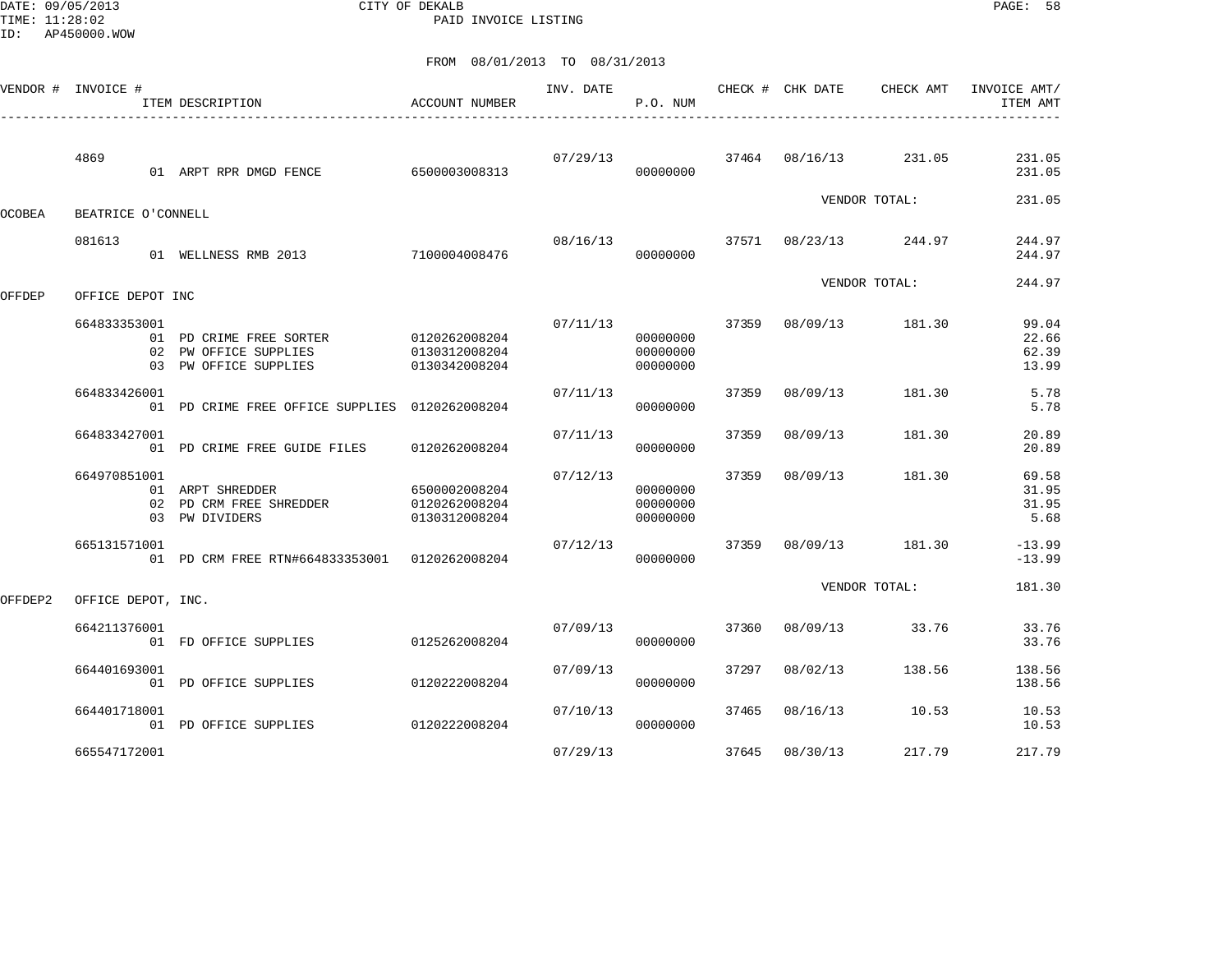DATE: 09/05/2013 CITY OF DEKALB PAGE: 58 PAID INVOICE LISTING

|               | VENDOR # INVOICE # | ACCOUNT NUMBER<br>ITEM DESCRIPTION                                                      |                                                 | INV. DATE | P.O. NUM                         |       | CHECK # CHK DATE | CHECK AMT     | INVOICE AMT/<br>ITEM AMT         |
|---------------|--------------------|-----------------------------------------------------------------------------------------|-------------------------------------------------|-----------|----------------------------------|-------|------------------|---------------|----------------------------------|
|               | 4869               | 01 ARPT RPR DMGD FENCE                                                                  | 6500003008313                                   | 07/29/13  | 00000000                         |       | 37464 08/16/13   | 231.05        | 231.05<br>231.05                 |
| <b>OCOBEA</b> | BEATRICE O'CONNELL |                                                                                         |                                                 |           |                                  |       |                  | VENDOR TOTAL: | 231.05                           |
|               | 081613             | 01 WELLNESS RMB 2013                                                                    | 7100004008476                                   | 08/16/13  | 00000000                         | 37571 | 08/23/13         | 244.97        | 244.97<br>244.97                 |
| OFFDEP        | OFFICE DEPOT INC   |                                                                                         |                                                 |           |                                  |       |                  | VENDOR TOTAL: | 244.97                           |
|               | 664833353001       | 01 PD CRIME FREE SORTER 0120262008204<br>02 PW OFFICE SUPPLIES<br>03 PW OFFICE SUPPLIES | 0130312008204<br>0130342008204                  | 07/11/13  | 00000000<br>00000000<br>00000000 | 37359 | 08/09/13         | 181.30        | 99.04<br>22.66<br>62.39<br>13.99 |
|               | 664833426001       | 01 PD CRIME FREE OFFICE SUPPLIES 0120262008204                                          |                                                 | 07/11/13  | 00000000                         | 37359 | 08/09/13         | 181.30        | 5.78<br>5.78                     |
|               | 664833427001       | 01 PD CRIME FREE GUIDE FILES                                                            | 0120262008204                                   | 07/11/13  | 00000000                         | 37359 | 08/09/13         | 181.30        | 20.89<br>20.89                   |
|               | 664970851001       | 01 ARPT SHREDDER<br>02 PD CRM FREE SHREDDER<br>03 PW DIVIDERS                           | 6500002008204<br>0120262008204<br>0130312008204 | 07/12/13  | 00000000<br>00000000<br>00000000 | 37359 | 08/09/13         | 181.30        | 69.58<br>31.95<br>31.95<br>5.68  |
|               | 665131571001       | 01 PD CRM FREE RTN#664833353001 0120262008204                                           |                                                 | 07/12/13  | 00000000                         | 37359 | 08/09/13         | 181.30        | $-13.99$<br>$-13.99$             |
| OFFDEP2       | OFFICE DEPOT, INC. |                                                                                         |                                                 |           |                                  |       |                  | VENDOR TOTAL: | 181.30                           |
|               | 664211376001       | 01 FD OFFICE SUPPLIES                                                                   | 0125262008204                                   | 07/09/13  | 00000000                         | 37360 | 08/09/13         | 33.76         | 33.76<br>33.76                   |
|               | 664401693001       | 01 PD OFFICE SUPPLIES                                                                   | 0120222008204                                   | 07/09/13  | 00000000                         | 37297 | 08/02/13         | 138.56        | 138.56<br>138.56                 |
|               | 664401718001       | 01 PD OFFICE SUPPLIES                                                                   | 0120222008204                                   | 07/10/13  | 00000000                         | 37465 | 08/16/13         | 10.53         | 10.53<br>10.53                   |
|               | 665547172001       |                                                                                         |                                                 | 07/29/13  |                                  | 37645 | 08/30/13         | 217.79        | 217.79                           |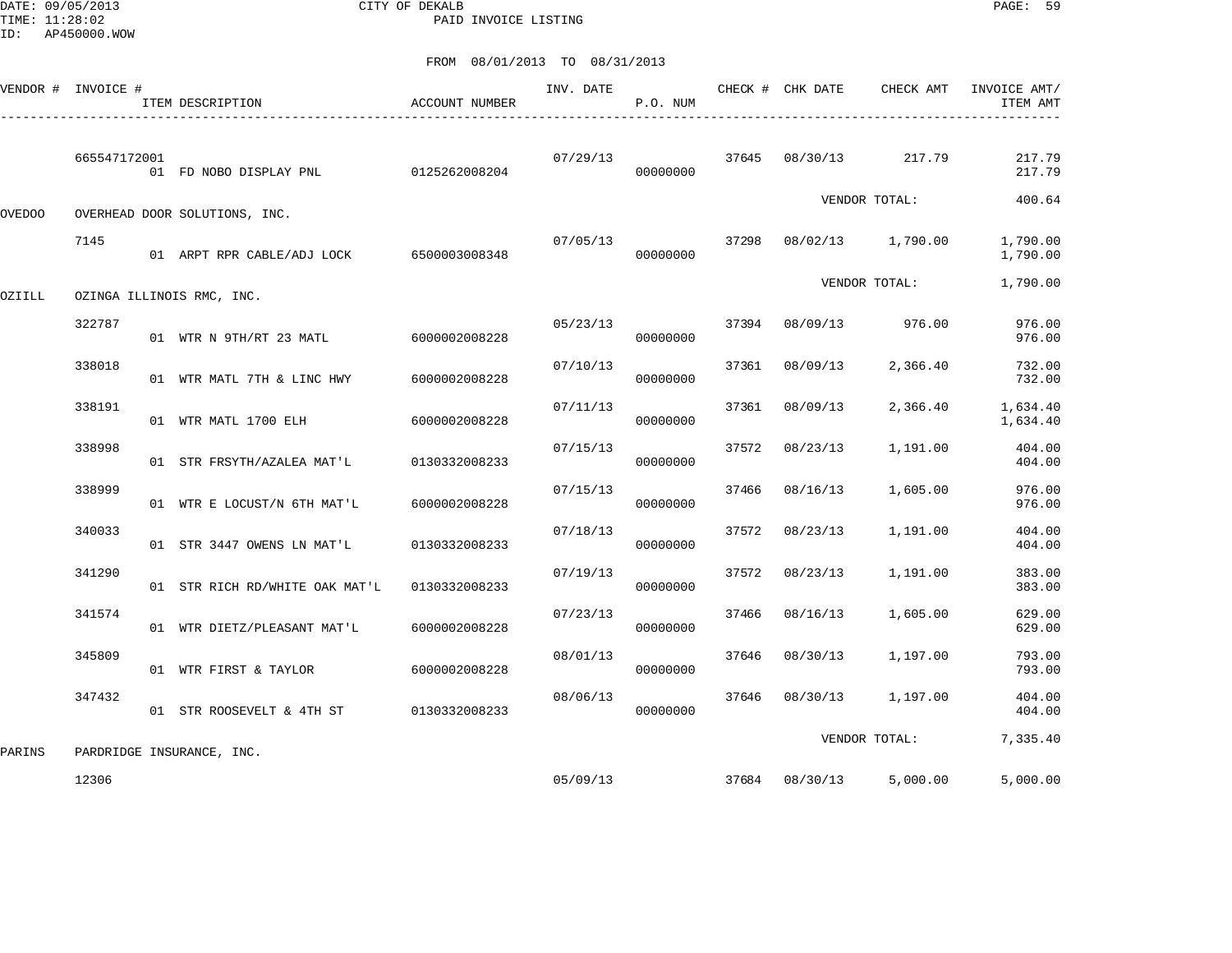DATE: 09/05/2013 CITY OF DEKALB PAGE: 59 PAID INVOICE LISTING

| VENDOR #      | INVOICE #    | ITEM DESCRIPTION               | <b>ACCOUNT NUMBER</b> | INV. DATE | P.O. NUM |       | CHECK # CHK DATE | CHECK AMT     | INVOICE AMT/<br>ITEM AMT |
|---------------|--------------|--------------------------------|-----------------------|-----------|----------|-------|------------------|---------------|--------------------------|
|               | 665547172001 | 01 FD NOBO DISPLAY PNL         | 0125262008204         | 07/29/13  | 00000000 |       | 37645 08/30/13   | 217.79        | 217.79<br>217.79         |
| <b>OVEDOO</b> |              | OVERHEAD DOOR SOLUTIONS, INC.  |                       |           |          |       |                  | VENDOR TOTAL: | 400.64                   |
|               | 7145         | 01 ARPT RPR CABLE/ADJ LOCK     | 6500003008348         | 07/05/13  | 00000000 | 37298 | 08/02/13         | 1,790.00      | 1,790.00<br>1,790.00     |
| OZIILL        |              | OZINGA ILLINOIS RMC, INC.      |                       |           |          |       |                  | VENDOR TOTAL: | 1,790.00                 |
|               | 322787       | 01 WTR N 9TH/RT 23 MATL        | 6000002008228         | 05/23/13  | 00000000 | 37394 | 08/09/13         | 976.00        | 976.00<br>976.00         |
|               | 338018       | 01 WTR MATL 7TH & LINC HWY     | 6000002008228         | 07/10/13  | 00000000 | 37361 | 08/09/13         | 2,366.40      | 732.00<br>732.00         |
|               | 338191       | 01 WTR MATL 1700 ELH           | 6000002008228         | 07/11/13  | 00000000 | 37361 | 08/09/13         | 2,366.40      | 1,634.40<br>1,634.40     |
|               | 338998       | 01 STR FRSYTH/AZALEA MAT'L     | 0130332008233         | 07/15/13  | 00000000 | 37572 | 08/23/13         | 1,191.00      | 404.00<br>404.00         |
|               | 338999       | 01 WTR E LOCUST/N 6TH MAT'L    | 6000002008228         | 07/15/13  | 00000000 | 37466 | 08/16/13         | 1,605.00      | 976.00<br>976.00         |
|               | 340033       | 01 STR 3447 OWENS LN MAT'L     | 0130332008233         | 07/18/13  | 00000000 | 37572 | 08/23/13         | 1,191.00      | 404.00<br>404.00         |
|               | 341290       | 01 STR RICH RD/WHITE OAK MAT'L | 0130332008233         | 07/19/13  | 00000000 | 37572 | 08/23/13         | 1,191.00      | 383.00<br>383.00         |
|               | 341574       | 01 WTR DIETZ/PLEASANT MAT'L    | 6000002008228         | 07/23/13  | 00000000 | 37466 | 08/16/13         | 1,605.00      | 629.00<br>629.00         |
|               | 345809       | 01 WTR FIRST & TAYLOR          | 6000002008228         | 08/01/13  | 00000000 | 37646 | 08/30/13         | 1,197.00      | 793.00<br>793.00         |
|               | 347432       | 01 STR ROOSEVELT & 4TH ST      | 0130332008233         | 08/06/13  | 00000000 | 37646 | 08/30/13         | 1,197.00      | 404.00<br>404.00         |
| PARINS        |              | PARDRIDGE INSURANCE, INC.      |                       |           |          |       |                  | VENDOR TOTAL: | 7,335.40                 |
|               | 12306        |                                |                       | 05/09/13  |          | 37684 | 08/30/13         | 5,000.00      | 5,000.00                 |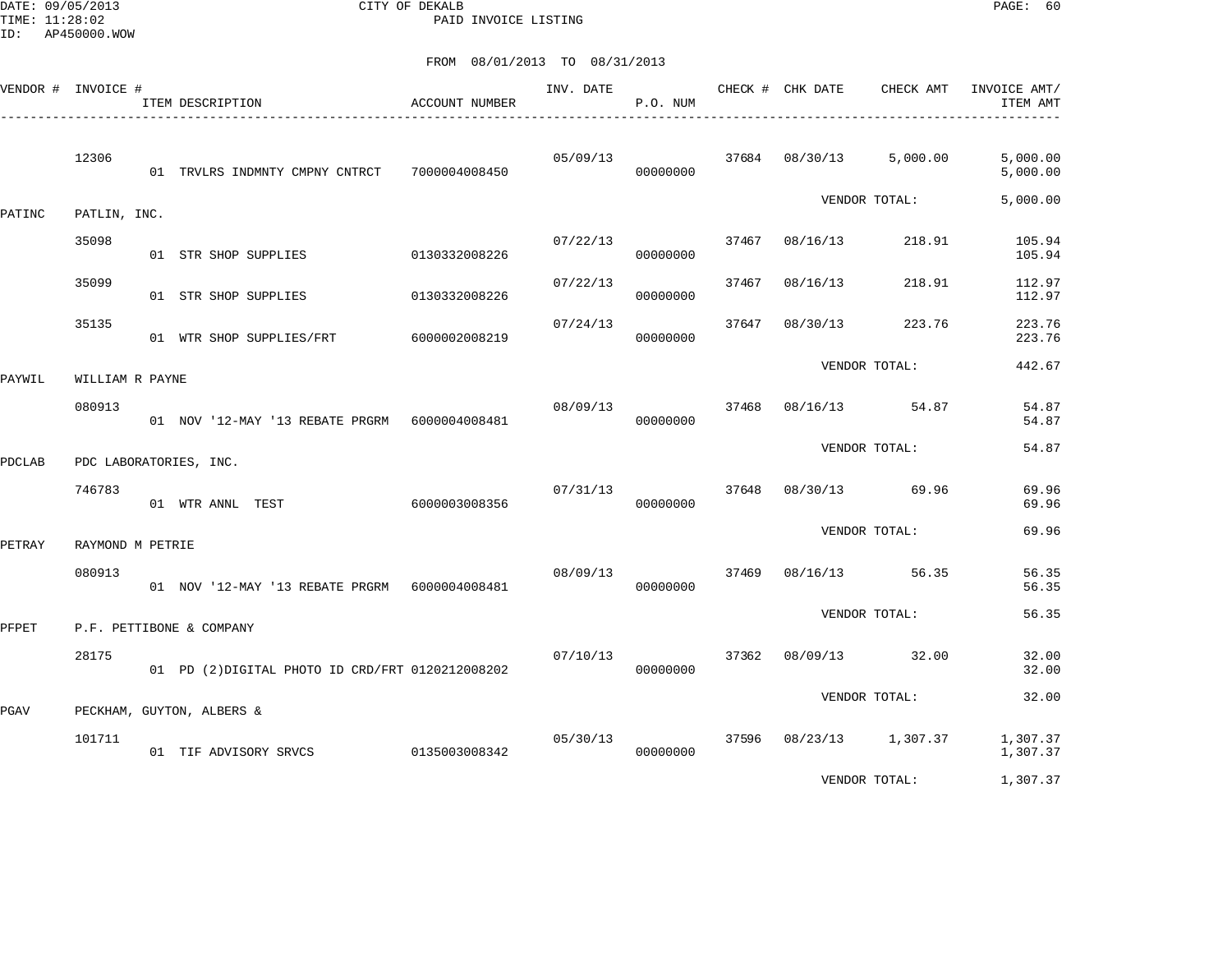DATE: 09/05/2013 CITY OF DEKALB PAGE: 60 PAID INVOICE LISTING

|        | VENDOR # INVOICE # | ITEM DESCRIPTION                                 | <b>ACCOUNT NUMBER</b> | INV. DATE | P.O. NUM             |       | CHECK # CHK DATE | CHECK AMT            | INVOICE AMT/<br>ITEM AMT |
|--------|--------------------|--------------------------------------------------|-----------------------|-----------|----------------------|-------|------------------|----------------------|--------------------------|
|        | 12306              | 01 TRVLRS INDMNTY CMPNY CNTRCT 7000004008450     |                       | 05/09/13  | 00000000             |       | 37684 08/30/13   | 5,000.00             | 5,000.00<br>5,000.00     |
| PATINC | PATLIN, INC.       |                                                  |                       |           |                      |       |                  | VENDOR TOTAL:        | 5,000.00                 |
|        | 35098              | 01 STR SHOP SUPPLIES                             | 0130332008226         | 07/22/13  | 00000000             | 37467 | 08/16/13         | 218.91               | 105.94<br>105.94         |
|        | 35099              | 01 STR SHOP SUPPLIES                             | 0130332008226         | 07/22/13  | 00000000             | 37467 | 08/16/13         | 218.91               | 112.97<br>112.97         |
|        | 35135              | 01 WTR SHOP SUPPLIES/FRT                         | 6000002008219         | 07/24/13  | 00000000             | 37647 | 08/30/13         | 223.76               | 223.76<br>223.76         |
| PAYWIL | WILLIAM R PAYNE    |                                                  |                       |           |                      |       |                  | VENDOR TOTAL:        | 442.67                   |
|        | 080913             | 01 NOV '12-MAY '13 REBATE PRGRM    6000004008481 |                       | 08/09/13  | 00000000             |       |                  | 37468 08/16/13 54.87 | 54.87<br>54.87           |
| PDCLAB |                    | PDC LABORATORIES, INC.                           |                       |           |                      |       |                  | VENDOR TOTAL:        | 54.87                    |
|        | 746783             | 01 WTR ANNL TEST                                 | 6000003008356         | 07/31/13  | 00000000             | 37648 |                  | 08/30/13 69.96       | 69.96<br>69.96           |
| PETRAY | RAYMOND M PETRIE   |                                                  |                       |           |                      |       |                  | VENDOR TOTAL:        | 69.96                    |
|        | 080913             | 01 NOV '12-MAY '13 REBATE PRGRM 6000004008481    |                       | 08/09/13  | 00000000             | 37469 |                  | 08/16/13 56.35       | 56.35<br>56.35           |
| PFPET  |                    | P.F. PETTIBONE & COMPANY                         |                       |           |                      |       |                  | VENDOR TOTAL:        | 56.35                    |
|        | 28175              | 01 PD (2) DIGITAL PHOTO ID CRD/FRT 0120212008202 |                       | 07/10/13  | 00000000             |       | 37362 08/09/13   | 32.00                | 32.00<br>32.00           |
| PGAV   |                    | PECKHAM, GUYTON, ALBERS &                        |                       |           |                      |       |                  | VENDOR TOTAL:        | 32.00                    |
|        | 101711             | 01 TIF ADVISORY SRVCS                            | 0135003008342         |           | 05/30/13<br>00000000 | 37596 |                  | 08/23/13 1,307.37    | 1,307.37<br>1,307.37     |
|        |                    |                                                  |                       |           |                      |       |                  | VENDOR TOTAL:        | 1,307.37                 |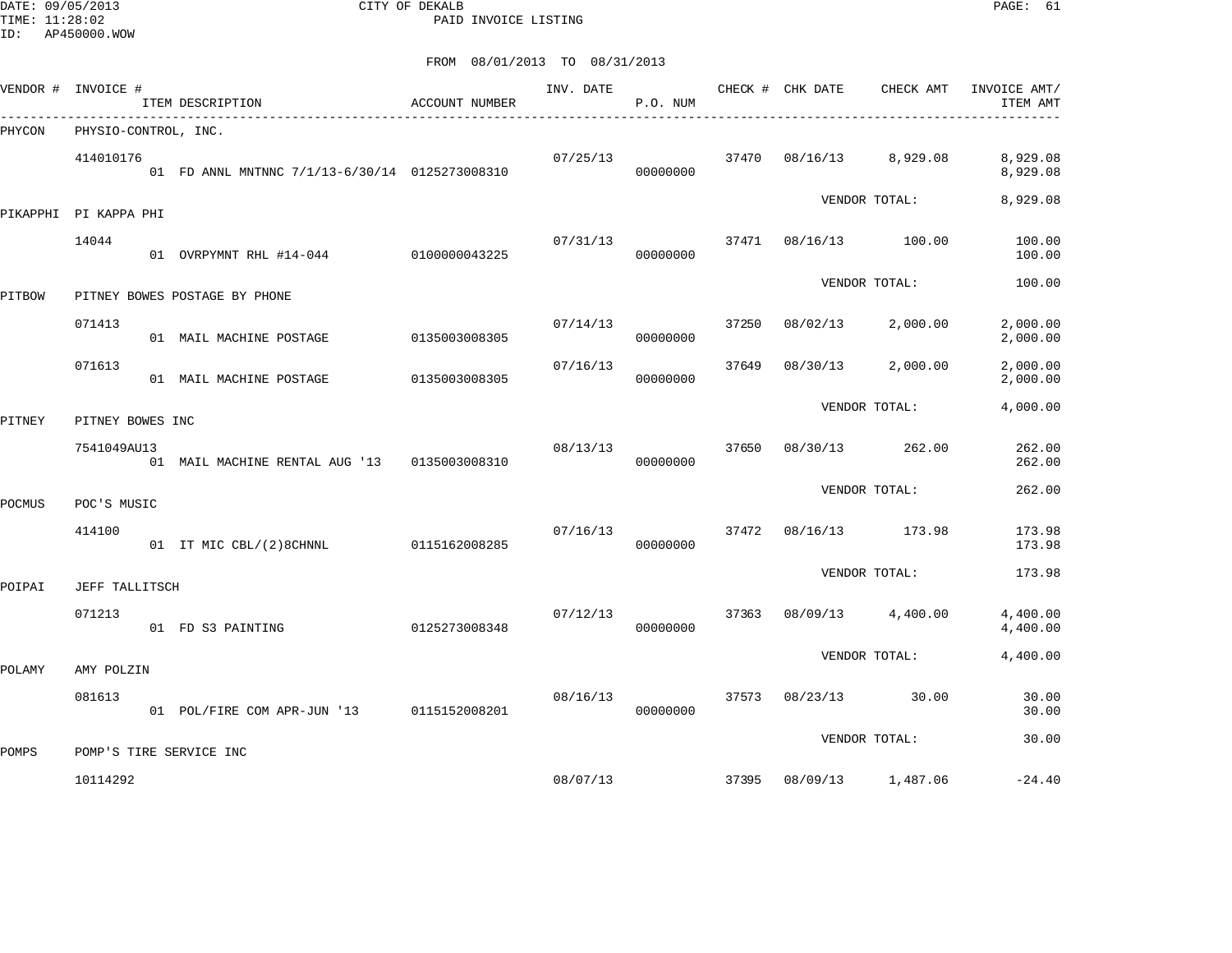DATE: 09/05/2013 CITY OF DEKALB PAGE: 61 PAID INVOICE LISTING

|        | VENDOR # INVOICE #       | ITEM DESCRIPTION                               | ACCOUNT NUMBER | INV. DATE | P.O. NUM |       | CHECK # CHK DATE | CHECK AMT     | INVOICE AMT/<br>ITEM AMT |
|--------|--------------------------|------------------------------------------------|----------------|-----------|----------|-------|------------------|---------------|--------------------------|
| PHYCON | PHYSIO-CONTROL, INC.     |                                                |                |           |          |       |                  |               |                          |
|        | 414010176                | 01 FD ANNL MNTNNC 7/1/13-6/30/14 0125273008310 |                | 07/25/13  | 00000000 | 37470 | 08/16/13         | 8,929.08      | 8,929.08<br>8,929.08     |
|        | PIKAPPHI PI KAPPA PHI    |                                                |                |           |          |       |                  | VENDOR TOTAL: | 8,929.08                 |
|        | 14044                    | 01 OVRPYMNT RHL #14-044                        | 0100000043225  | 07/31/13  | 00000000 | 37471 | 08/16/13         | 100.00        | 100.00<br>100.00         |
| PITBOW |                          | PITNEY BOWES POSTAGE BY PHONE                  |                |           |          |       |                  | VENDOR TOTAL: | 100.00                   |
|        | 071413                   |                                                |                | 07/14/13  |          | 37250 | 08/02/13         | 2,000.00      | 2,000.00                 |
|        |                          | 01 MAIL MACHINE POSTAGE                        | 0135003008305  |           | 00000000 |       |                  |               | 2,000.00                 |
|        | 071613                   | 01 MAIL MACHINE POSTAGE                        | 0135003008305  | 07/16/13  | 00000000 | 37649 | 08/30/13         | 2,000.00      | 2,000.00<br>2,000.00     |
| PITNEY | PITNEY BOWES INC         |                                                |                |           |          |       |                  | VENDOR TOTAL: | 4,000.00                 |
|        | 7541049AU13              | 01 MAIL MACHINE RENTAL AUG '13                 | 0135003008310  | 08/13/13  | 00000000 | 37650 | 08/30/13         | 262.00        | 262.00<br>262.00         |
|        |                          |                                                |                |           |          |       |                  | VENDOR TOTAL: | 262.00                   |
| POCMUS | POC'S MUSIC<br>414100    | 01 IT MIC CBL/(2)8CHNNL                        | 0115162008285  | 07/16/13  | 00000000 | 37472 | 08/16/13         | 173.98        | 173.98<br>173.98         |
|        |                          |                                                |                |           |          |       |                  | VENDOR TOTAL: | 173.98                   |
| POIPAI | JEFF TALLITSCH<br>071213 |                                                |                | 07/12/13  |          | 37363 | 08/09/13         | 4,400.00      | 4,400.00                 |
|        |                          | 01 FD S3 PAINTING                              | 0125273008348  |           | 00000000 |       |                  |               | 4,400.00                 |
| POLAMY | AMY POLZIN               |                                                |                |           |          |       |                  | VENDOR TOTAL: | 4,400.00                 |
|        | 081613                   | 01 POL/FIRE COM APR-JUN '13 0115152008201      |                | 08/16/13  | 00000000 | 37573 | 08/23/13         | 30.00         | 30.00<br>30.00           |
|        |                          |                                                |                |           |          |       |                  | VENDOR TOTAL: | 30.00                    |
| POMPS  |                          | POMP'S TIRE SERVICE INC                        |                |           |          |       |                  |               |                          |
|        | 10114292                 |                                                |                | 08/07/13  |          | 37395 | 08/09/13         | 1,487.06      | $-24.40$                 |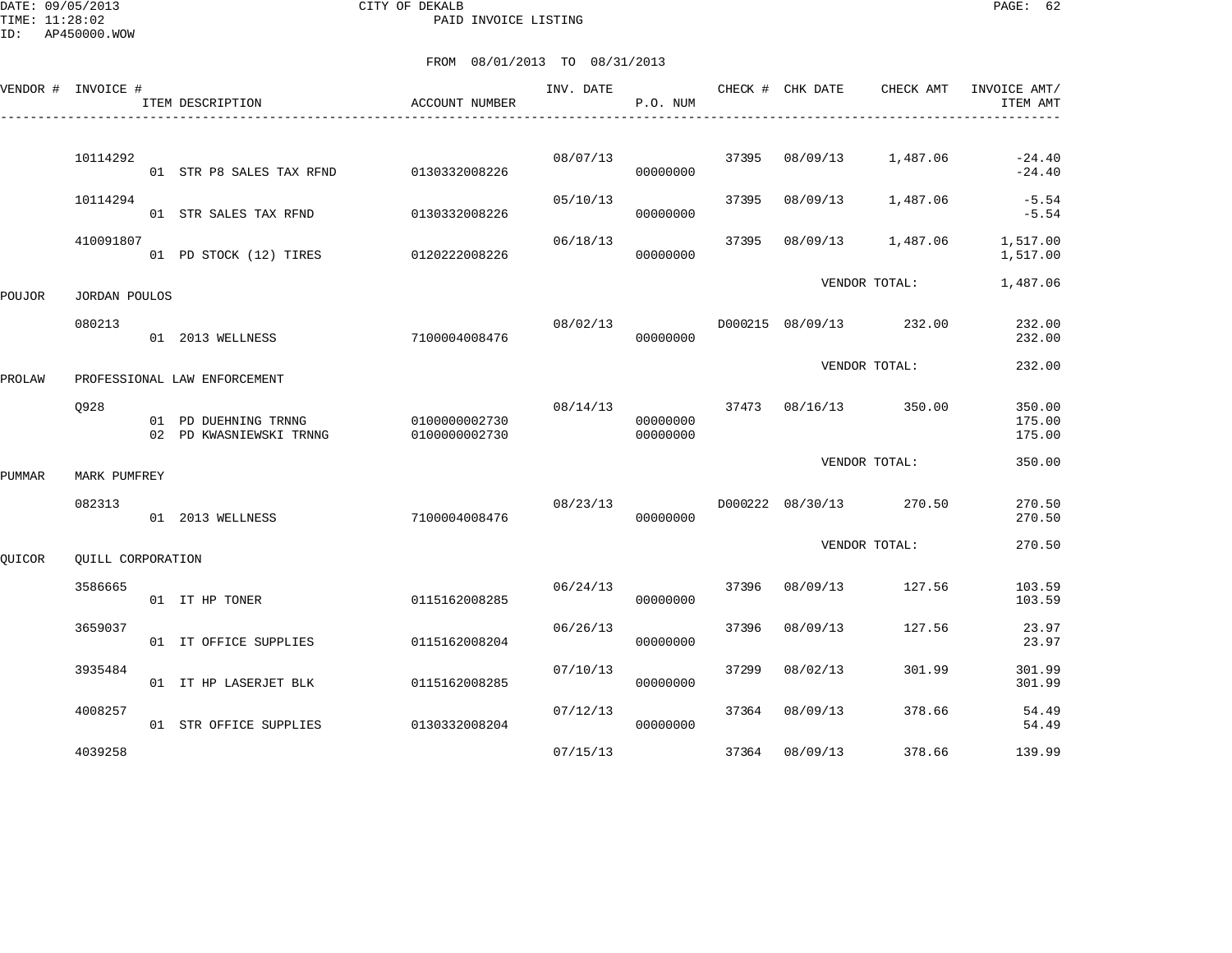DATE: 09/05/2013 CITY OF DEKALB PAGE: 62 PAID INVOICE LISTING

|        | VENDOR # INVOICE # | ITEM DESCRIPTION                                | <b>ACCOUNT NUMBER</b>          | INV. DATE | P.O. NUM             |       | CHECK # CHK DATE | CHECK AMT                      | INVOICE AMT/<br>ITEM AMT |
|--------|--------------------|-------------------------------------------------|--------------------------------|-----------|----------------------|-------|------------------|--------------------------------|--------------------------|
|        |                    |                                                 |                                |           |                      |       |                  |                                |                          |
|        | 10114292           | 01 STR P8 SALES TAX RFND                        | 0130332008226                  | 08/07/13  | 00000000             | 37395 | 08/09/13         | 1,487.06                       | $-24.40$<br>$-24.40$     |
|        | 10114294           | 01 STR SALES TAX RFND                           | 0130332008226                  | 05/10/13  | 00000000             | 37395 | 08/09/13         | 1,487.06                       | $-5.54$<br>$-5.54$       |
|        | 410091807          | 01 PD STOCK (12) TIRES                          | 0120222008226                  | 06/18/13  | 00000000             | 37395 | 08/09/13         | 1,487.06                       | 1,517.00<br>1,517.00     |
| POUJOR | JORDAN POULOS      |                                                 |                                |           |                      |       |                  | VENDOR TOTAL:                  | 1,487.06                 |
|        | 080213             | 01 2013 WELLNESS                                | 7100004008476                  | 08/02/13  | 00000000             |       |                  | D000215 08/09/13 232.00        | 232.00<br>232.00         |
| PROLAW |                    | PROFESSIONAL LAW ENFORCEMENT                    |                                |           |                      |       |                  | VENDOR TOTAL:                  | 232.00                   |
|        | 0928               |                                                 |                                |           |                      |       |                  | 08/14/13 37473 08/16/13 350.00 | 350.00                   |
|        |                    | 01 PD DUEHNING TRNNG<br>02 PD KWASNIEWSKI TRNNG | 0100000002730<br>0100000002730 |           | 00000000<br>00000000 |       |                  |                                | 175.00<br>175.00         |
| PUMMAR | MARK PUMFREY       |                                                 |                                |           |                      |       |                  | VENDOR TOTAL:                  | 350.00                   |
|        | 082313             | 01 2013 WELLNESS                                | 7100004008476                  | 08/23/13  | 00000000             |       | D000222 08/30/13 | 270.50                         | 270.50<br>270.50         |
| QUICOR | QUILL CORPORATION  |                                                 |                                |           |                      |       |                  | VENDOR TOTAL:                  | 270.50                   |
|        | 3586665            | 01 IT HP TONER                                  | 0115162008285                  | 06/24/13  | 00000000             | 37396 | 08/09/13         | 127.56                         | 103.59<br>103.59         |
|        | 3659037            | 01 IT OFFICE SUPPLIES                           | 0115162008204                  | 06/26/13  | 00000000             | 37396 | 08/09/13         | 127.56                         | 23.97<br>23.97           |
|        | 3935484            | 01 IT HP LASERJET BLK                           | 0115162008285                  | 07/10/13  | 00000000             | 37299 | 08/02/13         | 301.99                         | 301.99<br>301.99         |
|        | 4008257            | 01 STR OFFICE SUPPLIES                          | 0130332008204                  | 07/12/13  | 00000000             | 37364 | 08/09/13         | 378.66                         | 54.49<br>54.49           |
|        | 4039258            |                                                 |                                | 07/15/13  |                      | 37364 | 08/09/13         | 378.66                         | 139.99                   |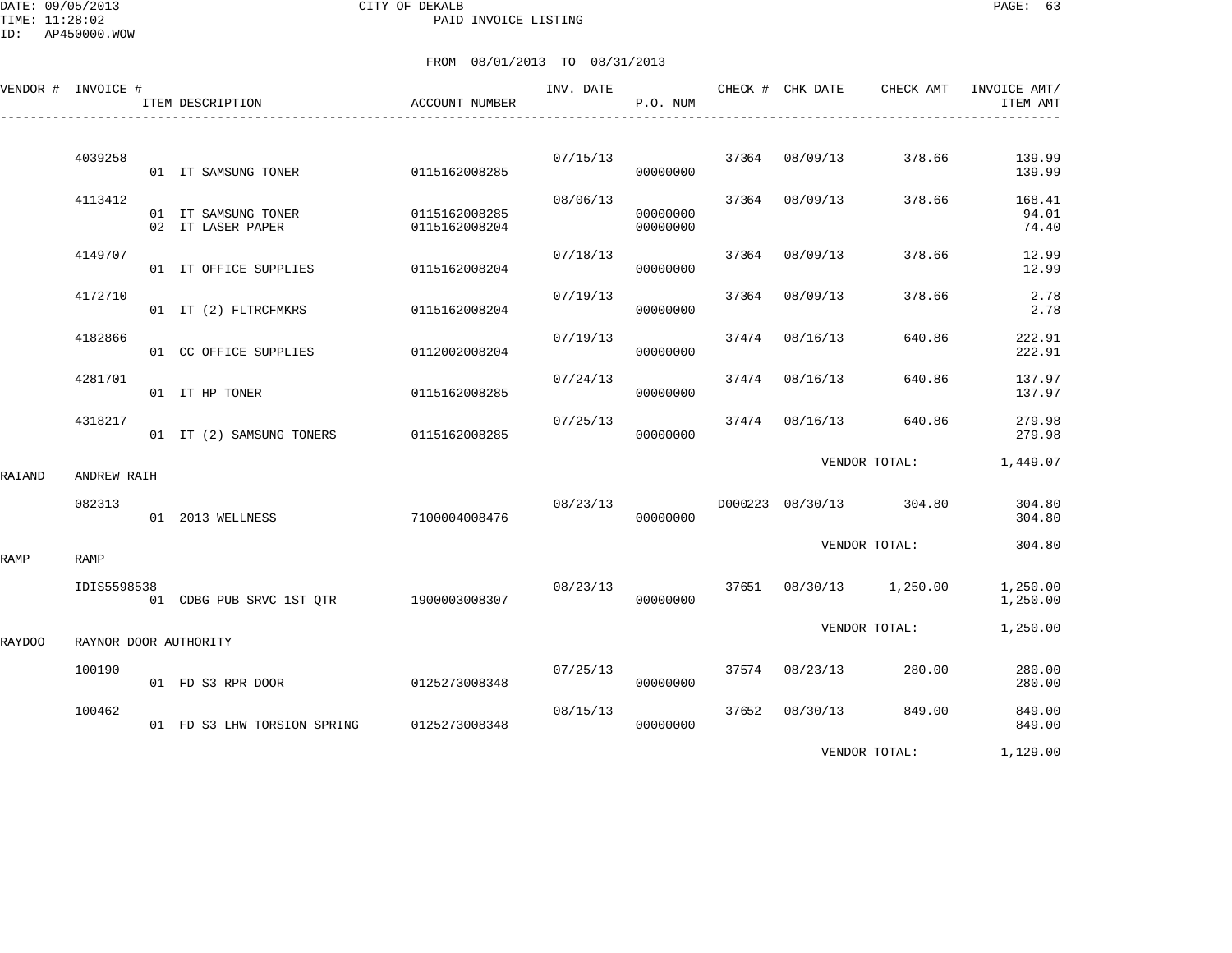DATE: 09/05/2013 CITY OF DEKALB PAGE: 63 PAID INVOICE LISTING

|        | VENDOR # INVOICE # | ITEM DESCRIPTION                         | ACCOUNT NUMBER                 | INV. DATE | P.O. NUM             |       | CHECK # CHK DATE | CHECK AMT               | INVOICE AMT/<br>ITEM AMT |
|--------|--------------------|------------------------------------------|--------------------------------|-----------|----------------------|-------|------------------|-------------------------|--------------------------|
|        | 4039258            | 01 IT SAMSUNG TONER                      | 0115162008285                  | 07/15/13  | 00000000             |       | 37364 08/09/13   | 378.66                  | 139.99<br>139.99         |
|        | 4113412            | 01 IT SAMSUNG TONER<br>02 IT LASER PAPER | 0115162008285<br>0115162008204 | 08/06/13  | 00000000<br>00000000 |       | 37364 08/09/13   | 378.66                  | 168.41<br>94.01<br>74.40 |
|        | 4149707            | 01 IT OFFICE SUPPLIES                    | 0115162008204                  | 07/18/13  | 00000000             | 37364 | 08/09/13         | 378.66                  | 12.99<br>12.99           |
|        | 4172710            | 01 IT (2) FLTRCFMKRS                     | 0115162008204                  | 07/19/13  | 00000000             | 37364 | 08/09/13         | 378.66                  | 2.78<br>2.78             |
|        | 4182866            | 01 CC OFFICE SUPPLIES                    | 0112002008204                  | 07/19/13  | 00000000             | 37474 | 08/16/13         | 640.86                  | 222.91<br>222.91         |
|        | 4281701            | 01 IT HP TONER                           | 0115162008285                  | 07/24/13  | 00000000             |       | 37474 08/16/13   | 640.86                  | 137.97<br>137.97         |
|        | 4318217            | 01 IT (2) SAMSUNG TONERS 0115162008285   |                                | 07/25/13  | 00000000             |       | 37474 08/16/13   | 640.86                  | 279.98<br>279.98         |
| RAIAND | ANDREW RAIH        |                                          |                                |           |                      |       |                  | VENDOR TOTAL:           | 1,449.07                 |
|        | 082313             | 01 2013 WELLNESS                         | 7100004008476                  | 08/23/13  | 00000000             |       |                  | D000223 08/30/13 304.80 | 304.80<br>304.80         |
| RAMP   | RAMP               |                                          |                                |           |                      |       |                  | VENDOR TOTAL:           | 304.80                   |
|        | IDIS5598538        | 01 CDBG PUB SRVC 1ST QTR 1900003008307   |                                | 08/23/13  | 00000000             |       |                  | 37651 08/30/13 1,250.00 | 1,250.00<br>1,250.00     |
| RAYDOO |                    | RAYNOR DOOR AUTHORITY                    |                                |           |                      |       |                  | VENDOR TOTAL:           | 1,250.00                 |
|        | 100190             | 01 FD S3 RPR DOOR                        | 0125273008348                  | 07/25/13  | 00000000             |       | 37574 08/23/13   | 280.00                  | 280.00<br>280.00         |
|        | 100462             | 01 FD S3 LHW TORSION SPRING              | 0125273008348                  | 08/15/13  | 00000000             |       | 37652 08/30/13   | 849.00                  | 849.00<br>849.00         |
|        |                    |                                          |                                |           |                      |       |                  | VENDOR TOTAL:           | 1,129.00                 |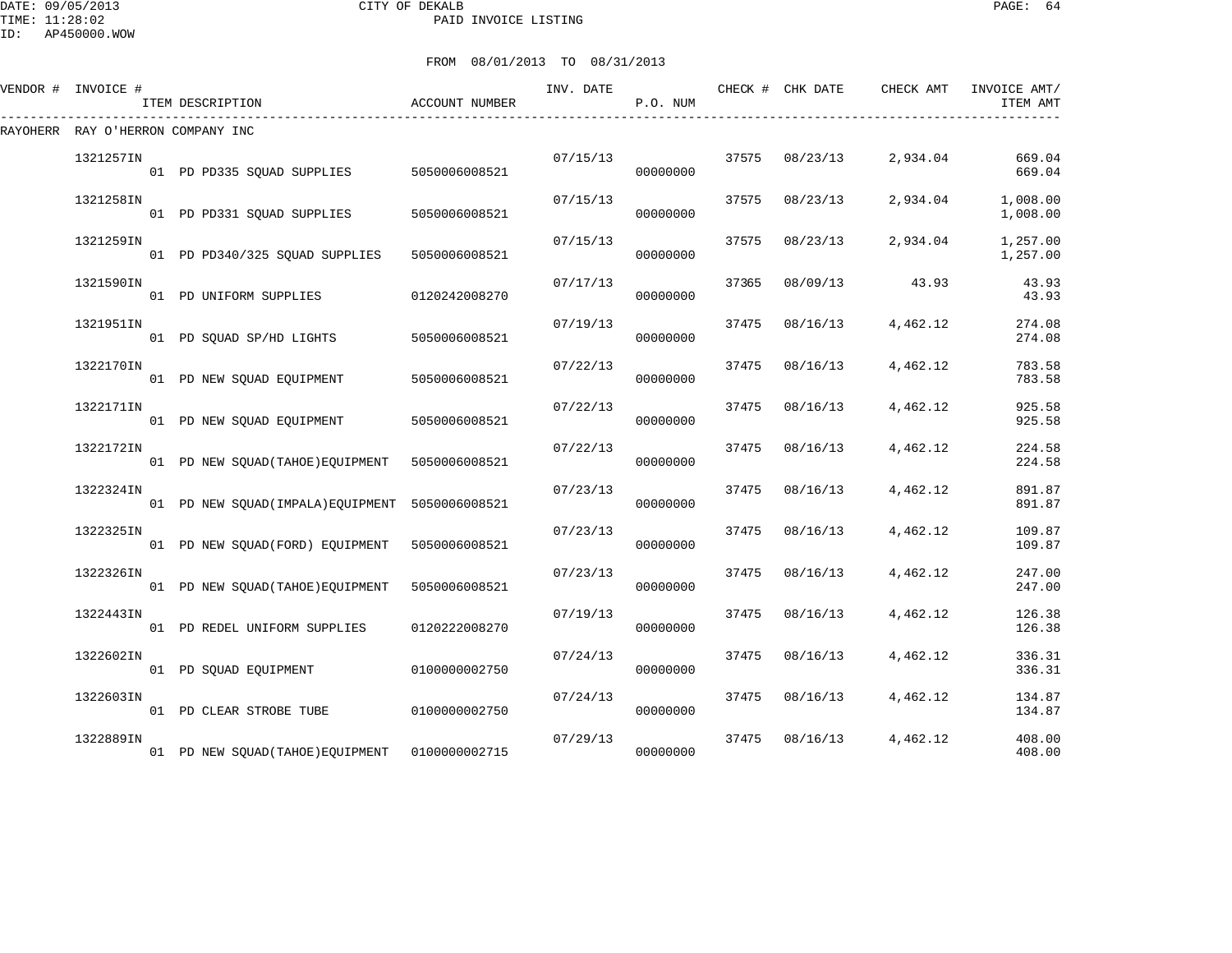#### DATE: 09/05/2013 CITY OF DEKALB PAGE: 64 PAID INVOICE LISTING

ID: AP450000.WOW

| VENDOR # INVOICE #                | ITEM DESCRIPTION                               | ACCOUNT NUMBER | INV. DATE | P.O. NUM |       | CHECK # CHK DATE | CHECK AMT | INVOICE AMT/<br>ITEM AMT |
|-----------------------------------|------------------------------------------------|----------------|-----------|----------|-------|------------------|-----------|--------------------------|
| RAYOHERR RAY O'HERRON COMPANY INC |                                                |                |           |          |       |                  |           |                          |
| 1321257IN                         | 01 PD PD335 SOUAD SUPPLIES                     | 5050006008521  | 07/15/13  | 00000000 |       | 37575 08/23/13   | 2,934.04  | 669.04<br>669.04         |
| 1321258IN                         | 01 PD PD331 SQUAD SUPPLIES                     | 5050006008521  | 07/15/13  | 00000000 | 37575 | 08/23/13         | 2,934.04  | 1,008.00<br>1,008.00     |
| 1321259IN                         | 01 PD PD340/325 SQUAD SUPPLIES                 | 5050006008521  | 07/15/13  | 00000000 | 37575 | 08/23/13         | 2,934.04  | 1,257.00<br>1,257.00     |
| 1321590IN                         | 01 PD UNIFORM SUPPLIES                         | 0120242008270  | 07/17/13  | 00000000 | 37365 | 08/09/13         | 43.93     | 43.93<br>43.93           |
| 1321951IN                         | 01 PD SQUAD SP/HD LIGHTS                       | 5050006008521  | 07/19/13  | 00000000 | 37475 | 08/16/13         | 4,462.12  | 274.08<br>274.08         |
| 1322170IN                         | 01 PD NEW SQUAD EQUIPMENT                      | 5050006008521  | 07/22/13  | 00000000 | 37475 | 08/16/13         | 4,462.12  | 783.58<br>783.58         |
| 1322171IN                         | 01 PD NEW SQUAD EQUIPMENT                      | 5050006008521  | 07/22/13  | 00000000 | 37475 | 08/16/13         | 4,462.12  | 925.58<br>925.58         |
| 1322172IN                         | 01 PD NEW SQUAD(TAHOE) EQUIPMENT 5050006008521 |                | 07/22/13  | 00000000 | 37475 | 08/16/13         | 4,462.12  | 224.58<br>224.58         |
| 1322324IN                         | 01 PD NEW SQUAD(IMPALA)EQUIPMENT 5050006008521 |                | 07/23/13  | 00000000 | 37475 | 08/16/13         | 4,462.12  | 891.87<br>891.87         |
| 1322325IN                         | 01 PD NEW SQUAD (FORD) EQUIPMENT               | 5050006008521  | 07/23/13  | 00000000 | 37475 | 08/16/13         | 4,462.12  | 109.87<br>109.87         |
| 1322326IN                         | 01 PD NEW SQUAD (TAHOE) EQUIPMENT              | 5050006008521  | 07/23/13  | 00000000 | 37475 | 08/16/13         | 4,462.12  | 247.00<br>247.00         |
| 1322443IN                         | 01 PD REDEL UNIFORM SUPPLIES                   | 0120222008270  | 07/19/13  | 00000000 | 37475 | 08/16/13         | 4,462.12  | 126.38<br>126.38         |
| 1322602IN                         | 01 PD SOUAD EOUIPMENT                          | 0100000002750  | 07/24/13  | 00000000 | 37475 | 08/16/13         | 4,462.12  | 336.31<br>336.31         |
| 1322603IN                         | 01 PD CLEAR STROBE TUBE                        | 0100000002750  | 07/24/13  | 00000000 | 37475 | 08/16/13         | 4,462.12  | 134.87<br>134.87         |
| 1322889IN                         | 01 PD NEW SQUAD (TAHOE) EQUIPMENT              | 0100000002715  | 07/29/13  | 00000000 | 37475 | 08/16/13         | 4,462.12  | 408.00<br>408.00         |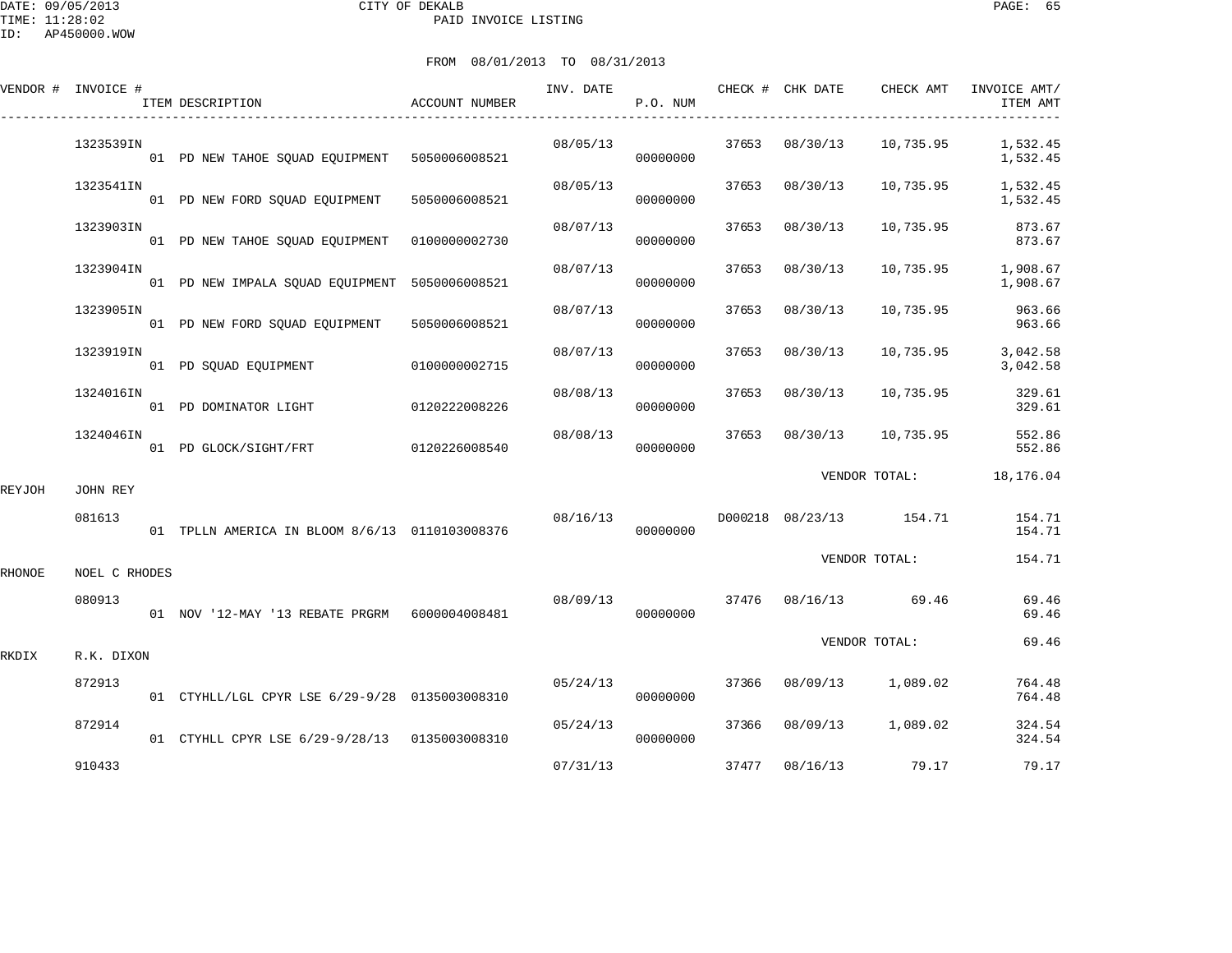DATE: 09/05/2013 CITY OF DEKALB PAGE: 65 PAID INVOICE LISTING

ID: AP450000.WOW

|        | VENDOR # INVOICE # | ITEM DESCRIPTION                                | ACCOUNT NUMBER | INV. DATE | P.O. NUM             |       | CHECK # CHK DATE | CHECK AMT               | INVOICE AMT/<br>ITEM AMT |
|--------|--------------------|-------------------------------------------------|----------------|-----------|----------------------|-------|------------------|-------------------------|--------------------------|
|        | 1323539IN          | 01 PD NEW TAHOE SQUAD EQUIPMENT 5050006008521   |                | 08/05/13  | 00000000             |       | 37653 08/30/13   | 10,735.95               | 1,532.45<br>1,532.45     |
|        | 1323541IN          | 01 PD NEW FORD SQUAD EQUIPMENT                  | 5050006008521  | 08/05/13  | 00000000             | 37653 | 08/30/13         | 10,735.95               | 1,532.45<br>1,532.45     |
|        | 1323903IN          | 01 PD NEW TAHOE SQUAD EQUIPMENT   0100000002730 |                | 08/07/13  | 00000000             | 37653 | 08/30/13         | 10,735.95               | 873.67<br>873.67         |
|        | 1323904IN          | 01 PD NEW IMPALA SOUAD EOUIPMENT 5050006008521  |                | 08/07/13  | 00000000             | 37653 | 08/30/13         | 10,735.95               | 1,908.67<br>1,908.67     |
|        | 1323905IN          | 01 PD NEW FORD SQUAD EQUIPMENT                  | 5050006008521  | 08/07/13  | 00000000             | 37653 | 08/30/13         | 10,735.95               | 963.66<br>963.66         |
|        | 1323919IN          | 01 PD SQUAD EQUIPMENT                           | 0100000002715  | 08/07/13  | 00000000             | 37653 | 08/30/13         | 10,735.95               | 3,042.58<br>3,042.58     |
|        | 1324016IN          | 01 PD DOMINATOR LIGHT                           | 0120222008226  | 08/08/13  | 00000000             | 37653 | 08/30/13         | 10,735.95               | 329.61<br>329.61         |
|        | 1324046IN          | 01 PD GLOCK/SIGHT/FRT                           | 0120226008540  | 08/08/13  | 00000000             | 37653 | 08/30/13         | 10,735.95               | 552.86<br>552.86         |
| REYJOH | JOHN REY           |                                                 |                |           |                      |       |                  | VENDOR TOTAL:           | 18,176.04                |
|        | 081613             | 01 TPLLN AMERICA IN BLOOM 8/6/13 0110103008376  |                | 08/16/13  | 00000000             |       |                  | D000218 08/23/13 154.71 | 154.71<br>154.71         |
| RHONOE | NOEL C RHODES      |                                                 |                |           |                      |       |                  | VENDOR TOTAL:           | 154.71                   |
|        | 080913             | 01 NOV '12-MAY '13 REBATE PRGRM 6000004008481   |                |           | 08/09/13<br>00000000 |       |                  | 37476 08/16/13 69.46    | 69.46<br>69.46           |
| RKDIX  | R.K. DIXON         |                                                 |                |           |                      |       |                  | VENDOR TOTAL:           | 69.46                    |
|        | 872913             | 01 CTYHLL/LGL CPYR LSE 6/29-9/28 0135003008310  |                | 05/24/13  | 00000000             | 37366 | 08/09/13         | 1,089.02                | 764.48<br>764.48         |
|        | 872914             | 01 CTYHLL CPYR LSE 6/29-9/28/13 0135003008310   |                | 05/24/13  | 00000000             | 37366 | 08/09/13         | 1,089.02                | 324.54<br>324.54         |
|        | 910433             |                                                 |                | 07/31/13  |                      |       | 37477 08/16/13   | 79.17                   | 79.17                    |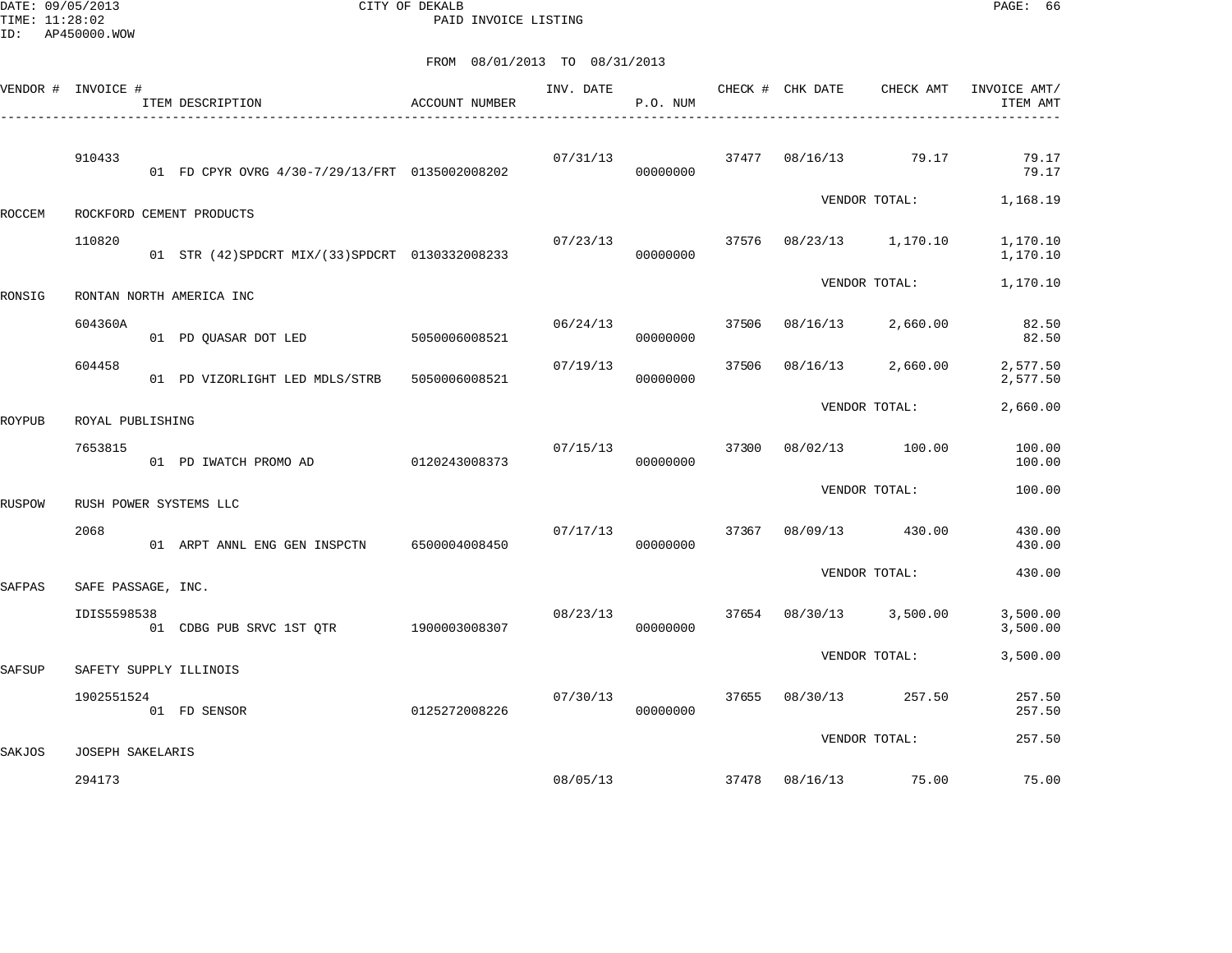DATE: 09/05/2013 CITY OF DEKALB PAGE: 66 PAID INVOICE LISTING

|               | VENDOR # INVOICE # | ITEM DESCRIPTION                                 | ACCOUNT NUMBER | INV. DATE | P.O. NUM |       | CHECK # CHK DATE | CHECK AMT               | INVOICE AMT/<br>ITEM AMT |
|---------------|--------------------|--------------------------------------------------|----------------|-----------|----------|-------|------------------|-------------------------|--------------------------|
|               | 910433             | 01 FD CPYR OVRG 4/30-7/29/13/FRT 0135002008202   |                | 07/31/13  | 00000000 |       |                  | 37477 08/16/13 79.17    | 79.17<br>79.17           |
| ROCCEM        |                    | ROCKFORD CEMENT PRODUCTS                         |                |           |          |       |                  |                         | VENDOR TOTAL: 1,168.19   |
|               | 110820             | 01 STR (42) SPDCRT MIX/(33) SPDCRT 0130332008233 |                | 07/23/13  | 00000000 |       |                  | 37576 08/23/13 1,170.10 | 1,170.10<br>1,170.10     |
| RONSIG        |                    | RONTAN NORTH AMERICA INC                         |                |           |          |       |                  | VENDOR TOTAL:           | 1,170.10                 |
|               | 604360A            | 01 PD QUASAR DOT LED 5050006008521               |                | 06/24/13  | 00000000 | 37506 |                  | 08/16/13 2,660.00       | 82.50<br>82.50           |
|               | 604458             | 01 PD VIZORLIGHT LED MDLS/STRB 5050006008521     |                | 07/19/13  | 00000000 | 37506 |                  | 08/16/13 2,660.00       | 2,577.50<br>2,577.50     |
| ROYPUB        | ROYAL PUBLISHING   |                                                  |                |           |          |       |                  | VENDOR TOTAL:           | 2,660.00                 |
|               | 7653815            | 01 PD IWATCH PROMO AD                            | 0120243008373  | 07/15/13  | 00000000 |       |                  | 37300 08/02/13 100.00   | 100.00<br>100.00         |
| RUSPOW        |                    | RUSH POWER SYSTEMS LLC                           |                |           |          |       |                  | VENDOR TOTAL:           | 100.00                   |
|               | 2068               | 01 ARPT ANNL ENG GEN INSPCTN 6500004008450       |                | 07/17/13  | 00000000 |       |                  | 37367 08/09/13 430.00   | 430.00<br>430.00         |
| SAFPAS        | SAFE PASSAGE, INC. |                                                  |                |           |          |       |                  | VENDOR TOTAL:           | 430.00                   |
|               | IDIS5598538        | 01 CDBG PUB SRVC 1ST QTR 1900003008307           |                | 08/23/13  | 00000000 |       |                  | 37654 08/30/13 3,500.00 | 3,500.00<br>3,500.00     |
| <b>SAFSUP</b> |                    | SAFETY SUPPLY ILLINOIS                           |                |           |          |       |                  | VENDOR TOTAL:           | 3,500.00                 |
|               | 1902551524         | 0125272008226<br>01 FD SENSOR                    |                | 07/30/13  | 00000000 | 37655 |                  | 08/30/13 257.50         | 257.50<br>257.50         |
| SAKJOS        | JOSEPH SAKELARIS   |                                                  |                |           |          |       |                  | VENDOR TOTAL:           | 257.50                   |
|               | 294173             |                                                  |                |           | 08/05/13 |       |                  | 37478  08/16/13  75.00  | 75.00                    |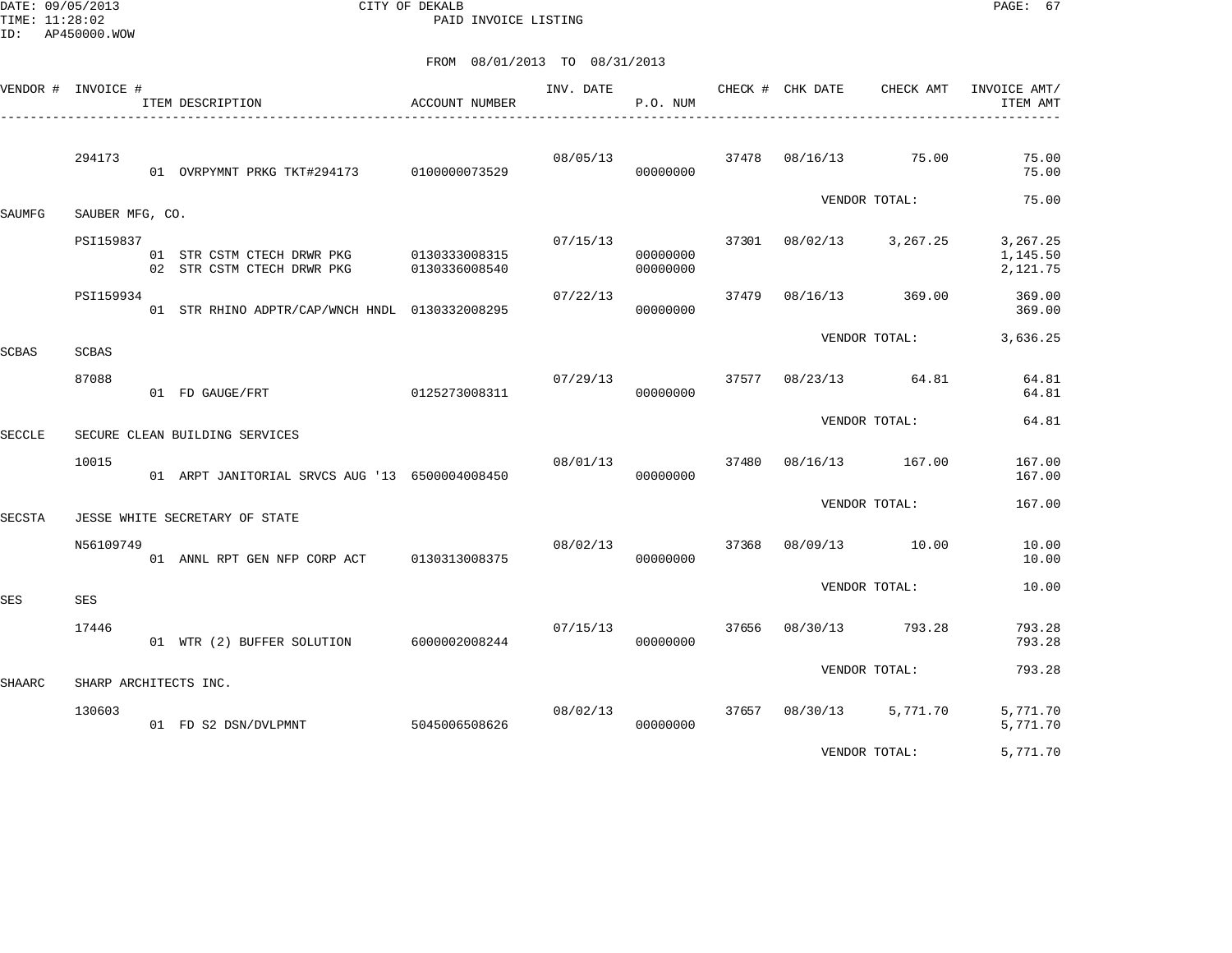DATE: 09/05/2013 CITY OF DEKALB PAGE: 67 PAID INVOICE LISTING

|               | VENDOR # INVOICE #    | ITEM DESCRIPTION<br>__________________________           | ACCOUNT NUMBER                 | INV. DATE | P.O. NUM             |       | CHECK # CHK DATE  | CHECK AMT     | INVOICE AMT/<br>ITEM AMT         |
|---------------|-----------------------|----------------------------------------------------------|--------------------------------|-----------|----------------------|-------|-------------------|---------------|----------------------------------|
|               | 294173                | 01 OVRPYMNT PRKG TKT#294173                              | 0100000073529                  | 08/05/13  | 00000000             | 37478 | 08/16/13          | 75.00         | 75.00<br>75.00                   |
| SAUMFG        | SAUBER MFG, CO.       |                                                          |                                |           |                      |       |                   | VENDOR TOTAL: | 75.00                            |
|               | PSI159837             | 01 STR CSTM CTECH DRWR PKG<br>02 STR CSTM CTECH DRWR PKG | 0130333008315<br>0130336008540 | 07/15/13  | 00000000<br>00000000 | 37301 | 08/02/13 3,267.25 |               | 3,267.25<br>1,145.50<br>2,121.75 |
|               | PSI159934             | 01 STR RHINO ADPTR/CAP/WNCH HNDL 0130332008295           |                                | 07/22/13  | 00000000             | 37479 | 08/16/13 369.00   |               | 369.00<br>369.00                 |
| <b>SCBAS</b>  | <b>SCBAS</b>          |                                                          |                                |           |                      |       |                   | VENDOR TOTAL: | 3,636.25                         |
|               | 87088                 | 01 FD GAUGE/FRT                                          | 0125273008311                  | 07/29/13  | 00000000             | 37577 | 08/23/13 64.81    |               | 64.81<br>64.81                   |
| <b>SECCLE</b> |                       | SECURE CLEAN BUILDING SERVICES                           |                                |           |                      |       |                   | VENDOR TOTAL: | 64.81                            |
|               | 10015                 | 01 ARPT JANITORIAL SRVCS AUG '13 6500004008450           |                                | 08/01/13  | 00000000             | 37480 | 08/16/13 167.00   |               | 167.00<br>167.00                 |
| SECSTA        |                       | JESSE WHITE SECRETARY OF STATE                           |                                |           |                      |       |                   | VENDOR TOTAL: | 167.00                           |
|               | N56109749             | 01 ANNL RPT GEN NFP CORP ACT 0130313008375               |                                | 08/02/13  | 00000000             | 37368 | 08/09/13 10.00    |               | 10.00<br>10.00                   |
| <b>SES</b>    | SES                   |                                                          |                                |           |                      |       |                   | VENDOR TOTAL: | 10.00                            |
|               | 17446                 | 01 WTR (2) BUFFER SOLUTION 6000002008244                 |                                | 07/15/13  | 00000000             | 37656 | 08/30/13          | 793.28        | 793.28<br>793.28                 |
| <b>SHAARC</b> | SHARP ARCHITECTS INC. |                                                          |                                |           |                      |       |                   | VENDOR TOTAL: | 793.28                           |
|               | 130603                | 01 FD S2 DSN/DVLPMNT                                     | 5045006508626                  | 08/02/13  | 00000000             |       | 37657 08/30/13    | 5,771.70      | 5,771.70<br>5,771.70             |
|               |                       |                                                          |                                |           |                      |       |                   | VENDOR TOTAL: | 5,771.70                         |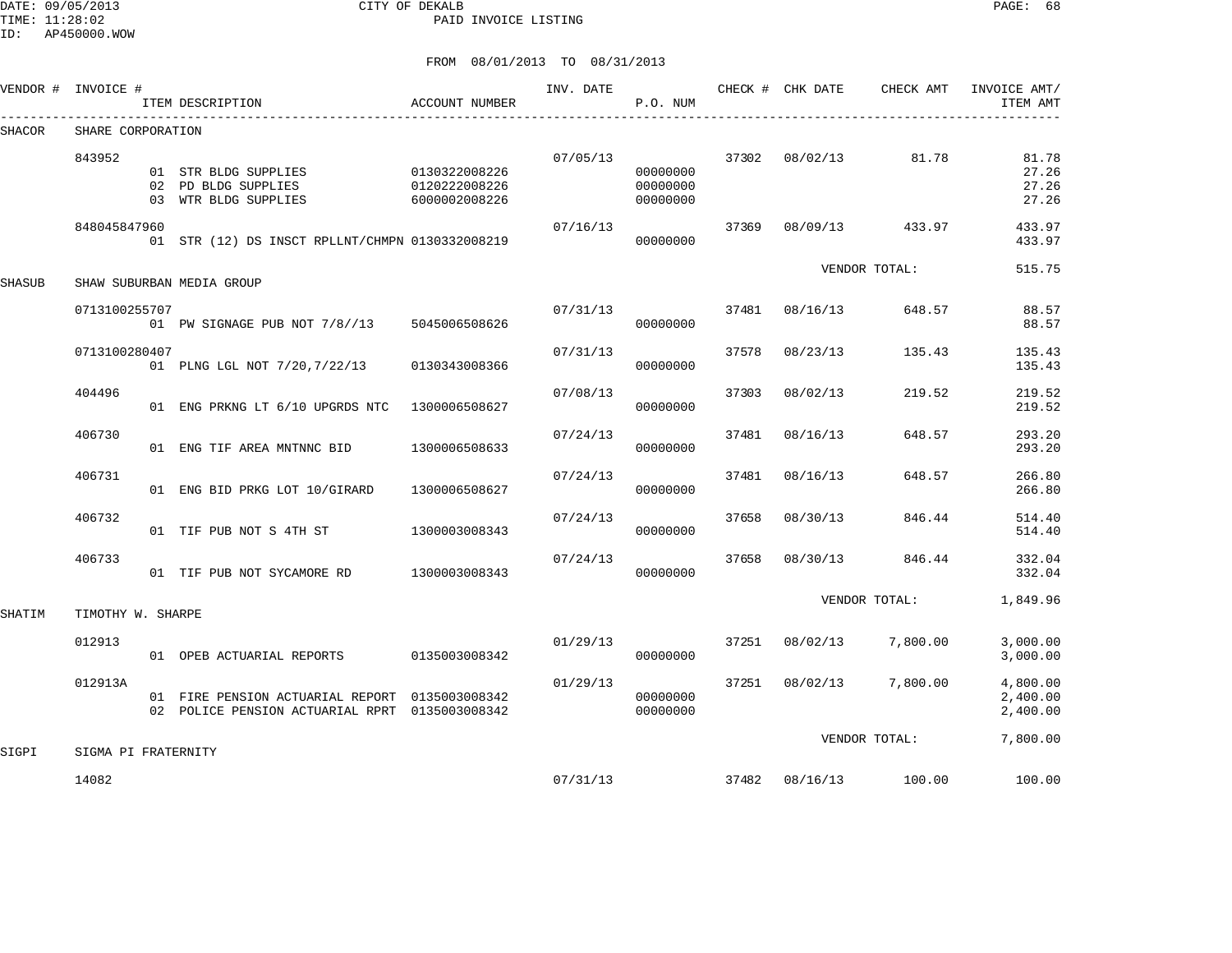DATE: 09/05/2013 CITY OF DEKALB PAGE: 68 PAID INVOICE LISTING

ID: AP450000.WOW

| VENDOR # | INVOICE #           | ITEM DESCRIPTION                                                                                 | ACCOUNT NUMBER                                  | INV. DATE | P.O. NUM                         |       | CHECK # CHK DATE | CHECK AMT       | INVOICE AMT/<br>ITEM AMT         |
|----------|---------------------|--------------------------------------------------------------------------------------------------|-------------------------------------------------|-----------|----------------------------------|-------|------------------|-----------------|----------------------------------|
| SHACOR   | SHARE CORPORATION   |                                                                                                  |                                                 |           |                                  |       |                  |                 |                                  |
|          | 843952              | 01 STR BLDG SUPPLIES<br>02 PD BLDG SUPPLIES<br>03 WTR BLDG SUPPLIES                              | 0130322008226<br>0120222008226<br>6000002008226 | 07/05/13  | 00000000<br>00000000<br>00000000 |       | 37302 08/02/13   | 81.78           | 81.78<br>27.26<br>27.26<br>27.26 |
|          | 848045847960        | 01 STR (12) DS INSCT RPLLNT/CHMPN 0130332008219                                                  |                                                 | 07/16/13  | 00000000                         | 37369 |                  | 08/09/13 433.97 | 433.97<br>433.97                 |
| SHASUB   |                     | SHAW SUBURBAN MEDIA GROUP                                                                        |                                                 |           |                                  |       |                  | VENDOR TOTAL:   | 515.75                           |
|          | 0713100255707       | 01 PW SIGNAGE PUB NOT 7/8//13 5045006508626                                                      |                                                 | 07/31/13  | 00000000                         | 37481 | 08/16/13         | 648.57          | 88.57<br>88.57                   |
|          | 0713100280407       | 01 PLNG LGL NOT 7/20, 7/22/13                                                                    | 0130343008366                                   | 07/31/13  | 00000000                         | 37578 | 08/23/13         | 135.43          | 135.43<br>135.43                 |
|          | 404496              | 01 ENG PRKNG LT 6/10 UPGRDS NTC                                                                  | 1300006508627                                   | 07/08/13  | 00000000                         | 37303 | 08/02/13         | 219.52          | 219.52<br>219.52                 |
|          | 406730              | 01 ENG TIF AREA MNTNNC BID                                                                       | 1300006508633                                   | 07/24/13  | 00000000                         | 37481 | 08/16/13         | 648.57          | 293.20<br>293.20                 |
|          | 406731              | 01 ENG BID PRKG LOT 10/GIRARD                                                                    | 1300006508627                                   | 07/24/13  | 00000000                         | 37481 | 08/16/13         | 648.57          | 266.80<br>266.80                 |
|          | 406732              | 01 TIF PUB NOT S 4TH ST                                                                          | 1300003008343                                   | 07/24/13  | 00000000                         | 37658 | 08/30/13         | 846.44          | 514.40<br>514.40                 |
|          | 406733              | 01 TIF PUB NOT SYCAMORE RD                                                                       | 1300003008343                                   | 07/24/13  | 00000000                         | 37658 | 08/30/13         | 846.44          | 332.04<br>332.04                 |
| SHATIM   | TIMOTHY W. SHARPE   |                                                                                                  |                                                 |           |                                  |       |                  | VENDOR TOTAL:   | 1,849.96                         |
|          | 012913              | 01 OPEB ACTUARIAL REPORTS                                                                        | 0135003008342                                   | 01/29/13  | 00000000                         | 37251 | 08/02/13         | 7,800.00        | 3,000.00<br>3,000.00             |
|          | 012913A             | 01 FIRE PENSION ACTUARIAL REPORT 0135003008342<br>02 POLICE PENSION ACTUARIAL RPRT 0135003008342 |                                                 | 01/29/13  | 00000000<br>00000000             |       | 37251 08/02/13   | 7,800.00        | 4,800.00<br>2,400.00<br>2,400.00 |
| SIGPI    | SIGMA PI FRATERNITY |                                                                                                  |                                                 |           |                                  |       |                  | VENDOR TOTAL:   | 7,800.00                         |
|          | 14082               |                                                                                                  |                                                 | 07/31/13  |                                  |       | 37482 08/16/13   | 100.00          | 100.00                           |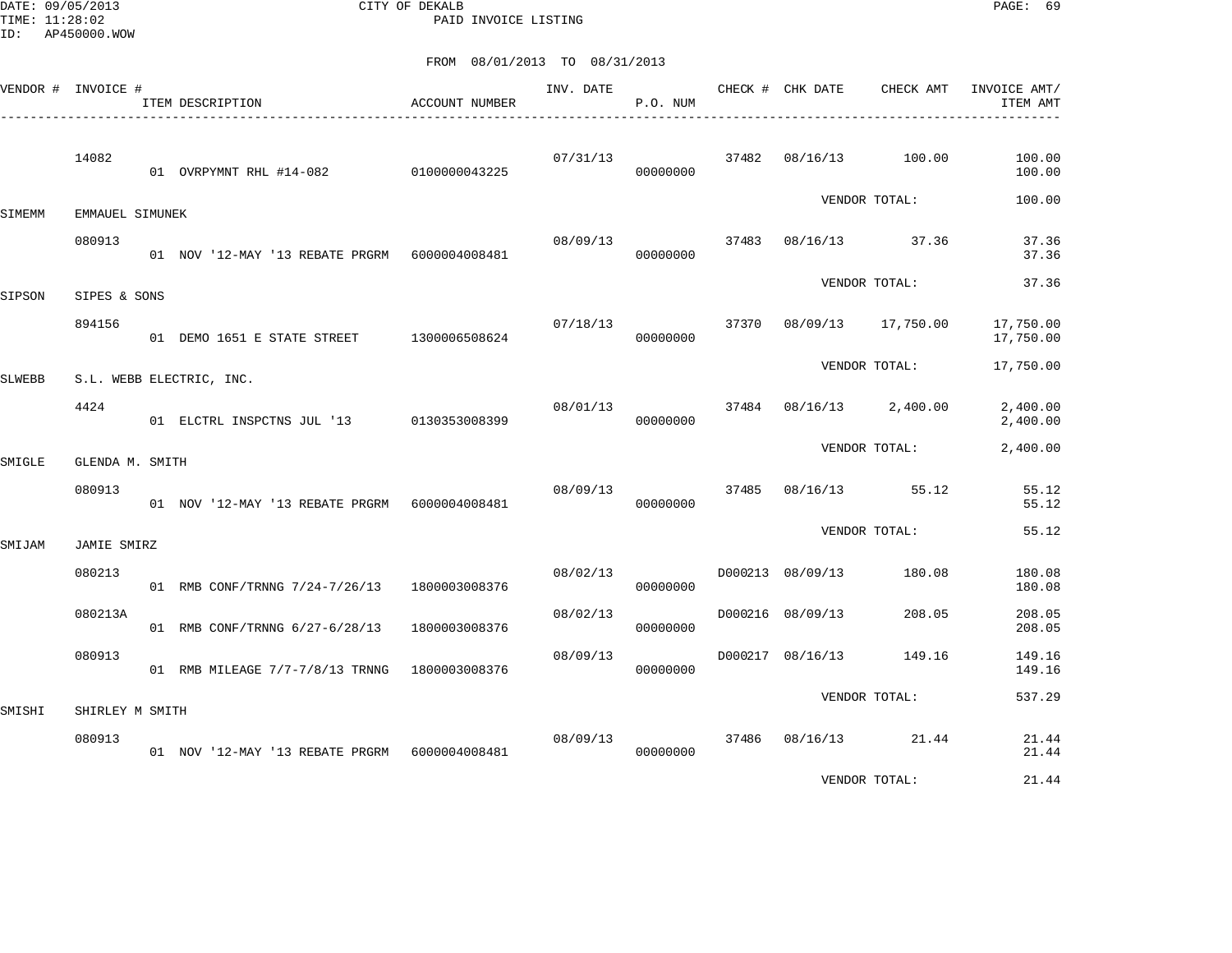DATE: 09/05/2013 CITY OF DEKALB PAGE: 69 PAID INVOICE LISTING

|        | VENDOR # INVOICE # | ITEM DESCRIPTION                                 | ACCOUNT NUMBER | INV. DATE | P.O. NUM |       | CHECK # CHK DATE | CHECK AMT      | INVOICE AMT/<br>ITEM AMT |
|--------|--------------------|--------------------------------------------------|----------------|-----------|----------|-------|------------------|----------------|--------------------------|
|        | 14082              | 01 OVRPYMNT RHL #14-082 0100000043225            |                | 07/31/13  | 00000000 | 37482 | 08/16/13         | 100.00         | 100.00<br>100.00         |
| SIMEMM | EMMAUEL SIMUNEK    |                                                  |                |           |          |       |                  | VENDOR TOTAL:  | 100.00                   |
|        | 080913             | 01 NOV '12-MAY '13 REBATE PRGRM    6000004008481 |                | 08/09/13  | 00000000 | 37483 |                  | 08/16/13 37.36 | 37.36<br>37.36           |
| SIPSON | SIPES & SONS       |                                                  |                |           |          |       |                  | VENDOR TOTAL:  | 37.36                    |
|        | 894156             | 01 DEMO 1651 E STATE STREET 1300006508624        |                | 07/18/13  | 00000000 | 37370 | 08/09/13         | 17,750.00      | 17,750.00<br>17,750.00   |
| SLWEBB |                    | S.L. WEBB ELECTRIC, INC.                         |                |           |          |       |                  | VENDOR TOTAL:  | 17,750.00                |
|        | 4424               | 01 ELCTRL INSPCTNS JUL '13 0130353008399         |                | 08/01/13  | 00000000 | 37484 | 08/16/13         | 2,400.00       | 2,400.00<br>2,400.00     |
| SMIGLE | GLENDA M. SMITH    |                                                  |                |           |          |       |                  | VENDOR TOTAL:  | 2,400.00                 |
|        | 080913             | 01 NOV '12-MAY '13 REBATE PRGRM 6000004008481    |                | 08/09/13  | 00000000 | 37485 | 08/16/13         | 55.12          | 55.12<br>55.12           |
| SMIJAM | JAMIE SMIRZ        |                                                  |                |           |          |       |                  | VENDOR TOTAL:  | 55.12                    |
|        | 080213             | 01 RMB CONF/TRNNG 7/24-7/26/13 1800003008376     |                | 08/02/13  | 00000000 |       | D000213 08/09/13 | 180.08         | 180.08<br>180.08         |
|        | 080213A            | 01 RMB CONF/TRNNG 6/27-6/28/13                   | 1800003008376  | 08/02/13  | 00000000 |       | D000216 08/09/13 | 208.05         | 208.05<br>208.05         |
|        | 080913             | 01 RMB MILEAGE 7/7-7/8/13 TRNNG 1800003008376    |                | 08/09/13  | 00000000 |       | D000217 08/16/13 | 149.16         | 149.16<br>149.16         |
| SMISHI | SHIRLEY M SMITH    |                                                  |                |           |          |       |                  | VENDOR TOTAL:  | 537.29                   |
|        | 080913             | 01 NOV '12-MAY '13 REBATE PRGRM    6000004008481 |                | 08/09/13  | 00000000 | 37486 |                  | 08/16/13 21.44 | 21.44<br>21.44           |
|        |                    |                                                  |                |           |          |       |                  | VENDOR TOTAL:  | 21.44                    |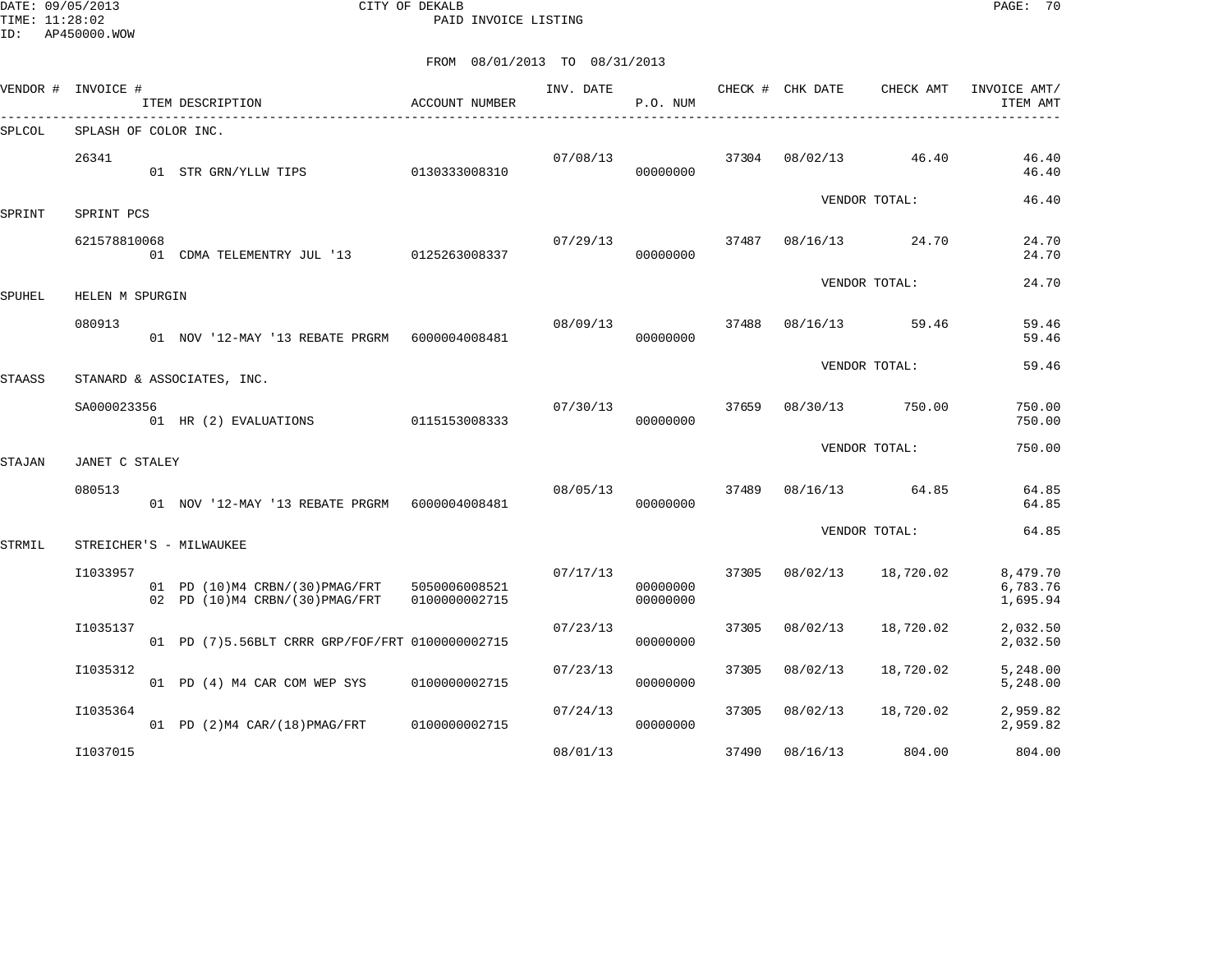DATE: 09/05/2013 CITY OF DEKALB PAGE: 70 PAID INVOICE LISTING

|        | VENDOR # INVOICE #   | ITEM DESCRIPTION                                                                   | ACCOUNT NUMBER | INV. DATE | P.O. NUM             |       | CHECK # CHK DATE | CHECK AMT     | INVOICE AMT/<br>ITEM AMT         |
|--------|----------------------|------------------------------------------------------------------------------------|----------------|-----------|----------------------|-------|------------------|---------------|----------------------------------|
| SPLCOL | SPLASH OF COLOR INC. |                                                                                    |                |           |                      |       |                  |               |                                  |
|        | 26341                | 01 STR GRN/YLLW TIPS                                                               | 0130333008310  | 07/08/13  | 00000000             | 37304 | 08/02/13         | 46.40         | 46.40<br>46.40                   |
| SPRINT | SPRINT PCS           |                                                                                    |                |           |                      |       |                  | VENDOR TOTAL: | 46.40                            |
|        | 621578810068         | 01 CDMA TELEMENTRY JUL '13 0125263008337                                           |                | 07/29/13  | 00000000             | 37487 | 08/16/13         | 24.70         | 24.70<br>24.70                   |
| SPUHEL | HELEN M SPURGIN      |                                                                                    |                |           |                      |       |                  | VENDOR TOTAL: | 24.70                            |
|        | 080913               | 01 NOV '12-MAY '13 REBATE PRGRM 6000004008481                                      |                | 08/09/13  | 00000000             | 37488 | 08/16/13         | 59.46         | 59.46<br>59.46                   |
| STAASS |                      | STANARD & ASSOCIATES, INC.                                                         |                |           |                      |       |                  | VENDOR TOTAL: | 59.46                            |
|        | SA000023356          | 01 HR (2) EVALUATIONS                                                              | 0115153008333  | 07/30/13  | 00000000             | 37659 | 08/30/13         | 750.00        | 750.00<br>750.00                 |
| STAJAN | JANET C STALEY       |                                                                                    |                |           |                      |       |                  | VENDOR TOTAL: | 750.00                           |
|        | 080513               | 01 NOV '12-MAY '13 REBATE PRGRM 6000004008481                                      |                | 08/05/13  | 00000000             | 37489 | 08/16/13         | 64.85         | 64.85<br>64.85                   |
| STRMIL |                      | STREICHER'S - MILWAUKEE                                                            |                |           |                      |       |                  | VENDOR TOTAL: | 64.85                            |
|        | I1033957             | 01 PD (10) M4 CRBN/(30) PMAG/FRT 5050006008521<br>02 PD (10) M4 CRBN/(30) PMAG/FRT | 0100000002715  | 07/17/13  | 00000000<br>00000000 | 37305 | 08/02/13         | 18,720.02     | 8,479.70<br>6,783.76<br>1,695.94 |
|        | I1035137             | 01 PD (7)5.56BLT CRRR GRP/FOF/FRT 0100000002715                                    |                | 07/23/13  | 00000000             | 37305 | 08/02/13         | 18,720.02     | 2,032.50<br>2,032.50             |
|        | I1035312             | 01 PD (4) M4 CAR COM WEP SYS                                                       | 0100000002715  | 07/23/13  | 00000000             | 37305 | 08/02/13         | 18,720.02     | 5,248.00<br>5,248.00             |
|        | I1035364             | 01 PD (2) M4 CAR/(18) PMAG/FRT                                                     | 0100000002715  | 07/24/13  | 00000000             | 37305 | 08/02/13         | 18,720.02     | 2,959.82<br>2,959.82             |
|        | I1037015             |                                                                                    |                | 08/01/13  |                      | 37490 | 08/16/13         | 804.00        | 804.00                           |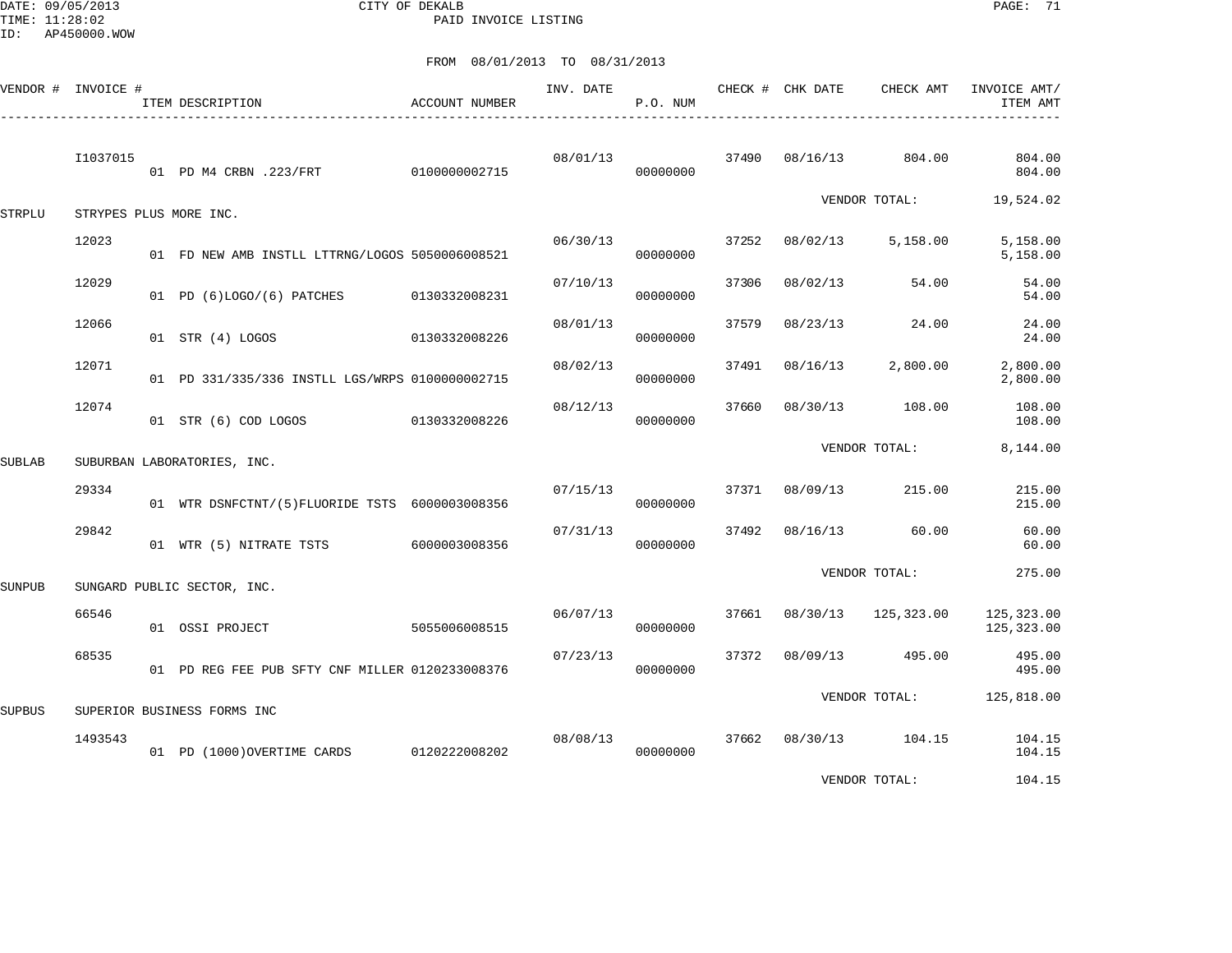DATE: 09/05/2013 CITY OF DEKALB PAGE: 71 PAID INVOICE LISTING

|               | VENDOR # INVOICE # | ACCOUNT NUMBER<br>ITEM DESCRIPTION              |               | INV. DATE | P.O. NUM |       | CHECK # CHK DATE | CHECK AMT                | INVOICE AMT/<br>ITEM AMT |
|---------------|--------------------|-------------------------------------------------|---------------|-----------|----------|-------|------------------|--------------------------|--------------------------|
|               | I1037015           | 01 PD M4 CRBN .223/FRT                          | 0100000002715 | 08/01/13  | 00000000 |       | 37490 08/16/13   | 804.00                   | 804.00<br>804.00         |
| <b>STRPLU</b> |                    | STRYPES PLUS MORE INC.                          |               |           |          |       |                  | VENDOR TOTAL:            | 19,524.02                |
|               | 12023              | 01 FD NEW AMB INSTLL LTTRNG/LOGOS 5050006008521 |               | 06/30/13  | 00000000 | 37252 | 08/02/13         | 5,158.00                 | 5,158.00<br>5,158.00     |
|               | 12029              | 01 PD (6)LOGO/(6) PATCHES                       | 0130332008231 | 07/10/13  | 00000000 | 37306 | 08/02/13         | 54.00                    | 54.00<br>54.00           |
|               | 12066              | 01 STR (4) LOGOS                                | 0130332008226 | 08/01/13  | 00000000 | 37579 | 08/23/13         | 24.00                    | 24.00<br>24.00           |
|               | 12071              | 01 PD 331/335/336 INSTLL LGS/WRPS 0100000002715 |               | 08/02/13  | 00000000 | 37491 | 08/16/13         | 2,800.00                 | 2,800.00<br>2,800.00     |
|               | 12074              | 01 STR (6) COD LOGOS                            | 0130332008226 | 08/12/13  | 00000000 | 37660 | 08/30/13         | 108.00                   | 108.00<br>108.00         |
| <b>SUBLAB</b> |                    | SUBURBAN LABORATORIES, INC.                     |               |           |          |       |                  | VENDOR TOTAL:            | 8,144.00                 |
|               | 29334              | 01 WTR DSNFCTNT/(5)FLUORIDE TSTS 6000003008356  |               | 07/15/13  | 00000000 | 37371 | 08/09/13         | 215.00                   | 215.00<br>215.00         |
|               | 29842              | 01 WTR (5) NITRATE TSTS 6000003008356           |               | 07/31/13  | 00000000 | 37492 |                  | 08/16/13 60.00           | 60.00<br>60.00           |
| <b>SUNPUB</b> |                    | SUNGARD PUBLIC SECTOR, INC.                     |               |           |          |       |                  | VENDOR TOTAL:            | 275.00                   |
|               | 66546              | 01 OSSI PROJECT                                 | 5055006008515 | 06/07/13  | 00000000 | 37661 |                  | 08/30/13 125,323.00      | 125,323.00<br>125,323.00 |
|               | 68535              | 01 PD REG FEE PUB SFTY CNF MILLER 0120233008376 |               | 07/23/13  | 00000000 | 37372 | 08/09/13         | 495.00                   | 495.00<br>495.00         |
| <b>SUPBUS</b> |                    | SUPERIOR BUSINESS FORMS INC                     |               |           |          |       |                  | VENDOR TOTAL: 125,818.00 |                          |
|               | 1493543            | 01 PD (1000) OVERTIME CARDS 0120222008202       |               | 08/08/13  | 00000000 | 37662 |                  | 08/30/13 104.15          | 104.15<br>104.15         |
|               |                    |                                                 |               |           |          |       |                  | VENDOR TOTAL:            | 104.15                   |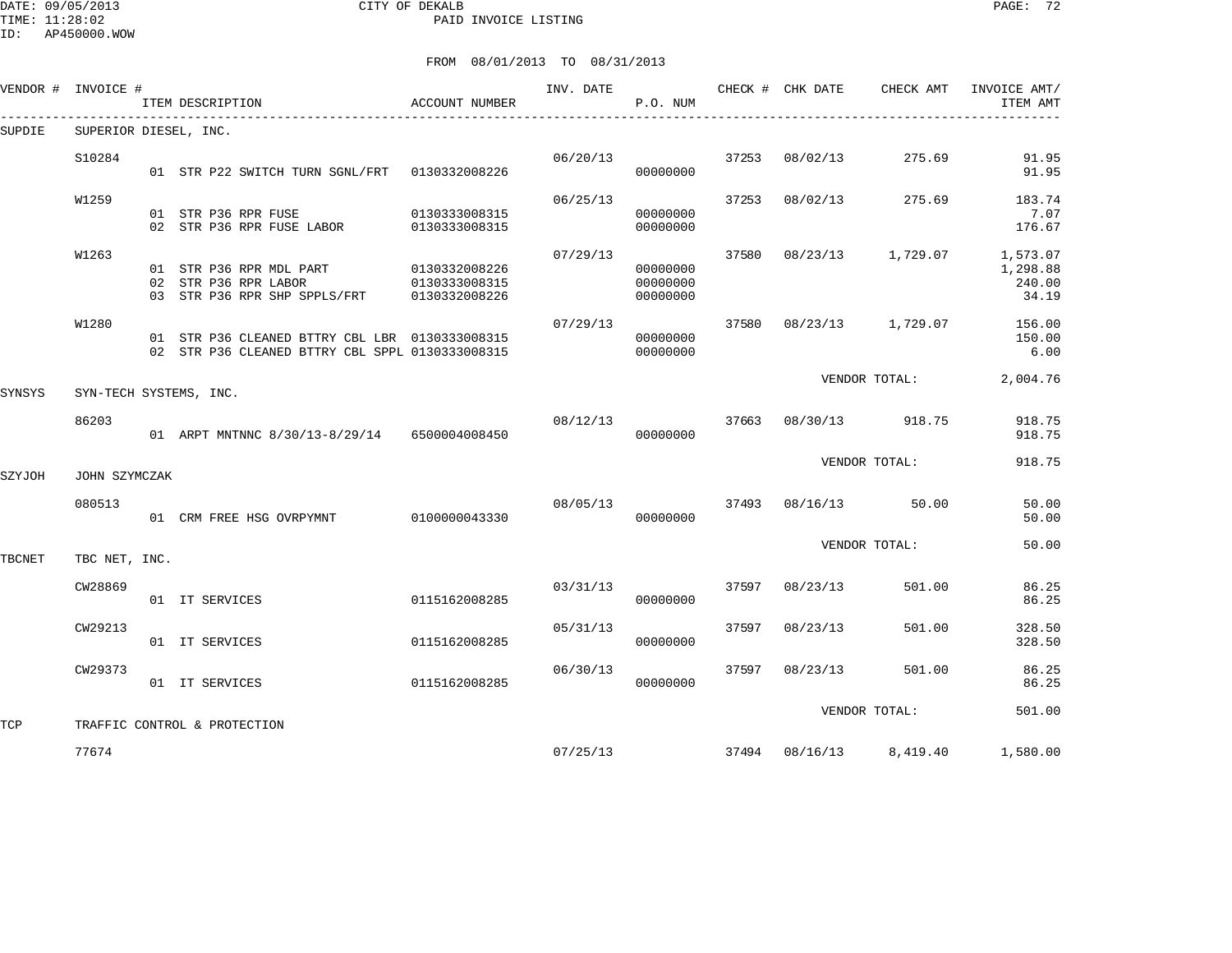DATE: 09/05/2013 CITY OF DEKALB PAGE: 72 PAID INVOICE LISTING

ID: AP450000.WOW

|        | VENDOR # INVOICE #    | ITEM DESCRIPTION                                                                                  | ACCOUNT NUMBER                                         | INV. DATE | P.O. NUM                         |       | CHECK # CHK DATE | CHECK AMT               | INVOICE AMT/<br>ITEM AMT                |
|--------|-----------------------|---------------------------------------------------------------------------------------------------|--------------------------------------------------------|-----------|----------------------------------|-------|------------------|-------------------------|-----------------------------------------|
| SUPDIE | SUPERIOR DIESEL, INC. |                                                                                                   |                                                        |           |                                  |       |                  |                         |                                         |
|        | S10284                | 01 STR P22 SWITCH TURN SGNL/FRT 0130332008226                                                     |                                                        | 06/20/13  | 00000000                         | 37253 | 08/02/13         | 275.69                  | 91.95<br>91.95                          |
|        | W1259                 | 01 STR P36 RPR FUSE<br>02 STR P36 RPR FUSE LABOR                                                  | 0130333008315<br>0130333008315                         | 06/25/13  | 00000000<br>00000000             | 37253 | 08/02/13         | 275.69                  | 183.74<br>7.07<br>176.67                |
|        | W1263                 | 01 STR P36 RPR MDL PART<br>02 STR P36 RPR LABOR<br>03 STR P36 RPR SHP SPPLS/FRT                   | 0130332008226<br>01303330000011<br>7/FRT 0130332008226 | 07/29/13  | 00000000<br>00000000<br>00000000 | 37580 | 08/23/13         | 1,729.07                | 1,573.07<br>1,298.88<br>240.00<br>34.19 |
|        | W1280                 | 01 STR P36 CLEANED BTTRY CBL LBR 0130333008315<br>02 STR P36 CLEANED BTTRY CBL SPPL 0130333008315 |                                                        | 07/29/13  | 00000000<br>00000000             | 37580 | 08/23/13         | 1,729.07                | 156.00<br>150.00<br>6.00                |
| SYNSYS |                       | SYN-TECH SYSTEMS, INC.                                                                            |                                                        |           |                                  |       |                  | VENDOR TOTAL:           | 2,004.76                                |
|        | 86203                 | 01 ARPT MNTNNC 8/30/13-8/29/14 6500004008450                                                      |                                                        | 08/12/13  | 00000000                         | 37663 | 08/30/13         | 918.75                  | 918.75<br>918.75                        |
| SZYJOH | JOHN SZYMCZAK         |                                                                                                   |                                                        |           |                                  |       |                  | VENDOR TOTAL:           | 918.75                                  |
|        | 080513                | 01 CRM FREE HSG OVRPYMNT 0100000043330                                                            |                                                        | 08/05/13  | 00000000                         | 37493 | 08/16/13         | 50.00                   | 50.00<br>50.00                          |
| TBCNET | TBC NET, INC.         |                                                                                                   |                                                        |           |                                  |       |                  | VENDOR TOTAL:           | 50.00                                   |
|        | CW28869               | 01 IT SERVICES                                                                                    | 0115162008285                                          | 03/31/13  | 00000000                         | 37597 | 08/23/13         | 501.00                  | 86.25<br>86.25                          |
|        | CW29213               | 01 IT SERVICES                                                                                    | 0115162008285                                          | 05/31/13  | 00000000                         | 37597 | 08/23/13         | 501.00                  | 328.50<br>328.50                        |
|        | CW29373               | 01 IT SERVICES                                                                                    | 0115162008285                                          | 06/30/13  | 00000000                         | 37597 | 08/23/13         | 501.00                  | 86.25<br>86.25                          |
| TCP    |                       | TRAFFIC CONTROL & PROTECTION                                                                      |                                                        |           |                                  |       |                  | VENDOR TOTAL:           | 501.00                                  |
|        | 77674                 |                                                                                                   |                                                        | 07/25/13  |                                  |       |                  | 37494 08/16/13 8,419.40 | 1,580.00                                |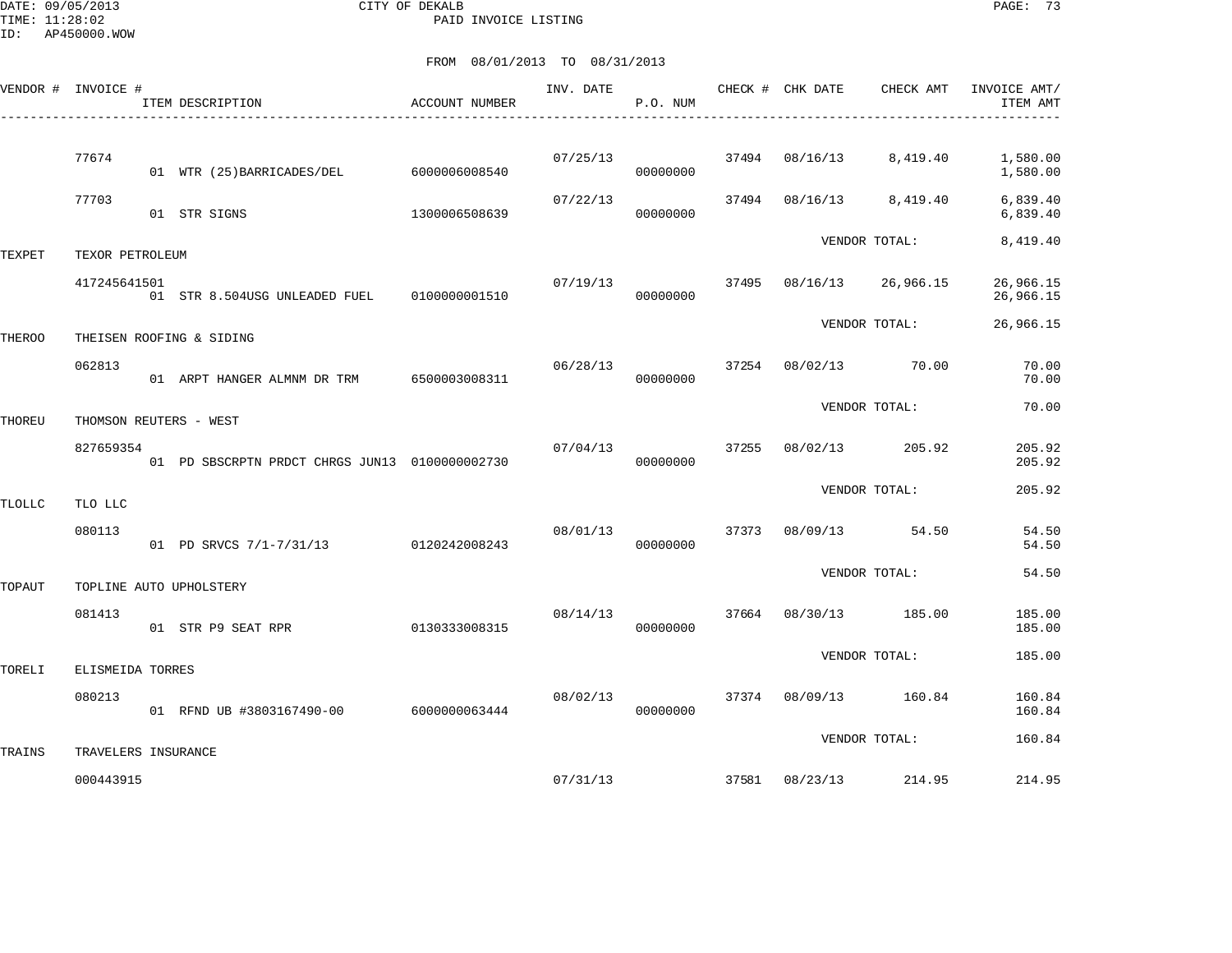DATE: 09/05/2013 CITY OF DEKALB PAGE: 73 PAID INVOICE LISTING

| VENDOR # INVOICE # |                                  | ITEM DESCRIPTION                               | ACCOUNT NUMBER |          | P.O. NUM |       |                | INV. DATE <b>CHECK # CHK DATE</b> CHECK AMT | INVOICE AMT/<br>ITEM AMT |
|--------------------|----------------------------------|------------------------------------------------|----------------|----------|----------|-------|----------------|---------------------------------------------|--------------------------|
|                    |                                  |                                                |                |          |          |       |                |                                             |                          |
|                    | 77674                            | 01 WTR (25) BARRICADES/DEL                     | 6000006008540  | 07/25/13 | 00000000 |       | 37494 08/16/13 | 8,419.40                                    | 1,580.00<br>1,580.00     |
|                    | 77703                            | 01 STR SIGNS                                   | 1300006508639  | 07/22/13 | 00000000 |       | 37494 08/16/13 | 8,419.40                                    | 6,839.40<br>6,839.40     |
| TEXPET             | TEXOR PETROLEUM                  |                                                |                |          |          |       |                | VENDOR TOTAL:                               | 8,419.40                 |
|                    | 417245641501                     | 01 STR 8.504USG UNLEADED FUEL   0100000001510  |                | 07/19/13 | 00000000 | 37495 |                | 08/16/13 26,966.15                          | 26,966.15<br>26,966.15   |
| THEROO             |                                  | THEISEN ROOFING & SIDING                       |                |          |          |       |                | VENDOR TOTAL:                               | 26,966.15                |
|                    | 062813                           | 01 ARPT HANGER ALMNM DR TRM 6500003008311      |                | 06/28/13 | 00000000 |       |                | 37254 08/02/13 70.00                        | 70.00<br>70.00           |
| THOREU             |                                  | THOMSON REUTERS - WEST                         |                |          |          |       |                | VENDOR TOTAL:                               | 70.00                    |
|                    | 827659354                        | 01 PD SBSCRPTN PRDCT CHRGS JUN13 0100000002730 |                | 07/04/13 | 00000000 | 37255 | 08/02/13       | 205.92                                      | 205.92<br>205.92         |
| <b>TLOLLC</b>      | TLO LLC                          |                                                |                |          |          |       |                | VENDOR TOTAL:                               | 205.92                   |
|                    | 080113                           | 01 PD SRVCS 7/1-7/31/13 0120242008243          |                | 08/01/13 | 00000000 |       |                | 37373 08/09/13 54.50                        | 54.50<br>54.50           |
| TOPAUT             |                                  | TOPLINE AUTO UPHOLSTERY                        |                |          |          |       |                | VENDOR TOTAL:                               | 54.50                    |
|                    | 081413                           | 01 STR P9 SEAT RPR                             | 0130333008315  | 08/14/13 | 00000000 | 37664 |                | 08/30/13 185.00                             | 185.00<br>185.00         |
| TORELI             | ELISMEIDA TORRES                 |                                                |                |          |          |       |                | VENDOR TOTAL:                               | 185.00                   |
|                    | 080213                           | 01 RFND UB #3803167490-00 6000000063444        |                | 08/02/13 | 00000000 |       |                | 37374 08/09/13 160.84                       | 160.84<br>160.84         |
| TRAINS             |                                  |                                                |                |          |          |       |                | VENDOR TOTAL:                               | 160.84                   |
|                    | TRAVELERS INSURANCE<br>000443915 |                                                |                | 07/31/13 |          |       | 37581 08/23/13 | 214.95                                      | 214.95                   |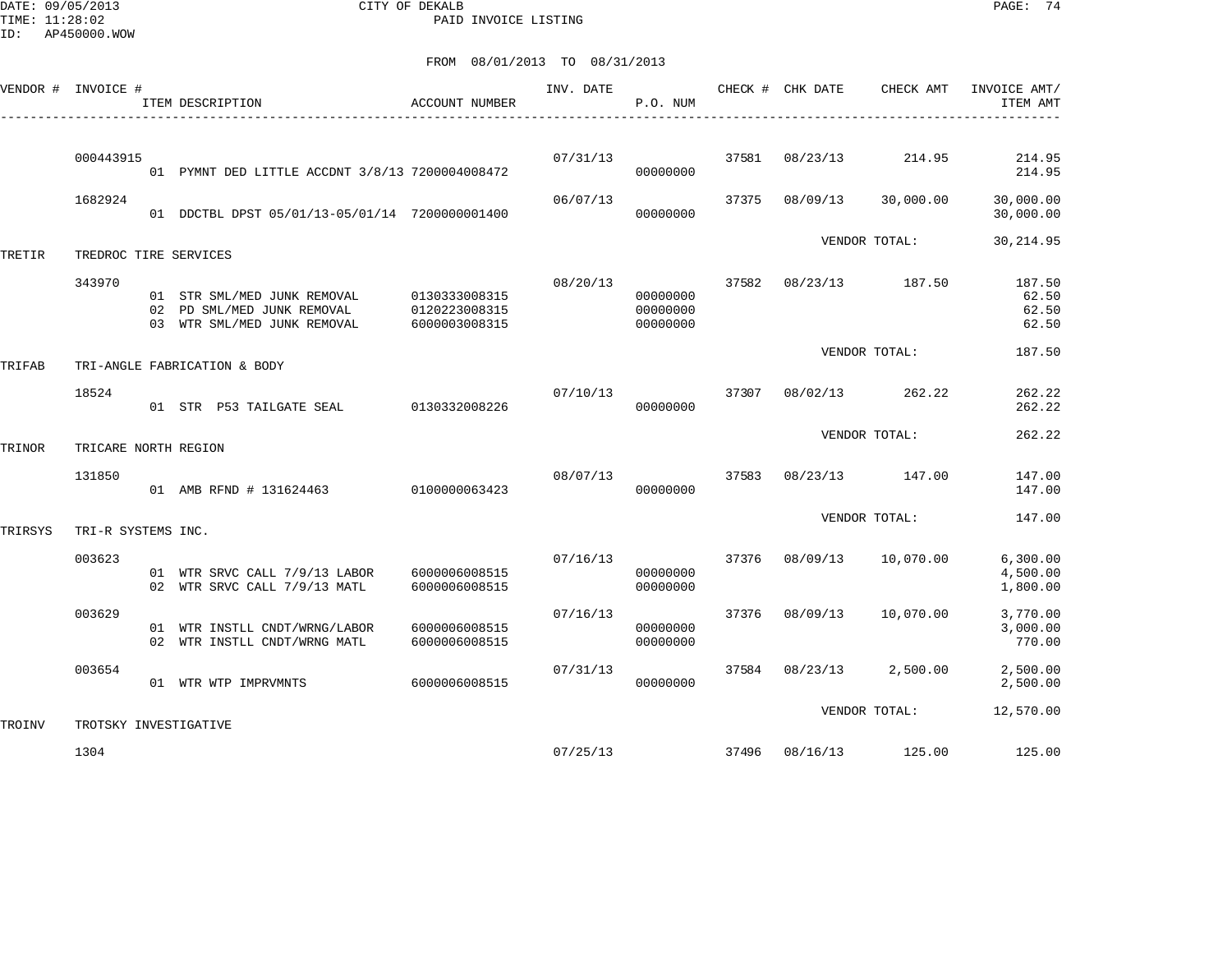DATE: 09/05/2013 CITY OF DEKALB PAGE: 74 PAID INVOICE LISTING

|         | VENDOR # INVOICE #    | ITEM DESCRIPTION                                                                                       | <b>ACCOUNT NUMBER</b>          | INV. DATE | P.O. NUM                         |       |                | CHECK # CHK DATE CHECK AMT | INVOICE AMT/<br>ITEM AMT          |
|---------|-----------------------|--------------------------------------------------------------------------------------------------------|--------------------------------|-----------|----------------------------------|-------|----------------|----------------------------|-----------------------------------|
|         |                       |                                                                                                        |                                |           |                                  |       |                |                            |                                   |
|         | 000443915             | 01 PYMNT DED LITTLE ACCDNT 3/8/13 7200004008472                                                        |                                | 07/31/13  | 00000000                         | 37581 | 08/23/13       | 214.95                     | 214.95<br>214.95                  |
|         | 1682924               | 01 DDCTBL DPST 05/01/13-05/01/14 7200000001400                                                         |                                | 06/07/13  | 00000000                         | 37375 | 08/09/13       | 30,000.00                  | 30,000.00<br>30,000.00            |
| TRETIR  | TREDROC TIRE SERVICES |                                                                                                        |                                |           |                                  |       |                | VENDOR TOTAL:              | 30, 214.95                        |
|         | 343970                | 01 STR SML/MED JUNK REMOVAL 0130333008315<br>02 PD SML/MED JUNK REMOVAL<br>03 WTR SML/MED JUNK REMOVAL | 0120223008315<br>6000003008315 | 08/20/13  | 00000000<br>00000000<br>00000000 | 37582 | 08/23/13       | 187.50                     | 187.50<br>62.50<br>62.50<br>62.50 |
| TRIFAB  |                       | TRI-ANGLE FABRICATION & BODY                                                                           |                                |           |                                  |       |                | VENDOR TOTAL:              | 187.50                            |
|         | 18524                 | 01 STR P53 TAILGATE SEAL 0130332008226                                                                 |                                | 07/10/13  | 00000000                         | 37307 | 08/02/13       | 262.22                     | 262.22<br>262.22                  |
| TRINOR  | TRICARE NORTH REGION  |                                                                                                        |                                |           |                                  |       |                | VENDOR TOTAL:              | 262.22                            |
|         | 131850                | 01 AMB RFND # 131624463 010000063423                                                                   |                                | 08/07/13  | 00000000                         | 37583 |                | 08/23/13 147.00            | 147.00<br>147.00                  |
| TRIRSYS | TRI-R SYSTEMS INC.    |                                                                                                        |                                |           |                                  |       |                | VENDOR TOTAL:              | 147.00                            |
|         | 003623                | 01 WTR SRVC CALL 7/9/13 LABOR<br>02 WTR SRVC CALL 7/9/13 MATL                                          | 6000006008515<br>6000006008515 | 07/16/13  | 00000000<br>00000000             | 37376 | 08/09/13       | 10,070.00                  | 6, 300.00<br>4,500.00<br>1,800.00 |
|         | 003629                | 01 WTR INSTLL CNDT/WRNG/LABOR<br>02 WTR INSTLL CNDT/WRNG MATL                                          | 6000006008515<br>6000006008515 | 07/16/13  | 00000000<br>00000000             | 37376 | 08/09/13       | 10,070.00                  | 3,770.00<br>3,000.00<br>770.00    |
|         | 003654                | 01 WTR WTP IMPRVMNTS                                                                                   | 6000006008515                  | 07/31/13  | 00000000                         |       | 37584 08/23/13 | 2,500.00                   | 2,500.00<br>2,500.00              |
| TROINV  | TROTSKY INVESTIGATIVE |                                                                                                        |                                |           |                                  |       |                | VENDOR TOTAL:              | 12,570.00                         |
|         | 1304                  |                                                                                                        |                                | 07/25/13  |                                  | 37496 |                | 08/16/13 125.00            | 125.00                            |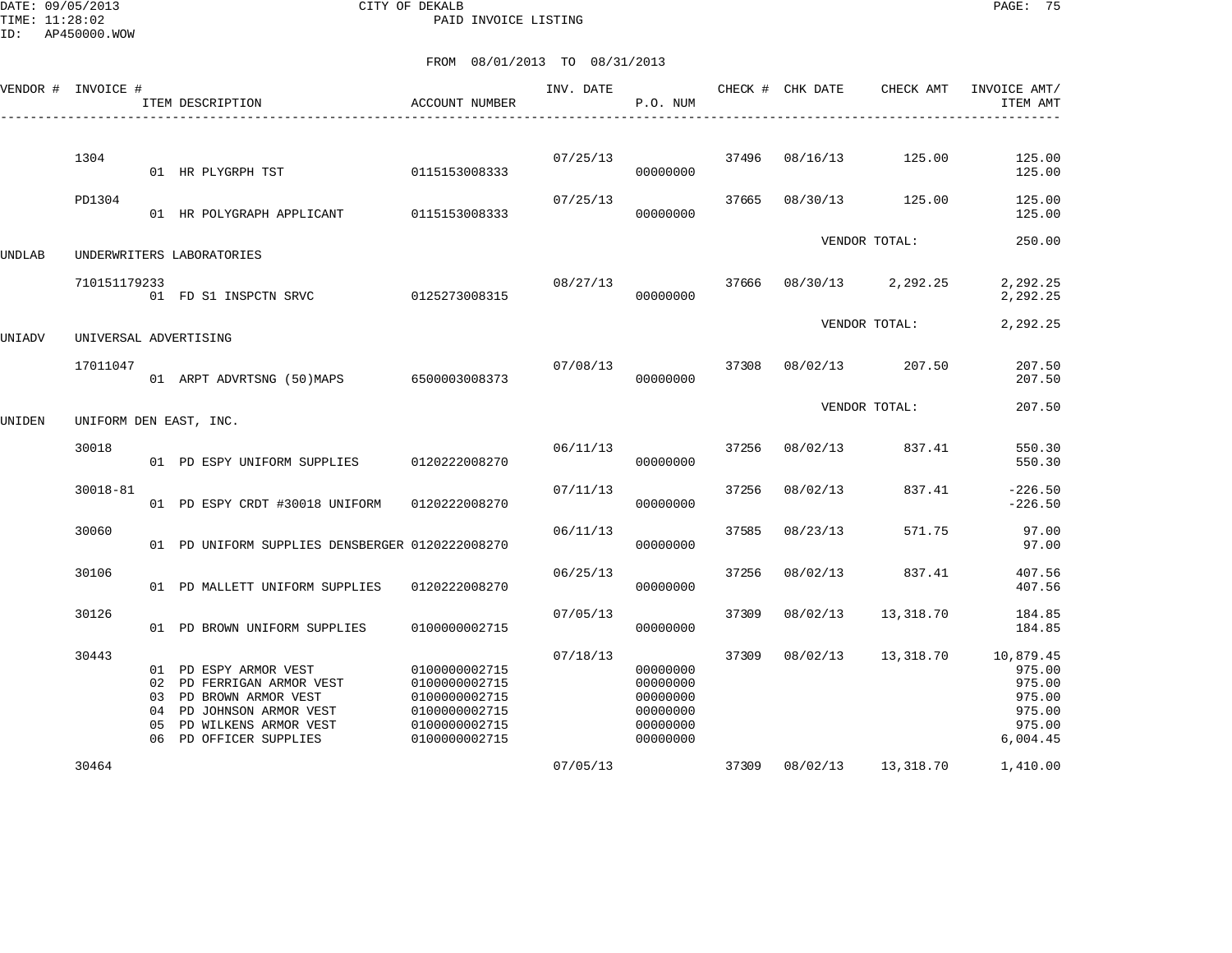DATE: 09/05/2013 CITY OF DEKALB PAGE: 75 PAID INVOICE LISTING

| VENDOR # | INVOICE #             |                            | ITEM DESCRIPTION                                                                                                                                | <b>ACCOUNT NUMBER</b>                                                                              | INV. DATE | P.O. NUM                                                             |       | CHECK # CHK DATE | CHECK AMT     | INVOICE AMT/<br>ITEM AMT                                                |
|----------|-----------------------|----------------------------|-------------------------------------------------------------------------------------------------------------------------------------------------|----------------------------------------------------------------------------------------------------|-----------|----------------------------------------------------------------------|-------|------------------|---------------|-------------------------------------------------------------------------|
|          | 1304                  |                            | 01 HR PLYGRPH TST                                                                                                                               | 0115153008333                                                                                      | 07/25/13  | 00000000                                                             | 37496 | 08/16/13         | 125.00        | 125.00<br>125.00                                                        |
|          | PD1304                |                            | 01 HR POLYGRAPH APPLICANT                                                                                                                       | 0115153008333                                                                                      | 07/25/13  | 00000000                                                             | 37665 | 08/30/13         | 125.00        | 125.00<br>125.00                                                        |
| UNDLAB   |                       |                            | UNDERWRITERS LABORATORIES                                                                                                                       |                                                                                                    |           |                                                                      |       |                  | VENDOR TOTAL: | 250.00                                                                  |
|          | 710151179233          |                            | 01 FD S1 INSPCTN SRVC                                                                                                                           | 0125273008315                                                                                      | 08/27/13  | 00000000                                                             | 37666 | 08/30/13         | 2,292.25      | 2,292.25<br>2,292.25                                                    |
| UNIADV   | UNIVERSAL ADVERTISING |                            |                                                                                                                                                 |                                                                                                    |           |                                                                      |       |                  | VENDOR TOTAL: | 2,292.25                                                                |
|          | 17011047              |                            | 01 ARPT ADVRTSNG (50)MAPS                                                                                                                       | 6500003008373                                                                                      | 07/08/13  | 00000000                                                             | 37308 | 08/02/13         | 207.50        | 207.50<br>207.50                                                        |
| UNIDEN   |                       |                            | UNIFORM DEN EAST, INC.                                                                                                                          |                                                                                                    |           |                                                                      |       |                  | VENDOR TOTAL: | 207.50                                                                  |
|          | 30018                 |                            | 01 PD ESPY UNIFORM SUPPLIES                                                                                                                     | 0120222008270                                                                                      | 06/11/13  | 00000000                                                             | 37256 | 08/02/13         | 837.41        | 550.30<br>550.30                                                        |
|          | 30018-81              |                            | 01 PD ESPY CRDT #30018 UNIFORM                                                                                                                  | 0120222008270                                                                                      | 07/11/13  | 00000000                                                             | 37256 | 08/02/13         | 837.41        | $-226.50$<br>$-226.50$                                                  |
|          | 30060                 |                            | 01 PD UNIFORM SUPPLIES DENSBERGER 0120222008270                                                                                                 |                                                                                                    | 06/11/13  | 00000000                                                             | 37585 | 08/23/13         | 571.75        | 97.00<br>97.00                                                          |
|          | 30106                 |                            | 01 PD MALLETT UNIFORM SUPPLIES                                                                                                                  | 0120222008270                                                                                      | 06/25/13  | 00000000                                                             | 37256 | 08/02/13         | 837.41        | 407.56<br>407.56                                                        |
|          | 30126                 |                            | 01 PD BROWN UNIFORM SUPPLIES                                                                                                                    | 0100000002715                                                                                      | 07/05/13  | 00000000                                                             | 37309 | 08/02/13         | 13,318.70     | 184.85<br>184.85                                                        |
|          | 30443                 | 02<br>03<br>04<br>05<br>06 | 01 PD ESPY ARMOR VEST<br>PD FERRIGAN ARMOR VEST<br>PD BROWN ARMOR VEST<br>PD JOHNSON ARMOR VEST<br>PD WILKENS ARMOR VEST<br>PD OFFICER SUPPLIES | 0100000002715<br>0100000002715<br>0100000002715<br>0100000002715<br>0100000002715<br>0100000002715 | 07/18/13  | 00000000<br>00000000<br>00000000<br>00000000<br>00000000<br>00000000 | 37309 | 08/02/13         | 13,318.70     | 10,879.45<br>975.00<br>975.00<br>975.00<br>975.00<br>975.00<br>6,004.45 |
|          | 30464                 |                            |                                                                                                                                                 |                                                                                                    | 07/05/13  |                                                                      | 37309 | 08/02/13         | 13,318.70     | 1,410.00                                                                |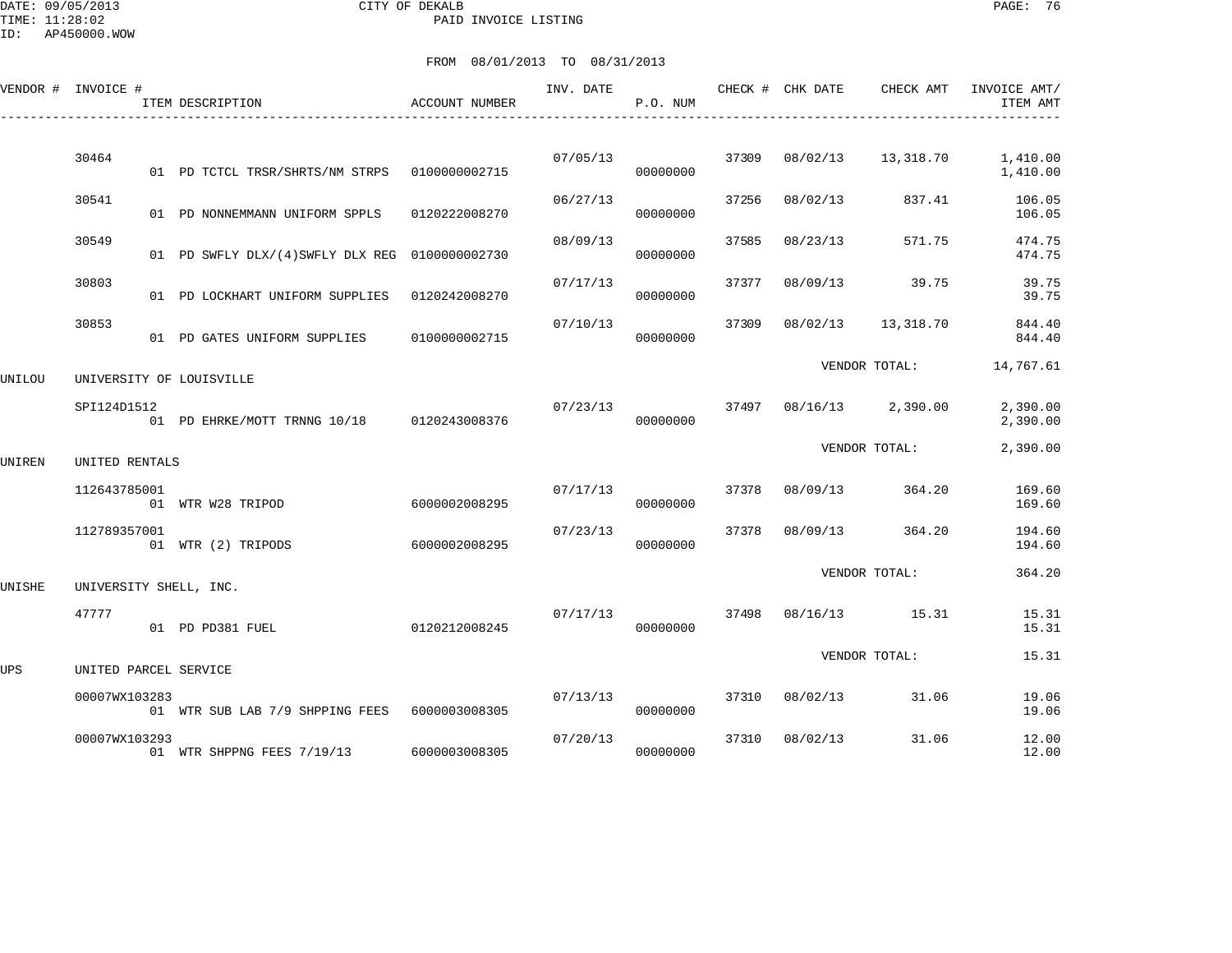|        | VENDOR # INVOICE # | ITEM DESCRIPTION                               | ACCOUNT NUMBER | INV. DATE | P.O. NUM |       | CHECK # CHK DATE | CHECK AMT     | INVOICE AMT/<br>ITEM AMT |
|--------|--------------------|------------------------------------------------|----------------|-----------|----------|-------|------------------|---------------|--------------------------|
|        |                    |                                                |                |           |          |       |                  |               |                          |
|        | 30464              | 01 PD TCTCL TRSR/SHRTS/NM STRPS  0100000002715 |                | 07/05/13  | 00000000 | 37309 | 08/02/13         | 13,318.70     | 1,410.00<br>1,410.00     |
|        | 30541              | 01 PD NONNEMMANN UNIFORM SPPLS                 | 0120222008270  | 06/27/13  | 00000000 | 37256 | 08/02/13         | 837.41        | 106.05<br>106.05         |
|        | 30549              | 01 PD SWFLY DLX/(4)SWFLY DLX REG 0100000002730 |                | 08/09/13  | 00000000 | 37585 | 08/23/13         | 571.75        | 474.75<br>474.75         |
|        | 30803              | 01 PD LOCKHART UNIFORM SUPPLIES                | 0120242008270  | 07/17/13  | 00000000 | 37377 | 08/09/13         | 39.75         | 39.75<br>39.75           |
|        | 30853              | 01 PD GATES UNIFORM SUPPLIES                   | 0100000002715  | 07/10/13  | 00000000 | 37309 | 08/02/13         | 13,318.70     | 844.40<br>844.40         |
| UNILOU |                    | UNIVERSITY OF LOUISVILLE                       |                |           |          |       |                  | VENDOR TOTAL: | 14,767.61                |
|        | SPI124D1512        | 01 PD EHRKE/MOTT TRNNG 10/18 0120243008376     |                | 07/23/13  | 00000000 | 37497 | 08/16/13         | 2,390.00      | 2,390.00<br>2,390.00     |
| UNIREN | UNITED RENTALS     |                                                | VENDOR TOTAL:  |           |          |       |                  | 2,390.00      |                          |
|        | 112643785001       | 01 WTR W28 TRIPOD                              | 6000002008295  | 07/17/13  | 00000000 | 37378 | 08/09/13         | 364.20        | 169.60<br>169.60         |
|        | 112789357001       | 01 WTR (2) TRIPODS                             | 6000002008295  | 07/23/13  | 00000000 | 37378 | 08/09/13         | 364.20        | 194.60<br>194.60         |
| UNISHE |                    | UNIVERSITY SHELL, INC.                         |                |           |          |       |                  | VENDOR TOTAL: | 364.20                   |
|        | 47777              | 01 PD PD381 FUEL                               | 0120212008245  | 07/17/13  | 00000000 | 37498 | 08/16/13         | 15.31         | 15.31<br>15.31           |
| UPS    |                    | UNITED PARCEL SERVICE                          |                |           |          |       |                  | VENDOR TOTAL: | 15.31                    |
|        | 00007WX103283      | 01 WTR SUB LAB 7/9 SHPPING FEES 6000003008305  |                | 07/13/13  | 00000000 | 37310 | 08/02/13         | 31.06         | 19.06<br>19.06           |
|        | 00007WX103293      | 01 WTR SHPPNG FEES 7/19/13                     | 6000003008305  | 07/20/13  | 00000000 | 37310 | 08/02/13         | 31.06         | 12.00<br>12.00           |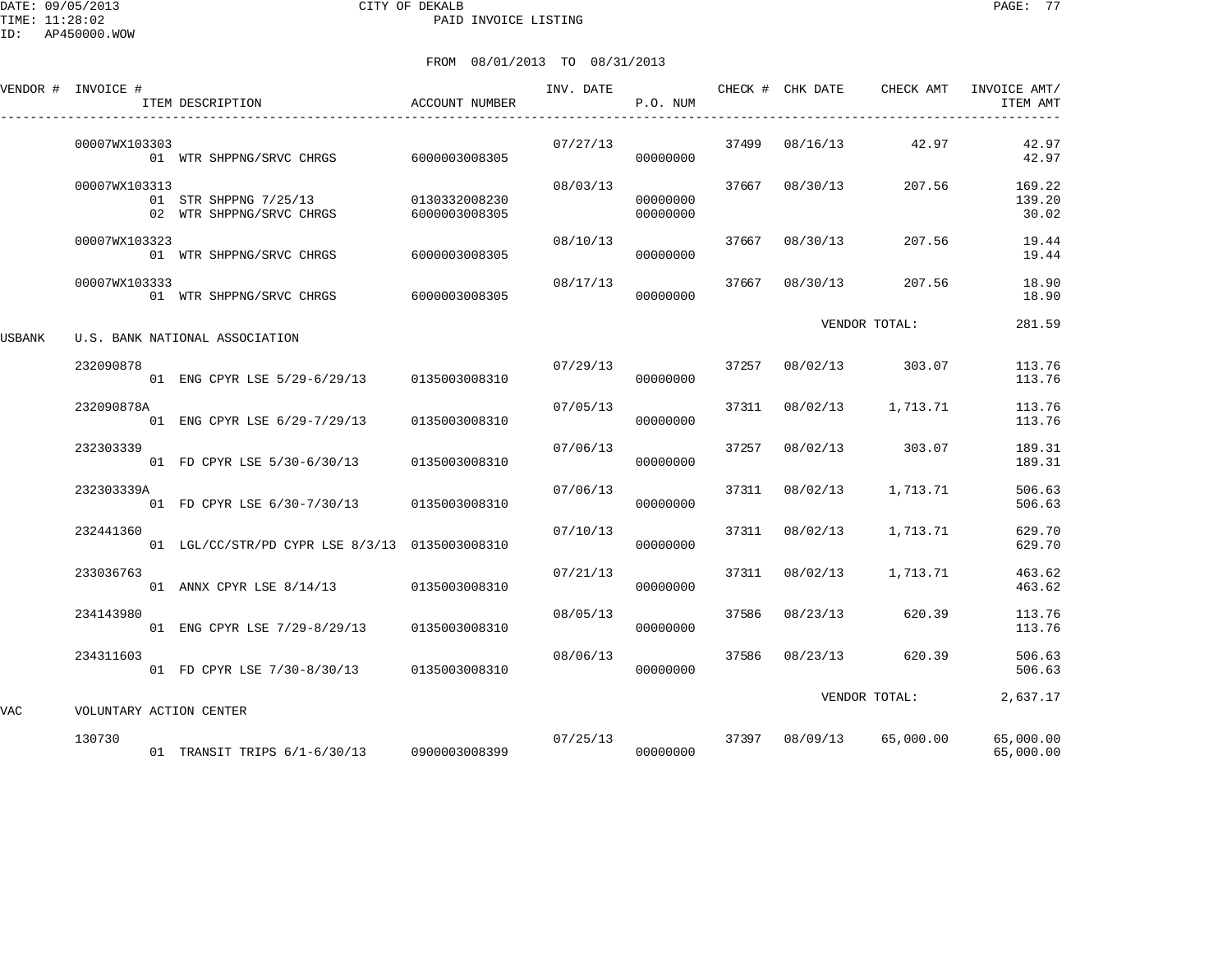DATE: 09/05/2013 CITY OF DEKALB PAGE: 77 PAID INVOICE LISTING

| FROM 08/01/2013 TO 08/31/2013 |
|-------------------------------|
|                               |

|        | VENDOR # INVOICE #      | ITEM DESCRIPTION                                  | ACCOUNT NUMBER                 | INV. DATE | P.O. NUM             |       | CHECK # CHK DATE | CHECK AMT     | INVOICE AMT/<br>ITEM AMT  |
|--------|-------------------------|---------------------------------------------------|--------------------------------|-----------|----------------------|-------|------------------|---------------|---------------------------|
|        | 00007WX103303           | 01 WTR SHPPNG/SRVC CHRGS                          | 6000003008305                  | 07/27/13  | 00000000             | 37499 | 08/16/13         | 42.97         | 42.97<br>42.97            |
|        | 00007WX103313           | 01 STR SHPPNG 7/25/13<br>02 WTR SHPPNG/SRVC CHRGS | 0130332008230<br>6000003008305 | 08/03/13  | 00000000<br>00000000 | 37667 | 08/30/13         | 207.56        | 169.22<br>139.20<br>30.02 |
|        | 00007WX103323           | 01 WTR SHPPNG/SRVC CHRGS                          | 6000003008305                  | 08/10/13  | 00000000             | 37667 | 08/30/13         | 207.56        | 19.44<br>19.44            |
|        | 00007WX103333           | 01 WTR SHPPNG/SRVC CHRGS                          | 6000003008305                  | 08/17/13  | 00000000             | 37667 | 08/30/13         | 207.56        | 18.90<br>18.90            |
| USBANK |                         | U.S. BANK NATIONAL ASSOCIATION                    |                                |           |                      |       |                  | VENDOR TOTAL: | 281.59                    |
|        | 232090878               | 01 ENG CPYR LSE 5/29-6/29/13 0135003008310        |                                | 07/29/13  | 00000000             | 37257 | 08/02/13         | 303.07        | 113.76<br>113.76          |
|        | 232090878A              | 01 ENG CPYR LSE 6/29-7/29/13                      | 0135003008310                  | 07/05/13  | 00000000             | 37311 | 08/02/13         | 1,713.71      | 113.76<br>113.76          |
|        | 232303339               | 01 FD CPYR LSE 5/30-6/30/13                       | 0135003008310                  | 07/06/13  | 00000000             | 37257 | 08/02/13         | 303.07        | 189.31<br>189.31          |
|        | 232303339A              | 01 FD CPYR LSE 6/30-7/30/13 0135003008310         |                                | 07/06/13  | 00000000             | 37311 | 08/02/13         | 1,713.71      | 506.63<br>506.63          |
|        | 232441360               | 01 LGL/CC/STR/PD CYPR LSE 8/3/13 0135003008310    |                                | 07/10/13  | 00000000             | 37311 | 08/02/13         | 1,713.71      | 629.70<br>629.70          |
|        | 233036763               | 01 ANNX CPYR LSE 8/14/13 0135003008310            |                                | 07/21/13  | 00000000             | 37311 | 08/02/13         | 1,713.71      | 463.62<br>463.62          |
|        | 234143980               | 01 ENG CPYR LSE 7/29-8/29/13                      | 0135003008310                  | 08/05/13  | 00000000             | 37586 | 08/23/13         | 620.39        | 113.76<br>113.76          |
|        | 234311603               | 01 FD CPYR LSE 7/30-8/30/13 0135003008310         |                                | 08/06/13  | 00000000             | 37586 | 08/23/13         | 620.39        | 506.63<br>506.63          |
| VAC    | VOLUNTARY ACTION CENTER |                                                   |                                |           |                      |       |                  | VENDOR TOTAL: | 2,637.17                  |
|        | 130730                  | 01 TRANSIT TRIPS 6/1-6/30/13 0900003008399        |                                |           | 07/25/13<br>00000000 |       | 37397 08/09/13   | 65,000.00     | 65,000.00<br>65,000.00    |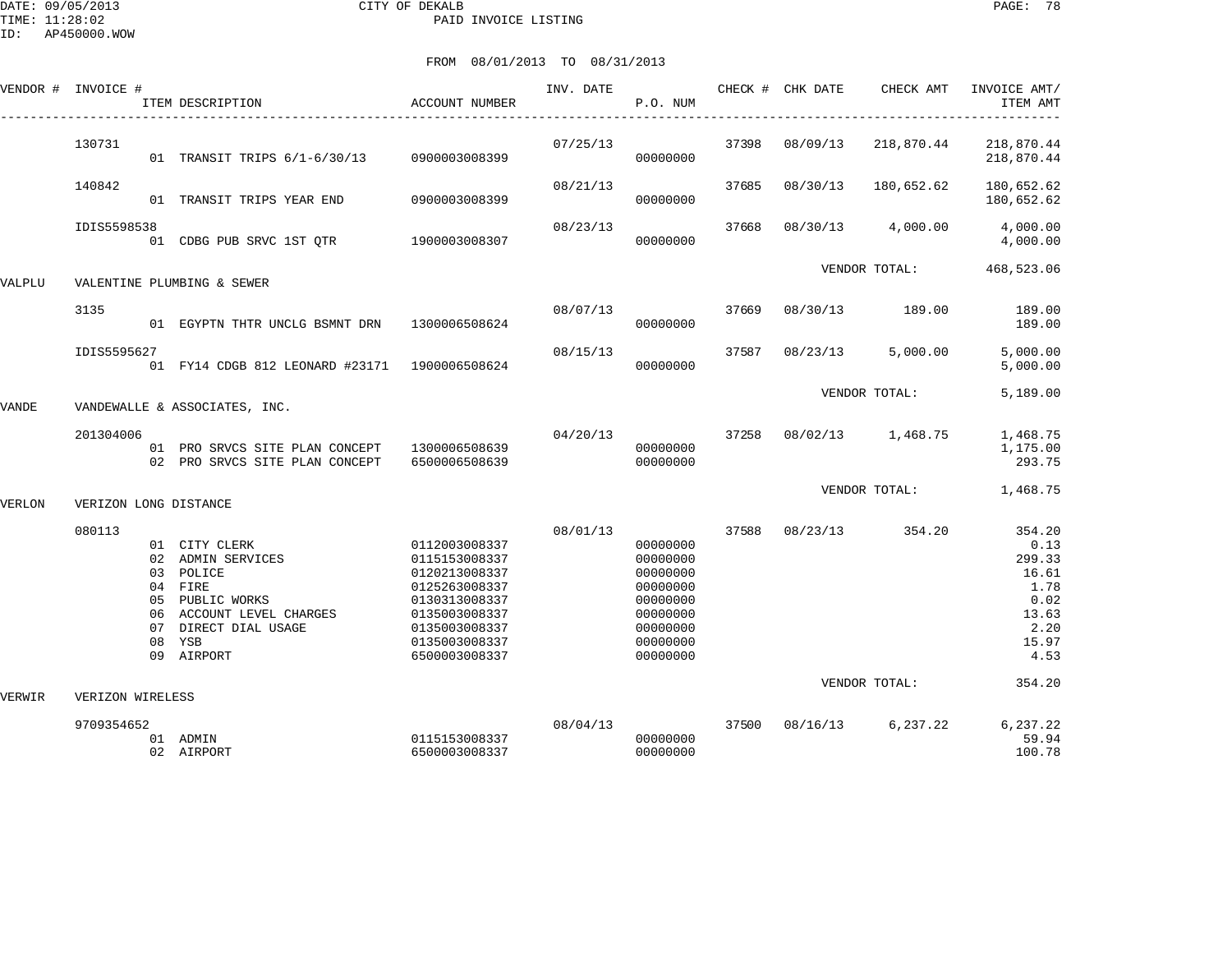DATE: 09/05/2013 CITY OF DEKALB PAGE: 78 PAID INVOICE LISTING

|        | VENDOR # INVOICE #         |                                  | ITEM DESCRIPTION                                                                                                                        | ACCOUNT NUMBER                                                                                                                                        | INV. DATE | P.O. NUM                                                                                                 |       | CHECK # CHK DATE | CHECK AMT               | INVOICE AMT/<br>ITEM AMT                                                                      |
|--------|----------------------------|----------------------------------|-----------------------------------------------------------------------------------------------------------------------------------------|-------------------------------------------------------------------------------------------------------------------------------------------------------|-----------|----------------------------------------------------------------------------------------------------------|-------|------------------|-------------------------|-----------------------------------------------------------------------------------------------|
|        | 130731                     |                                  | 01 TRANSIT TRIPS 6/1-6/30/13 0900003008399                                                                                              |                                                                                                                                                       | 07/25/13  | 00000000                                                                                                 | 37398 | 08/09/13         | 218,870.44              | 218,870.44<br>218,870.44                                                                      |
|        | 140842                     |                                  | 01 TRANSIT TRIPS YEAR END                                                                                                               | 0900003008399                                                                                                                                         | 08/21/13  | 00000000                                                                                                 | 37685 | 08/30/13         | 180,652.62              | 180,652.62<br>180,652.62                                                                      |
|        | IDIS5598538                |                                  | 01 CDBG PUB SRVC 1ST QTR                                                                                                                | 1900003008307                                                                                                                                         | 08/23/13  | 00000000                                                                                                 | 37668 | 08/30/13         | 4,000.00                | 4,000.00<br>4,000.00                                                                          |
| VALPLU |                            |                                  | VALENTINE PLUMBING & SEWER                                                                                                              |                                                                                                                                                       |           |                                                                                                          |       |                  | VENDOR TOTAL:           | 468,523.06                                                                                    |
|        | 3135                       |                                  | 01 EGYPTN THTR UNCLG BSMNT DRN 1300006508624                                                                                            |                                                                                                                                                       | 08/07/13  | 00000000                                                                                                 | 37669 | 08/30/13         | 189.00                  | 189.00<br>189.00                                                                              |
|        | IDIS5595627                |                                  | 01 FY14 CDGB 812 LEONARD #23171 1900006508624                                                                                           |                                                                                                                                                       | 08/15/13  | 00000000                                                                                                 | 37587 | 08/23/13         | 5,000.00                | 5,000.00<br>5,000.00                                                                          |
| VANDE  |                            |                                  | VANDEWALLE & ASSOCIATES, INC.                                                                                                           |                                                                                                                                                       |           |                                                                                                          |       |                  | VENDOR TOTAL:           | 5,189.00                                                                                      |
|        | 201304006                  | 02                               | 01 PRO SRVCS SITE PLAN CONCEPT<br>PRO SRVCS SITE PLAN CONCEPT                                                                           | 1300006508639<br>6500006508639                                                                                                                        | 04/20/13  | 00000000<br>00000000                                                                                     | 37258 |                  | 08/02/13 1,468.75       | 1,468.75<br>1,175.00<br>293.75                                                                |
| VERLON | VERIZON LONG DISTANCE      |                                  |                                                                                                                                         |                                                                                                                                                       |           |                                                                                                          |       |                  | VENDOR TOTAL:           | 1,468.75                                                                                      |
| VERWIR | 080113<br>VERIZON WIRELESS | 02<br>03<br>05<br>06<br>07<br>08 | 01 CITY CLERK<br>ADMIN SERVICES<br>POLICE<br>04 FIRE<br>PUBLIC WORKS<br>ACCOUNT LEVEL CHARGES<br>DIRECT DIAL USAGE<br>YSB<br>09 AIRPORT | 0112003008337<br>0115153008337<br>0120213008337<br>0125263008337<br>0130313008337<br>0135003008337<br>0135003008337<br>0135003008337<br>6500003008337 | 08/01/13  | 00000000<br>00000000<br>00000000<br>00000000<br>00000000<br>00000000<br>00000000<br>00000000<br>00000000 | 37588 | 08/23/13         | 354.20<br>VENDOR TOTAL: | 354.20<br>0.13<br>299.33<br>16.61<br>1.78<br>0.02<br>13.63<br>2.20<br>15.97<br>4.53<br>354.20 |
|        | 9709354652                 |                                  | 01 ADMIN<br>02 AIRPORT                                                                                                                  | 0115153008337<br>6500003008337                                                                                                                        | 08/04/13  | 00000000<br>00000000                                                                                     |       | 37500 08/16/13   | 6,237.22                | 6,237.22<br>59.94<br>100.78                                                                   |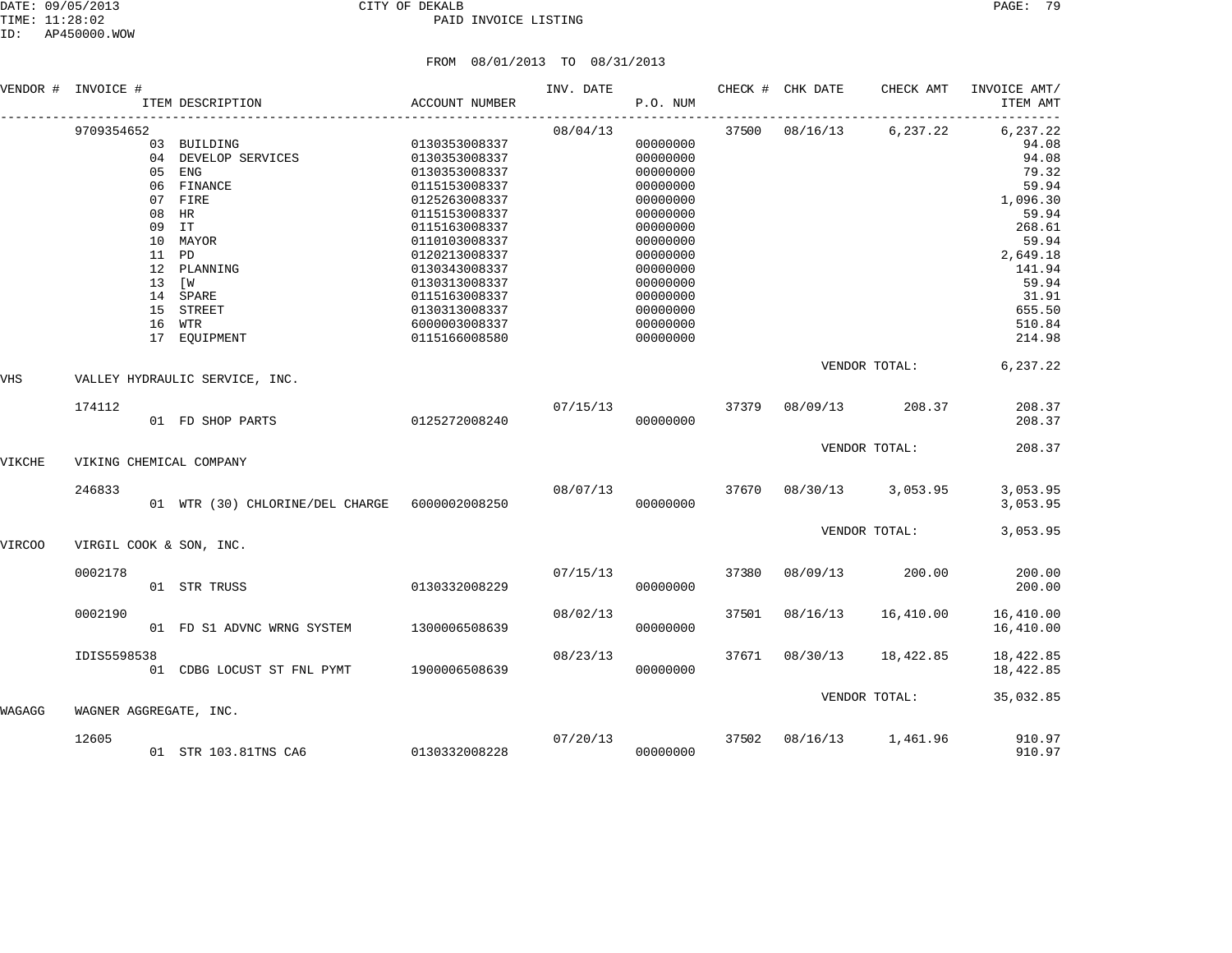## DATE: 09/05/2013 CITY OF DEKALB PAGE: 79 PAID INVOICE LISTING

|        | VENDOR # INVOICE #      |                | ITEM DESCRIPTION                                                                                                                                                      | ACCOUNT NUMBER                                                                                                                                                                                                                                              | INV. DATE | P.O. NUM                                                                                                                                                                         |       | CHECK # CHK DATE        | CHECK AMT               | INVOICE AMT/<br>ITEM AMT                                                                                                                                              |  |
|--------|-------------------------|----------------|-----------------------------------------------------------------------------------------------------------------------------------------------------------------------|-------------------------------------------------------------------------------------------------------------------------------------------------------------------------------------------------------------------------------------------------------------|-----------|----------------------------------------------------------------------------------------------------------------------------------------------------------------------------------|-------|-------------------------|-------------------------|-----------------------------------------------------------------------------------------------------------------------------------------------------------------------|--|
|        | 9709354652              | 11 PD<br>13 [W | 03 BUILDING<br>04 DEVELOP SERVICES<br>05 ENG<br>06 FINANCE<br>07 FIRE<br>08 HR<br>09 IT<br>10 MAYOR<br>12 PLANNING<br>14 SPARE<br>15 STREET<br>16 WTR<br>17 EOUIPMENT | 0130353008337<br>0130353008337<br>0130353008337<br>0115153008337<br>0125263008337<br>0115153008337<br>0115163008337<br>0110103008337<br>0120213008337<br>0130343008337<br>0130313008337<br>0115163008337<br>0130313008337<br>6000003008337<br>0115166008580 | 08/04/13  | 00000000<br>00000000<br>00000000<br>00000000<br>00000000<br>00000000<br>00000000<br>00000000<br>00000000<br>00000000<br>00000000<br>00000000<br>00000000<br>00000000<br>00000000 |       |                         | 37500 08/16/13 6,237.22 | $- - -$<br>6,237.22<br>94.08<br>94.08<br>79.32<br>59.94<br>1,096.30<br>59.94<br>268.61<br>59.94<br>2,649.18<br>141.94<br>59.94<br>31.91<br>655.50<br>510.84<br>214.98 |  |
| VHS    |                         |                | VALLEY HYDRAULIC SERVICE, INC.                                                                                                                                        |                                                                                                                                                                                                                                                             |           |                                                                                                                                                                                  |       |                         | VENDOR TOTAL:           | 6,237.22                                                                                                                                                              |  |
|        | 174112                  |                | 01 FD SHOP PARTS                                                                                                                                                      | 0125272008240                                                                                                                                                                                                                                               | 07/15/13  | 00000000                                                                                                                                                                         | 37379 | 08/09/13                | 208.37                  | 208.37<br>208.37                                                                                                                                                      |  |
| VIKCHE |                         |                | VIKING CHEMICAL COMPANY                                                                                                                                               |                                                                                                                                                                                                                                                             |           |                                                                                                                                                                                  |       | 208.37<br>VENDOR TOTAL: |                         |                                                                                                                                                                       |  |
|        | 246833                  |                | 01 WTR (30) CHLORINE/DEL CHARGE 6000002008250                                                                                                                         |                                                                                                                                                                                                                                                             | 08/07/13  | 00000000                                                                                                                                                                         |       | 37670 08/30/13          | 3,053.95                | 3,053.95<br>3,053.95                                                                                                                                                  |  |
| VIRCOO | VIRGIL COOK & SON, INC. |                |                                                                                                                                                                       |                                                                                                                                                                                                                                                             |           |                                                                                                                                                                                  |       |                         | VENDOR TOTAL:           | 3,053.95                                                                                                                                                              |  |
|        | 0002178                 |                | 01 STR TRUSS                                                                                                                                                          | 0130332008229                                                                                                                                                                                                                                               | 07/15/13  | 00000000                                                                                                                                                                         | 37380 | 08/09/13                | 200.00                  | 200.00<br>200.00                                                                                                                                                      |  |
|        | 0002190                 |                | 01 FD S1 ADVNC WRNG SYSTEM                                                                                                                                            | 1300006508639                                                                                                                                                                                                                                               | 08/02/13  | 00000000                                                                                                                                                                         | 37501 | 08/16/13                | 16,410.00               | 16,410.00<br>16,410.00                                                                                                                                                |  |
|        | IDIS5598538             |                | 01 CDBG LOCUST ST FNL PYMT 1900006508639                                                                                                                              |                                                                                                                                                                                                                                                             | 08/23/13  | 00000000                                                                                                                                                                         | 37671 | 08/30/13                | 18,422.85               | 18,422.85<br>18,422.85                                                                                                                                                |  |
| WAGAGG | WAGNER AGGREGATE, INC.  |                |                                                                                                                                                                       |                                                                                                                                                                                                                                                             |           |                                                                                                                                                                                  |       |                         | VENDOR TOTAL:           | 35,032.85                                                                                                                                                             |  |
|        | 12605                   |                | 01 STR 103.81TNS CA6 0130332008228                                                                                                                                    |                                                                                                                                                                                                                                                             | 07/20/13  | 00000000                                                                                                                                                                         | 37502 | 08/16/13                | 1,461.96                | 910.97<br>910.97                                                                                                                                                      |  |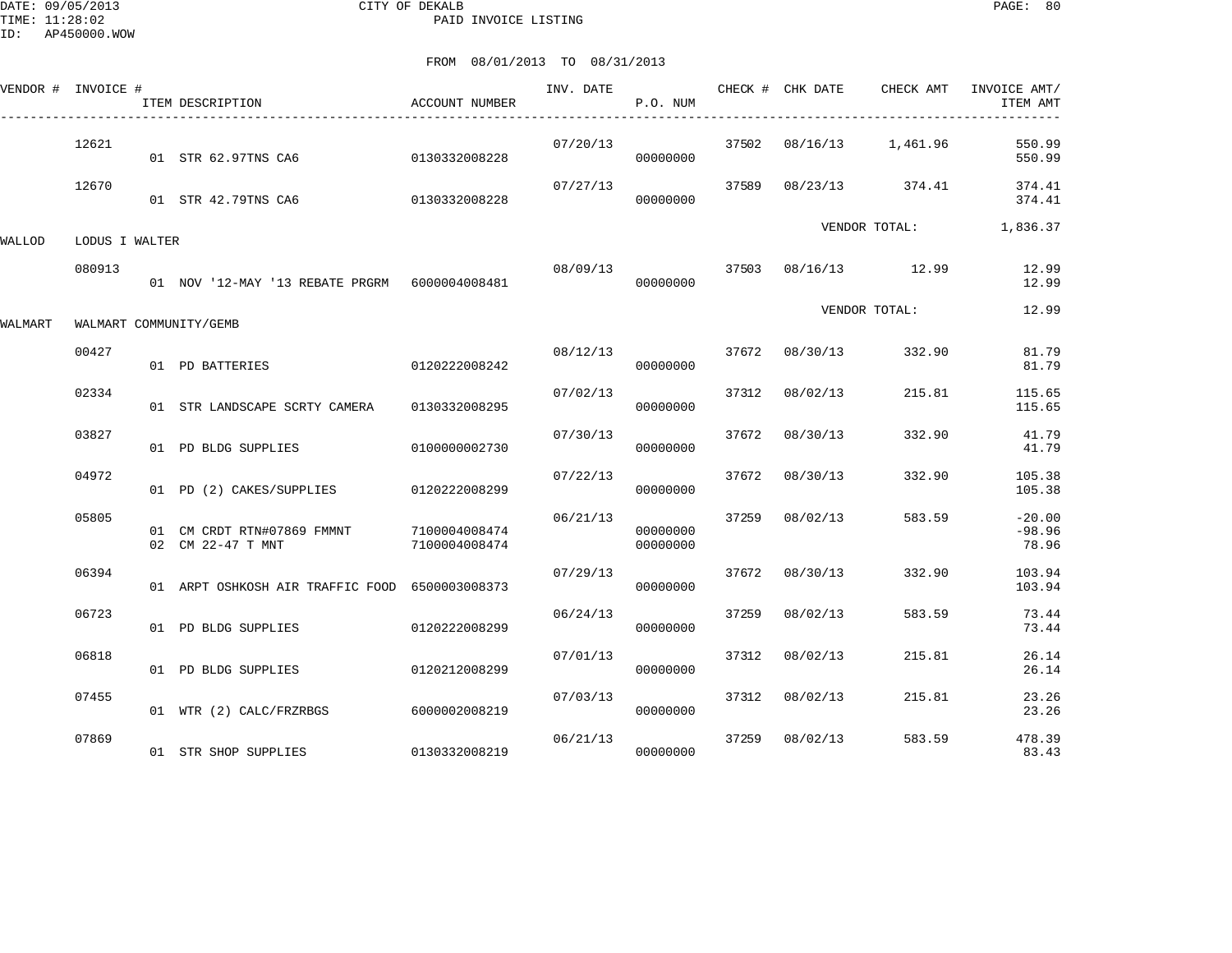DATE: 09/05/2013 CITY OF DEKALB PAGE: 80 PAID INVOICE LISTING

|         | VENDOR # INVOICE # | ITEM DESCRIPTION                                | ACCOUNT NUMBER                 | INV. DATE | P.O. NUM             |       | CHECK # CHK DATE | CHECK AMT         | INVOICE AMT/<br>ITEM AMT      |
|---------|--------------------|-------------------------------------------------|--------------------------------|-----------|----------------------|-------|------------------|-------------------|-------------------------------|
|         | 12621              | 01 STR 62.97TNS CA6                             | 0130332008228                  | 07/20/13  | 00000000             | 37502 |                  | 08/16/13 1,461.96 | 550.99<br>550.99              |
|         | 12670              | 01 STR 42.79TNS CA6 0130332008228               |                                | 07/27/13  | 00000000             | 37589 |                  | 08/23/13 374.41   | 374.41<br>374.41              |
| WALLOD  | LODUS I WALTER     |                                                 |                                |           |                      |       |                  | VENDOR TOTAL:     | 1,836.37                      |
|         | 080913             |                                                 |                                | 08/09/13  | 37503<br>00000000    |       |                  | 08/16/13 12.99    | 12.99<br>12.99                |
| WALMART |                    | WALMART COMMUNITY/GEMB                          |                                |           |                      |       |                  | VENDOR TOTAL:     | 12.99                         |
|         | 00427              | 0120222008242<br>01 PD BATTERIES                |                                | 08/12/13  | 00000000             | 37672 | 08/30/13         | 332.90            | 81.79<br>81.79                |
|         | 02334              | 01 STR LANDSCAPE SCRTY CAMERA                   | 0130332008295                  | 07/02/13  | 00000000             | 37312 | 08/02/13         | 215.81            | 115.65<br>115.65              |
|         | 03827              | 01 PD BLDG SUPPLIES                             | 0100000002730                  | 07/30/13  | 00000000             | 37672 | 08/30/13         | 332.90            | 41.79<br>41.79                |
|         | 04972              | 01 PD (2) CAKES/SUPPLIES                        | 0120222008299                  | 07/22/13  | 00000000             | 37672 | 08/30/13         | 332.90            | 105.38<br>105.38              |
|         | 05805              | 01 CM CRDT RTN#07869 FMMNT<br>02 CM 22-47 T MNT | 7100004008474<br>7100004008474 | 06/21/13  | 00000000<br>00000000 | 37259 | 08/02/13         | 583.59            | $-20.00$<br>$-98.96$<br>78.96 |
|         | 06394              | 01 ARPT OSHKOSH AIR TRAFFIC FOOD 6500003008373  |                                | 07/29/13  | 00000000             |       | 37672 08/30/13   | 332.90            | 103.94<br>103.94              |
|         | 06723              | 01 PD BLDG SUPPLIES                             | 0120222008299                  | 06/24/13  | 00000000             | 37259 | 08/02/13         | 583.59            | 73.44<br>73.44                |
|         | 06818              | 01 PD BLDG SUPPLIES                             | 0120212008299                  | 07/01/13  | 00000000             | 37312 | 08/02/13         | 215.81            | 26.14<br>26.14                |
|         | 07455              | 01 WTR (2) CALC/FRZRBGS                         | 6000002008219                  | 07/03/13  | 00000000             | 37312 | 08/02/13         | 215.81            | 23.26<br>23.26                |
|         | 07869              | 01 STR SHOP SUPPLIES                            | 0130332008219                  | 06/21/13  | 00000000             | 37259 | 08/02/13         | 583.59            | 478.39<br>83.43               |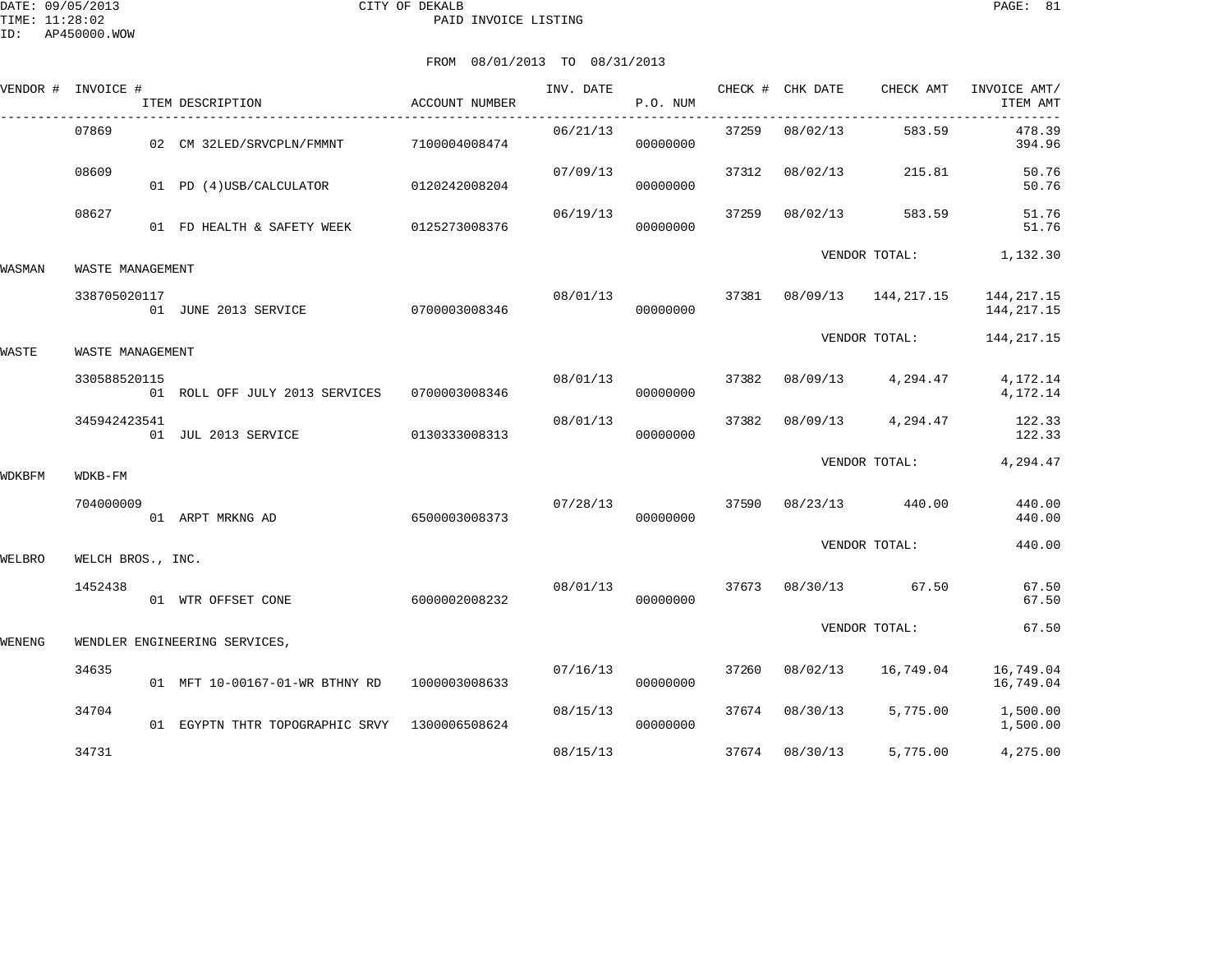|        | VENDOR # INVOICE # | ITEM DESCRIPTION                | ACCOUNT NUMBER | INV. DATE | P.O. NUM |                   | CHECK # CHK DATE | CHECK AMT           | INVOICE AMT/<br>ITEM AMT   |
|--------|--------------------|---------------------------------|----------------|-----------|----------|-------------------|------------------|---------------------|----------------------------|
|        | 07869              | 02 CM 32LED/SRVCPLN/FMMNT       | 7100004008474  | 06/21/13  | 00000000 | --------<br>37259 | 08/02/13         | 583.59              | 478.39<br>394.96           |
|        | 08609              | 01 PD (4)USB/CALCULATOR         | 0120242008204  | 07/09/13  | 00000000 | 37312             | 08/02/13         | 215.81              | 50.76<br>50.76             |
|        | 08627              | 01 FD HEALTH & SAFETY WEEK      | 0125273008376  | 06/19/13  | 00000000 | 37259             | 08/02/13         | 583.59              | 51.76<br>51.76             |
| WASMAN | WASTE MANAGEMENT   |                                 |                |           |          |                   |                  | VENDOR TOTAL:       | 1,132.30                   |
|        | 338705020117       | 01 JUNE 2013 SERVICE            | 0700003008346  | 08/01/13  | 00000000 | 37381             |                  | 08/09/13 144,217.15 | 144,217.15<br>144, 217. 15 |
| WASTE  | WASTE MANAGEMENT   |                                 |                |           |          |                   |                  | VENDOR TOTAL:       | 144, 217. 15               |
|        | 330588520115       | 01 ROLL OFF JULY 2013 SERVICES  | 0700003008346  | 08/01/13  | 00000000 | 37382             | 08/09/13         | 4,294.47            | 4,172.14<br>4,172.14       |
|        | 345942423541       | 01 JUL 2013 SERVICE             | 0130333008313  | 08/01/13  | 00000000 | 37382             | 08/09/13         | 4,294.47            | 122.33<br>122.33           |
| WDKBFM | WDKB-FM            |                                 |                |           |          |                   |                  | VENDOR TOTAL:       | 4,294.47                   |
|        | 704000009          | 01 ARPT MRKNG AD                | 6500003008373  | 07/28/13  | 00000000 | 37590             | 08/23/13         | 440.00              | 440.00<br>440.00           |
| WELBRO | WELCH BROS., INC.  |                                 |                |           |          |                   |                  | VENDOR TOTAL:       | 440.00                     |
|        | 1452438            | 01 WTR OFFSET CONE              | 6000002008232  | 08/01/13  | 00000000 | 37673             | 08/30/13         | 67.50               | 67.50<br>67.50             |
| WENENG |                    | WENDLER ENGINEERING SERVICES,   |                |           |          |                   |                  | VENDOR TOTAL:       | 67.50                      |
|        | 34635              | 01 MFT 10-00167-01-WR BTHNY RD  | 1000003008633  | 07/16/13  | 00000000 | 37260             | 08/02/13         | 16,749.04           | 16,749.04<br>16,749.04     |
|        | 34704              | 01 EGYPTN THTR TOPOGRAPHIC SRVY | 1300006508624  | 08/15/13  | 00000000 | 37674             | 08/30/13         | 5,775.00            | 1,500.00<br>1,500.00       |
|        | 34731              |                                 |                | 08/15/13  |          | 37674             | 08/30/13         | 5,775.00            | 4,275.00                   |